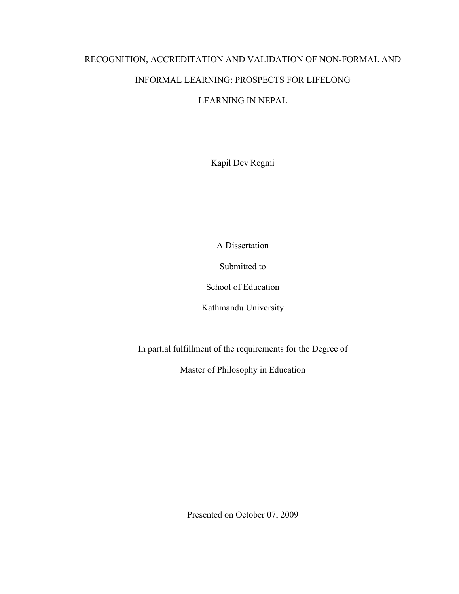# RECOGNITION, ACCREDITATION AND VALIDATION OF NON-FORMAL AND INFORMAL LEARNING: PROSPECTS FOR LIFELONG

## LEARNING IN NEPAL

Kapil Dev Regmi

A Dissertation

Submitted to

School of Education

Kathmandu University

In partial fulfillment of the requirements for the Degree of

Master of Philosophy in Education

Presented on October 07, 2009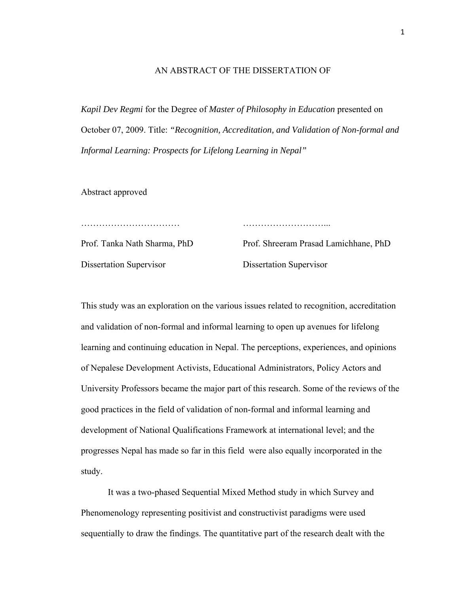### AN ABSTRACT OF THE DISSERTATION OF

*Kapil Dev Regmi* for the Degree of *Master of Philosophy in Education* presented on October 07, 2009. Title: *"Recognition, Accreditation, and Validation of Non-formal and Informal Learning: Prospects for Lifelong Learning in Nepal"* 

Abstract approved

…………………………… ………………………...

Prof. Tanka Nath Sharma, PhD Prof. Shreeram Prasad Lamichhane, PhD Dissertation Supervisor Dissertation Supervisor

This study was an exploration on the various issues related to recognition, accreditation and validation of non-formal and informal learning to open up avenues for lifelong learning and continuing education in Nepal. The perceptions, experiences, and opinions of Nepalese Development Activists, Educational Administrators, Policy Actors and University Professors became the major part of this research. Some of the reviews of the good practices in the field of validation of non-formal and informal learning and development of National Qualifications Framework at international level; and the progresses Nepal has made so far in this field were also equally incorporated in the study.

 It was a two-phased Sequential Mixed Method study in which Survey and Phenomenology representing positivist and constructivist paradigms were used sequentially to draw the findings. The quantitative part of the research dealt with the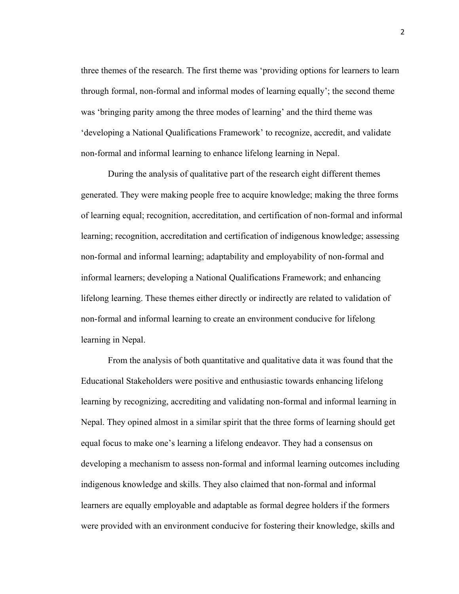three themes of the research. The first theme was 'providing options for learners to learn through formal, non-formal and informal modes of learning equally'; the second theme was 'bringing parity among the three modes of learning' and the third theme was 'developing a National Qualifications Framework' to recognize, accredit, and validate non-formal and informal learning to enhance lifelong learning in Nepal.

 During the analysis of qualitative part of the research eight different themes generated. They were making people free to acquire knowledge; making the three forms of learning equal; recognition, accreditation, and certification of non-formal and informal learning; recognition, accreditation and certification of indigenous knowledge; assessing non-formal and informal learning; adaptability and employability of non-formal and informal learners; developing a National Qualifications Framework; and enhancing lifelong learning. These themes either directly or indirectly are related to validation of non-formal and informal learning to create an environment conducive for lifelong learning in Nepal.

 From the analysis of both quantitative and qualitative data it was found that the Educational Stakeholders were positive and enthusiastic towards enhancing lifelong learning by recognizing, accrediting and validating non-formal and informal learning in Nepal. They opined almost in a similar spirit that the three forms of learning should get equal focus to make one's learning a lifelong endeavor. They had a consensus on developing a mechanism to assess non-formal and informal learning outcomes including indigenous knowledge and skills. They also claimed that non-formal and informal learners are equally employable and adaptable as formal degree holders if the formers were provided with an environment conducive for fostering their knowledge, skills and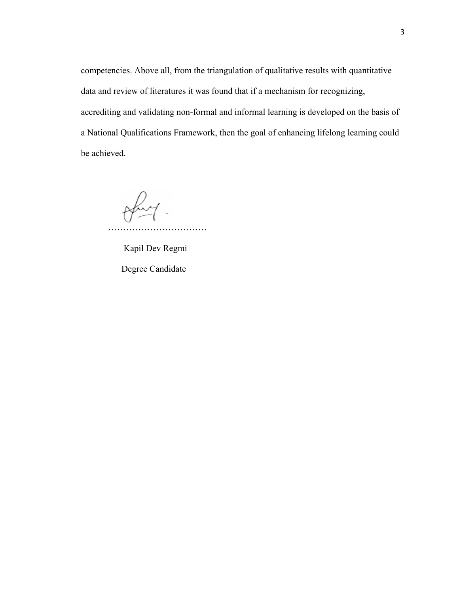competencies. Above all, from the triangulation of qualitative results with quantitative data and review of literatures it was found that if a mechanism for recognizing, accrediting and validating non-formal and informal learning is developed on the basis of a National Qualifications Framework, then the goal of enhancing lifelong learning could be achieved.

ofry ……………………………

 Kapil Dev Regmi Degree Candidate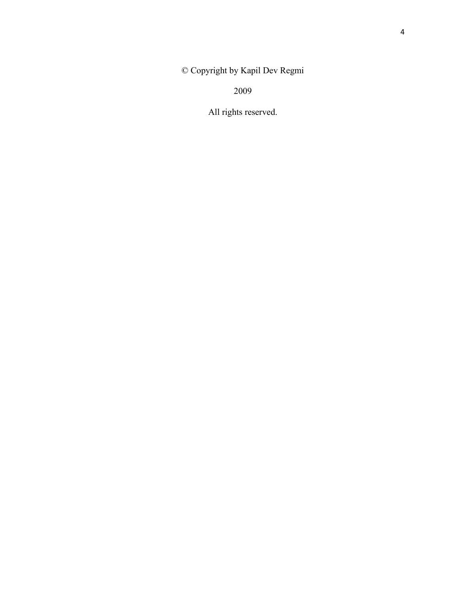© Copyright by Kapil Dev Regmi

2009

All rights reserved.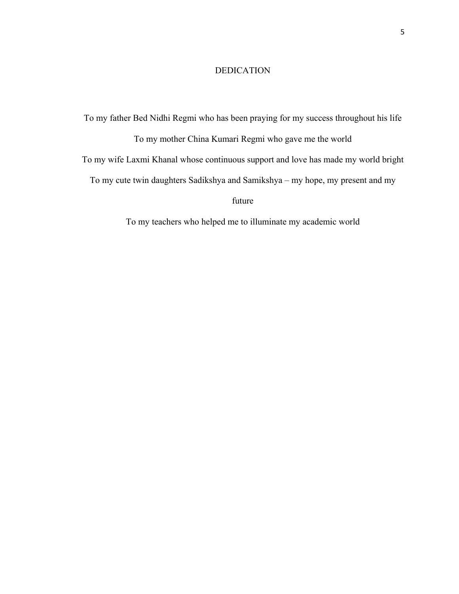## DEDICATION

To my father Bed Nidhi Regmi who has been praying for my success throughout his life To my mother China Kumari Regmi who gave me the world To my wife Laxmi Khanal whose continuous support and love has made my world bright To my cute twin daughters Sadikshya and Samikshya – my hope, my present and my future

To my teachers who helped me to illuminate my academic world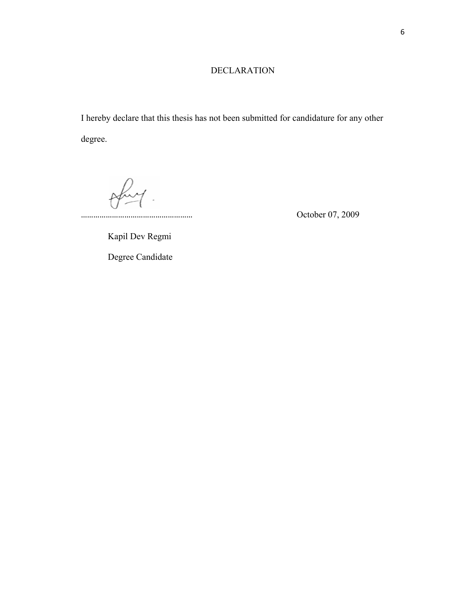## DECLARATION

I hereby declare that this thesis has not been submitted for candidature for any other degree.

 $\theta$ 

Kapil Dev Regmi

Degree Candidate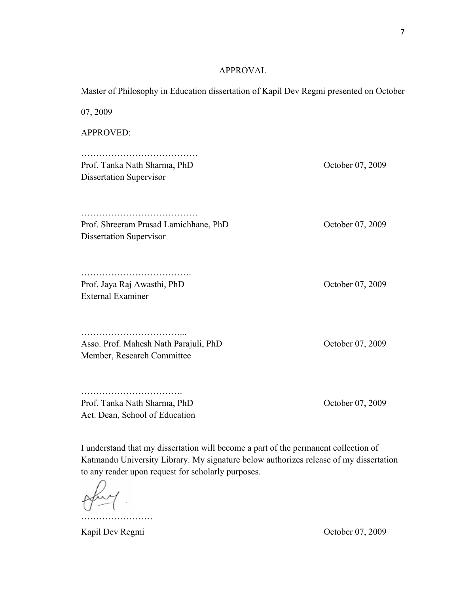## APPROVAL

Master of Philosophy in Education dissertation of Kapil Dev Regmi presented on October

07, 2009 APPROVED: ………………………………… Prof. Tanka Nath Sharma, PhD October 07, 2009 Dissertation Supervisor ………………………………… Prof. Shreeram Prasad Lamichhane, PhD October 07, 2009 Dissertation Supervisor ………………………………………… Prof. Jaya Raj Awasthi, PhD October 07, 2009 External Examiner ……………………………... Asso. Prof. Mahesh Nath Parajuli, PhD October 07, 2009 Member, Research Committee ……………………………………… Prof. Tanka Nath Sharma, PhD October 07, 2009

Act. Dean, School of Education

I understand that my dissertation will become a part of the permanent collection of Katmandu University Library. My signature below authorizes release of my dissertation to any reader upon request for scholarly purposes.

……………………

Kapil Dev Regmi October 07, 2009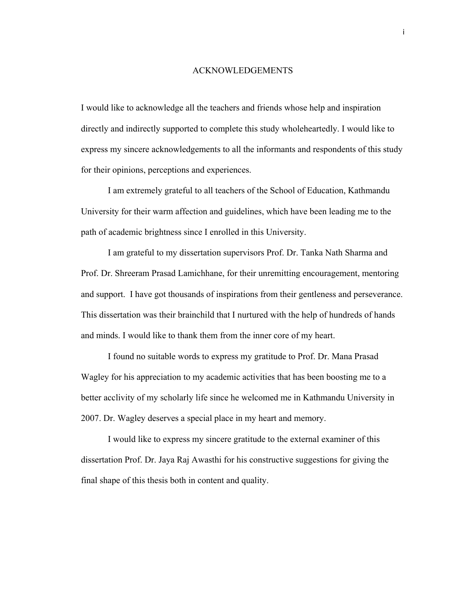#### ACKNOWLEDGEMENTS

I would like to acknowledge all the teachers and friends whose help and inspiration directly and indirectly supported to complete this study wholeheartedly. I would like to express my sincere acknowledgements to all the informants and respondents of this study for their opinions, perceptions and experiences.

 I am extremely grateful to all teachers of the School of Education, Kathmandu University for their warm affection and guidelines, which have been leading me to the path of academic brightness since I enrolled in this University.

 I am grateful to my dissertation supervisors Prof. Dr. Tanka Nath Sharma and Prof. Dr. Shreeram Prasad Lamichhane, for their unremitting encouragement, mentoring and support. I have got thousands of inspirations from their gentleness and perseverance. This dissertation was their brainchild that I nurtured with the help of hundreds of hands and minds. I would like to thank them from the inner core of my heart.

 I found no suitable words to express my gratitude to Prof. Dr. Mana Prasad Wagley for his appreciation to my academic activities that has been boosting me to a better acclivity of my scholarly life since he welcomed me in Kathmandu University in 2007. Dr. Wagley deserves a special place in my heart and memory.

 I would like to express my sincere gratitude to the external examiner of this dissertation Prof. Dr. Jaya Raj Awasthi for his constructive suggestions for giving the final shape of this thesis both in content and quality.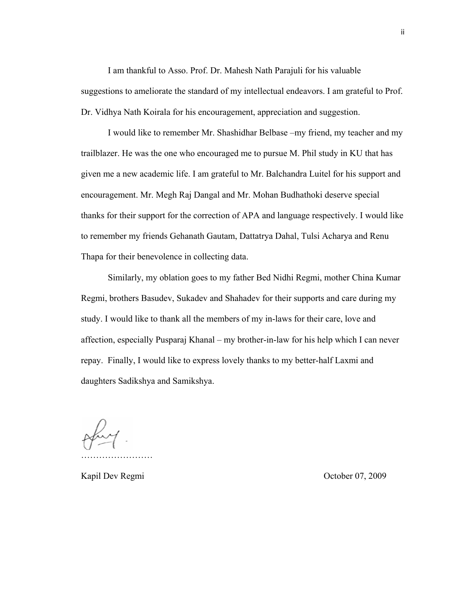I am thankful to Asso. Prof. Dr. Mahesh Nath Parajuli for his valuable suggestions to ameliorate the standard of my intellectual endeavors. I am grateful to Prof. Dr. Vidhya Nath Koirala for his encouragement, appreciation and suggestion.

 I would like to remember Mr. Shashidhar Belbase –my friend, my teacher and my trailblazer. He was the one who encouraged me to pursue M. Phil study in KU that has given me a new academic life. I am grateful to Mr. Balchandra Luitel for his support and encouragement. Mr. Megh Raj Dangal and Mr. Mohan Budhathoki deserve special thanks for their support for the correction of APA and language respectively. I would like to remember my friends Gehanath Gautam, Dattatrya Dahal, Tulsi Acharya and Renu Thapa for their benevolence in collecting data.

 Similarly, my oblation goes to my father Bed Nidhi Regmi, mother China Kumar Regmi, brothers Basudev, Sukadev and Shahadev for their supports and care during my study. I would like to thank all the members of my in-laws for their care, love and affection, especially Pusparaj Khanal – my brother-in-law for his help which I can never repay. Finally, I would like to express lovely thanks to my better-half Laxmi and daughters Sadikshya and Samikshya.

……………………

Kapil Dev Regmi **Community** Corollation Corollation Corollation October 07, 2009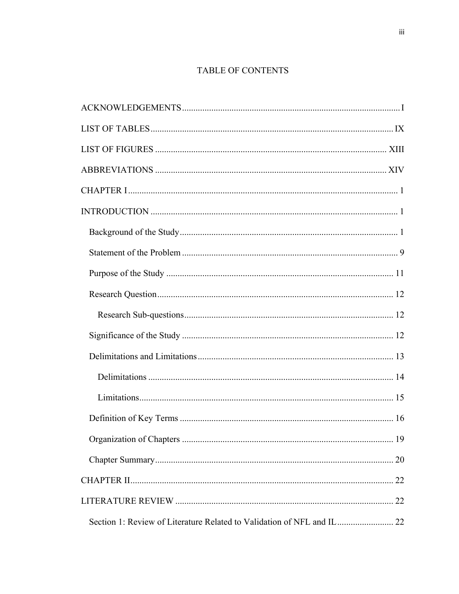## TABLE OF CONTENTS

| . 19 |
|------|
|      |
|      |
|      |
|      |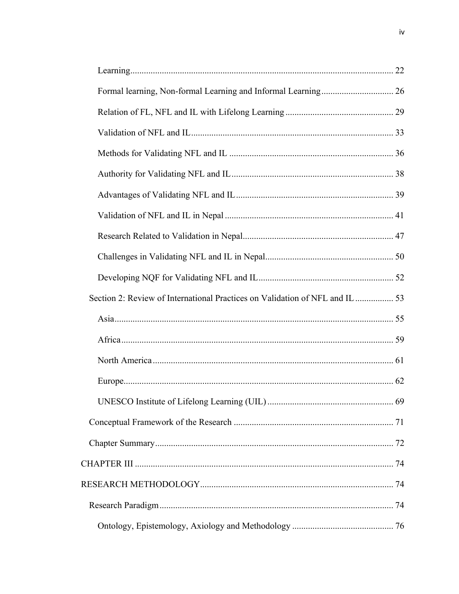| Section 2: Review of International Practices on Validation of NFL and IL  53 |  |
|------------------------------------------------------------------------------|--|
|                                                                              |  |
|                                                                              |  |
|                                                                              |  |
|                                                                              |  |
|                                                                              |  |
|                                                                              |  |
|                                                                              |  |
|                                                                              |  |
|                                                                              |  |
|                                                                              |  |
|                                                                              |  |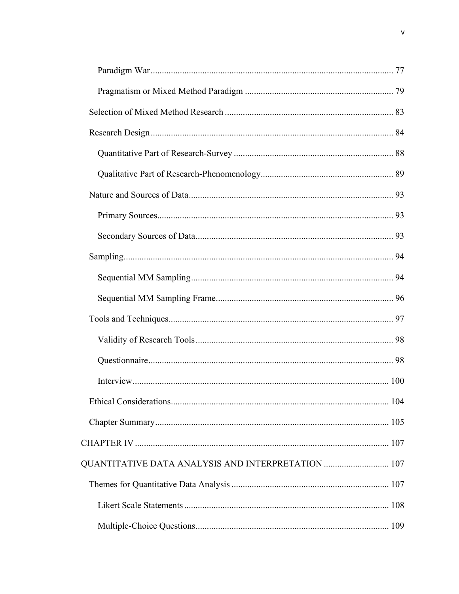| QUANTITATIVE DATA ANALYSIS AND INTERPRETATION  107 |  |
|----------------------------------------------------|--|
|                                                    |  |
|                                                    |  |
|                                                    |  |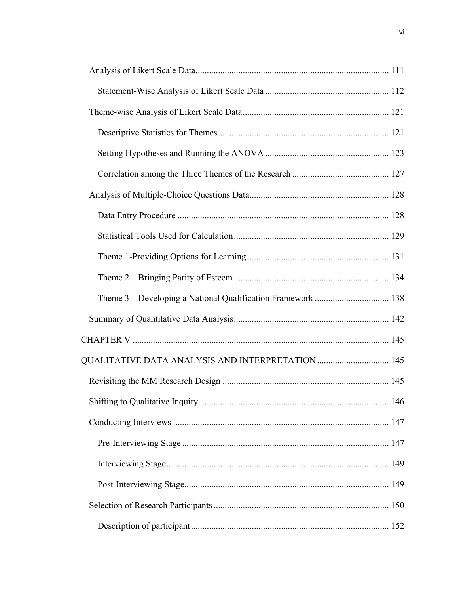| QUALITATIVE DATA ANALYSIS AND INTERPRETATION  145 |  |
|---------------------------------------------------|--|
|                                                   |  |
|                                                   |  |
|                                                   |  |
|                                                   |  |
|                                                   |  |
|                                                   |  |
|                                                   |  |
|                                                   |  |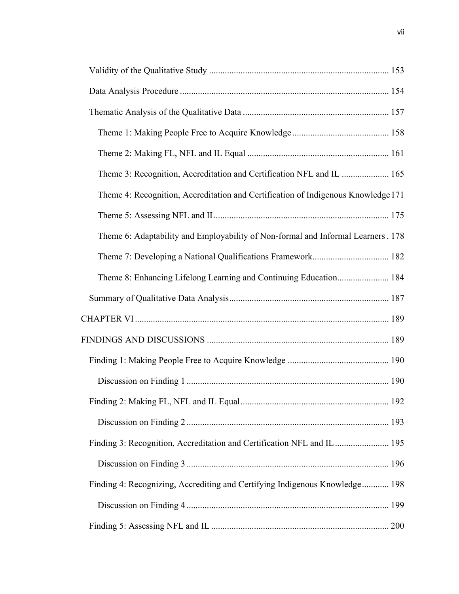| Theme 3: Recognition, Accreditation and Certification NFL and IL  165             |  |
|-----------------------------------------------------------------------------------|--|
| Theme 4: Recognition, Accreditation and Certification of Indigenous Knowledge 171 |  |
|                                                                                   |  |
| Theme 6: Adaptability and Employability of Non-formal and Informal Learners. 178  |  |
|                                                                                   |  |
| Theme 8: Enhancing Lifelong Learning and Continuing Education 184                 |  |
|                                                                                   |  |
|                                                                                   |  |
|                                                                                   |  |
|                                                                                   |  |
|                                                                                   |  |
|                                                                                   |  |
|                                                                                   |  |
| Finding 3: Recognition, Accreditation and Certification NFL and IL 195            |  |
|                                                                                   |  |
| Finding 4: Recognizing, Accrediting and Certifying Indigenous Knowledge 198       |  |
|                                                                                   |  |
|                                                                                   |  |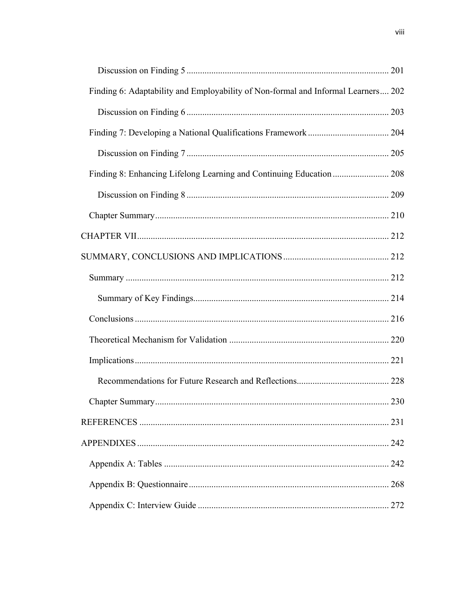| Finding 6: Adaptability and Employability of Non-formal and Informal Learners 202 |     |
|-----------------------------------------------------------------------------------|-----|
|                                                                                   |     |
|                                                                                   |     |
|                                                                                   |     |
|                                                                                   |     |
|                                                                                   |     |
|                                                                                   |     |
|                                                                                   |     |
|                                                                                   |     |
|                                                                                   |     |
|                                                                                   |     |
|                                                                                   |     |
|                                                                                   |     |
|                                                                                   |     |
|                                                                                   |     |
|                                                                                   |     |
|                                                                                   |     |
|                                                                                   |     |
|                                                                                   | 242 |
|                                                                                   |     |
|                                                                                   |     |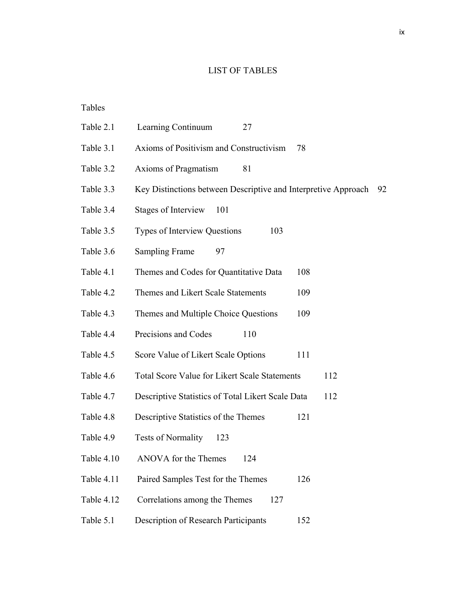## LIST OF TABLES

## Tables

| Table 2.1    | Learning Continuum<br>27                                       |     |
|--------------|----------------------------------------------------------------|-----|
| Table 3.1    | Axioms of Positivism and Constructivism                        | 78  |
| Table 3.2    | Axioms of Pragmatism<br>81                                     |     |
| Table 3.3    | Key Distinctions between Descriptive and Interpretive Approach | 92  |
| Table 3.4    | <b>Stages of Interview</b><br>101                              |     |
| Table 3.5    | Types of Interview Questions<br>103                            |     |
| Table 3.6    | <b>Sampling Frame</b><br>97                                    |     |
| Table 4.1    | Themes and Codes for Quantitative Data                         | 108 |
| Table 4.2    | Themes and Likert Scale Statements                             | 109 |
| Table 4.3    | Themes and Multiple Choice Questions                           | 109 |
| Table 4.4    | Precisions and Codes<br>110                                    |     |
| Table 4.5    | Score Value of Likert Scale Options                            | 111 |
| Table 4.6    | <b>Total Score Value for Likert Scale Statements</b>           | 112 |
| Table 4.7    | Descriptive Statistics of Total Likert Scale Data              | 112 |
| Table 4.8    | Descriptive Statistics of the Themes                           | 121 |
| Table 4.9    | <b>Tests of Normality</b><br>123                               |     |
| Table $4.10$ | ANOVA for the Themes<br>124                                    |     |
| Table 4.11   | Paired Samples Test for the Themes                             | 126 |
| Table 4.12   | Correlations among the Themes<br>127                           |     |
| Table 5.1    | Description of Research Participants                           | 152 |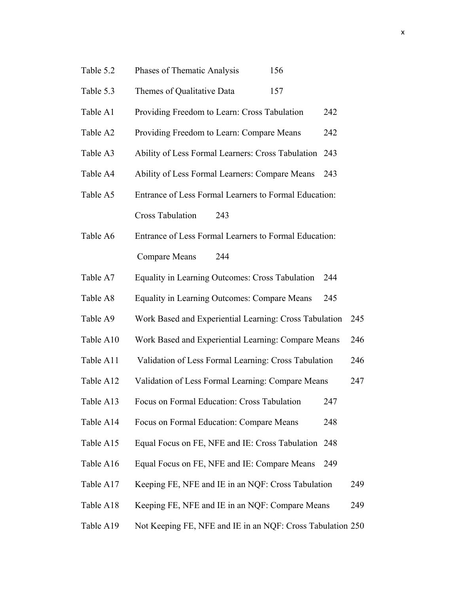| Table 5.2 | Phases of Thematic Analysis<br>156                         |     |     |
|-----------|------------------------------------------------------------|-----|-----|
| Table 5.3 | Themes of Qualitative Data<br>157                          |     |     |
| Table A1  | Providing Freedom to Learn: Cross Tabulation               | 242 |     |
| Table A2  | Providing Freedom to Learn: Compare Means                  | 242 |     |
| Table A3  | Ability of Less Formal Learners: Cross Tabulation          | 243 |     |
| Table A4  | Ability of Less Formal Learners: Compare Means             | 243 |     |
| Table A5  | Entrance of Less Formal Learners to Formal Education:      |     |     |
|           | <b>Cross Tabulation</b><br>243                             |     |     |
| Table A6  | Entrance of Less Formal Learners to Formal Education:      |     |     |
|           | <b>Compare Means</b><br>244                                |     |     |
| Table A7  | Equality in Learning Outcomes: Cross Tabulation            | 244 |     |
| Table A8  | Equality in Learning Outcomes: Compare Means               | 245 |     |
| Table A9  | Work Based and Experiential Learning: Cross Tabulation     |     | 245 |
| Table A10 | Work Based and Experiential Learning: Compare Means        |     | 246 |
| Table A11 | Validation of Less Formal Learning: Cross Tabulation       |     | 246 |
| Table A12 | Validation of Less Formal Learning: Compare Means          |     | 247 |
| Table A13 | Focus on Formal Education: Cross Tabulation                | 247 |     |
| Table A14 | Focus on Formal Education: Compare Means                   | 248 |     |
| Table A15 | Equal Focus on FE, NFE and IE: Cross Tabulation 248        |     |     |
| Table A16 | Equal Focus on FE, NFE and IE: Compare Means               | 249 |     |
| Table A17 | Keeping FE, NFE and IE in an NQF: Cross Tabulation         |     | 249 |
| Table A18 | Keeping FE, NFE and IE in an NQF: Compare Means            |     | 249 |
| Table A19 | Not Keeping FE, NFE and IE in an NQF: Cross Tabulation 250 |     |     |
|           |                                                            |     |     |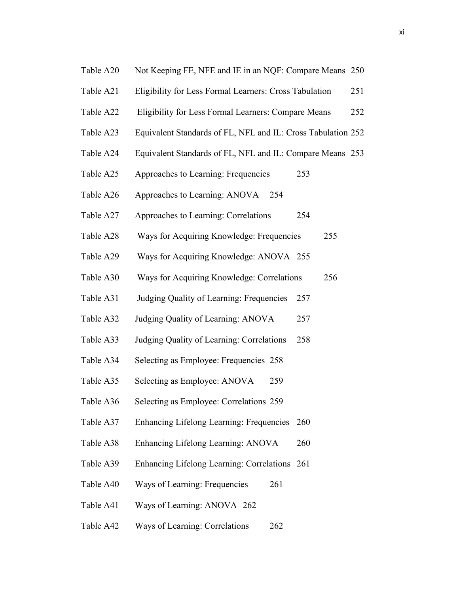- Table A20 Not Keeping FE, NFE and IE in an NQF: Compare Means 250
- Table A21 Eligibility for Less Formal Learners: Cross Tabulation 251
- Table A22 Eligibility for Less Formal Learners: Compare Means 252
- Table A23 Equivalent Standards of FL, NFL and IL: Cross Tabulation 252
- Table A24 Equivalent Standards of FL, NFL and IL: Compare Means 253
- Table A25 Approaches to Learning: Frequencies 253
- Table A26 Approaches to Learning: ANOVA 254
- Table A27 Approaches to Learning: Correlations 254
- Table A28 Ways for Acquiring Knowledge: Frequencies 255
- Table A29 Ways for Acquiring Knowledge: ANOVA 255
- Table A30 Ways for Acquiring Knowledge: Correlations 256
- Table A31 Judging Quality of Learning: Frequencies 257
- Table A32 Judging Quality of Learning: ANOVA 257
- Table A33 Judging Quality of Learning: Correlations 258
- Table A34 Selecting as Employee: Frequencies 258
- Table A35 Selecting as Employee: ANOVA 259
- Table A36 Selecting as Employee: Correlations 259
- Table A37 Enhancing Lifelong Learning: Frequencies 260
- Table A38 Enhancing Lifelong Learning: ANOVA 260
- Table A39 Enhancing Lifelong Learning: Correlations 261
- Table A40 Ways of Learning: Frequencies 261
- Table A41 Ways of Learning: ANOVA 262
- Table A42 Ways of Learning: Correlations 262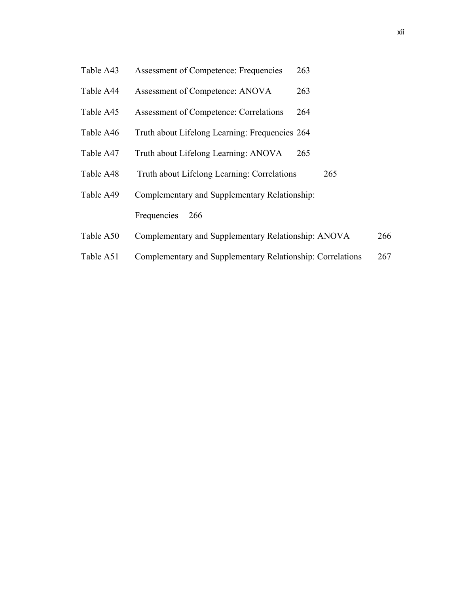- Table A43 Assessment of Competence: Frequencies 263
- Table A44 Assessment of Competence: ANOVA 263
- Table A45 Assessment of Competence: Correlations 264
- Table A46 Truth about Lifelong Learning: Frequencies 264
- Table A47 Truth about Lifelong Learning: ANOVA 265
- Table A48 Truth about Lifelong Learning: Correlations 265
- Table A49 Complementary and Supplementary Relationship: Frequencies 266
- Table A50 Complementary and Supplementary Relationship: ANOVA 266
- Table A51 Complementary and Supplementary Relationship: Correlations 267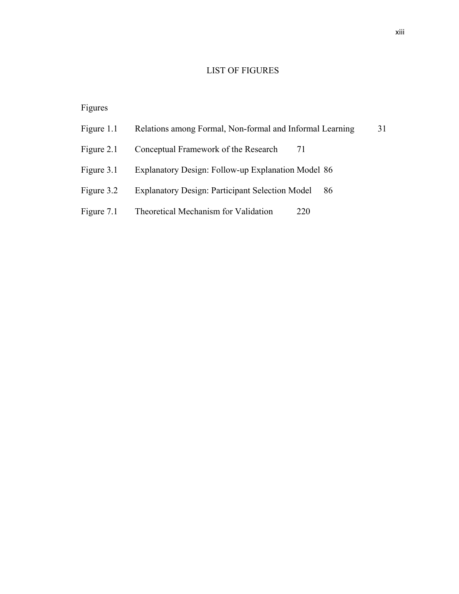## LIST OF FIGURES

## Figures

| Figure 1.1 | Relations among Formal, Non-formal and Informal Learning     | 31 |
|------------|--------------------------------------------------------------|----|
| Figure 2.1 | Conceptual Framework of the Research<br>7 I                  |    |
| Figure 3.1 | Explanatory Design: Follow-up Explanation Model 86           |    |
| Figure 3.2 | <b>Explanatory Design: Participant Selection Model</b><br>86 |    |
| Figure 7.1 | Theoretical Mechanism for Validation<br>220                  |    |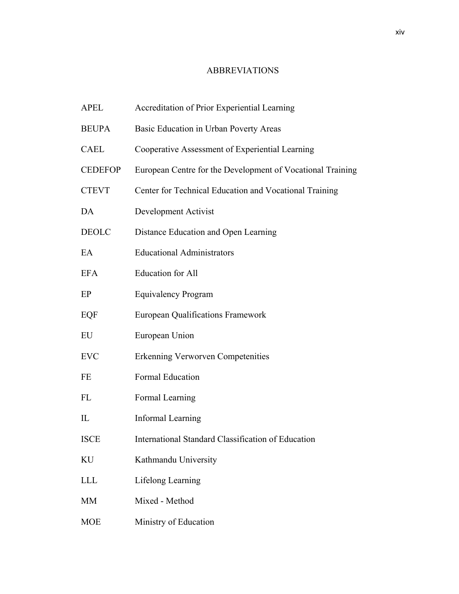## ABBREVIATIONS

| <b>APEL</b>    | Accreditation of Prior Experiential Learning               |
|----------------|------------------------------------------------------------|
| <b>BEUPA</b>   | Basic Education in Urban Poverty Areas                     |
| <b>CAEL</b>    | Cooperative Assessment of Experiential Learning            |
| <b>CEDEFOP</b> | European Centre for the Development of Vocational Training |
| <b>CTEVT</b>   | Center for Technical Education and Vocational Training     |
| DA             | Development Activist                                       |
| <b>DEOLC</b>   | Distance Education and Open Learning                       |
| EA             | <b>Educational Administrators</b>                          |
| <b>EFA</b>     | <b>Education</b> for All                                   |
| EP             | <b>Equivalency Program</b>                                 |
| EQF            | <b>European Qualifications Framework</b>                   |
| EU             | European Union                                             |
| <b>EVC</b>     | <b>Erkenning Verworven Competenities</b>                   |
| FE             | <b>Formal Education</b>                                    |
| FL             | Formal Learning                                            |
| $_{\rm IL}$    | <b>Informal Learning</b>                                   |
| <b>ISCE</b>    | International Standard Classification of Education         |
| KU             | Kathmandu University                                       |
| <b>LLL</b>     | Lifelong Learning                                          |
| MM             | Mixed - Method                                             |
| <b>MOE</b>     | Ministry of Education                                      |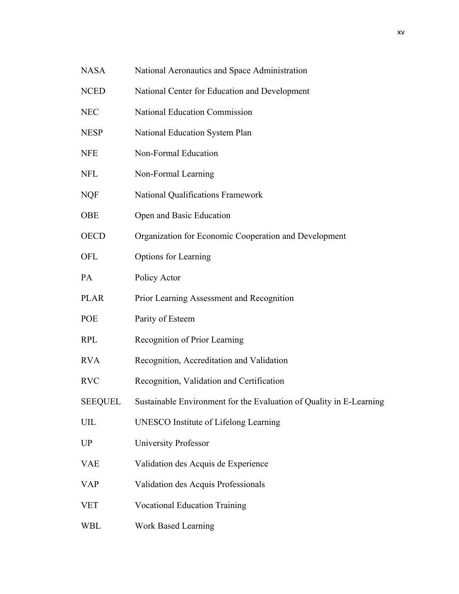- NASA National Aeronautics and Space Administration
- NCED National Center for Education and Development
- NEC National Education Commission
- NESP National Education System Plan
- NFE Non-Formal Education
- NFL Non-Formal Learning
- NQF National Qualifications Framework
- OBE Open and Basic Education
- OECD Organization for Economic Cooperation and Development
- OFL Options for Learning
- PA Policy Actor
- PLAR Prior Learning Assessment and Recognition
- POE Parity of Esteem
- RPL Recognition of Prior Learning
- RVA Recognition, Accreditation and Validation
- RVC Recognition, Validation and Certification
- SEEQUEL Sustainable Environment for the Evaluation of Quality in E-Learning
- UIL UNESCO Institute of Lifelong Learning
- UP University Professor
- VAE Validation des Acquis de Experience
- VAP Validation des Acquis Professionals
- VET Vocational Education Training
- WBL Work Based Learning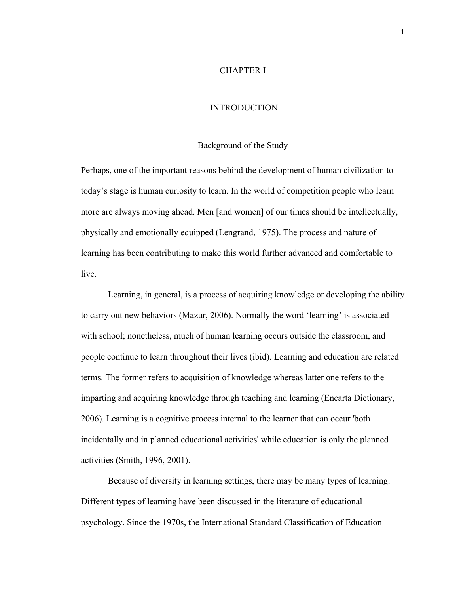## CHAPTER I

## **INTRODUCTION**

#### Background of the Study

Perhaps, one of the important reasons behind the development of human civilization to today's stage is human curiosity to learn. In the world of competition people who learn more are always moving ahead. Men [and women] of our times should be intellectually, physically and emotionally equipped (Lengrand, 1975). The process and nature of learning has been contributing to make this world further advanced and comfortable to live.

Learning, in general, is a process of acquiring knowledge or developing the ability to carry out new behaviors (Mazur, 2006). Normally the word 'learning' is associated with school; nonetheless, much of human learning occurs outside the classroom, and people continue to learn throughout their lives (ibid). Learning and education are related terms. The former refers to acquisition of knowledge whereas latter one refers to the imparting and acquiring knowledge through teaching and learning (Encarta Dictionary, 2006). Learning is a cognitive process internal to the learner that can occur 'both incidentally and in planned educational activities' while education is only the planned activities (Smith, 1996, 2001).

Because of diversity in learning settings, there may be many types of learning. Different types of learning have been discussed in the literature of educational psychology. Since the 1970s, the International Standard Classification of Education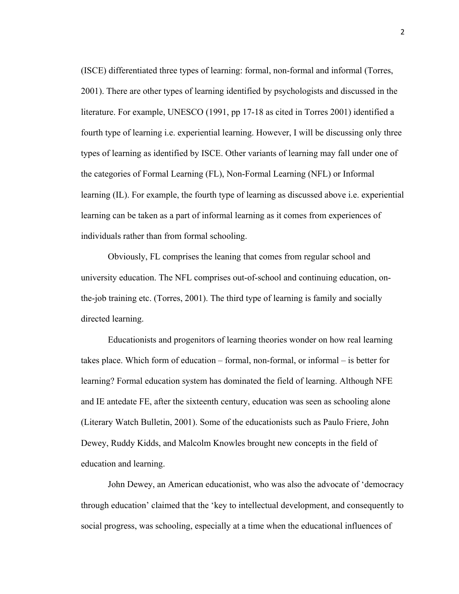(ISCE) differentiated three types of learning: formal, non-formal and informal (Torres, 2001). There are other types of learning identified by psychologists and discussed in the literature. For example, UNESCO (1991, pp 17-18 as cited in Torres 2001) identified a fourth type of learning i.e. experiential learning. However, I will be discussing only three types of learning as identified by ISCE. Other variants of learning may fall under one of the categories of Formal Learning (FL), Non-Formal Learning (NFL) or Informal learning (IL). For example, the fourth type of learning as discussed above i.e. experiential learning can be taken as a part of informal learning as it comes from experiences of individuals rather than from formal schooling.

Obviously, FL comprises the leaning that comes from regular school and university education. The NFL comprises out-of-school and continuing education, onthe-job training etc. (Torres, 2001). The third type of learning is family and socially directed learning.

Educationists and progenitors of learning theories wonder on how real learning takes place. Which form of education – formal, non-formal, or informal – is better for learning? Formal education system has dominated the field of learning. Although NFE and IE antedate FE, after the sixteenth century, education was seen as schooling alone (Literary Watch Bulletin, 2001). Some of the educationists such as Paulo Friere, John Dewey, Ruddy Kidds, and Malcolm Knowles brought new concepts in the field of education and learning.

John Dewey, an American educationist, who was also the advocate of 'democracy through education' claimed that the 'key to intellectual development, and consequently to social progress, was schooling, especially at a time when the educational influences of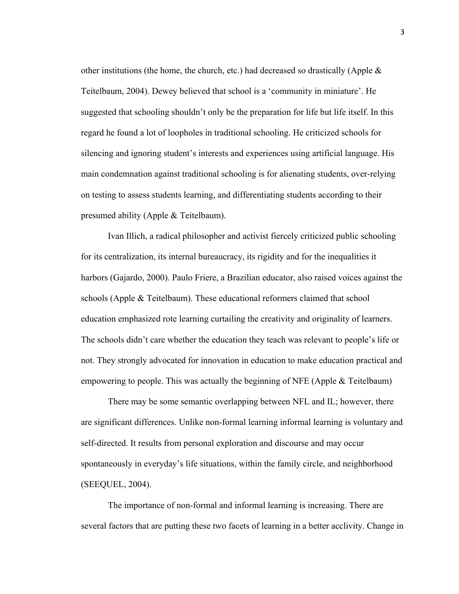other institutions (the home, the church, etc.) had decreased so drastically (Apple  $\&$ Teitelbaum, 2004). Dewey believed that school is a 'community in miniature'. He suggested that schooling shouldn't only be the preparation for life but life itself. In this regard he found a lot of loopholes in traditional schooling. He criticized schools for silencing and ignoring student's interests and experiences using artificial language. His main condemnation against traditional schooling is for alienating students, over-relying on testing to assess students learning, and differentiating students according to their presumed ability (Apple & Teitelbaum).

Ivan Illich, a radical philosopher and activist fiercely criticized public schooling for its centralization, its internal bureaucracy, its rigidity and for the inequalities it harbors (Gajardo, 2000). Paulo Friere, a Brazilian educator, also raised voices against the schools (Apple & Teitelbaum). These educational reformers claimed that school education emphasized rote learning curtailing the creativity and originality of learners. The schools didn't care whether the education they teach was relevant to people's life or not. They strongly advocated for innovation in education to make education practical and empowering to people. This was actually the beginning of NFE (Apple & Teitelbaum)

There may be some semantic overlapping between NFL and IL; however, there are significant differences. Unlike non-formal learning informal learning is voluntary and self-directed. It results from personal exploration and discourse and may occur spontaneously in everyday's life situations, within the family circle, and neighborhood (SEEQUEL, 2004).

The importance of non-formal and informal learning is increasing. There are several factors that are putting these two facets of learning in a better acclivity. Change in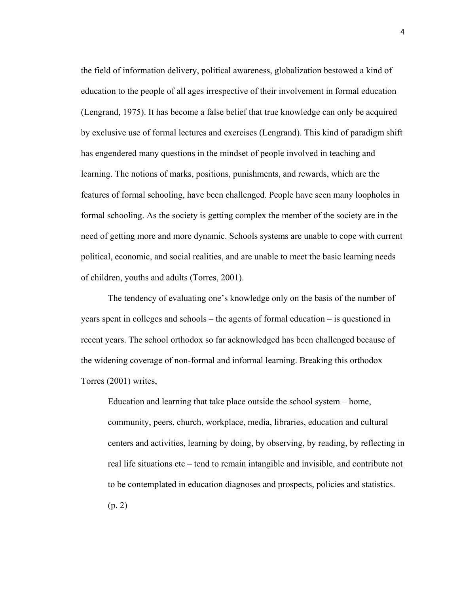the field of information delivery, political awareness, globalization bestowed a kind of education to the people of all ages irrespective of their involvement in formal education (Lengrand, 1975). It has become a false belief that true knowledge can only be acquired by exclusive use of formal lectures and exercises (Lengrand). This kind of paradigm shift has engendered many questions in the mindset of people involved in teaching and learning. The notions of marks, positions, punishments, and rewards, which are the features of formal schooling, have been challenged. People have seen many loopholes in formal schooling. As the society is getting complex the member of the society are in the need of getting more and more dynamic. Schools systems are unable to cope with current political, economic, and social realities, and are unable to meet the basic learning needs of children, youths and adults (Torres, 2001).

The tendency of evaluating one's knowledge only on the basis of the number of years spent in colleges and schools – the agents of formal education – is questioned in recent years. The school orthodox so far acknowledged has been challenged because of the widening coverage of non-formal and informal learning. Breaking this orthodox Torres (2001) writes,

Education and learning that take place outside the school system – home, community, peers, church, workplace, media, libraries, education and cultural centers and activities, learning by doing, by observing, by reading, by reflecting in real life situations etc – tend to remain intangible and invisible, and contribute not to be contemplated in education diagnoses and prospects, policies and statistics. (p. 2)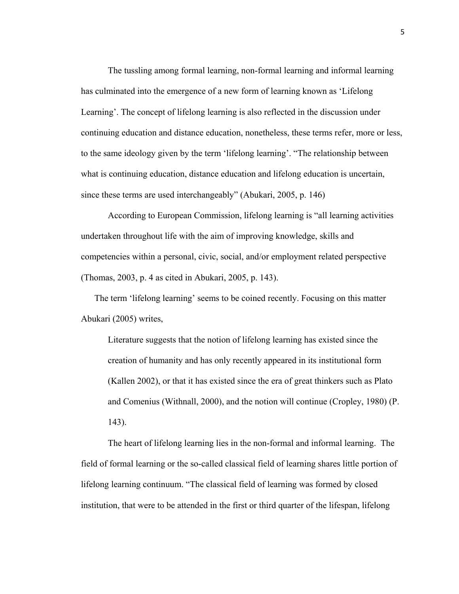The tussling among formal learning, non-formal learning and informal learning has culminated into the emergence of a new form of learning known as 'Lifelong Learning'. The concept of lifelong learning is also reflected in the discussion under continuing education and distance education, nonetheless, these terms refer, more or less, to the same ideology given by the term 'lifelong learning'. "The relationship between what is continuing education, distance education and lifelong education is uncertain, since these terms are used interchangeably" (Abukari, 2005, p. 146)

According to European Commission, lifelong learning is "all learning activities undertaken throughout life with the aim of improving knowledge, skills and competencies within a personal, civic, social, and/or employment related perspective (Thomas, 2003, p. 4 as cited in Abukari, 2005, p. 143).

The term 'lifelong learning' seems to be coined recently. Focusing on this matter Abukari (2005) writes,

Literature suggests that the notion of lifelong learning has existed since the creation of humanity and has only recently appeared in its institutional form (Kallen 2002), or that it has existed since the era of great thinkers such as Plato and Comenius (Withnall, 2000), and the notion will continue (Cropley, 1980) (P. 143).

The heart of lifelong learning lies in the non-formal and informal learning. The field of formal learning or the so-called classical field of learning shares little portion of lifelong learning continuum. "The classical field of learning was formed by closed institution, that were to be attended in the first or third quarter of the lifespan, lifelong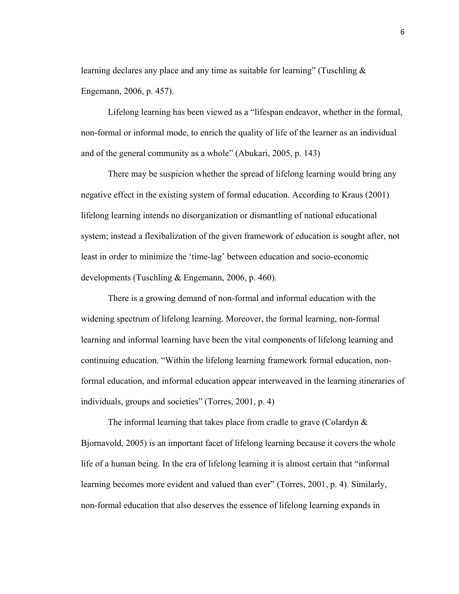learning declares any place and any time as suitable for learning" (Tuschling  $\&$ Engemann, 2006, p. 457).

Lifelong learning has been viewed as a "lifespan endeavor, whether in the formal, non-formal or informal mode, to enrich the quality of life of the learner as an individual and of the general community as a whole" (Abukari, 2005, p. 143)

There may be suspicion whether the spread of lifelong learning would bring any negative effect in the existing system of formal education. According to Kraus (2001) lifelong learning intends no disorganization or dismantling of national educational system; instead a flexibalization of the given framework of education is sought after, not least in order to minimize the 'time-lag' between education and socio-economic developments (Tuschling & Engemann, 2006, p. 460).

There is a growing demand of non-formal and informal education with the widening spectrum of lifelong learning. Moreover, the formal learning, non-formal learning and informal learning have been the vital components of lifelong learning and continuing education. "Within the lifelong learning framework formal education, nonformal education, and informal education appear interweaved in the learning itineraries of individuals, groups and societies" (Torres, 2001, p. 4)

The informal learning that takes place from cradle to grave (Colardyn & Bjornavold, 2005) is an important facet of lifelong learning because it covers the whole life of a human being. In the era of lifelong learning it is almost certain that "informal learning becomes more evident and valued than ever" (Torres, 2001, p. 4). Similarly, non-formal education that also deserves the essence of lifelong learning expands in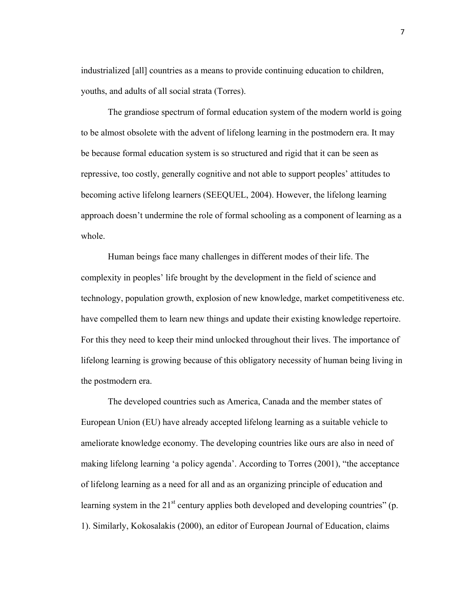industrialized [all] countries as a means to provide continuing education to children, youths, and adults of all social strata (Torres).

The grandiose spectrum of formal education system of the modern world is going to be almost obsolete with the advent of lifelong learning in the postmodern era. It may be because formal education system is so structured and rigid that it can be seen as repressive, too costly, generally cognitive and not able to support peoples' attitudes to becoming active lifelong learners (SEEQUEL, 2004). However, the lifelong learning approach doesn't undermine the role of formal schooling as a component of learning as a whole.

Human beings face many challenges in different modes of their life. The complexity in peoples' life brought by the development in the field of science and technology, population growth, explosion of new knowledge, market competitiveness etc. have compelled them to learn new things and update their existing knowledge repertoire. For this they need to keep their mind unlocked throughout their lives. The importance of lifelong learning is growing because of this obligatory necessity of human being living in the postmodern era.

The developed countries such as America, Canada and the member states of European Union (EU) have already accepted lifelong learning as a suitable vehicle to ameliorate knowledge economy. The developing countries like ours are also in need of making lifelong learning 'a policy agenda'. According to Torres (2001), "the acceptance of lifelong learning as a need for all and as an organizing principle of education and learning system in the  $21<sup>st</sup>$  century applies both developed and developing countries" (p. 1). Similarly, Kokosalakis (2000), an editor of European Journal of Education, claims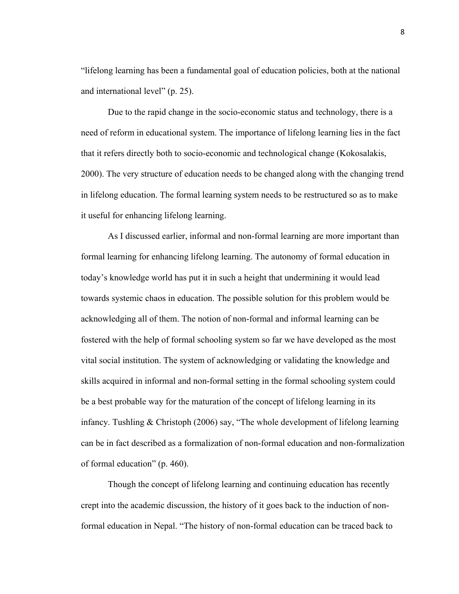"lifelong learning has been a fundamental goal of education policies, both at the national and international level" (p. 25).

Due to the rapid change in the socio-economic status and technology, there is a need of reform in educational system. The importance of lifelong learning lies in the fact that it refers directly both to socio-economic and technological change (Kokosalakis, 2000). The very structure of education needs to be changed along with the changing trend in lifelong education. The formal learning system needs to be restructured so as to make it useful for enhancing lifelong learning.

As I discussed earlier, informal and non-formal learning are more important than formal learning for enhancing lifelong learning. The autonomy of formal education in today's knowledge world has put it in such a height that undermining it would lead towards systemic chaos in education. The possible solution for this problem would be acknowledging all of them. The notion of non-formal and informal learning can be fostered with the help of formal schooling system so far we have developed as the most vital social institution. The system of acknowledging or validating the knowledge and skills acquired in informal and non-formal setting in the formal schooling system could be a best probable way for the maturation of the concept of lifelong learning in its infancy. Tushling & Christoph (2006) say, "The whole development of lifelong learning can be in fact described as a formalization of non-formal education and non-formalization of formal education" (p. 460).

Though the concept of lifelong learning and continuing education has recently crept into the academic discussion, the history of it goes back to the induction of nonformal education in Nepal. "The history of non-formal education can be traced back to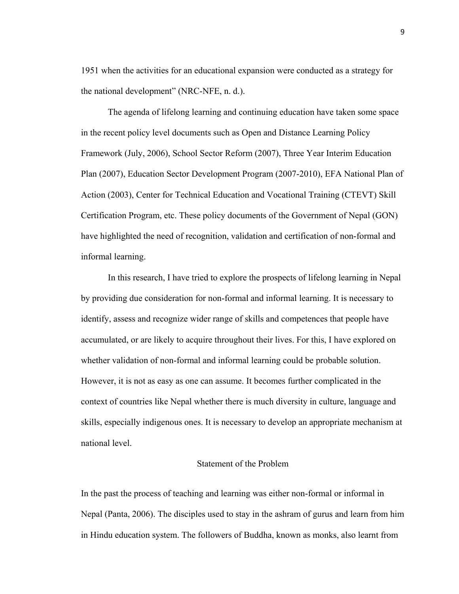1951 when the activities for an educational expansion were conducted as a strategy for the national development" (NRC-NFE, n. d.).

The agenda of lifelong learning and continuing education have taken some space in the recent policy level documents such as Open and Distance Learning Policy Framework (July, 2006), School Sector Reform (2007), Three Year Interim Education Plan (2007), Education Sector Development Program (2007-2010), EFA National Plan of Action (2003), Center for Technical Education and Vocational Training (CTEVT) Skill Certification Program, etc. These policy documents of the Government of Nepal (GON) have highlighted the need of recognition, validation and certification of non-formal and informal learning.

In this research, I have tried to explore the prospects of lifelong learning in Nepal by providing due consideration for non-formal and informal learning. It is necessary to identify, assess and recognize wider range of skills and competences that people have accumulated, or are likely to acquire throughout their lives. For this, I have explored on whether validation of non-formal and informal learning could be probable solution. However, it is not as easy as one can assume. It becomes further complicated in the context of countries like Nepal whether there is much diversity in culture, language and skills, especially indigenous ones. It is necessary to develop an appropriate mechanism at national level.

## Statement of the Problem

In the past the process of teaching and learning was either non-formal or informal in Nepal (Panta, 2006). The disciples used to stay in the ashram of gurus and learn from him in Hindu education system. The followers of Buddha, known as monks, also learnt from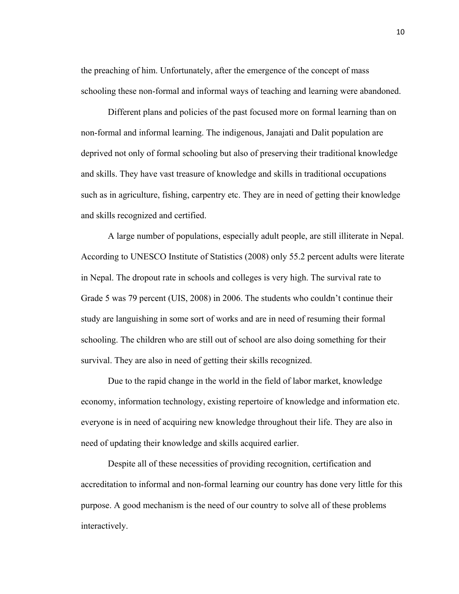the preaching of him. Unfortunately, after the emergence of the concept of mass schooling these non-formal and informal ways of teaching and learning were abandoned.

Different plans and policies of the past focused more on formal learning than on non-formal and informal learning. The indigenous, Janajati and Dalit population are deprived not only of formal schooling but also of preserving their traditional knowledge and skills. They have vast treasure of knowledge and skills in traditional occupations such as in agriculture, fishing, carpentry etc. They are in need of getting their knowledge and skills recognized and certified.

A large number of populations, especially adult people, are still illiterate in Nepal. According to UNESCO Institute of Statistics (2008) only 55.2 percent adults were literate in Nepal. The dropout rate in schools and colleges is very high. The survival rate to Grade 5 was 79 percent (UIS, 2008) in 2006. The students who couldn't continue their study are languishing in some sort of works and are in need of resuming their formal schooling. The children who are still out of school are also doing something for their survival. They are also in need of getting their skills recognized.

Due to the rapid change in the world in the field of labor market, knowledge economy, information technology, existing repertoire of knowledge and information etc. everyone is in need of acquiring new knowledge throughout their life. They are also in need of updating their knowledge and skills acquired earlier.

Despite all of these necessities of providing recognition, certification and accreditation to informal and non-formal learning our country has done very little for this purpose. A good mechanism is the need of our country to solve all of these problems interactively.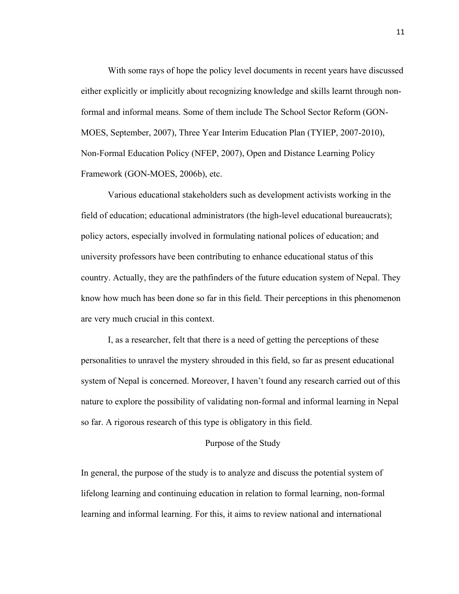With some rays of hope the policy level documents in recent years have discussed either explicitly or implicitly about recognizing knowledge and skills learnt through nonformal and informal means. Some of them include The School Sector Reform (GON-MOES, September, 2007), Three Year Interim Education Plan (TYIEP, 2007-2010), Non-Formal Education Policy (NFEP, 2007), Open and Distance Learning Policy Framework (GON-MOES, 2006b), etc.

Various educational stakeholders such as development activists working in the field of education; educational administrators (the high-level educational bureaucrats); policy actors, especially involved in formulating national polices of education; and university professors have been contributing to enhance educational status of this country. Actually, they are the pathfinders of the future education system of Nepal. They know how much has been done so far in this field. Their perceptions in this phenomenon are very much crucial in this context.

I, as a researcher, felt that there is a need of getting the perceptions of these personalities to unravel the mystery shrouded in this field, so far as present educational system of Nepal is concerned. Moreover, I haven't found any research carried out of this nature to explore the possibility of validating non-formal and informal learning in Nepal so far. A rigorous research of this type is obligatory in this field.

#### Purpose of the Study

In general, the purpose of the study is to analyze and discuss the potential system of lifelong learning and continuing education in relation to formal learning, non-formal learning and informal learning. For this, it aims to review national and international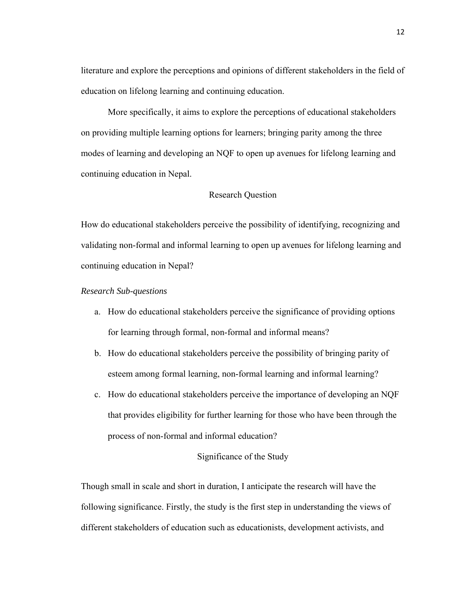literature and explore the perceptions and opinions of different stakeholders in the field of education on lifelong learning and continuing education.

More specifically, it aims to explore the perceptions of educational stakeholders on providing multiple learning options for learners; bringing parity among the three modes of learning and developing an NQF to open up avenues for lifelong learning and continuing education in Nepal.

## Research Question

How do educational stakeholders perceive the possibility of identifying, recognizing and validating non-formal and informal learning to open up avenues for lifelong learning and continuing education in Nepal?

#### *Research Sub-questions*

- a. How do educational stakeholders perceive the significance of providing options for learning through formal, non-formal and informal means?
- b. How do educational stakeholders perceive the possibility of bringing parity of esteem among formal learning, non-formal learning and informal learning?
- c. How do educational stakeholders perceive the importance of developing an NQF that provides eligibility for further learning for those who have been through the process of non-formal and informal education?

#### Significance of the Study

Though small in scale and short in duration, I anticipate the research will have the following significance. Firstly, the study is the first step in understanding the views of different stakeholders of education such as educationists, development activists, and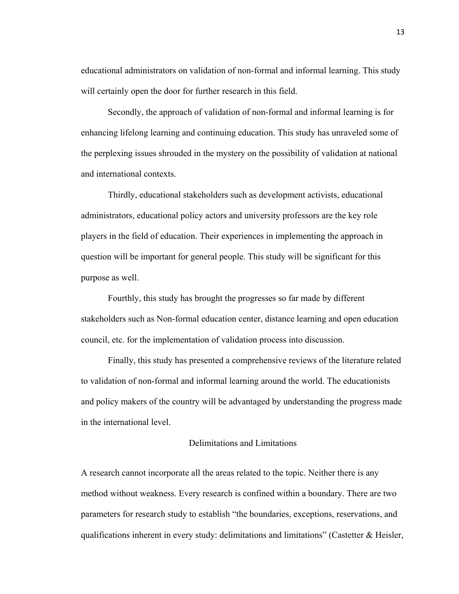educational administrators on validation of non-formal and informal learning. This study will certainly open the door for further research in this field.

 Secondly, the approach of validation of non-formal and informal learning is for enhancing lifelong learning and continuing education. This study has unraveled some of the perplexing issues shrouded in the mystery on the possibility of validation at national and international contexts.

Thirdly, educational stakeholders such as development activists, educational administrators, educational policy actors and university professors are the key role players in the field of education. Their experiences in implementing the approach in question will be important for general people. This study will be significant for this purpose as well.

Fourthly, this study has brought the progresses so far made by different stakeholders such as Non-formal education center, distance learning and open education council, etc. for the implementation of validation process into discussion.

Finally, this study has presented a comprehensive reviews of the literature related to validation of non-formal and informal learning around the world. The educationists and policy makers of the country will be advantaged by understanding the progress made in the international level.

## Delimitations and Limitations

A research cannot incorporate all the areas related to the topic. Neither there is any method without weakness. Every research is confined within a boundary. There are two parameters for research study to establish "the boundaries, exceptions, reservations, and qualifications inherent in every study: delimitations and limitations" (Castetter & Heisler,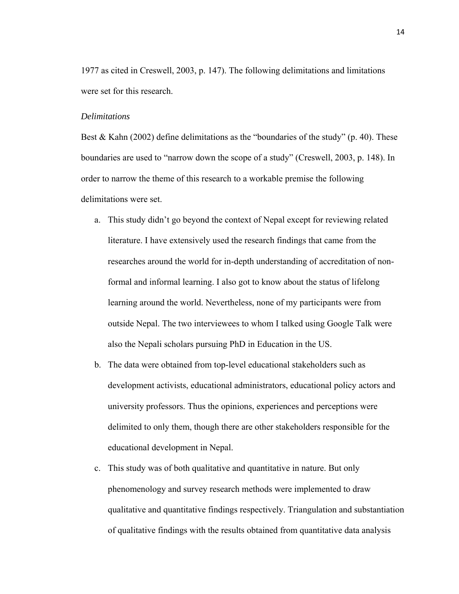1977 as cited in Creswell, 2003, p. 147). The following delimitations and limitations were set for this research.

#### *Delimitations*

Best & Kahn (2002) define delimitations as the "boundaries of the study" (p. 40). These boundaries are used to "narrow down the scope of a study" (Creswell, 2003, p. 148). In order to narrow the theme of this research to a workable premise the following delimitations were set.

- a. This study didn't go beyond the context of Nepal except for reviewing related literature. I have extensively used the research findings that came from the researches around the world for in-depth understanding of accreditation of nonformal and informal learning. I also got to know about the status of lifelong learning around the world. Nevertheless, none of my participants were from outside Nepal. The two interviewees to whom I talked using Google Talk were also the Nepali scholars pursuing PhD in Education in the US.
- b. The data were obtained from top-level educational stakeholders such as development activists, educational administrators, educational policy actors and university professors. Thus the opinions, experiences and perceptions were delimited to only them, though there are other stakeholders responsible for the educational development in Nepal.
- c. This study was of both qualitative and quantitative in nature. But only phenomenology and survey research methods were implemented to draw qualitative and quantitative findings respectively. Triangulation and substantiation of qualitative findings with the results obtained from quantitative data analysis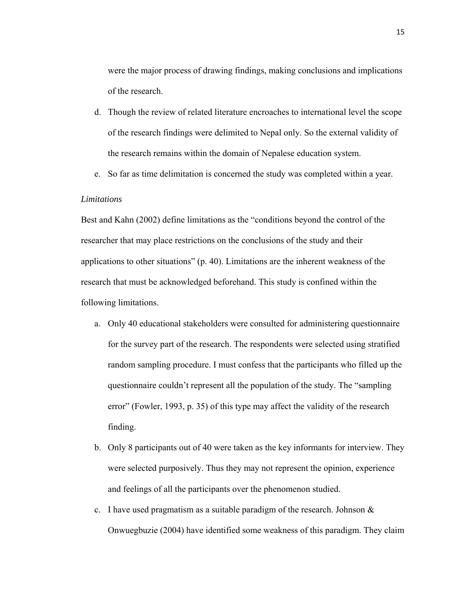were the major process of drawing findings, making conclusions and implications of the research.

- d. Though the review of related literature encroaches to international level the scope of the research findings were delimited to Nepal only. So the external validity of the research remains within the domain of Nepalese education system.
- e. So far as time delimitation is concerned the study was completed within a year.

# *Limitations*

Best and Kahn (2002) define limitations as the "conditions beyond the control of the researcher that may place restrictions on the conclusions of the study and their applications to other situations" (p. 40). Limitations are the inherent weakness of the research that must be acknowledged beforehand. This study is confined within the following limitations.

- a. Only 40 educational stakeholders were consulted for administering questionnaire for the survey part of the research. The respondents were selected using stratified random sampling procedure. I must confess that the participants who filled up the questionnaire couldn't represent all the population of the study. The "sampling error" (Fowler, 1993, p. 35) of this type may affect the validity of the research finding.
- b. Only 8 participants out of 40 were taken as the key informants for interview. They were selected purposively. Thus they may not represent the opinion, experience and feelings of all the participants over the phenomenon studied.
- c. I have used pragmatism as a suitable paradigm of the research. Johnson  $\&$ Onwuegbuzie (2004) have identified some weakness of this paradigm. They claim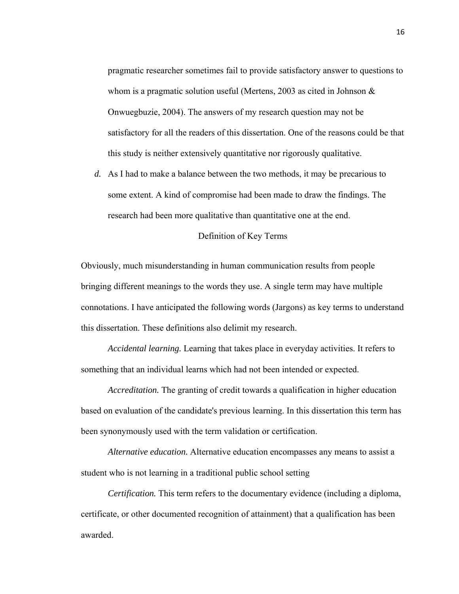pragmatic researcher sometimes fail to provide satisfactory answer to questions to whom is a pragmatic solution useful (Mertens, 2003 as cited in Johnson & Onwuegbuzie, 2004). The answers of my research question may not be satisfactory for all the readers of this dissertation. One of the reasons could be that this study is neither extensively quantitative nor rigorously qualitative.

*d.* As I had to make a balance between the two methods, it may be precarious to some extent. A kind of compromise had been made to draw the findings. The research had been more qualitative than quantitative one at the end.

## Definition of Key Terms

Obviously, much misunderstanding in human communication results from people bringing different meanings to the words they use. A single term may have multiple connotations. I have anticipated the following words (Jargons) as key terms to understand this dissertation. These definitions also delimit my research.

*Accidental learning.* Learning that takes place in everyday activities. It refers to something that an individual learns which had not been intended or expected.

*Accreditation.* The granting of credit towards a qualification in higher education based on evaluation of the candidate's previous learning. In this dissertation this term has been synonymously used with the term validation or certification.

*Alternative education.* Alternative education encompasses any means to assist a student who is not learning in a traditional public school setting

*Certification.* This term refers to the documentary evidence (including a diploma, certificate, or other documented recognition of attainment) that a qualification has been awarded.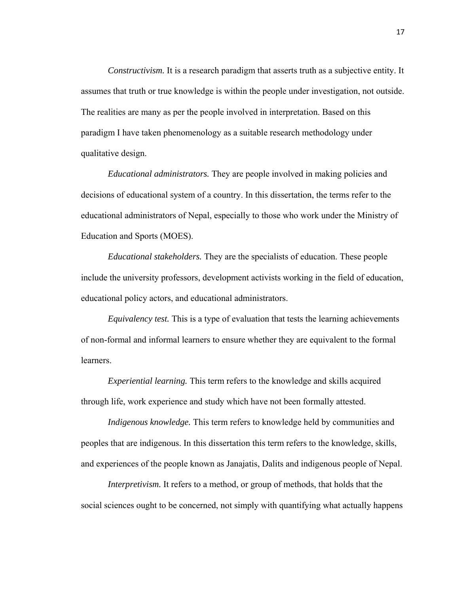*Constructivism.* It is a research paradigm that asserts truth as a subjective entity. It assumes that truth or true knowledge is within the people under investigation, not outside. The realities are many as per the people involved in interpretation. Based on this paradigm I have taken phenomenology as a suitable research methodology under qualitative design.

*Educational administrators.* They are people involved in making policies and decisions of educational system of a country. In this dissertation, the terms refer to the educational administrators of Nepal, especially to those who work under the Ministry of Education and Sports (MOES).

*Educational stakeholders.* They are the specialists of education. These people include the university professors, development activists working in the field of education, educational policy actors, and educational administrators.

*Equivalency test.* This is a type of evaluation that tests the learning achievements of non-formal and informal learners to ensure whether they are equivalent to the formal **learners** 

*Experiential learning.* This term refers to the knowledge and skills acquired through life, work experience and study which have not been formally attested.

*Indigenous knowledge.* This term refers to knowledge held by communities and peoples that are indigenous. In this dissertation this term refers to the knowledge, skills, and experiences of the people known as Janajatis, Dalits and indigenous people of Nepal.

*Interpretivism.* It refers to a method, or group of methods, that holds that the social sciences ought to be concerned, not simply with quantifying what actually happens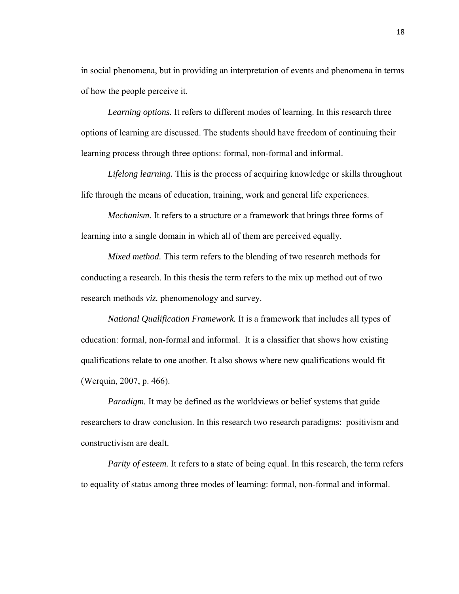in social phenomena, but in providing an interpretation of events and phenomena in terms of how the people perceive it.

*Learning options.* It refers to different modes of learning. In this research three options of learning are discussed. The students should have freedom of continuing their learning process through three options: formal, non-formal and informal.

*Lifelong learning.* This is the process of acquiring knowledge or skills throughout life through the means of education, training, work and general life experiences.

*Mechanism.* It refers to a structure or a framework that brings three forms of learning into a single domain in which all of them are perceived equally.

*Mixed method.* This term refers to the blending of two research methods for conducting a research. In this thesis the term refers to the mix up method out of two research methods *viz.* phenomenology and survey.

*National Qualification Framework.* It is a framework that includes all types of education: formal, non-formal and informal. It is a classifier that shows how existing qualifications relate to one another. It also shows where new qualifications would fit (Werquin, 2007, p. 466).

*Paradigm.* It may be defined as the worldviews or belief systems that guide researchers to draw conclusion. In this research two research paradigms: positivism and constructivism are dealt.

*Parity of esteem.* It refers to a state of being equal. In this research, the term refers to equality of status among three modes of learning: formal, non-formal and informal.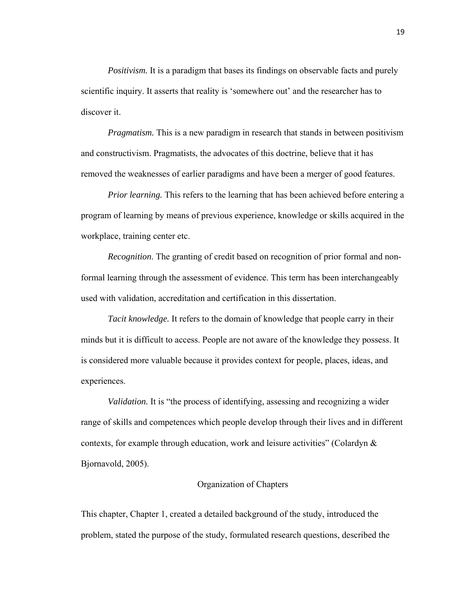*Positivism.* It is a paradigm that bases its findings on observable facts and purely scientific inquiry. It asserts that reality is 'somewhere out' and the researcher has to discover it.

*Pragmatism.* This is a new paradigm in research that stands in between positivism and constructivism. Pragmatists, the advocates of this doctrine, believe that it has removed the weaknesses of earlier paradigms and have been a merger of good features.

*Prior learning.* This refers to the learning that has been achieved before entering a program of learning by means of previous experience, knowledge or skills acquired in the workplace, training center etc.

*Recognition*. The granting of credit based on recognition of prior formal and nonformal learning through the assessment of evidence. This term has been interchangeably used with validation, accreditation and certification in this dissertation.

*Tacit knowledge.* It refers to the domain of knowledge that people carry in their minds but it is difficult to access. People are not aware of the knowledge they possess. It is considered more valuable because it provides context for people, places, ideas, and experiences.

*Validation.* It is "the process of identifying, assessing and recognizing a wider range of skills and competences which people develop through their lives and in different contexts, for example through education, work and leisure activities" (Colardyn  $\&$ Bjornavold, 2005).

## Organization of Chapters

This chapter, Chapter 1, created a detailed background of the study, introduced the problem, stated the purpose of the study, formulated research questions, described the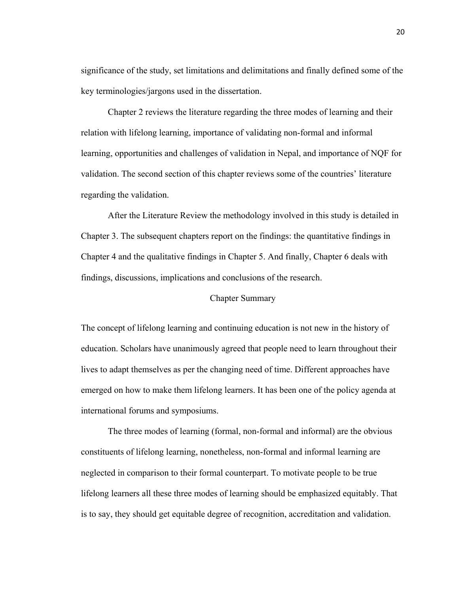significance of the study, set limitations and delimitations and finally defined some of the key terminologies/jargons used in the dissertation.

 Chapter 2 reviews the literature regarding the three modes of learning and their relation with lifelong learning, importance of validating non-formal and informal learning, opportunities and challenges of validation in Nepal, and importance of NQF for validation. The second section of this chapter reviews some of the countries' literature regarding the validation.

 After the Literature Review the methodology involved in this study is detailed in Chapter 3. The subsequent chapters report on the findings: the quantitative findings in Chapter 4 and the qualitative findings in Chapter 5. And finally, Chapter 6 deals with findings, discussions, implications and conclusions of the research.

# Chapter Summary

The concept of lifelong learning and continuing education is not new in the history of education. Scholars have unanimously agreed that people need to learn throughout their lives to adapt themselves as per the changing need of time. Different approaches have emerged on how to make them lifelong learners. It has been one of the policy agenda at international forums and symposiums.

 The three modes of learning (formal, non-formal and informal) are the obvious constituents of lifelong learning, nonetheless, non-formal and informal learning are neglected in comparison to their formal counterpart. To motivate people to be true lifelong learners all these three modes of learning should be emphasized equitably. That is to say, they should get equitable degree of recognition, accreditation and validation.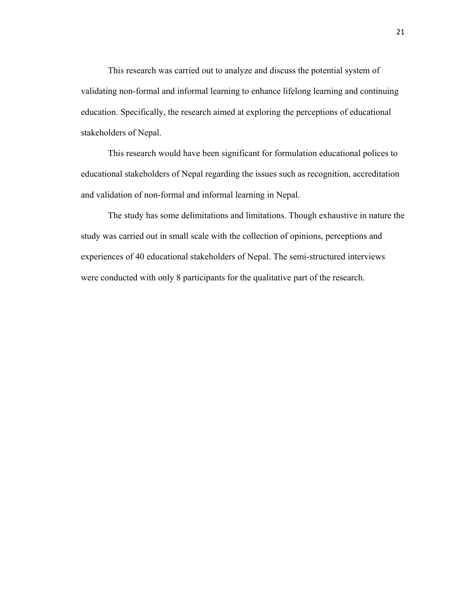This research was carried out to analyze and discuss the potential system of validating non-formal and informal learning to enhance lifelong learning and continuing education. Specifically, the research aimed at exploring the perceptions of educational stakeholders of Nepal.

 This research would have been significant for formulation educational polices to educational stakeholders of Nepal regarding the issues such as recognition, accreditation and validation of non-formal and informal learning in Nepal.

 The study has some delimitations and limitations. Though exhaustive in nature the study was carried out in small scale with the collection of opinions, perceptions and experiences of 40 educational stakeholders of Nepal. The semi-structured interviews were conducted with only 8 participants for the qualitative part of the research.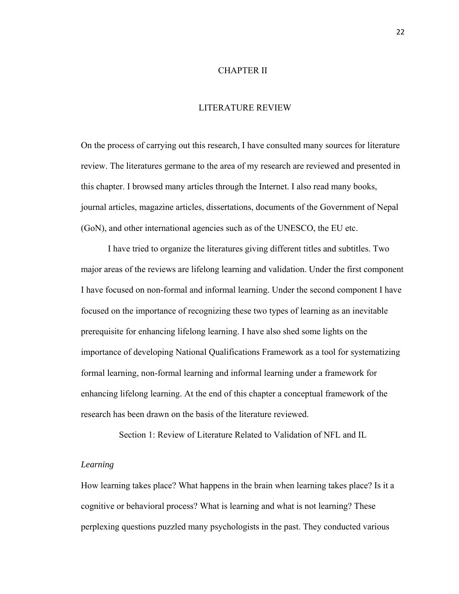# CHAPTER II

# LITERATURE REVIEW

On the process of carrying out this research, I have consulted many sources for literature review. The literatures germane to the area of my research are reviewed and presented in this chapter. I browsed many articles through the Internet. I also read many books, journal articles, magazine articles, dissertations, documents of the Government of Nepal (GoN), and other international agencies such as of the UNESCO, the EU etc.

I have tried to organize the literatures giving different titles and subtitles. Two major areas of the reviews are lifelong learning and validation. Under the first component I have focused on non-formal and informal learning. Under the second component I have focused on the importance of recognizing these two types of learning as an inevitable prerequisite for enhancing lifelong learning. I have also shed some lights on the importance of developing National Qualifications Framework as a tool for systematizing formal learning, non-formal learning and informal learning under a framework for enhancing lifelong learning. At the end of this chapter a conceptual framework of the research has been drawn on the basis of the literature reviewed.

Section 1: Review of Literature Related to Validation of NFL and IL

# *Learning*

How learning takes place? What happens in the brain when learning takes place? Is it a cognitive or behavioral process? What is learning and what is not learning? These perplexing questions puzzled many psychologists in the past. They conducted various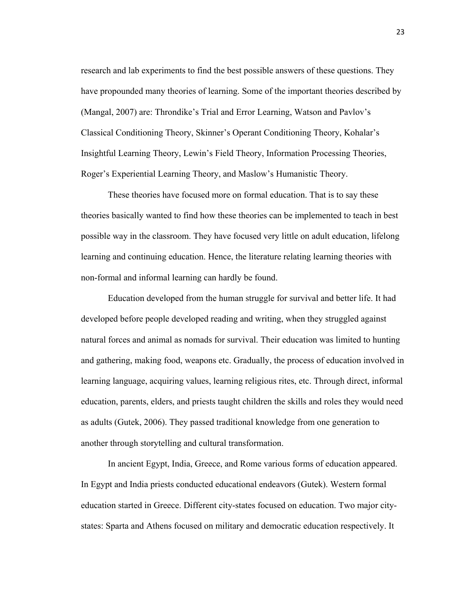research and lab experiments to find the best possible answers of these questions. They have propounded many theories of learning. Some of the important theories described by (Mangal, 2007) are: Throndike's Trial and Error Learning, Watson and Pavlov's Classical Conditioning Theory, Skinner's Operant Conditioning Theory, Kohalar's Insightful Learning Theory, Lewin's Field Theory, Information Processing Theories, Roger's Experiential Learning Theory, and Maslow's Humanistic Theory.

These theories have focused more on formal education. That is to say these theories basically wanted to find how these theories can be implemented to teach in best possible way in the classroom. They have focused very little on adult education, lifelong learning and continuing education. Hence, the literature relating learning theories with non-formal and informal learning can hardly be found.

Education developed from the human struggle for survival and better life. It had developed before people developed reading and writing, when they struggled against natural forces and animal as nomads for survival. Their education was limited to hunting and gathering, making food, weapons etc. Gradually, the process of education involved in learning language, acquiring values, learning religious rites, etc. Through direct, informal education, parents, elders, and priests taught children the skills and roles they would need as adults (Gutek, 2006). They passed traditional knowledge from one generation to another through storytelling and cultural transformation.

 In ancient Egypt, India, Greece, and Rome various forms of education appeared. In Egypt and India priests conducted educational endeavors (Gutek). Western formal education started in Greece. Different city-states focused on education. Two major citystates: Sparta and Athens focused on military and democratic education respectively. It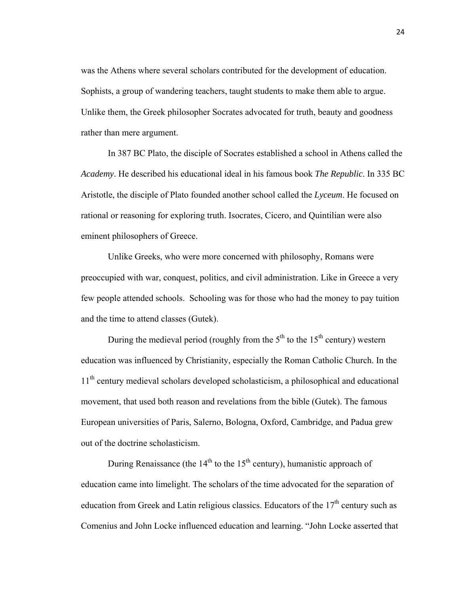was the Athens where several scholars contributed for the development of education. Sophists, a group of wandering teachers, taught students to make them able to argue. Unlike them, the Greek philosopher Socrates advocated for truth, beauty and goodness rather than mere argument.

 In 387 BC Plato, the disciple of Socrates established a school in Athens called the *Academy*. He described his educational ideal in his famous book *The Republic*. In 335 BC Aristotle, the disciple of Plato founded another school called the *Lyceum*. He focused on rational or reasoning for exploring truth. Isocrates, Cicero, and Quintilian were also eminent philosophers of Greece.

 Unlike Greeks, who were more concerned with philosophy, Romans were preoccupied with war, conquest, politics, and civil administration. Like in Greece a very few people attended schools. Schooling was for those who had the money to pay tuition and the time to attend classes (Gutek).

During the medieval period (roughly from the  $5<sup>th</sup>$  to the 15<sup>th</sup> century) western education was influenced by Christianity, especially the Roman Catholic Church. In the 11<sup>th</sup> century medieval scholars developed scholasticism, a philosophical and educational movement, that used both reason and revelations from the bible (Gutek). The famous European universities of Paris, Salerno, Bologna, Oxford, Cambridge, and Padua grew out of the doctrine scholasticism.

During Renaissance (the  $14<sup>th</sup>$  to the  $15<sup>th</sup>$  century), humanistic approach of education came into limelight. The scholars of the time advocated for the separation of education from Greek and Latin religious classics. Educators of the  $17<sup>th</sup>$  century such as Comenius and John Locke influenced education and learning. "John Locke asserted that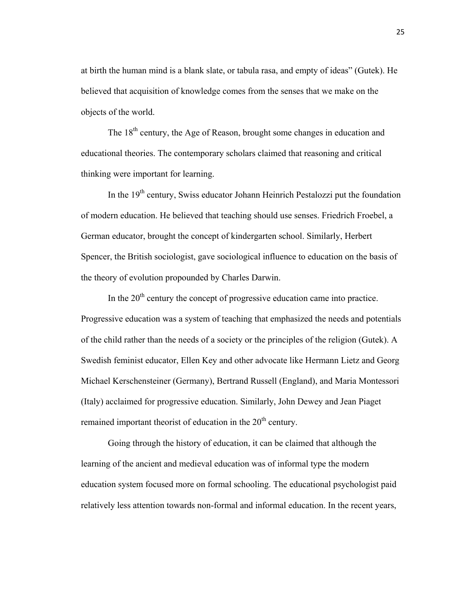at birth the human mind is a blank slate, or tabula rasa, and empty of ideas" (Gutek). He believed that acquisition of knowledge comes from the senses that we make on the objects of the world.

The  $18<sup>th</sup>$  century, the Age of Reason, brought some changes in education and educational theories. The contemporary scholars claimed that reasoning and critical thinking were important for learning.

In the 19<sup>th</sup> century, Swiss educator Johann Heinrich Pestalozzi put the foundation of modern education. He believed that teaching should use senses. Friedrich Froebel, a German educator, brought the concept of kindergarten school. Similarly, Herbert Spencer, the British sociologist, gave sociological influence to education on the basis of the theory of evolution propounded by Charles Darwin.

In the  $20<sup>th</sup>$  century the concept of progressive education came into practice. Progressive education was a system of teaching that emphasized the needs and potentials of the child rather than the needs of a society or the principles of the religion (Gutek). A Swedish feminist educator, Ellen Key and other advocate like Hermann Lietz and Georg Michael Kerschensteiner (Germany), Bertrand Russell (England), and Maria Montessori (Italy) acclaimed for progressive education. Similarly, John Dewey and Jean Piaget remained important theorist of education in the  $20<sup>th</sup>$  century.

Going through the history of education, it can be claimed that although the learning of the ancient and medieval education was of informal type the modern education system focused more on formal schooling. The educational psychologist paid relatively less attention towards non-formal and informal education. In the recent years,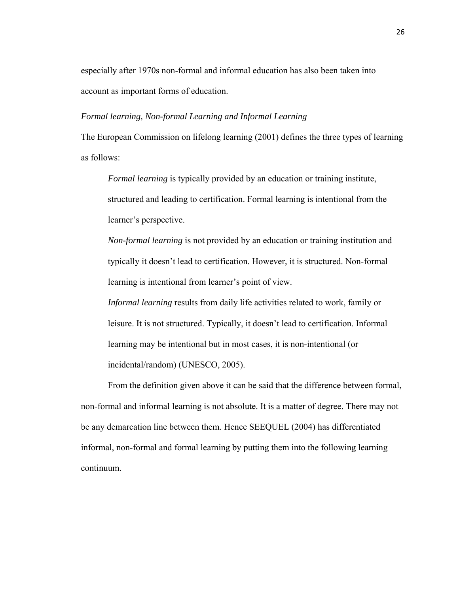especially after 1970s non-formal and informal education has also been taken into account as important forms of education.

#### *Formal learning, Non-formal Learning and Informal Learning*

The European Commission on lifelong learning (2001) defines the three types of learning as follows:

*Formal learning* is typically provided by an education or training institute, structured and leading to certification. Formal learning is intentional from the learner's perspective.

*Non-formal learning* is not provided by an education or training institution and typically it doesn't lead to certification. However, it is structured. Non-formal learning is intentional from learner's point of view.

*Informal learning* results from daily life activities related to work, family or leisure. It is not structured. Typically, it doesn't lead to certification. Informal learning may be intentional but in most cases, it is non-intentional (or incidental/random) (UNESCO, 2005).

 From the definition given above it can be said that the difference between formal, non-formal and informal learning is not absolute. It is a matter of degree. There may not be any demarcation line between them. Hence SEEQUEL (2004) has differentiated informal, non-formal and formal learning by putting them into the following learning continuum.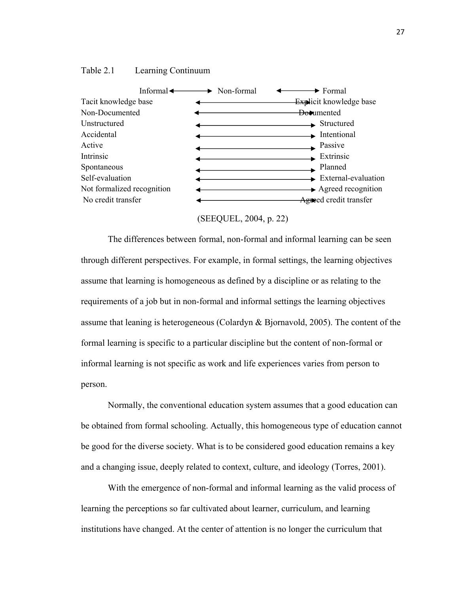





 The differences between formal, non-formal and informal learning can be seen through different perspectives. For example, in formal settings, the learning objectives assume that learning is homogeneous as defined by a discipline or as relating to the requirements of a job but in non-formal and informal settings the learning objectives assume that leaning is heterogeneous (Colardyn & Bjornavold, 2005). The content of the formal learning is specific to a particular discipline but the content of non-formal or informal learning is not specific as work and life experiences varies from person to person.

 Normally, the conventional education system assumes that a good education can be obtained from formal schooling. Actually, this homogeneous type of education cannot be good for the diverse society. What is to be considered good education remains a key and a changing issue, deeply related to context, culture, and ideology (Torres, 2001).

 With the emergence of non-formal and informal learning as the valid process of learning the perceptions so far cultivated about learner, curriculum, and learning institutions have changed. At the center of attention is no longer the curriculum that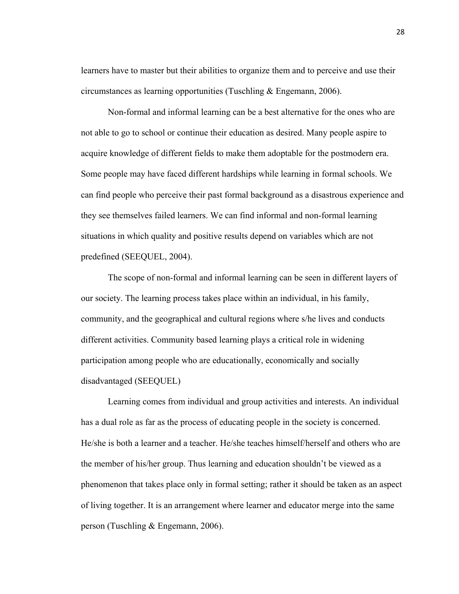learners have to master but their abilities to organize them and to perceive and use their circumstances as learning opportunities (Tuschling & Engemann, 2006).

 Non-formal and informal learning can be a best alternative for the ones who are not able to go to school or continue their education as desired. Many people aspire to acquire knowledge of different fields to make them adoptable for the postmodern era. Some people may have faced different hardships while learning in formal schools. We can find people who perceive their past formal background as a disastrous experience and they see themselves failed learners. We can find informal and non-formal learning situations in which quality and positive results depend on variables which are not predefined (SEEQUEL, 2004).

 The scope of non-formal and informal learning can be seen in different layers of our society. The learning process takes place within an individual, in his family, community, and the geographical and cultural regions where s/he lives and conducts different activities. Community based learning plays a critical role in widening participation among people who are educationally, economically and socially disadvantaged (SEEQUEL)

 Learning comes from individual and group activities and interests. An individual has a dual role as far as the process of educating people in the society is concerned. He/she is both a learner and a teacher. He/she teaches himself/herself and others who are the member of his/her group. Thus learning and education shouldn't be viewed as a phenomenon that takes place only in formal setting; rather it should be taken as an aspect of living together. It is an arrangement where learner and educator merge into the same person (Tuschling & Engemann, 2006).

28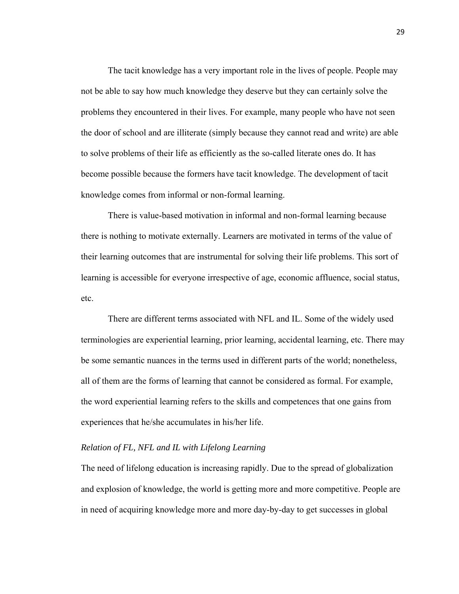The tacit knowledge has a very important role in the lives of people. People may not be able to say how much knowledge they deserve but they can certainly solve the problems they encountered in their lives. For example, many people who have not seen the door of school and are illiterate (simply because they cannot read and write) are able to solve problems of their life as efficiently as the so-called literate ones do. It has become possible because the formers have tacit knowledge. The development of tacit knowledge comes from informal or non-formal learning.

 There is value-based motivation in informal and non-formal learning because there is nothing to motivate externally. Learners are motivated in terms of the value of their learning outcomes that are instrumental for solving their life problems. This sort of learning is accessible for everyone irrespective of age, economic affluence, social status, etc.

There are different terms associated with NFL and IL. Some of the widely used terminologies are experiential learning, prior learning, accidental learning, etc. There may be some semantic nuances in the terms used in different parts of the world; nonetheless, all of them are the forms of learning that cannot be considered as formal. For example, the word experiential learning refers to the skills and competences that one gains from experiences that he/she accumulates in his/her life.

## *Relation of FL, NFL and IL with Lifelong Learning*

The need of lifelong education is increasing rapidly. Due to the spread of globalization and explosion of knowledge, the world is getting more and more competitive. People are in need of acquiring knowledge more and more day-by-day to get successes in global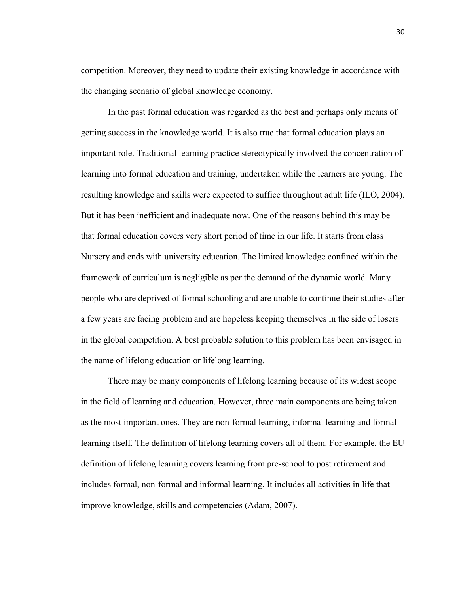competition. Moreover, they need to update their existing knowledge in accordance with the changing scenario of global knowledge economy.

 In the past formal education was regarded as the best and perhaps only means of getting success in the knowledge world. It is also true that formal education plays an important role. Traditional learning practice stereotypically involved the concentration of learning into formal education and training, undertaken while the learners are young. The resulting knowledge and skills were expected to suffice throughout adult life (ILO, 2004). But it has been inefficient and inadequate now. One of the reasons behind this may be that formal education covers very short period of time in our life. It starts from class Nursery and ends with university education. The limited knowledge confined within the framework of curriculum is negligible as per the demand of the dynamic world. Many people who are deprived of formal schooling and are unable to continue their studies after a few years are facing problem and are hopeless keeping themselves in the side of losers in the global competition. A best probable solution to this problem has been envisaged in the name of lifelong education or lifelong learning.

 There may be many components of lifelong learning because of its widest scope in the field of learning and education. However, three main components are being taken as the most important ones. They are non-formal learning, informal learning and formal learning itself. The definition of lifelong learning covers all of them. For example, the EU definition of lifelong learning covers learning from pre-school to post retirement and includes formal, non-formal and informal learning. It includes all activities in life that improve knowledge, skills and competencies (Adam, 2007).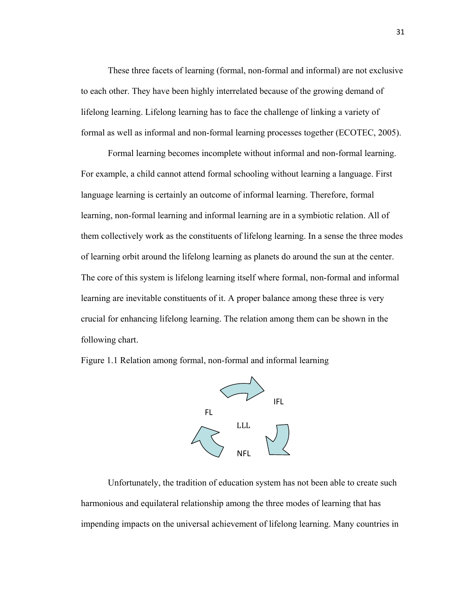These three facets of learning (formal, non-formal and informal) are not exclusive to each other. They have been highly interrelated because of the growing demand of lifelong learning. Lifelong learning has to face the challenge of linking a variety of formal as well as informal and non-formal learning processes together (ECOTEC, 2005).

Formal learning becomes incomplete without informal and non-formal learning. For example, a child cannot attend formal schooling without learning a language. First language learning is certainly an outcome of informal learning. Therefore, formal learning, non-formal learning and informal learning are in a symbiotic relation. All of them collectively work as the constituents of lifelong learning. In a sense the three modes of learning orbit around the lifelong learning as planets do around the sun at the center. The core of this system is lifelong learning itself where formal, non-formal and informal learning are inevitable constituents of it. A proper balance among these three is very crucial for enhancing lifelong learning. The relation among them can be shown in the following chart.

Figure 1.1 Relation among formal, non-formal and informal learning



Unfortunately, the tradition of education system has not been able to create such harmonious and equilateral relationship among the three modes of learning that has impending impacts on the universal achievement of lifelong learning. Many countries in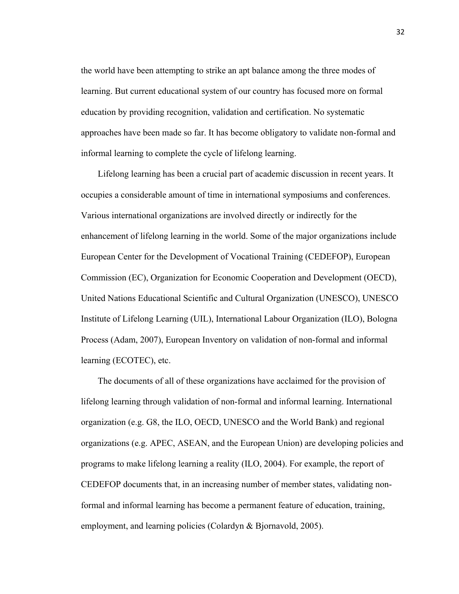the world have been attempting to strike an apt balance among the three modes of learning. But current educational system of our country has focused more on formal education by providing recognition, validation and certification. No systematic approaches have been made so far. It has become obligatory to validate non-formal and informal learning to complete the cycle of lifelong learning.

Lifelong learning has been a crucial part of academic discussion in recent years. It occupies a considerable amount of time in international symposiums and conferences. Various international organizations are involved directly or indirectly for the enhancement of lifelong learning in the world. Some of the major organizations include European Center for the Development of Vocational Training (CEDEFOP), European Commission (EC), Organization for Economic Cooperation and Development (OECD), United Nations Educational Scientific and Cultural Organization (UNESCO), UNESCO Institute of Lifelong Learning (UIL), International Labour Organization (ILO), Bologna Process (Adam, 2007), European Inventory on validation of non-formal and informal learning (ECOTEC), etc.

The documents of all of these organizations have acclaimed for the provision of lifelong learning through validation of non-formal and informal learning. International organization (e.g. G8, the ILO, OECD, UNESCO and the World Bank) and regional organizations (e.g. APEC, ASEAN, and the European Union) are developing policies and programs to make lifelong learning a reality (ILO, 2004). For example, the report of CEDEFOP documents that, in an increasing number of member states, validating nonformal and informal learning has become a permanent feature of education, training, employment, and learning policies (Colardyn & Bjornavold, 2005).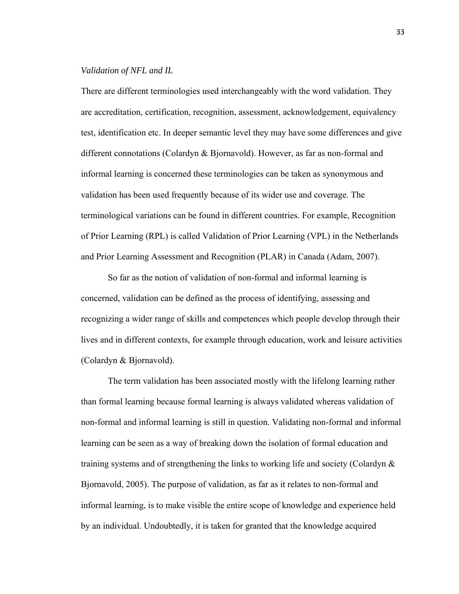## *Validation of NFL and IL*

There are different terminologies used interchangeably with the word validation. They are accreditation, certification, recognition, assessment, acknowledgement, equivalency test, identification etc. In deeper semantic level they may have some differences and give different connotations (Colardyn & Bjornavold). However, as far as non-formal and informal learning is concerned these terminologies can be taken as synonymous and validation has been used frequently because of its wider use and coverage. The terminological variations can be found in different countries. For example, Recognition of Prior Learning (RPL) is called Validation of Prior Learning (VPL) in the Netherlands and Prior Learning Assessment and Recognition (PLAR) in Canada (Adam, 2007).

 So far as the notion of validation of non-formal and informal learning is concerned, validation can be defined as the process of identifying, assessing and recognizing a wider range of skills and competences which people develop through their lives and in different contexts, for example through education, work and leisure activities (Colardyn & Bjornavold).

The term validation has been associated mostly with the lifelong learning rather than formal learning because formal learning is always validated whereas validation of non-formal and informal learning is still in question. Validating non-formal and informal learning can be seen as a way of breaking down the isolation of formal education and training systems and of strengthening the links to working life and society (Colardyn  $\&$ Bjornavold, 2005). The purpose of validation, as far as it relates to non-formal and informal learning, is to make visible the entire scope of knowledge and experience held by an individual. Undoubtedly, it is taken for granted that the knowledge acquired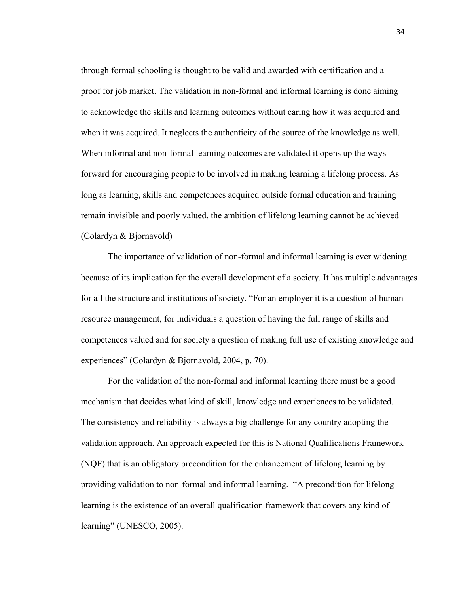through formal schooling is thought to be valid and awarded with certification and a proof for job market. The validation in non-formal and informal learning is done aiming to acknowledge the skills and learning outcomes without caring how it was acquired and when it was acquired. It neglects the authenticity of the source of the knowledge as well. When informal and non-formal learning outcomes are validated it opens up the ways forward for encouraging people to be involved in making learning a lifelong process. As long as learning, skills and competences acquired outside formal education and training remain invisible and poorly valued, the ambition of lifelong learning cannot be achieved (Colardyn & Bjornavold)

The importance of validation of non-formal and informal learning is ever widening because of its implication for the overall development of a society. It has multiple advantages for all the structure and institutions of society. "For an employer it is a question of human resource management, for individuals a question of having the full range of skills and competences valued and for society a question of making full use of existing knowledge and experiences" (Colardyn & Bjornavold, 2004, p. 70).

For the validation of the non-formal and informal learning there must be a good mechanism that decides what kind of skill, knowledge and experiences to be validated. The consistency and reliability is always a big challenge for any country adopting the validation approach. An approach expected for this is National Qualifications Framework (NQF) that is an obligatory precondition for the enhancement of lifelong learning by providing validation to non-formal and informal learning. "A precondition for lifelong learning is the existence of an overall qualification framework that covers any kind of learning" (UNESCO, 2005).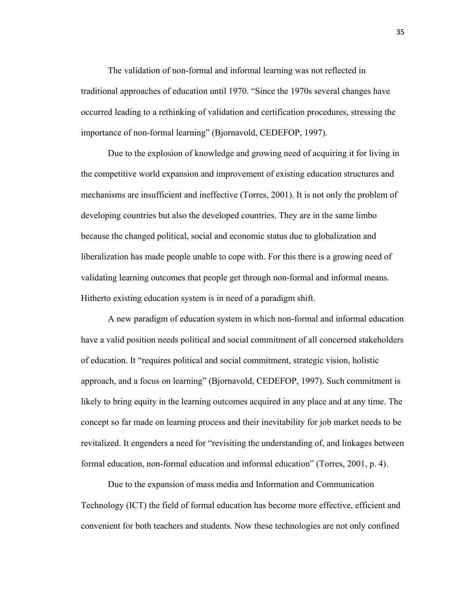The validation of non-formal and informal learning was not reflected in traditional approaches of education until 1970. "Since the 1970s several changes have occurred leading to a rethinking of validation and certification procedures, stressing the importance of non-formal learning" (Bjornavold, CEDEFOP, 1997).

Due to the explosion of knowledge and growing need of acquiring it for living in the competitive world expansion and improvement of existing education structures and mechanisms are insufficient and ineffective (Torres, 2001). It is not only the problem of developing countries but also the developed countries. They are in the same limbo because the changed political, social and economic status due to globalization and liberalization has made people unable to cope with. For this there is a growing need of validating learning outcomes that people get through non-formal and informal means. Hitherto existing education system is in need of a paradigm shift.

A new paradigm of education system in which non-formal and informal education have a valid position needs political and social commitment of all concerned stakeholders of education. It "requires political and social commitment, strategic vision, holistic approach, and a focus on learning" (Bjornavold, CEDEFOP, 1997). Such commitment is likely to bring equity in the learning outcomes acquired in any place and at any time. The concept so far made on learning process and their inevitability for job market needs to be revitalized. It engenders a need for "revisiting the understanding of, and linkages between formal education, non-formal education and informal education" (Torres, 2001, p. 4).

Due to the expansion of mass media and Information and Communication Technology (ICT) the field of formal education has become more effective, efficient and convenient for both teachers and students. Now these technologies are not only confined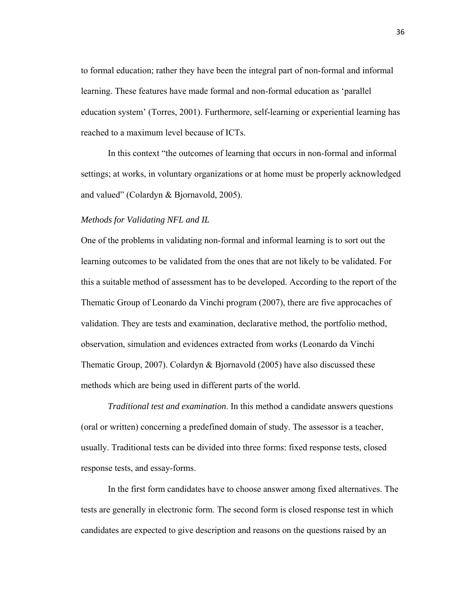to formal education; rather they have been the integral part of non-formal and informal learning. These features have made formal and non-formal education as 'parallel education system' (Torres, 2001). Furthermore, self-learning or experiential learning has reached to a maximum level because of ICTs.

In this context "the outcomes of learning that occurs in non-formal and informal settings; at works, in voluntary organizations or at home must be properly acknowledged and valued" (Colardyn & Bjornavold, 2005).

#### *Methods for Validating NFL and IL*

One of the problems in validating non-formal and informal learning is to sort out the learning outcomes to be validated from the ones that are not likely to be validated. For this a suitable method of assessment has to be developed. According to the report of the Thematic Group of Leonardo da Vinchi program (2007), there are five approcaches of validation. They are tests and examination, declarative method, the portfolio method, observation, simulation and evidences extracted from works (Leonardo da Vinchi Thematic Group, 2007). Colardyn & Bjornavold (2005) have also discussed these methods which are being used in different parts of the world.

*Traditional test and examination*. In this method a candidate answers questions (oral or written) concerning a predefined domain of study. The assessor is a teacher, usually. Traditional tests can be divided into three forms: fixed response tests, closed response tests, and essay-forms.

In the first form candidates have to choose answer among fixed alternatives. The tests are generally in electronic form. The second form is closed response test in which candidates are expected to give description and reasons on the questions raised by an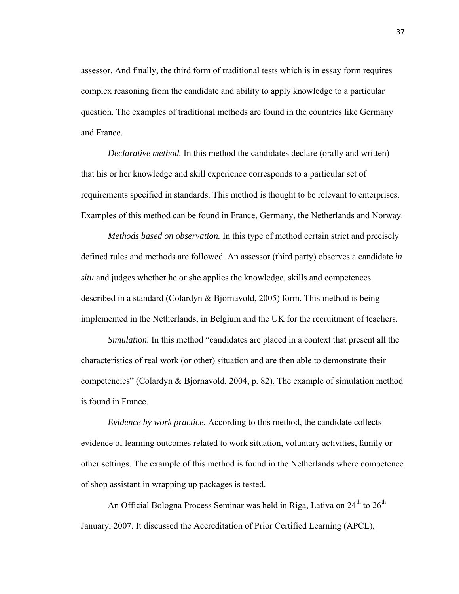assessor. And finally, the third form of traditional tests which is in essay form requires complex reasoning from the candidate and ability to apply knowledge to a particular question. The examples of traditional methods are found in the countries like Germany and France.

*Declarative method.* In this method the candidates declare (orally and written) that his or her knowledge and skill experience corresponds to a particular set of requirements specified in standards. This method is thought to be relevant to enterprises. Examples of this method can be found in France, Germany, the Netherlands and Norway.

*Methods based on observation.* In this type of method certain strict and precisely defined rules and methods are followed. An assessor (third party) observes a candidate *in situ* and judges whether he or she applies the knowledge, skills and competences described in a standard (Colardyn & Bjornavold, 2005) form. This method is being implemented in the Netherlands, in Belgium and the UK for the recruitment of teachers.

*Simulation.* In this method "candidates are placed in a context that present all the characteristics of real work (or other) situation and are then able to demonstrate their competencies" (Colardyn & Bjornavold, 2004, p. 82). The example of simulation method is found in France.

*Evidence by work practice.* According to this method, the candidate collects evidence of learning outcomes related to work situation, voluntary activities, family or other settings. The example of this method is found in the Netherlands where competence of shop assistant in wrapping up packages is tested.

An Official Bologna Process Seminar was held in Riga, Lativa on 24<sup>th</sup> to 26<sup>th</sup> January, 2007. It discussed the Accreditation of Prior Certified Learning (APCL),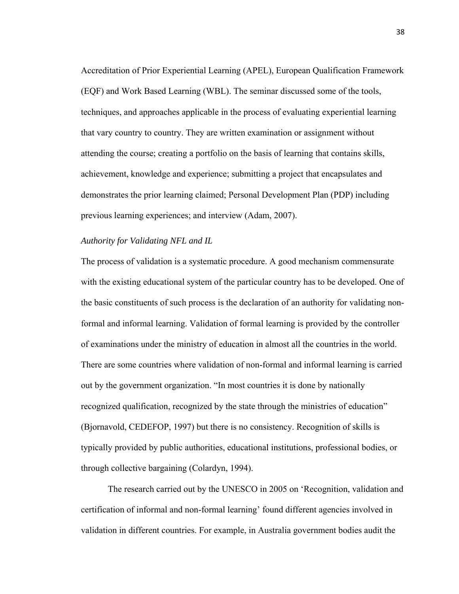Accreditation of Prior Experiential Learning (APEL), European Qualification Framework (EQF) and Work Based Learning (WBL). The seminar discussed some of the tools, techniques, and approaches applicable in the process of evaluating experiential learning that vary country to country. They are written examination or assignment without attending the course; creating a portfolio on the basis of learning that contains skills, achievement, knowledge and experience; submitting a project that encapsulates and demonstrates the prior learning claimed; Personal Development Plan (PDP) including previous learning experiences; and interview (Adam, 2007).

#### *Authority for Validating NFL and IL*

The process of validation is a systematic procedure. A good mechanism commensurate with the existing educational system of the particular country has to be developed. One of the basic constituents of such process is the declaration of an authority for validating nonformal and informal learning. Validation of formal learning is provided by the controller of examinations under the ministry of education in almost all the countries in the world. There are some countries where validation of non-formal and informal learning is carried out by the government organization. "In most countries it is done by nationally recognized qualification, recognized by the state through the ministries of education" (Bjornavold, CEDEFOP, 1997) but there is no consistency. Recognition of skills is typically provided by public authorities, educational institutions, professional bodies, or through collective bargaining (Colardyn, 1994).

The research carried out by the UNESCO in 2005 on 'Recognition, validation and certification of informal and non-formal learning' found different agencies involved in validation in different countries. For example, in Australia government bodies audit the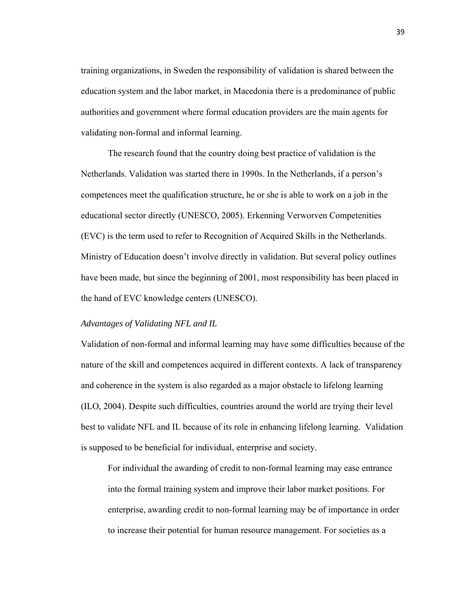training organizations, in Sweden the responsibility of validation is shared between the education system and the labor market, in Macedonia there is a predominance of public authorities and government where formal education providers are the main agents for validating non-formal and informal learning.

The research found that the country doing best practice of validation is the Netherlands. Validation was started there in 1990s. In the Netherlands, if a person's competences meet the qualification structure, he or she is able to work on a job in the educational sector directly (UNESCO, 2005). Erkenning Verworven Competenities (EVC) is the term used to refer to Recognition of Acquired Skills in the Netherlands. Ministry of Education doesn't involve directly in validation. But several policy outlines have been made, but since the beginning of 2001, most responsibility has been placed in the hand of EVC knowledge centers (UNESCO).

# *Advantages of Validating NFL and IL*

Validation of non-formal and informal learning may have some difficulties because of the nature of the skill and competences acquired in different contexts. A lack of transparency and coherence in the system is also regarded as a major obstacle to lifelong learning (ILO, 2004). Despite such difficulties, countries around the world are trying their level best to validate NFL and IL because of its role in enhancing lifelong learning. Validation is supposed to be beneficial for individual, enterprise and society.

For individual the awarding of credit to non-formal learning may ease entrance into the formal training system and improve their labor market positions. For enterprise, awarding credit to non-formal learning may be of importance in order to increase their potential for human resource management. For societies as a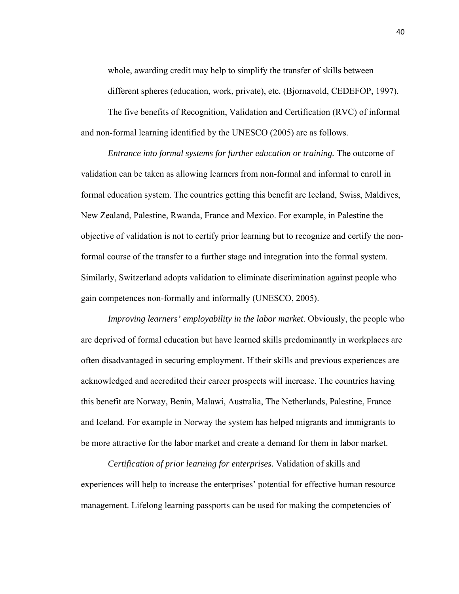whole, awarding credit may help to simplify the transfer of skills between different spheres (education, work, private), etc. (Bjornavold, CEDEFOP, 1997).

The five benefits of Recognition, Validation and Certification (RVC) of informal and non-formal learning identified by the UNESCO (2005) are as follows.

*Entrance into formal systems for further education or training.* The outcome of validation can be taken as allowing learners from non-formal and informal to enroll in formal education system. The countries getting this benefit are Iceland, Swiss, Maldives, New Zealand, Palestine, Rwanda, France and Mexico. For example, in Palestine the objective of validation is not to certify prior learning but to recognize and certify the nonformal course of the transfer to a further stage and integration into the formal system. Similarly, Switzerland adopts validation to eliminate discrimination against people who gain competences non-formally and informally (UNESCO, 2005).

*Improving learners' employability in the labor market*. Obviously, the people who are deprived of formal education but have learned skills predominantly in workplaces are often disadvantaged in securing employment. If their skills and previous experiences are acknowledged and accredited their career prospects will increase. The countries having this benefit are Norway, Benin, Malawi, Australia, The Netherlands, Palestine, France and Iceland. For example in Norway the system has helped migrants and immigrants to be more attractive for the labor market and create a demand for them in labor market.

*Certification of prior learning for enterprises.* Validation of skills and experiences will help to increase the enterprises' potential for effective human resource management. Lifelong learning passports can be used for making the competencies of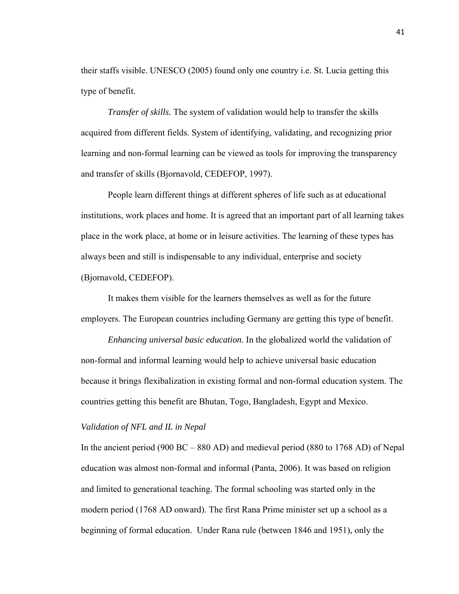their staffs visible. UNESCO (2005) found only one country i.e. St. Lucia getting this type of benefit.

*Transfer of skills.* The system of validation would help to transfer the skills acquired from different fields. System of identifying, validating, and recognizing prior learning and non-formal learning can be viewed as tools for improving the transparency and transfer of skills (Bjornavold, CEDEFOP, 1997).

 People learn different things at different spheres of life such as at educational institutions, work places and home. It is agreed that an important part of all learning takes place in the work place, at home or in leisure activities. The learning of these types has always been and still is indispensable to any individual, enterprise and society (Bjornavold, CEDEFOP).

It makes them visible for the learners themselves as well as for the future employers. The European countries including Germany are getting this type of benefit.

*Enhancing universal basic education*. In the globalized world the validation of non-formal and informal learning would help to achieve universal basic education because it brings flexibalization in existing formal and non-formal education system. The countries getting this benefit are Bhutan, Togo, Bangladesh, Egypt and Mexico.

# *Validation of NFL and IL in Nepal*

In the ancient period (900 BC – 880 AD) and medieval period (880 to 1768 AD) of Nepal education was almost non-formal and informal (Panta, 2006). It was based on religion and limited to generational teaching. The formal schooling was started only in the modern period (1768 AD onward). The first Rana Prime minister set up a school as a beginning of formal education. Under Rana rule (between 1846 and 1951), only the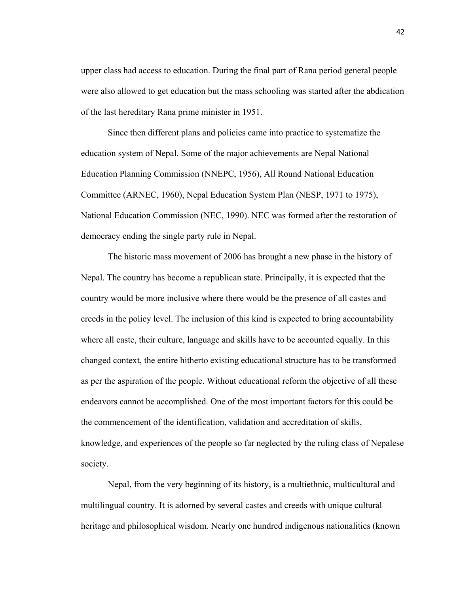upper class had access to education. During the final part of Rana period general people were also allowed to get education but the mass schooling was started after the abdication of the last hereditary Rana prime minister in 1951.

Since then different plans and policies came into practice to systematize the education system of Nepal. Some of the major achievements are Nepal National Education Planning Commission (NNEPC, 1956), All Round National Education Committee (ARNEC, 1960), Nepal Education System Plan (NESP, 1971 to 1975), National Education Commission (NEC, 1990). NEC was formed after the restoration of democracy ending the single party rule in Nepal.

The historic mass movement of 2006 has brought a new phase in the history of Nepal. The country has become a republican state. Principally, it is expected that the country would be more inclusive where there would be the presence of all castes and creeds in the policy level. The inclusion of this kind is expected to bring accountability where all caste, their culture, language and skills have to be accounted equally. In this changed context, the entire hitherto existing educational structure has to be transformed as per the aspiration of the people. Without educational reform the objective of all these endeavors cannot be accomplished. One of the most important factors for this could be the commencement of the identification, validation and accreditation of skills, knowledge, and experiences of the people so far neglected by the ruling class of Nepalese society.

Nepal, from the very beginning of its history, is a multiethnic, multicultural and multilingual country. It is adorned by several castes and creeds with unique cultural heritage and philosophical wisdom. Nearly one hundred indigenous nationalities (known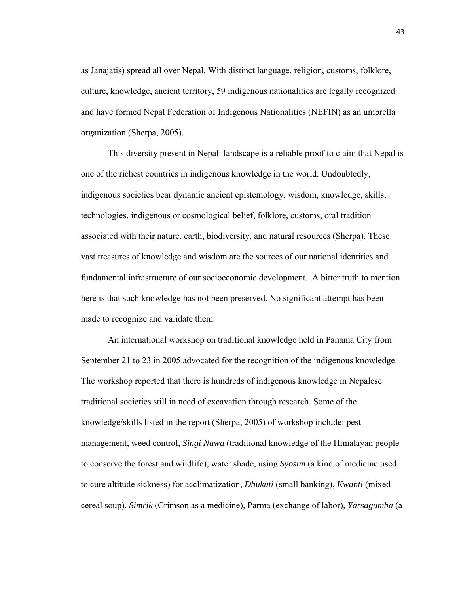as Janajatis) spread all over Nepal. With distinct language, religion, customs, folklore, culture, knowledge, ancient territory, 59 indigenous nationalities are legally recognized and have formed Nepal Federation of Indigenous Nationalities (NEFIN) as an umbrella organization (Sherpa, 2005).

This diversity present in Nepali landscape is a reliable proof to claim that Nepal is one of the richest countries in indigenous knowledge in the world. Undoubtedly, indigenous societies bear dynamic ancient epistemology, wisdom, knowledge, skills, technologies, indigenous or cosmological belief, folklore, customs, oral tradition associated with their nature, earth, biodiversity, and natural resources (Sherpa). These vast treasures of knowledge and wisdom are the sources of our national identities and fundamental infrastructure of our socioeconomic development. A bitter truth to mention here is that such knowledge has not been preserved. No significant attempt has been made to recognize and validate them.

An international workshop on traditional knowledge held in Panama City from September 21 to 23 in 2005 advocated for the recognition of the indigenous knowledge. The workshop reported that there is hundreds of indigenous knowledge in Nepalese traditional societies still in need of excavation through research. Some of the knowledge/skills listed in the report (Sherpa, 2005) of workshop include: pest management, weed control, *Singi Nawa* (traditional knowledge of the Himalayan people to conserve the forest and wildlife), water shade, using *Syosim* (a kind of medicine used to cure altitude sickness) for acclimatization, *Dhukuti* (small banking), *Kwanti* (mixed cereal soup), *Simrik* (Crimson as a medicine), Parma (exchange of labor), *Yarsagumba* (a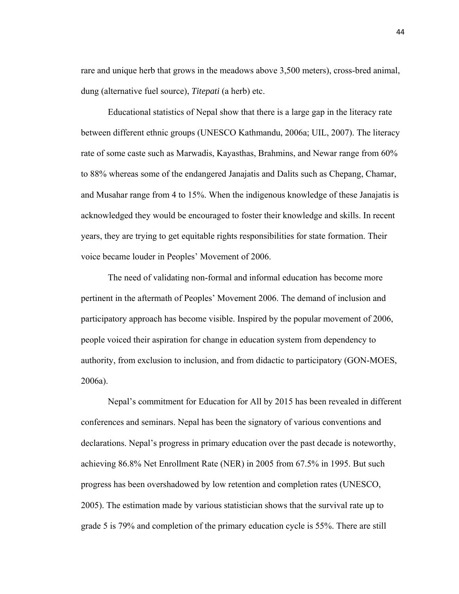rare and unique herb that grows in the meadows above 3,500 meters), cross-bred animal, dung (alternative fuel source), *Titepati* (a herb) etc.

Educational statistics of Nepal show that there is a large gap in the literacy rate between different ethnic groups (UNESCO Kathmandu, 2006a; UIL, 2007). The literacy rate of some caste such as Marwadis, Kayasthas, Brahmins, and Newar range from 60% to 88% whereas some of the endangered Janajatis and Dalits such as Chepang, Chamar, and Musahar range from 4 to 15%. When the indigenous knowledge of these Janajatis is acknowledged they would be encouraged to foster their knowledge and skills. In recent years, they are trying to get equitable rights responsibilities for state formation. Their voice became louder in Peoples' Movement of 2006.

The need of validating non-formal and informal education has become more pertinent in the aftermath of Peoples' Movement 2006. The demand of inclusion and participatory approach has become visible. Inspired by the popular movement of 2006, people voiced their aspiration for change in education system from dependency to authority, from exclusion to inclusion, and from didactic to participatory (GON-MOES, 2006a).

Nepal's commitment for Education for All by 2015 has been revealed in different conferences and seminars. Nepal has been the signatory of various conventions and declarations. Nepal's progress in primary education over the past decade is noteworthy, achieving 86.8% Net Enrollment Rate (NER) in 2005 from 67.5% in 1995. But such progress has been overshadowed by low retention and completion rates (UNESCO, 2005). The estimation made by various statistician shows that the survival rate up to grade 5 is 79% and completion of the primary education cycle is 55%. There are still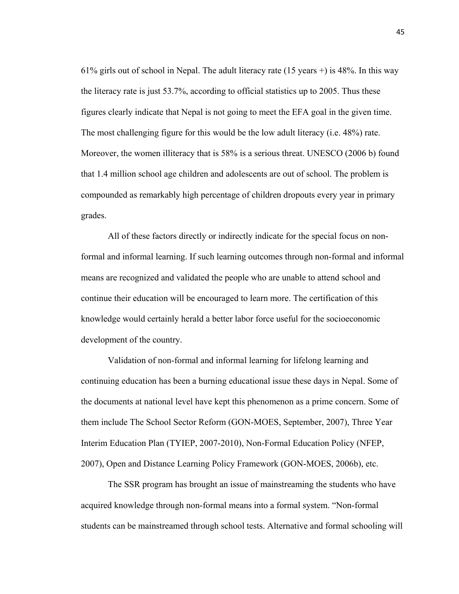61% girls out of school in Nepal. The adult literacy rate (15 years +) is 48%. In this way the literacy rate is just 53.7%, according to official statistics up to 2005. Thus these figures clearly indicate that Nepal is not going to meet the EFA goal in the given time. The most challenging figure for this would be the low adult literacy (i.e. 48%) rate. Moreover, the women illiteracy that is 58% is a serious threat. UNESCO (2006 b) found that 1.4 million school age children and adolescents are out of school. The problem is compounded as remarkably high percentage of children dropouts every year in primary grades.

All of these factors directly or indirectly indicate for the special focus on nonformal and informal learning. If such learning outcomes through non-formal and informal means are recognized and validated the people who are unable to attend school and continue their education will be encouraged to learn more. The certification of this knowledge would certainly herald a better labor force useful for the socioeconomic development of the country.

Validation of non-formal and informal learning for lifelong learning and continuing education has been a burning educational issue these days in Nepal. Some of the documents at national level have kept this phenomenon as a prime concern. Some of them include The School Sector Reform (GON-MOES, September, 2007), Three Year Interim Education Plan (TYIEP, 2007-2010), Non-Formal Education Policy (NFEP, 2007), Open and Distance Learning Policy Framework (GON-MOES, 2006b), etc.

The SSR program has brought an issue of mainstreaming the students who have acquired knowledge through non-formal means into a formal system. "Non-formal students can be mainstreamed through school tests. Alternative and formal schooling will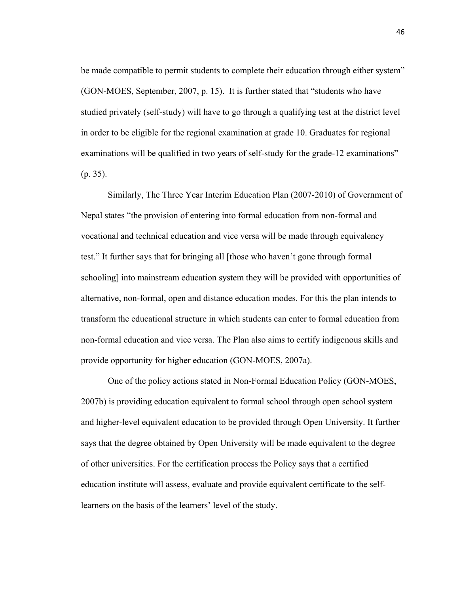be made compatible to permit students to complete their education through either system" (GON-MOES, September, 2007, p. 15). It is further stated that "students who have studied privately (self-study) will have to go through a qualifying test at the district level in order to be eligible for the regional examination at grade 10. Graduates for regional examinations will be qualified in two years of self-study for the grade-12 examinations" (p. 35).

Similarly, The Three Year Interim Education Plan (2007-2010) of Government of Nepal states "the provision of entering into formal education from non-formal and vocational and technical education and vice versa will be made through equivalency test." It further says that for bringing all [those who haven't gone through formal schooling] into mainstream education system they will be provided with opportunities of alternative, non-formal, open and distance education modes. For this the plan intends to transform the educational structure in which students can enter to formal education from non-formal education and vice versa. The Plan also aims to certify indigenous skills and provide opportunity for higher education (GON-MOES, 2007a).

One of the policy actions stated in Non-Formal Education Policy (GON-MOES, 2007b) is providing education equivalent to formal school through open school system and higher-level equivalent education to be provided through Open University. It further says that the degree obtained by Open University will be made equivalent to the degree of other universities. For the certification process the Policy says that a certified education institute will assess, evaluate and provide equivalent certificate to the selflearners on the basis of the learners' level of the study.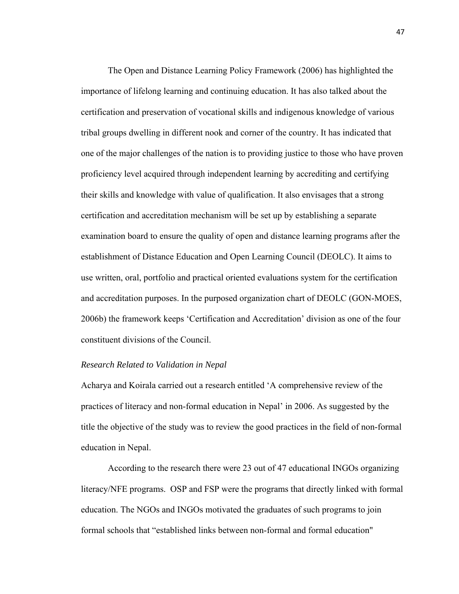The Open and Distance Learning Policy Framework (2006) has highlighted the importance of lifelong learning and continuing education. It has also talked about the certification and preservation of vocational skills and indigenous knowledge of various tribal groups dwelling in different nook and corner of the country. It has indicated that one of the major challenges of the nation is to providing justice to those who have proven proficiency level acquired through independent learning by accrediting and certifying their skills and knowledge with value of qualification. It also envisages that a strong certification and accreditation mechanism will be set up by establishing a separate examination board to ensure the quality of open and distance learning programs after the establishment of Distance Education and Open Learning Council (DEOLC). It aims to use written, oral, portfolio and practical oriented evaluations system for the certification and accreditation purposes. In the purposed organization chart of DEOLC (GON-MOES, 2006b) the framework keeps 'Certification and Accreditation' division as one of the four constituent divisions of the Council.

## *Research Related to Validation in Nepal*

Acharya and Koirala carried out a research entitled 'A comprehensive review of the practices of literacy and non-formal education in Nepal' in 2006. As suggested by the title the objective of the study was to review the good practices in the field of non-formal education in Nepal.

 According to the research there were 23 out of 47 educational INGOs organizing literacy/NFE programs. OSP and FSP were the programs that directly linked with formal education. The NGOs and INGOs motivated the graduates of such programs to join formal schools that "established links between non-formal and formal education"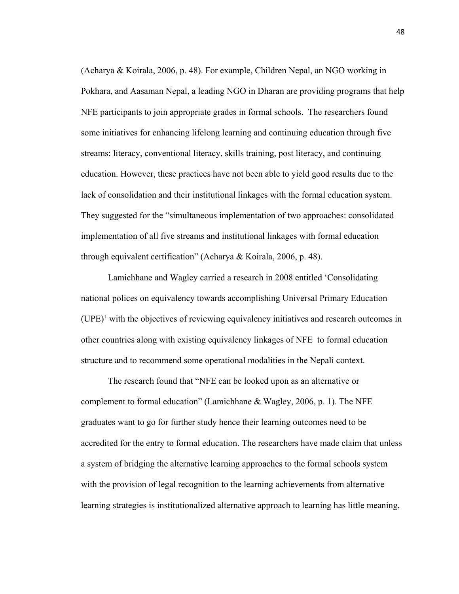(Acharya & Koirala, 2006, p. 48). For example, Children Nepal, an NGO working in Pokhara, and Aasaman Nepal, a leading NGO in Dharan are providing programs that help NFE participants to join appropriate grades in formal schools. The researchers found some initiatives for enhancing lifelong learning and continuing education through five streams: literacy, conventional literacy, skills training, post literacy, and continuing education. However, these practices have not been able to yield good results due to the lack of consolidation and their institutional linkages with the formal education system. They suggested for the "simultaneous implementation of two approaches: consolidated implementation of all five streams and institutional linkages with formal education through equivalent certification" (Acharya & Koirala, 2006, p. 48).

 Lamichhane and Wagley carried a research in 2008 entitled 'Consolidating national polices on equivalency towards accomplishing Universal Primary Education (UPE)' with the objectives of reviewing equivalency initiatives and research outcomes in other countries along with existing equivalency linkages of NFE to formal education structure and to recommend some operational modalities in the Nepali context.

 The research found that "NFE can be looked upon as an alternative or complement to formal education" (Lamichhane & Wagley, 2006, p. 1). The NFE graduates want to go for further study hence their learning outcomes need to be accredited for the entry to formal education. The researchers have made claim that unless a system of bridging the alternative learning approaches to the formal schools system with the provision of legal recognition to the learning achievements from alternative learning strategies is institutionalized alternative approach to learning has little meaning.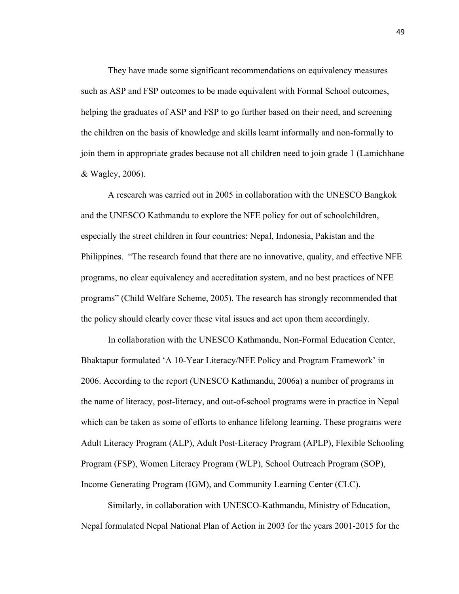They have made some significant recommendations on equivalency measures such as ASP and FSP outcomes to be made equivalent with Formal School outcomes, helping the graduates of ASP and FSP to go further based on their need, and screening the children on the basis of knowledge and skills learnt informally and non-formally to join them in appropriate grades because not all children need to join grade 1 (Lamichhane & Wagley, 2006).

 A research was carried out in 2005 in collaboration with the UNESCO Bangkok and the UNESCO Kathmandu to explore the NFE policy for out of schoolchildren, especially the street children in four countries: Nepal, Indonesia, Pakistan and the Philippines. "The research found that there are no innovative, quality, and effective NFE programs, no clear equivalency and accreditation system, and no best practices of NFE programs" (Child Welfare Scheme, 2005). The research has strongly recommended that the policy should clearly cover these vital issues and act upon them accordingly.

 In collaboration with the UNESCO Kathmandu, Non-Formal Education Center, Bhaktapur formulated 'A 10-Year Literacy/NFE Policy and Program Framework' in 2006. According to the report (UNESCO Kathmandu, 2006a) a number of programs in the name of literacy, post-literacy, and out-of-school programs were in practice in Nepal which can be taken as some of efforts to enhance lifelong learning. These programs were Adult Literacy Program (ALP), Adult Post-Literacy Program (APLP), Flexible Schooling Program (FSP), Women Literacy Program (WLP), School Outreach Program (SOP), Income Generating Program (IGM), and Community Learning Center (CLC).

 Similarly, in collaboration with UNESCO-Kathmandu, Ministry of Education, Nepal formulated Nepal National Plan of Action in 2003 for the years 2001-2015 for the

49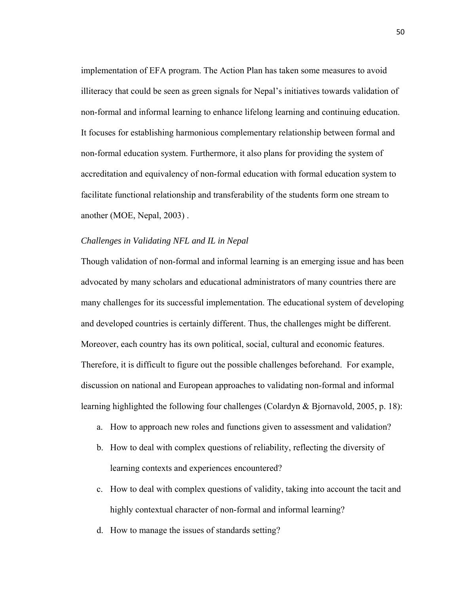implementation of EFA program. The Action Plan has taken some measures to avoid illiteracy that could be seen as green signals for Nepal's initiatives towards validation of non-formal and informal learning to enhance lifelong learning and continuing education. It focuses for establishing harmonious complementary relationship between formal and non-formal education system. Furthermore, it also plans for providing the system of accreditation and equivalency of non-formal education with formal education system to facilitate functional relationship and transferability of the students form one stream to another (MOE, Nepal, 2003) .

### *Challenges in Validating NFL and IL in Nepal*

Though validation of non-formal and informal learning is an emerging issue and has been advocated by many scholars and educational administrators of many countries there are many challenges for its successful implementation. The educational system of developing and developed countries is certainly different. Thus, the challenges might be different. Moreover, each country has its own political, social, cultural and economic features. Therefore, it is difficult to figure out the possible challenges beforehand. For example, discussion on national and European approaches to validating non-formal and informal learning highlighted the following four challenges (Colardyn & Bjornavold, 2005, p. 18):

- a. How to approach new roles and functions given to assessment and validation?
- b. How to deal with complex questions of reliability, reflecting the diversity of learning contexts and experiences encountered?
- c. How to deal with complex questions of validity, taking into account the tacit and highly contextual character of non-formal and informal learning?
- d. How to manage the issues of standards setting?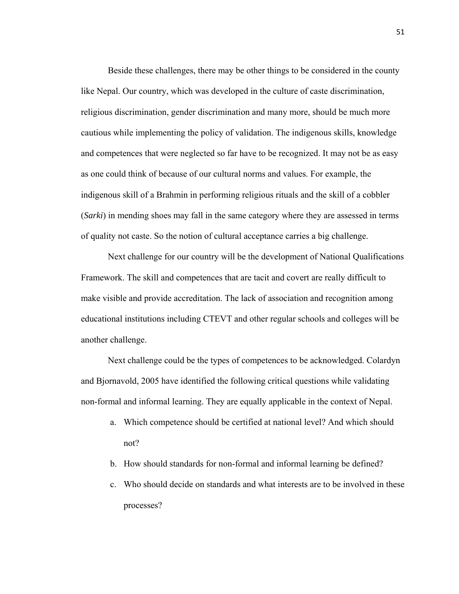Beside these challenges, there may be other things to be considered in the county like Nepal. Our country, which was developed in the culture of caste discrimination, religious discrimination, gender discrimination and many more, should be much more cautious while implementing the policy of validation. The indigenous skills, knowledge and competences that were neglected so far have to be recognized. It may not be as easy as one could think of because of our cultural norms and values. For example, the indigenous skill of a Brahmin in performing religious rituals and the skill of a cobbler (*Sarki*) in mending shoes may fall in the same category where they are assessed in terms of quality not caste. So the notion of cultural acceptance carries a big challenge.

Next challenge for our country will be the development of National Qualifications Framework. The skill and competences that are tacit and covert are really difficult to make visible and provide accreditation. The lack of association and recognition among educational institutions including CTEVT and other regular schools and colleges will be another challenge.

Next challenge could be the types of competences to be acknowledged. Colardyn and Bjornavold, 2005 have identified the following critical questions while validating non-formal and informal learning. They are equally applicable in the context of Nepal.

- a. Which competence should be certified at national level? And which should not?
- b. How should standards for non-formal and informal learning be defined?
- c. Who should decide on standards and what interests are to be involved in these processes?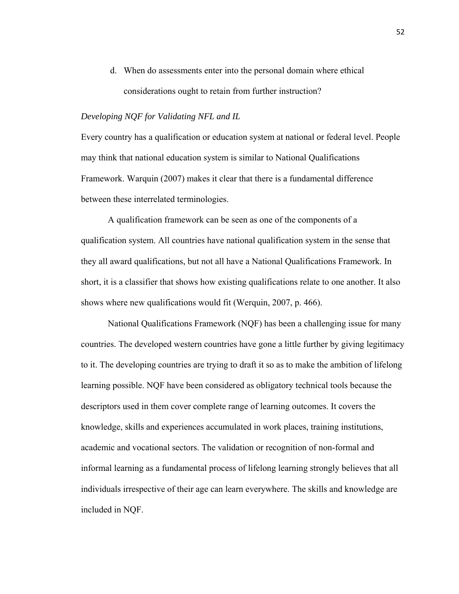d. When do assessments enter into the personal domain where ethical considerations ought to retain from further instruction?

#### *Developing NQF for Validating NFL and IL*

Every country has a qualification or education system at national or federal level. People may think that national education system is similar to National Qualifications Framework. Warquin (2007) makes it clear that there is a fundamental difference between these interrelated terminologies.

A qualification framework can be seen as one of the components of a qualification system. All countries have national qualification system in the sense that they all award qualifications, but not all have a National Qualifications Framework. In short, it is a classifier that shows how existing qualifications relate to one another. It also shows where new qualifications would fit (Werquin, 2007, p. 466).

National Qualifications Framework (NQF) has been a challenging issue for many countries. The developed western countries have gone a little further by giving legitimacy to it. The developing countries are trying to draft it so as to make the ambition of lifelong learning possible. NQF have been considered as obligatory technical tools because the descriptors used in them cover complete range of learning outcomes. It covers the knowledge, skills and experiences accumulated in work places, training institutions, academic and vocational sectors. The validation or recognition of non-formal and informal learning as a fundamental process of lifelong learning strongly believes that all individuals irrespective of their age can learn everywhere. The skills and knowledge are included in NQF.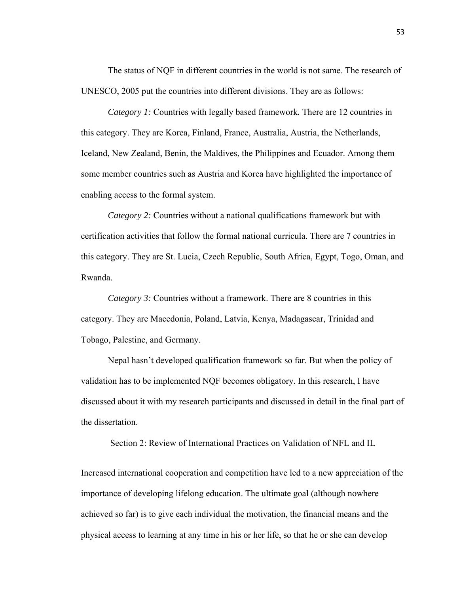The status of NQF in different countries in the world is not same. The research of UNESCO, 2005 put the countries into different divisions. They are as follows:

*Category 1:* Countries with legally based framework*.* There are 12 countries in this category. They are Korea, Finland, France, Australia, Austria, the Netherlands, Iceland, New Zealand, Benin, the Maldives, the Philippines and Ecuador. Among them some member countries such as Austria and Korea have highlighted the importance of enabling access to the formal system.

*Category 2:* Countries without a national qualifications framework but with certification activities that follow the formal national curricula. There are 7 countries in this category. They are St. Lucia, Czech Republic, South Africa, Egypt, Togo, Oman, and Rwanda.

*Category 3:* Countries without a framework. There are 8 countries in this category. They are Macedonia, Poland, Latvia, Kenya, Madagascar, Trinidad and Tobago, Palestine, and Germany.

Nepal hasn't developed qualification framework so far. But when the policy of validation has to be implemented NQF becomes obligatory. In this research, I have discussed about it with my research participants and discussed in detail in the final part of the dissertation.

Section 2: Review of International Practices on Validation of NFL and IL

Increased international cooperation and competition have led to a new appreciation of the importance of developing lifelong education. The ultimate goal (although nowhere achieved so far) is to give each individual the motivation, the financial means and the physical access to learning at any time in his or her life, so that he or she can develop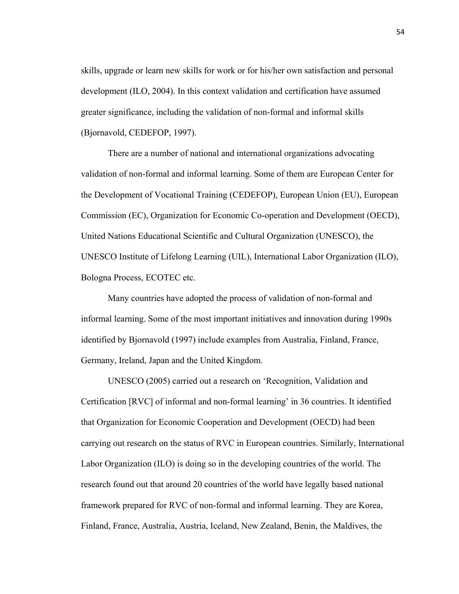skills, upgrade or learn new skills for work or for his/her own satisfaction and personal development (ILO, 2004). In this context validation and certification have assumed greater significance, including the validation of non-formal and informal skills (Bjornavold, CEDEFOP, 1997).

There are a number of national and international organizations advocating validation of non-formal and informal learning. Some of them are European Center for the Development of Vocational Training (CEDEFOP), European Union (EU), European Commission (EC), Organization for Economic Co-operation and Development (OECD), United Nations Educational Scientific and Cultural Organization (UNESCO), the UNESCO Institute of Lifelong Learning (UIL), International Labor Organization (ILO), Bologna Process, ECOTEC etc.

Many countries have adopted the process of validation of non-formal and informal learning. Some of the most important initiatives and innovation during 1990s identified by Bjornavold (1997) include examples from Australia, Finland, France, Germany, Ireland, Japan and the United Kingdom.

UNESCO (2005) carried out a research on 'Recognition, Validation and Certification [RVC] of informal and non-formal learning' in 36 countries. It identified that Organization for Economic Cooperation and Development (OECD) had been carrying out research on the status of RVC in European countries. Similarly, International Labor Organization (ILO) is doing so in the developing countries of the world. The research found out that around 20 countries of the world have legally based national framework prepared for RVC of non-formal and informal learning. They are Korea, Finland, France, Australia, Austria, Iceland, New Zealand, Benin, the Maldives, the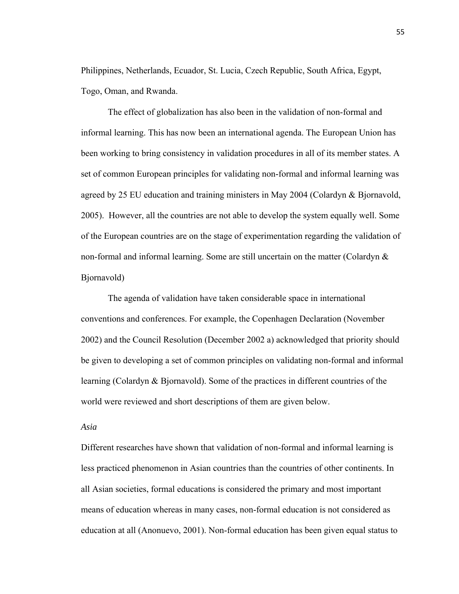Philippines, Netherlands, Ecuador, St. Lucia, Czech Republic, South Africa, Egypt, Togo, Oman, and Rwanda.

The effect of globalization has also been in the validation of non-formal and informal learning. This has now been an international agenda. The European Union has been working to bring consistency in validation procedures in all of its member states. A set of common European principles for validating non-formal and informal learning was agreed by 25 EU education and training ministers in May 2004 (Colardyn & Bjornavold, 2005). However, all the countries are not able to develop the system equally well. Some of the European countries are on the stage of experimentation regarding the validation of non-formal and informal learning. Some are still uncertain on the matter (Colardyn & Bjornavold)

The agenda of validation have taken considerable space in international conventions and conferences. For example, the Copenhagen Declaration (November 2002) and the Council Resolution (December 2002 a) acknowledged that priority should be given to developing a set of common principles on validating non-formal and informal learning (Colardyn & Bjornavold). Some of the practices in different countries of the world were reviewed and short descriptions of them are given below.

#### *Asia*

Different researches have shown that validation of non-formal and informal learning is less practiced phenomenon in Asian countries than the countries of other continents. In all Asian societies, formal educations is considered the primary and most important means of education whereas in many cases, non-formal education is not considered as education at all (Anonuevo, 2001). Non-formal education has been given equal status to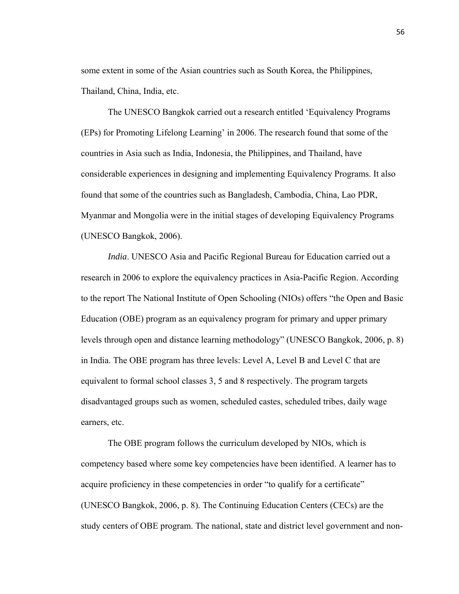some extent in some of the Asian countries such as South Korea, the Philippines, Thailand, China, India, etc.

 The UNESCO Bangkok carried out a research entitled 'Equivalency Programs (EPs) for Promoting Lifelong Learning' in 2006. The research found that some of the countries in Asia such as India, Indonesia, the Philippines, and Thailand, have considerable experiences in designing and implementing Equivalency Programs. It also found that some of the countries such as Bangladesh, Cambodia, China, Lao PDR, Myanmar and Mongolia were in the initial stages of developing Equivalency Programs (UNESCO Bangkok, 2006).

*India*. UNESCO Asia and Pacific Regional Bureau for Education carried out a research in 2006 to explore the equivalency practices in Asia-Pacific Region. According to the report The National Institute of Open Schooling (NIOs) offers "the Open and Basic Education (OBE) program as an equivalency program for primary and upper primary levels through open and distance learning methodology" (UNESCO Bangkok, 2006, p. 8) in India. The OBE program has three levels: Level A, Level B and Level C that are equivalent to formal school classes 3, 5 and 8 respectively. The program targets disadvantaged groups such as women, scheduled castes, scheduled tribes, daily wage earners, etc.

 The OBE program follows the curriculum developed by NIOs, which is competency based where some key competencies have been identified. A learner has to acquire proficiency in these competencies in order "to qualify for a certificate" (UNESCO Bangkok, 2006, p. 8). The Continuing Education Centers (CECs) are the study centers of OBE program. The national, state and district level government and non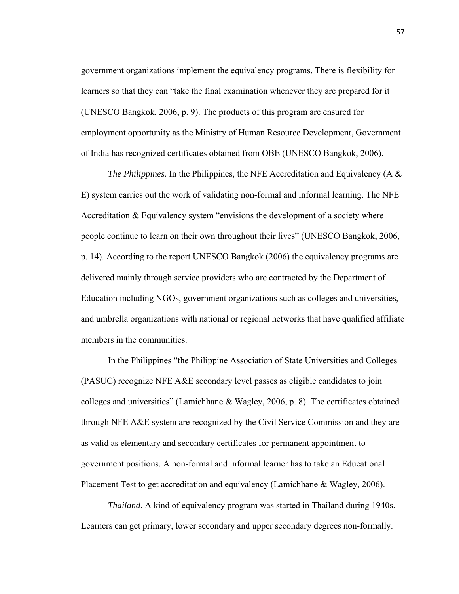government organizations implement the equivalency programs. There is flexibility for learners so that they can "take the final examination whenever they are prepared for it (UNESCO Bangkok, 2006, p. 9). The products of this program are ensured for employment opportunity as the Ministry of Human Resource Development, Government of India has recognized certificates obtained from OBE (UNESCO Bangkok, 2006).

*The Philippines.* In the Philippines, the NFE Accreditation and Equivalency (A & E) system carries out the work of validating non-formal and informal learning. The NFE Accreditation & Equivalency system "envisions the development of a society where people continue to learn on their own throughout their lives" (UNESCO Bangkok, 2006, p. 14). According to the report UNESCO Bangkok (2006) the equivalency programs are delivered mainly through service providers who are contracted by the Department of Education including NGOs, government organizations such as colleges and universities, and umbrella organizations with national or regional networks that have qualified affiliate members in the communities.

 In the Philippines "the Philippine Association of State Universities and Colleges (PASUC) recognize NFE A&E secondary level passes as eligible candidates to join colleges and universities" (Lamichhane & Wagley, 2006, p. 8). The certificates obtained through NFE A&E system are recognized by the Civil Service Commission and they are as valid as elementary and secondary certificates for permanent appointment to government positions. A non-formal and informal learner has to take an Educational Placement Test to get accreditation and equivalency (Lamichhane & Wagley, 2006).

*Thailand*. A kind of equivalency program was started in Thailand during 1940s. Learners can get primary, lower secondary and upper secondary degrees non-formally.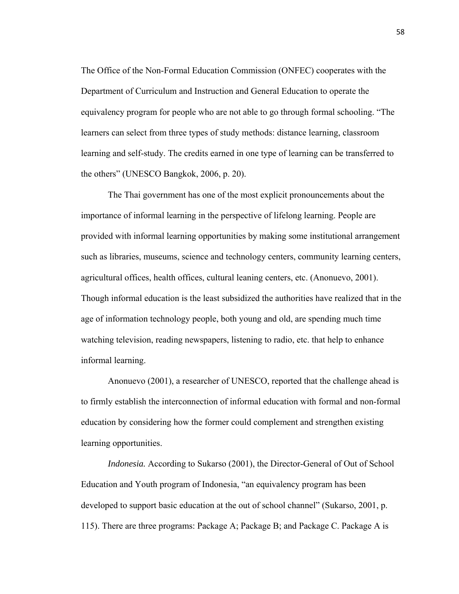The Office of the Non-Formal Education Commission (ONFEC) cooperates with the Department of Curriculum and Instruction and General Education to operate the equivalency program for people who are not able to go through formal schooling. "The learners can select from three types of study methods: distance learning, classroom learning and self-study. The credits earned in one type of learning can be transferred to the others" (UNESCO Bangkok, 2006, p. 20).

 The Thai government has one of the most explicit pronouncements about the importance of informal learning in the perspective of lifelong learning. People are provided with informal learning opportunities by making some institutional arrangement such as libraries, museums, science and technology centers, community learning centers, agricultural offices, health offices, cultural leaning centers, etc. (Anonuevo, 2001). Though informal education is the least subsidized the authorities have realized that in the age of information technology people, both young and old, are spending much time watching television, reading newspapers, listening to radio, etc. that help to enhance informal learning.

 Anonuevo (2001), a researcher of UNESCO, reported that the challenge ahead is to firmly establish the interconnection of informal education with formal and non-formal education by considering how the former could complement and strengthen existing learning opportunities.

*Indonesia.* According to Sukarso (2001), the Director-General of Out of School Education and Youth program of Indonesia, "an equivalency program has been developed to support basic education at the out of school channel" (Sukarso, 2001, p. 115). There are three programs: Package A; Package B; and Package C. Package A is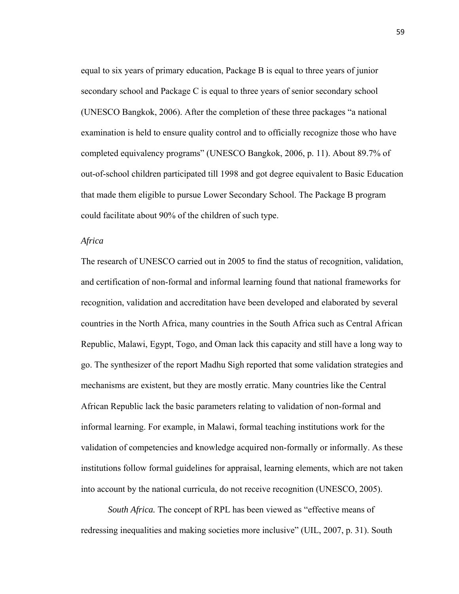equal to six years of primary education, Package B is equal to three years of junior secondary school and Package C is equal to three years of senior secondary school (UNESCO Bangkok, 2006). After the completion of these three packages "a national examination is held to ensure quality control and to officially recognize those who have completed equivalency programs" (UNESCO Bangkok, 2006, p. 11). About 89.7% of out-of-school children participated till 1998 and got degree equivalent to Basic Education that made them eligible to pursue Lower Secondary School. The Package B program could facilitate about 90% of the children of such type.

### *Africa*

The research of UNESCO carried out in 2005 to find the status of recognition, validation, and certification of non-formal and informal learning found that national frameworks for recognition, validation and accreditation have been developed and elaborated by several countries in the North Africa, many countries in the South Africa such as Central African Republic, Malawi, Egypt, Togo, and Oman lack this capacity and still have a long way to go. The synthesizer of the report Madhu Sigh reported that some validation strategies and mechanisms are existent, but they are mostly erratic. Many countries like the Central African Republic lack the basic parameters relating to validation of non-formal and informal learning. For example, in Malawi, formal teaching institutions work for the validation of competencies and knowledge acquired non-formally or informally. As these institutions follow formal guidelines for appraisal, learning elements, which are not taken into account by the national curricula, do not receive recognition (UNESCO, 2005).

*South Africa.* The concept of RPL has been viewed as "effective means of redressing inequalities and making societies more inclusive" (UIL, 2007, p. 31). South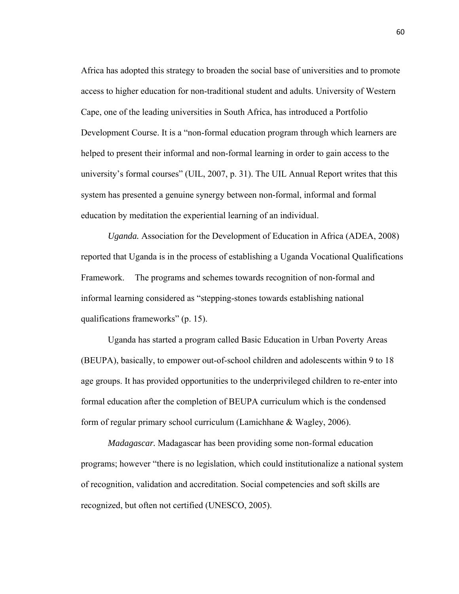Africa has adopted this strategy to broaden the social base of universities and to promote access to higher education for non-traditional student and adults. University of Western Cape, one of the leading universities in South Africa, has introduced a Portfolio Development Course. It is a "non-formal education program through which learners are helped to present their informal and non-formal learning in order to gain access to the university's formal courses" (UIL, 2007, p. 31). The UIL Annual Report writes that this system has presented a genuine synergy between non-formal, informal and formal education by meditation the experiential learning of an individual.

*Uganda.* Association for the Development of Education in Africa (ADEA, 2008) reported that Uganda is in the process of establishing a Uganda Vocational Qualifications Framework. The programs and schemes towards recognition of non-formal and informal learning considered as "stepping-stones towards establishing national qualifications frameworks" (p. 15).

 Uganda has started a program called Basic Education in Urban Poverty Areas (BEUPA), basically, to empower out-of-school children and adolescents within 9 to 18 age groups. It has provided opportunities to the underprivileged children to re-enter into formal education after the completion of BEUPA curriculum which is the condensed form of regular primary school curriculum (Lamichhane & Wagley, 2006).

*Madagascar.* Madagascar has been providing some non-formal education programs; however "there is no legislation, which could institutionalize a national system of recognition, validation and accreditation. Social competencies and soft skills are recognized, but often not certified (UNESCO, 2005).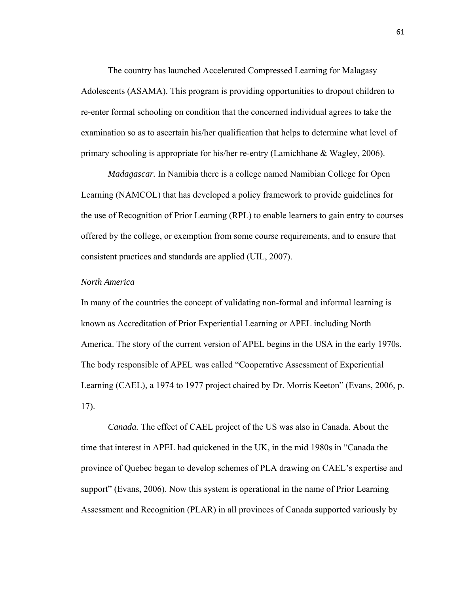The country has launched Accelerated Compressed Learning for Malagasy Adolescents (ASAMA). This program is providing opportunities to dropout children to re-enter formal schooling on condition that the concerned individual agrees to take the examination so as to ascertain his/her qualification that helps to determine what level of primary schooling is appropriate for his/her re-entry (Lamichhane & Wagley, 2006).

*Madagascar.* In Namibia there is a college named Namibian College for Open Learning (NAMCOL) that has developed a policy framework to provide guidelines for the use of Recognition of Prior Learning (RPL) to enable learners to gain entry to courses offered by the college, or exemption from some course requirements, and to ensure that consistent practices and standards are applied (UIL, 2007).

### *North America*

In many of the countries the concept of validating non-formal and informal learning is known as Accreditation of Prior Experiential Learning or APEL including North America. The story of the current version of APEL begins in the USA in the early 1970s. The body responsible of APEL was called "Cooperative Assessment of Experiential Learning (CAEL), a 1974 to 1977 project chaired by Dr. Morris Keeton" (Evans, 2006, p. 17).

*Canada.* The effect of CAEL project of the US was also in Canada. About the time that interest in APEL had quickened in the UK, in the mid 1980s in "Canada the province of Quebec began to develop schemes of PLA drawing on CAEL's expertise and support" (Evans, 2006). Now this system is operational in the name of Prior Learning Assessment and Recognition (PLAR) in all provinces of Canada supported variously by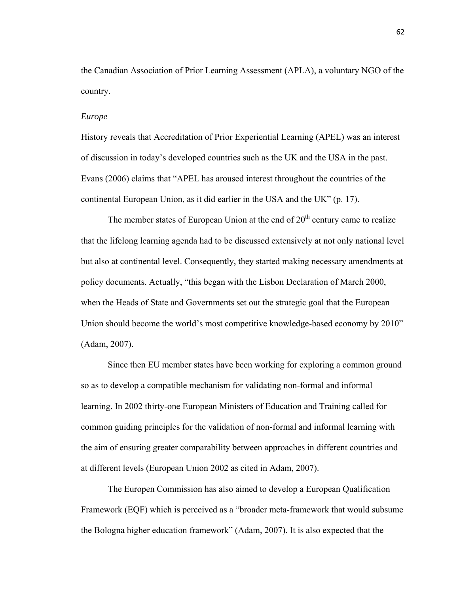the Canadian Association of Prior Learning Assessment (APLA), a voluntary NGO of the country.

#### *Europe*

History reveals that Accreditation of Prior Experiential Learning (APEL) was an interest of discussion in today's developed countries such as the UK and the USA in the past. Evans (2006) claims that "APEL has aroused interest throughout the countries of the continental European Union, as it did earlier in the USA and the UK" (p. 17).

The member states of European Union at the end of  $20<sup>th</sup>$  century came to realize that the lifelong learning agenda had to be discussed extensively at not only national level but also at continental level. Consequently, they started making necessary amendments at policy documents. Actually, "this began with the Lisbon Declaration of March 2000, when the Heads of State and Governments set out the strategic goal that the European Union should become the world's most competitive knowledge-based economy by 2010" (Adam, 2007).

 Since then EU member states have been working for exploring a common ground so as to develop a compatible mechanism for validating non-formal and informal learning. In 2002 thirty-one European Ministers of Education and Training called for common guiding principles for the validation of non-formal and informal learning with the aim of ensuring greater comparability between approaches in different countries and at different levels (European Union 2002 as cited in Adam, 2007).

 The Europen Commission has also aimed to develop a European Qualification Framework (EQF) which is perceived as a "broader meta-framework that would subsume the Bologna higher education framework" (Adam, 2007). It is also expected that the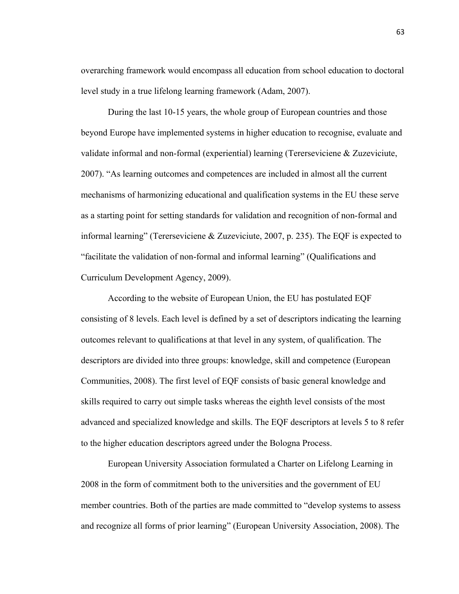overarching framework would encompass all education from school education to doctoral level study in a true lifelong learning framework (Adam, 2007).

 During the last 10-15 years, the whole group of European countries and those beyond Europe have implemented systems in higher education to recognise, evaluate and validate informal and non-formal (experiential) learning (Tererseviciene & Zuzeviciute, 2007). "As learning outcomes and competences are included in almost all the current mechanisms of harmonizing educational and qualification systems in the EU these serve as a starting point for setting standards for validation and recognition of non-formal and informal learning" (Tererseviciene & Zuzeviciute, 2007, p. 235). The EQF is expected to "facilitate the validation of non-formal and informal learning" (Qualifications and Curriculum Development Agency, 2009).

 According to the website of European Union, the EU has postulated EQF consisting of 8 levels. Each level is defined by a set of descriptors indicating the learning outcomes relevant to qualifications at that level in any system, of qualification. The descriptors are divided into three groups: knowledge, skill and competence (European Communities, 2008). The first level of EQF consists of basic general knowledge and skills required to carry out simple tasks whereas the eighth level consists of the most advanced and specialized knowledge and skills. The EQF descriptors at levels 5 to 8 refer to the higher education descriptors agreed under the Bologna Process.

 European University Association formulated a Charter on Lifelong Learning in 2008 in the form of commitment both to the universities and the government of EU member countries. Both of the parties are made committed to "develop systems to assess and recognize all forms of prior learning" (European University Association, 2008). The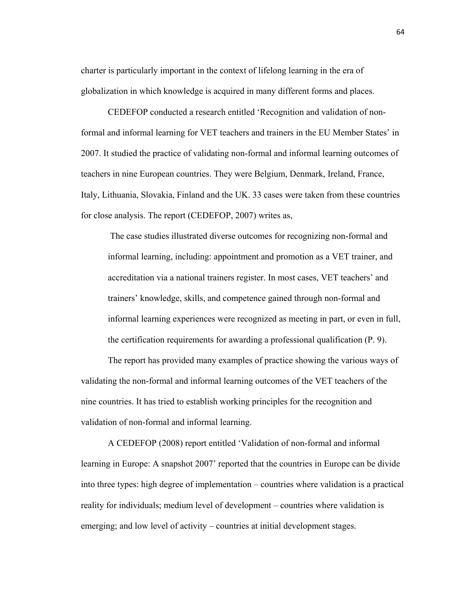charter is particularly important in the context of lifelong learning in the era of globalization in which knowledge is acquired in many different forms and places.

 CEDEFOP conducted a research entitled 'Recognition and validation of nonformal and informal learning for VET teachers and trainers in the EU Member States' in 2007. It studied the practice of validating non-formal and informal learning outcomes of teachers in nine European countries. They were Belgium, Denmark, Ireland, France, Italy, Lithuania, Slovakia, Finland and the UK. 33 cases were taken from these countries for close analysis. The report (CEDEFOP, 2007) writes as,

 The case studies illustrated diverse outcomes for recognizing non-formal and informal learning, including: appointment and promotion as a VET trainer, and accreditation via a national trainers register. In most cases, VET teachers' and trainers' knowledge, skills, and competence gained through non-formal and informal learning experiences were recognized as meeting in part, or even in full, the certification requirements for awarding a professional qualification (P. 9).

 The report has provided many examples of practice showing the various ways of validating the non-formal and informal learning outcomes of the VET teachers of the nine countries. It has tried to establish working principles for the recognition and validation of non-formal and informal learning.

 A CEDEFOP (2008) report entitled 'Validation of non-formal and informal learning in Europe: A snapshot 2007' reported that the countries in Europe can be divide into three types: high degree of implementation – countries where validation is a practical reality for individuals; medium level of development – countries where validation is emerging; and low level of activity – countries at initial development stages.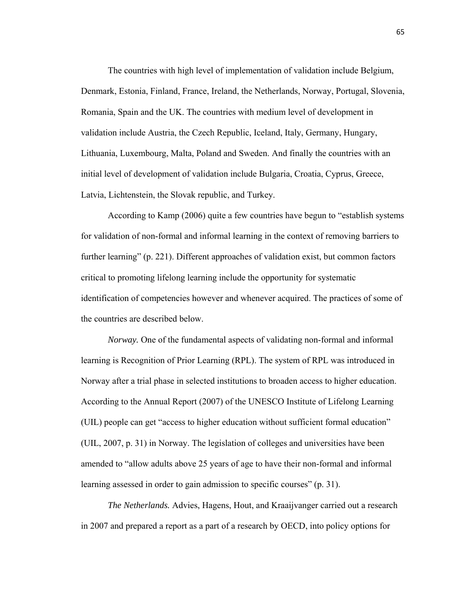The countries with high level of implementation of validation include Belgium, Denmark, Estonia, Finland, France, Ireland, the Netherlands, Norway, Portugal, Slovenia, Romania, Spain and the UK. The countries with medium level of development in validation include Austria, the Czech Republic, Iceland, Italy, Germany, Hungary, Lithuania, Luxembourg, Malta, Poland and Sweden. And finally the countries with an initial level of development of validation include Bulgaria, Croatia, Cyprus, Greece, Latvia, Lichtenstein, the Slovak republic, and Turkey.

 According to Kamp (2006) quite a few countries have begun to "establish systems for validation of non-formal and informal learning in the context of removing barriers to further learning" (p. 221). Different approaches of validation exist, but common factors critical to promoting lifelong learning include the opportunity for systematic identification of competencies however and whenever acquired. The practices of some of the countries are described below.

*Norway.* One of the fundamental aspects of validating non-formal and informal learning is Recognition of Prior Learning (RPL). The system of RPL was introduced in Norway after a trial phase in selected institutions to broaden access to higher education. According to the Annual Report (2007) of the UNESCO Institute of Lifelong Learning (UIL) people can get "access to higher education without sufficient formal education" (UIL, 2007, p. 31) in Norway. The legislation of colleges and universities have been amended to "allow adults above 25 years of age to have their non-formal and informal learning assessed in order to gain admission to specific courses" (p. 31).

*The Netherlands.* Advies, Hagens, Hout, and Kraaijvanger carried out a research in 2007 and prepared a report as a part of a research by OECD, into policy options for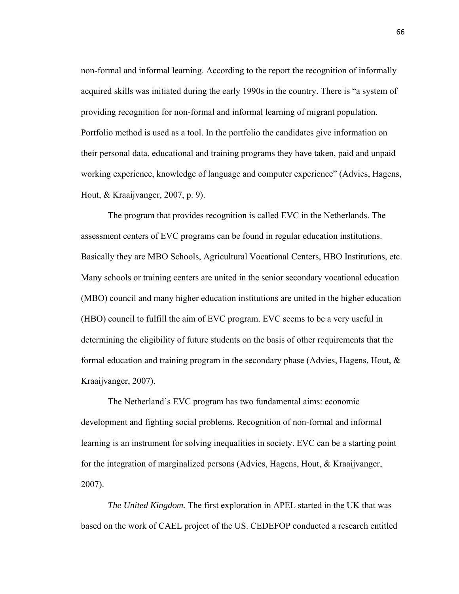non-formal and informal learning. According to the report the recognition of informally acquired skills was initiated during the early 1990s in the country. There is "a system of providing recognition for non-formal and informal learning of migrant population. Portfolio method is used as a tool. In the portfolio the candidates give information on their personal data, educational and training programs they have taken, paid and unpaid working experience, knowledge of language and computer experience" (Advies, Hagens, Hout, & Kraaijvanger, 2007, p. 9).

 The program that provides recognition is called EVC in the Netherlands. The assessment centers of EVC programs can be found in regular education institutions. Basically they are MBO Schools, Agricultural Vocational Centers, HBO Institutions, etc. Many schools or training centers are united in the senior secondary vocational education (MBO) council and many higher education institutions are united in the higher education (HBO) council to fulfill the aim of EVC program. EVC seems to be a very useful in determining the eligibility of future students on the basis of other requirements that the formal education and training program in the secondary phase (Advies, Hagens, Hout,  $\&$ Kraaijvanger, 2007).

 The Netherland's EVC program has two fundamental aims: economic development and fighting social problems. Recognition of non-formal and informal learning is an instrument for solving inequalities in society. EVC can be a starting point for the integration of marginalized persons (Advies, Hagens, Hout, & Kraaijvanger, 2007).

*The United Kingdom.* The first exploration in APEL started in the UK that was based on the work of CAEL project of the US. CEDEFOP conducted a research entitled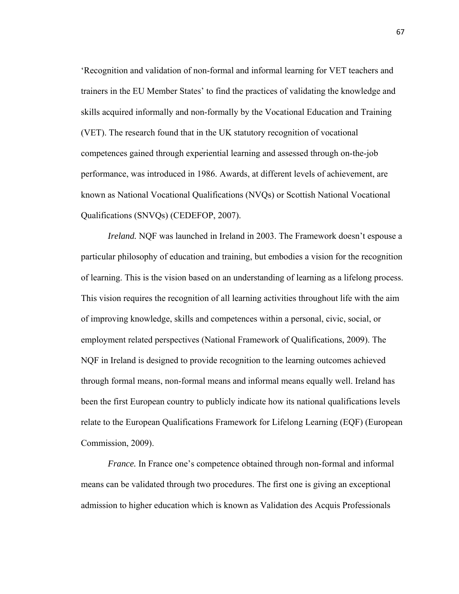'Recognition and validation of non-formal and informal learning for VET teachers and trainers in the EU Member States' to find the practices of validating the knowledge and skills acquired informally and non-formally by the Vocational Education and Training (VET). The research found that in the UK statutory recognition of vocational competences gained through experiential learning and assessed through on-the-job performance, was introduced in 1986. Awards, at different levels of achievement, are known as National Vocational Qualifications (NVQs) or Scottish National Vocational Qualifications (SNVQs) (CEDEFOP, 2007).

*Ireland.* NQF was launched in Ireland in 2003. The Framework doesn't espouse a particular philosophy of education and training, but embodies a vision for the recognition of learning. This is the vision based on an understanding of learning as a lifelong process. This vision requires the recognition of all learning activities throughout life with the aim of improving knowledge, skills and competences within a personal, civic, social, or employment related perspectives (National Framework of Qualifications, 2009). The NQF in Ireland is designed to provide recognition to the learning outcomes achieved through formal means, non-formal means and informal means equally well. Ireland has been the first European country to publicly indicate how its national qualifications levels relate to the European Qualifications Framework for Lifelong Learning (EQF) (European Commission, 2009).

*France.* In France one's competence obtained through non-formal and informal means can be validated through two procedures. The first one is giving an exceptional admission to higher education which is known as Validation des Acquis Professionals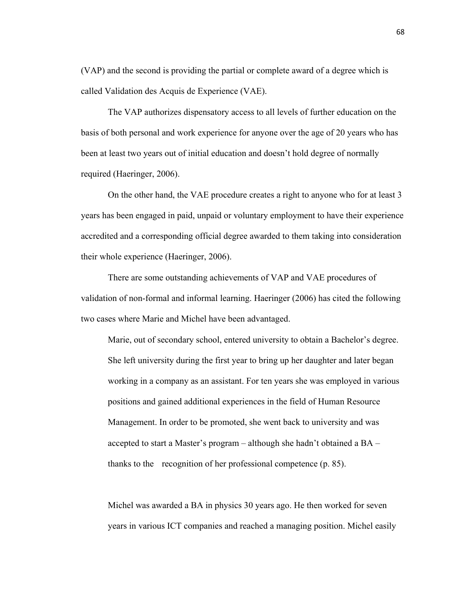(VAP) and the second is providing the partial or complete award of a degree which is called Validation des Acquis de Experience (VAE).

 The VAP authorizes dispensatory access to all levels of further education on the basis of both personal and work experience for anyone over the age of 20 years who has been at least two years out of initial education and doesn't hold degree of normally required (Haeringer, 2006).

 On the other hand, the VAE procedure creates a right to anyone who for at least 3 years has been engaged in paid, unpaid or voluntary employment to have their experience accredited and a corresponding official degree awarded to them taking into consideration their whole experience (Haeringer, 2006).

 There are some outstanding achievements of VAP and VAE procedures of validation of non-formal and informal learning. Haeringer (2006) has cited the following two cases where Marie and Michel have been advantaged.

Marie, out of secondary school, entered university to obtain a Bachelor's degree. She left university during the first year to bring up her daughter and later began working in a company as an assistant. For ten years she was employed in various positions and gained additional experiences in the field of Human Resource Management. In order to be promoted, she went back to university and was accepted to start a Master's program – although she hadn't obtained a BA – thanks to the recognition of her professional competence (p. 85).

Michel was awarded a BA in physics 30 years ago. He then worked for seven years in various ICT companies and reached a managing position. Michel easily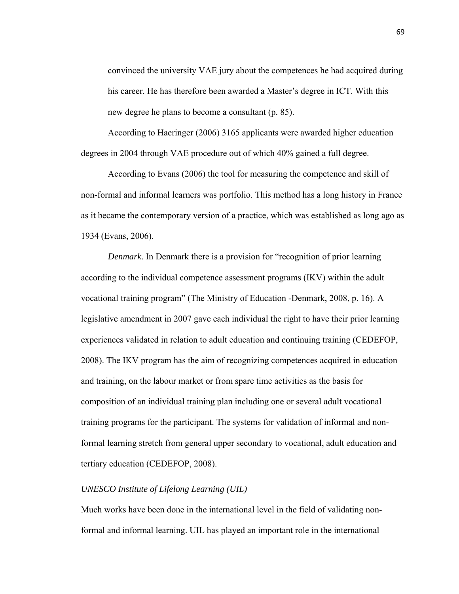convinced the university VAE jury about the competences he had acquired during his career. He has therefore been awarded a Master's degree in ICT. With this new degree he plans to become a consultant (p. 85).

 According to Haeringer (2006) 3165 applicants were awarded higher education degrees in 2004 through VAE procedure out of which 40% gained a full degree.

 According to Evans (2006) the tool for measuring the competence and skill of non-formal and informal learners was portfolio. This method has a long history in France as it became the contemporary version of a practice, which was established as long ago as 1934 (Evans, 2006).

*Denmark.* In Denmark there is a provision for "recognition of prior learning according to the individual competence assessment programs (IKV) within the adult vocational training program" (The Ministry of Education -Denmark, 2008, p. 16). A legislative amendment in 2007 gave each individual the right to have their prior learning experiences validated in relation to adult education and continuing training (CEDEFOP, 2008). The IKV program has the aim of recognizing competences acquired in education and training, on the labour market or from spare time activities as the basis for composition of an individual training plan including one or several adult vocational training programs for the participant. The systems for validation of informal and nonformal learning stretch from general upper secondary to vocational, adult education and tertiary education (CEDEFOP, 2008).

# *UNESCO Institute of Lifelong Learning (UIL)*

Much works have been done in the international level in the field of validating nonformal and informal learning. UIL has played an important role in the international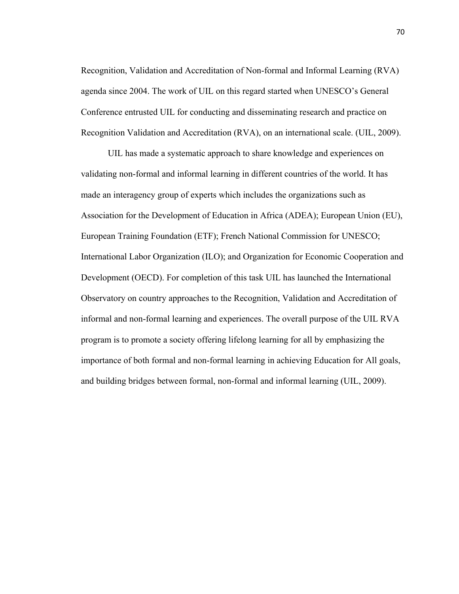Recognition, Validation and Accreditation of Non-formal and Informal Learning (RVA) agenda since 2004. The work of UIL on this regard started when UNESCO's General Conference entrusted UIL for conducting and disseminating research and practice on Recognition Validation and Accreditation (RVA), on an international scale. (UIL, 2009).

 UIL has made a systematic approach to share knowledge and experiences on validating non-formal and informal learning in different countries of the world. It has made an interagency group of experts which includes the organizations such as Association for the Development of Education in Africa (ADEA); European Union (EU), European Training Foundation (ETF); French National Commission for UNESCO; International Labor Organization (ILO); and Organization for Economic Cooperation and Development (OECD). For completion of this task UIL has launched the International Observatory on country approaches to the Recognition, Validation and Accreditation of informal and non-formal learning and experiences. The overall purpose of the UIL RVA program is to promote a society offering lifelong learning for all by emphasizing the importance of both formal and non-formal learning in achieving Education for All goals, and building bridges between formal, non-formal and informal learning (UIL, 2009).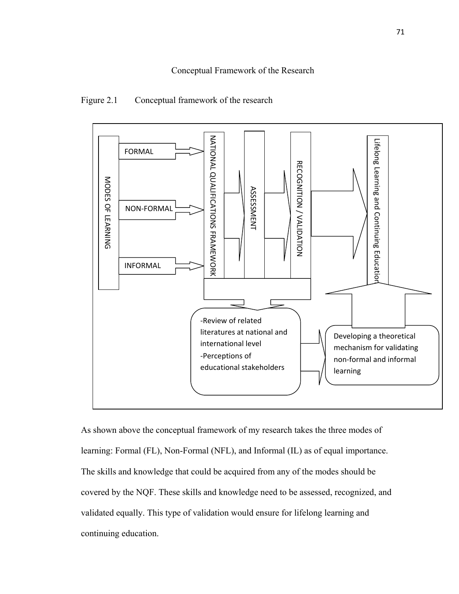

# Figure 2.1 Conceptual framework of the research

As shown above the conceptual framework of my research takes the three modes of learning: Formal (FL), Non-Formal (NFL), and Informal (IL) as of equal importance. The skills and knowledge that could be acquired from any of the modes should be covered by the NQF. These skills and knowledge need to be assessed, recognized, and validated equally. This type of validation would ensure for lifelong learning and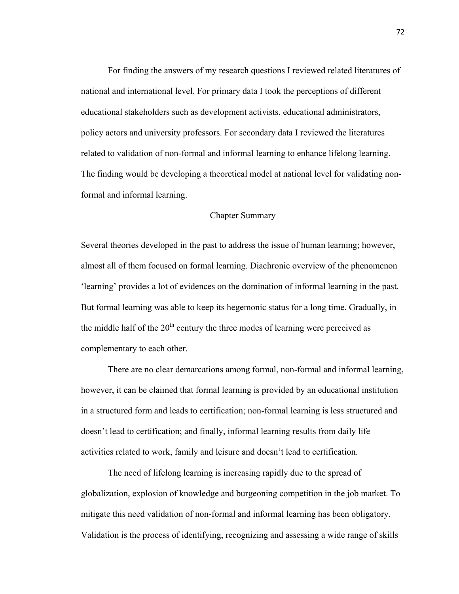For finding the answers of my research questions I reviewed related literatures of national and international level. For primary data I took the perceptions of different educational stakeholders such as development activists, educational administrators, policy actors and university professors. For secondary data I reviewed the literatures related to validation of non-formal and informal learning to enhance lifelong learning. The finding would be developing a theoretical model at national level for validating nonformal and informal learning.

## Chapter Summary

Several theories developed in the past to address the issue of human learning; however, almost all of them focused on formal learning. Diachronic overview of the phenomenon 'learning' provides a lot of evidences on the domination of informal learning in the past. But formal learning was able to keep its hegemonic status for a long time. Gradually, in the middle half of the  $20<sup>th</sup>$  century the three modes of learning were perceived as complementary to each other.

 There are no clear demarcations among formal, non-formal and informal learning, however, it can be claimed that formal learning is provided by an educational institution in a structured form and leads to certification; non-formal learning is less structured and doesn't lead to certification; and finally, informal learning results from daily life activities related to work, family and leisure and doesn't lead to certification.

 The need of lifelong learning is increasing rapidly due to the spread of globalization, explosion of knowledge and burgeoning competition in the job market. To mitigate this need validation of non-formal and informal learning has been obligatory. Validation is the process of identifying, recognizing and assessing a wide range of skills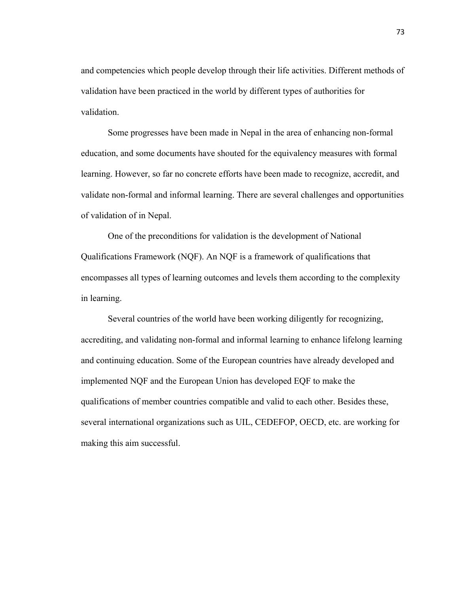and competencies which people develop through their life activities. Different methods of validation have been practiced in the world by different types of authorities for validation.

 Some progresses have been made in Nepal in the area of enhancing non-formal education, and some documents have shouted for the equivalency measures with formal learning. However, so far no concrete efforts have been made to recognize, accredit, and validate non-formal and informal learning. There are several challenges and opportunities of validation of in Nepal.

 One of the preconditions for validation is the development of National Qualifications Framework (NQF). An NQF is a framework of qualifications that encompasses all types of learning outcomes and levels them according to the complexity in learning.

 Several countries of the world have been working diligently for recognizing, accrediting, and validating non-formal and informal learning to enhance lifelong learning and continuing education. Some of the European countries have already developed and implemented NQF and the European Union has developed EQF to make the qualifications of member countries compatible and valid to each other. Besides these, several international organizations such as UIL, CEDEFOP, OECD, etc. are working for making this aim successful.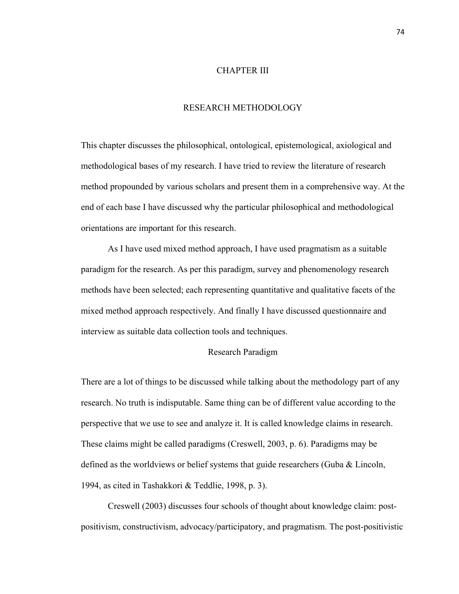## CHAPTER III

# RESEARCH METHODOLOGY

This chapter discusses the philosophical, ontological, epistemological, axiological and methodological bases of my research. I have tried to review the literature of research method propounded by various scholars and present them in a comprehensive way. At the end of each base I have discussed why the particular philosophical and methodological orientations are important for this research.

 As I have used mixed method approach, I have used pragmatism as a suitable paradigm for the research. As per this paradigm, survey and phenomenology research methods have been selected; each representing quantitative and qualitative facets of the mixed method approach respectively. And finally I have discussed questionnaire and interview as suitable data collection tools and techniques.

## Research Paradigm

There are a lot of things to be discussed while talking about the methodology part of any research. No truth is indisputable. Same thing can be of different value according to the perspective that we use to see and analyze it. It is called knowledge claims in research. These claims might be called paradigms (Creswell, 2003, p. 6). Paradigms may be defined as the worldviews or belief systems that guide researchers (Guba & Lincoln, 1994, as cited in Tashakkori & Teddlie, 1998, p. 3).

Creswell (2003) discusses four schools of thought about knowledge claim: postpositivism, constructivism, advocacy/participatory, and pragmatism. The post-positivistic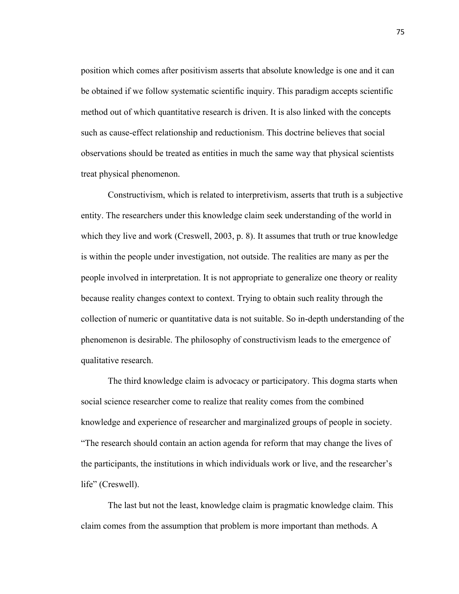position which comes after positivism asserts that absolute knowledge is one and it can be obtained if we follow systematic scientific inquiry. This paradigm accepts scientific method out of which quantitative research is driven. It is also linked with the concepts such as cause-effect relationship and reductionism. This doctrine believes that social observations should be treated as entities in much the same way that physical scientists treat physical phenomenon.

Constructivism, which is related to interpretivism, asserts that truth is a subjective entity. The researchers under this knowledge claim seek understanding of the world in which they live and work (Creswell, 2003, p. 8). It assumes that truth or true knowledge is within the people under investigation, not outside. The realities are many as per the people involved in interpretation. It is not appropriate to generalize one theory or reality because reality changes context to context. Trying to obtain such reality through the collection of numeric or quantitative data is not suitable. So in-depth understanding of the phenomenon is desirable. The philosophy of constructivism leads to the emergence of qualitative research.

The third knowledge claim is advocacy or participatory. This dogma starts when social science researcher come to realize that reality comes from the combined knowledge and experience of researcher and marginalized groups of people in society. "The research should contain an action agenda for reform that may change the lives of the participants, the institutions in which individuals work or live, and the researcher's life" (Creswell).

The last but not the least, knowledge claim is pragmatic knowledge claim. This claim comes from the assumption that problem is more important than methods. A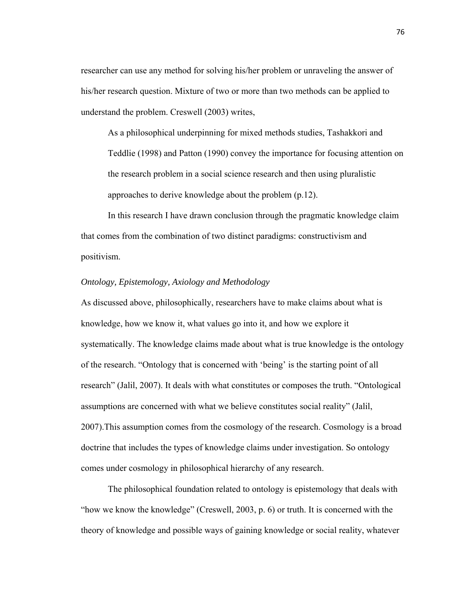researcher can use any method for solving his/her problem or unraveling the answer of his/her research question. Mixture of two or more than two methods can be applied to understand the problem. Creswell (2003) writes,

As a philosophical underpinning for mixed methods studies, Tashakkori and Teddlie (1998) and Patton (1990) convey the importance for focusing attention on the research problem in a social science research and then using pluralistic approaches to derive knowledge about the problem (p.12).

In this research I have drawn conclusion through the pragmatic knowledge claim that comes from the combination of two distinct paradigms: constructivism and positivism.

# *Ontology, Epistemology, Axiology and Methodology*

As discussed above, philosophically, researchers have to make claims about what is knowledge, how we know it, what values go into it, and how we explore it systematically. The knowledge claims made about what is true knowledge is the ontology of the research. "Ontology that is concerned with 'being' is the starting point of all research" (Jalil, 2007). It deals with what constitutes or composes the truth. "Ontological assumptions are concerned with what we believe constitutes social reality" (Jalil, 2007).This assumption comes from the cosmology of the research. Cosmology is a broad doctrine that includes the types of knowledge claims under investigation. So ontology comes under cosmology in philosophical hierarchy of any research.

The philosophical foundation related to ontology is epistemology that deals with "how we know the knowledge" (Creswell, 2003, p. 6) or truth. It is concerned with the theory of knowledge and possible ways of gaining knowledge or social reality, whatever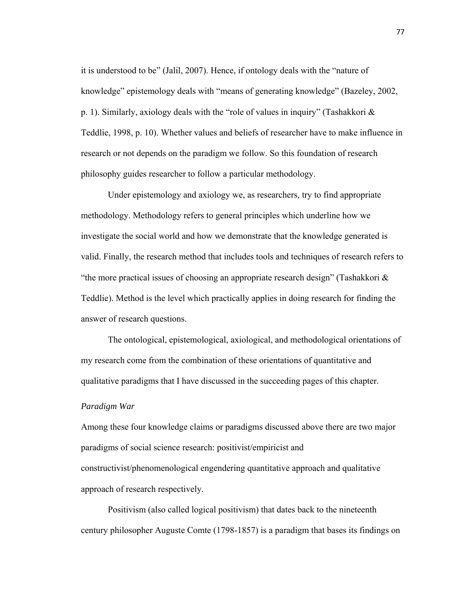it is understood to be" (Jalil, 2007). Hence, if ontology deals with the "nature of knowledge" epistemology deals with "means of generating knowledge" (Bazeley, 2002, p. 1). Similarly, axiology deals with the "role of values in inquiry" (Tashakkori & Teddlie, 1998, p. 10). Whether values and beliefs of researcher have to make influence in research or not depends on the paradigm we follow. So this foundation of research philosophy guides researcher to follow a particular methodology.

Under epistemology and axiology we, as researchers, try to find appropriate methodology. Methodology refers to general principles which underline how we investigate the social world and how we demonstrate that the knowledge generated is valid. Finally, the research method that includes tools and techniques of research refers to "the more practical issues of choosing an appropriate research design" (Tashakkori & Teddlie). Method is the level which practically applies in doing research for finding the answer of research questions.

The ontological, epistemological, axiological, and methodological orientations of my research come from the combination of these orientations of quantitative and qualitative paradigms that I have discussed in the succeeding pages of this chapter.

#### *Paradigm War*

Among these four knowledge claims or paradigms discussed above there are two major paradigms of social science research: positivist/empiricist and constructivist/phenomenological engendering quantitative approach and qualitative approach of research respectively.

Positivism (also called logical positivism) that dates back to the nineteenth century philosopher Auguste Comte (1798-1857) is a paradigm that bases its findings on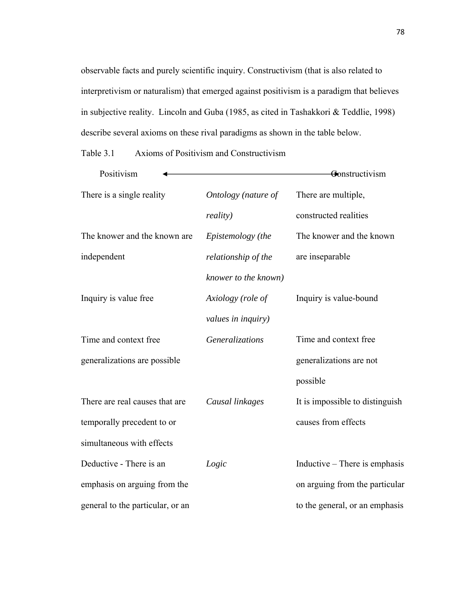observable facts and purely scientific inquiry. Constructivism (that is also related to interpretivism or naturalism) that emerged against positivism is a paradigm that believes in subjective reality. Lincoln and Guba (1985, as cited in Tashakkori & Teddlie, 1998) describe several axioms on these rival paradigms as shown in the table below.

Table 3.1 Axioms of Positivism and Constructivism

| Positivism                       |                        | Gonstructivism                  |
|----------------------------------|------------------------|---------------------------------|
| There is a single reality        | Ontology (nature of    | There are multiple,             |
|                                  | <i>reality</i> )       | constructed realities           |
| The knower and the known are.    | Epistemology (the      | The knower and the known        |
| independent                      | relationship of the    | are inseparable                 |
|                                  | knower to the known)   |                                 |
| Inquiry is value free            | Axiology (role of      | Inquiry is value-bound          |
|                                  | values in inquiry)     |                                 |
| Time and context free            | <b>Generalizations</b> | Time and context free           |
| generalizations are possible     |                        | generalizations are not         |
|                                  |                        | possible                        |
| There are real causes that are   | Causal linkages        | It is impossible to distinguish |
| temporally precedent to or       |                        | causes from effects             |
| simultaneous with effects        |                        |                                 |
| Deductive - There is an          | Logic                  | Inductive – There is emphasis   |
| emphasis on arguing from the     |                        | on arguing from the particular  |
| general to the particular, or an |                        | to the general, or an emphasis  |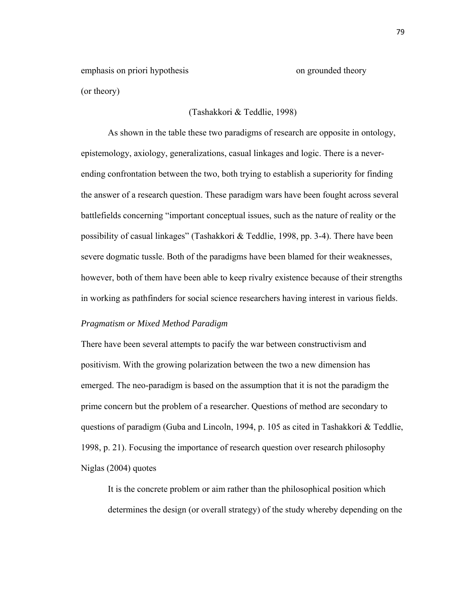emphasis on priori hypothesis (or theory)

(Tashakkori & Teddlie, 1998)

As shown in the table these two paradigms of research are opposite in ontology, epistemology, axiology, generalizations, casual linkages and logic. There is a neverending confrontation between the two, both trying to establish a superiority for finding the answer of a research question. These paradigm wars have been fought across several battlefields concerning "important conceptual issues, such as the nature of reality or the possibility of casual linkages" (Tashakkori & Teddlie, 1998, pp. 3-4). There have been severe dogmatic tussle. Both of the paradigms have been blamed for their weaknesses, however, both of them have been able to keep rivalry existence because of their strengths in working as pathfinders for social science researchers having interest in various fields.

## *Pragmatism or Mixed Method Paradigm*

There have been several attempts to pacify the war between constructivism and positivism. With the growing polarization between the two a new dimension has emerged. The neo-paradigm is based on the assumption that it is not the paradigm the prime concern but the problem of a researcher. Questions of method are secondary to questions of paradigm (Guba and Lincoln, 1994, p. 105 as cited in Tashakkori & Teddlie, 1998, p. 21). Focusing the importance of research question over research philosophy Niglas (2004) quotes

It is the concrete problem or aim rather than the philosophical position which determines the design (or overall strategy) of the study whereby depending on the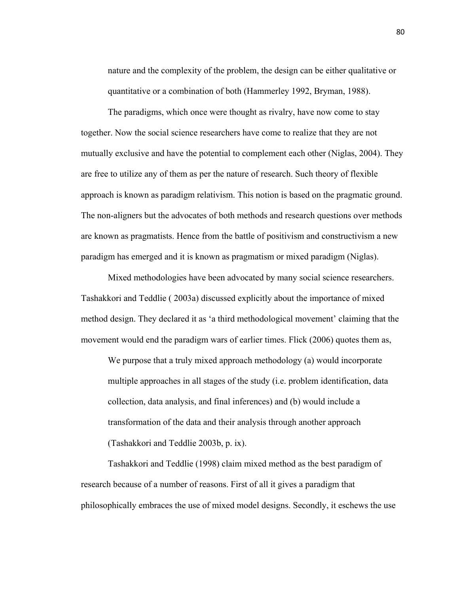nature and the complexity of the problem, the design can be either qualitative or quantitative or a combination of both (Hammerley 1992, Bryman, 1988).

The paradigms, which once were thought as rivalry, have now come to stay together. Now the social science researchers have come to realize that they are not mutually exclusive and have the potential to complement each other (Niglas, 2004). They are free to utilize any of them as per the nature of research. Such theory of flexible approach is known as paradigm relativism. This notion is based on the pragmatic ground. The non-aligners but the advocates of both methods and research questions over methods are known as pragmatists. Hence from the battle of positivism and constructivism a new paradigm has emerged and it is known as pragmatism or mixed paradigm (Niglas).

Mixed methodologies have been advocated by many social science researchers. Tashakkori and Teddlie ( 2003a) discussed explicitly about the importance of mixed method design. They declared it as 'a third methodological movement' claiming that the movement would end the paradigm wars of earlier times. Flick (2006) quotes them as,

We purpose that a truly mixed approach methodology (a) would incorporate multiple approaches in all stages of the study (i.e. problem identification, data collection, data analysis, and final inferences) and (b) would include a transformation of the data and their analysis through another approach (Tashakkori and Teddlie 2003b, p. ix).

Tashakkori and Teddlie (1998) claim mixed method as the best paradigm of research because of a number of reasons. First of all it gives a paradigm that philosophically embraces the use of mixed model designs. Secondly, it eschews the use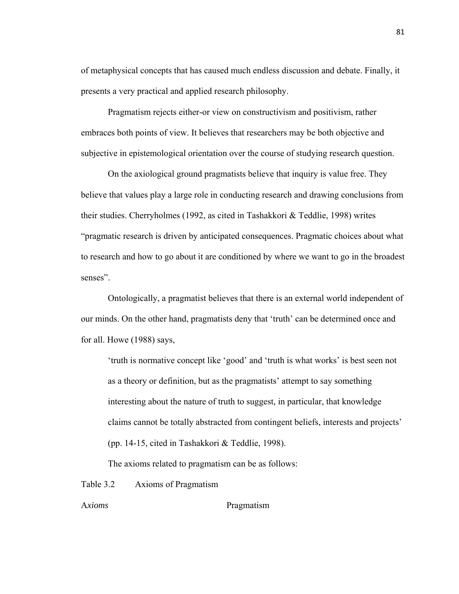of metaphysical concepts that has caused much endless discussion and debate. Finally, it presents a very practical and applied research philosophy.

 Pragmatism rejects either-or view on constructivism and positivism, rather embraces both points of view. It believes that researchers may be both objective and subjective in epistemological orientation over the course of studying research question.

 On the axiological ground pragmatists believe that inquiry is value free. They believe that values play a large role in conducting research and drawing conclusions from their studies. Cherryholmes (1992, as cited in Tashakkori & Teddlie, 1998) writes "pragmatic research is driven by anticipated consequences. Pragmatic choices about what to research and how to go about it are conditioned by where we want to go in the broadest senses".

 Ontologically, a pragmatist believes that there is an external world independent of our minds. On the other hand, pragmatists deny that 'truth' can be determined once and for all. Howe (1988) says,

'truth is normative concept like 'good' and 'truth is what works' is best seen not as a theory or definition, but as the pragmatists' attempt to say something interesting about the nature of truth to suggest, in particular, that knowledge claims cannot be totally abstracted from contingent beliefs, interests and projects' (pp. 14-15, cited in Tashakkori & Teddlie, 1998).

The axioms related to pragmatism can be as follows:

Table 3.2 Axioms of Pragmatism

A*xioms* Pragmatism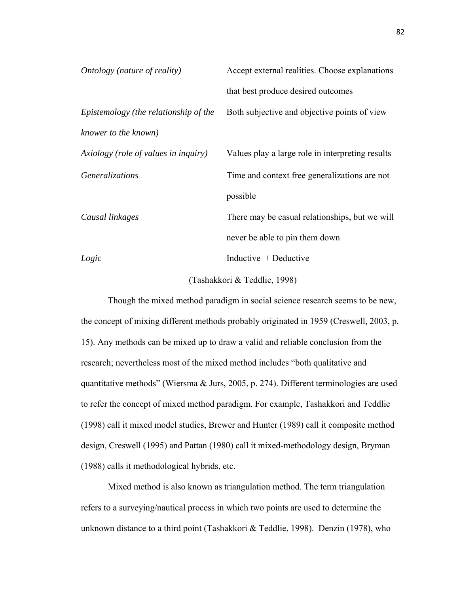| Ontology (nature of reality)          | Accept external realities. Choose explanations   |
|---------------------------------------|--------------------------------------------------|
|                                       | that best produce desired outcomes               |
| Epistemology (the relationship of the | Both subjective and objective points of view     |
| knower to the known)                  |                                                  |
| Axiology (role of values in inquiry)  | Values play a large role in interpreting results |
| Generalizations                       | Time and context free generalizations are not    |
|                                       | possible                                         |
| Causal linkages                       | There may be casual relationships, but we will   |
|                                       | never be able to pin them down                   |
| Logic                                 | Inductive $+$ Deductive                          |
|                                       |                                                  |

(Tashakkori & Teddlie, 1998)

Though the mixed method paradigm in social science research seems to be new, the concept of mixing different methods probably originated in 1959 (Creswell, 2003, p. 15). Any methods can be mixed up to draw a valid and reliable conclusion from the research; nevertheless most of the mixed method includes "both qualitative and quantitative methods" (Wiersma & Jurs, 2005, p. 274). Different terminologies are used to refer the concept of mixed method paradigm. For example, Tashakkori and Teddlie (1998) call it mixed model studies, Brewer and Hunter (1989) call it composite method design, Creswell (1995) and Pattan (1980) call it mixed-methodology design, Bryman (1988) calls it methodological hybrids, etc.

Mixed method is also known as triangulation method. The term triangulation refers to a surveying/nautical process in which two points are used to determine the unknown distance to a third point (Tashakkori & Teddlie, 1998). Denzin (1978), who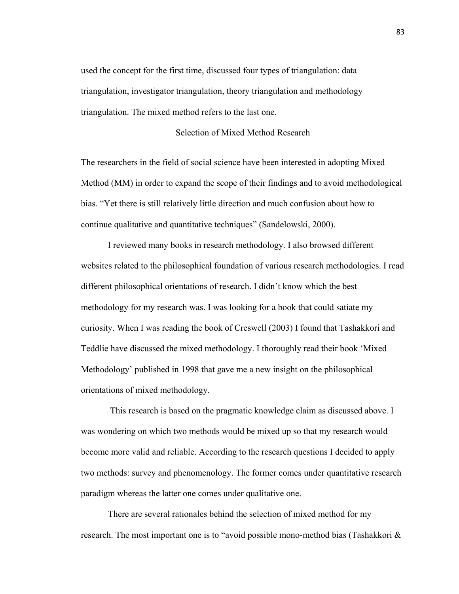used the concept for the first time, discussed four types of triangulation: data triangulation, investigator triangulation, theory triangulation and methodology triangulation. The mixed method refers to the last one.

# Selection of Mixed Method Research

The researchers in the field of social science have been interested in adopting Mixed Method (MM) in order to expand the scope of their findings and to avoid methodological bias. "Yet there is still relatively little direction and much confusion about how to continue qualitative and quantitative techniques" (Sandelowski, 2000).

I reviewed many books in research methodology. I also browsed different websites related to the philosophical foundation of various research methodologies. I read different philosophical orientations of research. I didn't know which the best methodology for my research was. I was looking for a book that could satiate my curiosity. When I was reading the book of Creswell (2003) I found that Tashakkori and Teddlie have discussed the mixed methodology. I thoroughly read their book 'Mixed Methodology' published in 1998 that gave me a new insight on the philosophical orientations of mixed methodology.

 This research is based on the pragmatic knowledge claim as discussed above. I was wondering on which two methods would be mixed up so that my research would become more valid and reliable. According to the research questions I decided to apply two methods: survey and phenomenology. The former comes under quantitative research paradigm whereas the latter one comes under qualitative one.

There are several rationales behind the selection of mixed method for my research. The most important one is to "avoid possible mono-method bias (Tashakkori &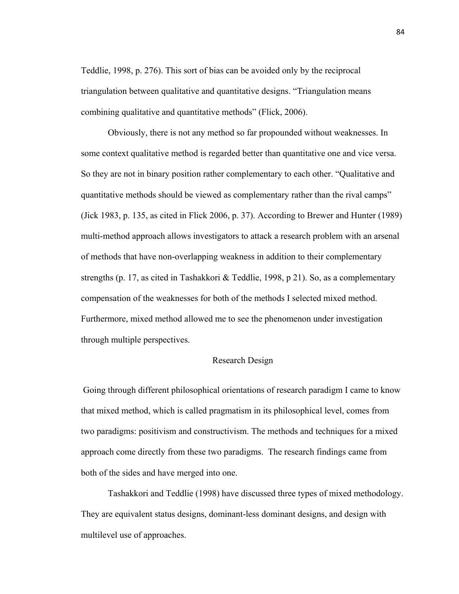Teddlie, 1998, p. 276). This sort of bias can be avoided only by the reciprocal triangulation between qualitative and quantitative designs. "Triangulation means combining qualitative and quantitative methods" (Flick, 2006).

Obviously, there is not any method so far propounded without weaknesses. In some context qualitative method is regarded better than quantitative one and vice versa. So they are not in binary position rather complementary to each other. "Qualitative and quantitative methods should be viewed as complementary rather than the rival camps" (Jick 1983, p. 135, as cited in Flick 2006, p. 37). According to Brewer and Hunter (1989) multi-method approach allows investigators to attack a research problem with an arsenal of methods that have non-overlapping weakness in addition to their complementary strengths (p. 17, as cited in Tashakkori & Teddlie, 1998, p 21). So, as a complementary compensation of the weaknesses for both of the methods I selected mixed method. Furthermore, mixed method allowed me to see the phenomenon under investigation through multiple perspectives.

## Research Design

 Going through different philosophical orientations of research paradigm I came to know that mixed method, which is called pragmatism in its philosophical level, comes from two paradigms: positivism and constructivism. The methods and techniques for a mixed approach come directly from these two paradigms. The research findings came from both of the sides and have merged into one.

 Tashakkori and Teddlie (1998) have discussed three types of mixed methodology. They are equivalent status designs, dominant-less dominant designs, and design with multilevel use of approaches.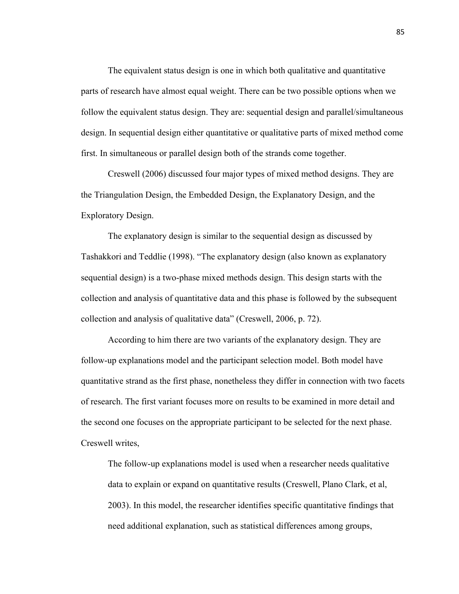The equivalent status design is one in which both qualitative and quantitative parts of research have almost equal weight. There can be two possible options when we follow the equivalent status design. They are: sequential design and parallel/simultaneous design. In sequential design either quantitative or qualitative parts of mixed method come first. In simultaneous or parallel design both of the strands come together.

Creswell (2006) discussed four major types of mixed method designs. They are the Triangulation Design, the Embedded Design, the Explanatory Design, and the Exploratory Design.

The explanatory design is similar to the sequential design as discussed by Tashakkori and Teddlie (1998). "The explanatory design (also known as explanatory sequential design) is a two-phase mixed methods design. This design starts with the collection and analysis of quantitative data and this phase is followed by the subsequent collection and analysis of qualitative data" (Creswell, 2006, p. 72).

According to him there are two variants of the explanatory design. They are follow-up explanations model and the participant selection model. Both model have quantitative strand as the first phase, nonetheless they differ in connection with two facets of research. The first variant focuses more on results to be examined in more detail and the second one focuses on the appropriate participant to be selected for the next phase. Creswell writes,

The follow-up explanations model is used when a researcher needs qualitative data to explain or expand on quantitative results (Creswell, Plano Clark, et al, 2003). In this model, the researcher identifies specific quantitative findings that need additional explanation, such as statistical differences among groups,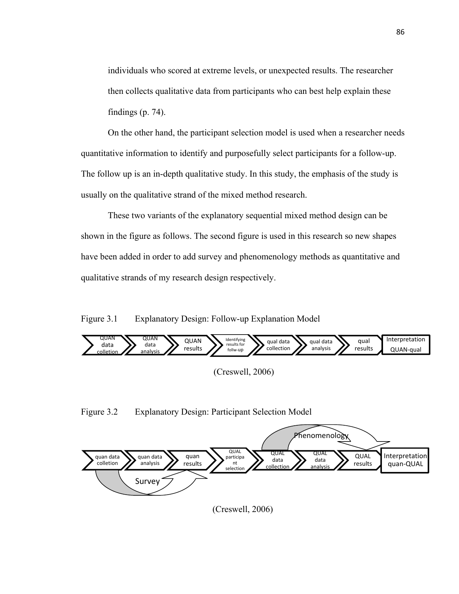individuals who scored at extreme levels, or unexpected results. The researcher then collects qualitative data from participants who can best help explain these findings (p. 74).

On the other hand, the participant selection model is used when a researcher needs quantitative information to identify and purposefully select participants for a follow-up. The follow up is an in-depth qualitative study. In this study, the emphasis of the study is usually on the qualitative strand of the mixed method research.

These two variants of the explanatory sequential mixed method design can be shown in the figure as follows. The second figure is used in this research so new shapes have been added in order to add survey and phenomenology methods as quantitative and qualitative strands of my research design respectively.

Figure 3.1 Explanatory Design: Follow-up Explanation Model



Figure 3.2 Explanatory Design: Participant Selection Model



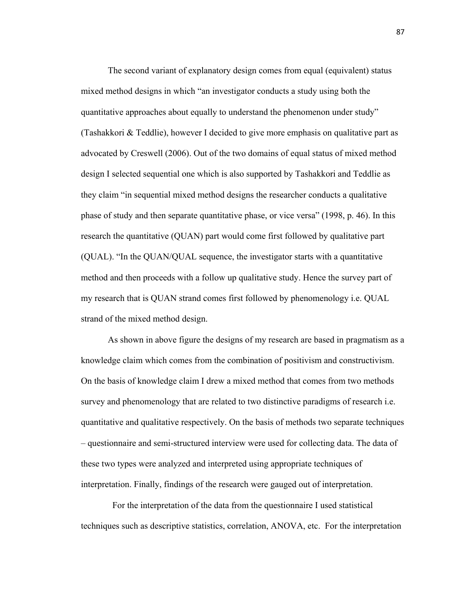The second variant of explanatory design comes from equal (equivalent) status mixed method designs in which "an investigator conducts a study using both the quantitative approaches about equally to understand the phenomenon under study" (Tashakkori & Teddlie), however I decided to give more emphasis on qualitative part as advocated by Creswell (2006). Out of the two domains of equal status of mixed method design I selected sequential one which is also supported by Tashakkori and Teddlie as they claim "in sequential mixed method designs the researcher conducts a qualitative phase of study and then separate quantitative phase, or vice versa" (1998, p. 46). In this research the quantitative (QUAN) part would come first followed by qualitative part (QUAL). "In the QUAN/QUAL sequence, the investigator starts with a quantitative method and then proceeds with a follow up qualitative study. Hence the survey part of my research that is QUAN strand comes first followed by phenomenology i.e. QUAL strand of the mixed method design.

As shown in above figure the designs of my research are based in pragmatism as a knowledge claim which comes from the combination of positivism and constructivism. On the basis of knowledge claim I drew a mixed method that comes from two methods survey and phenomenology that are related to two distinctive paradigms of research i.e. quantitative and qualitative respectively. On the basis of methods two separate techniques – questionnaire and semi-structured interview were used for collecting data. The data of these two types were analyzed and interpreted using appropriate techniques of interpretation. Finally, findings of the research were gauged out of interpretation.

 For the interpretation of the data from the questionnaire I used statistical techniques such as descriptive statistics, correlation, ANOVA, etc. For the interpretation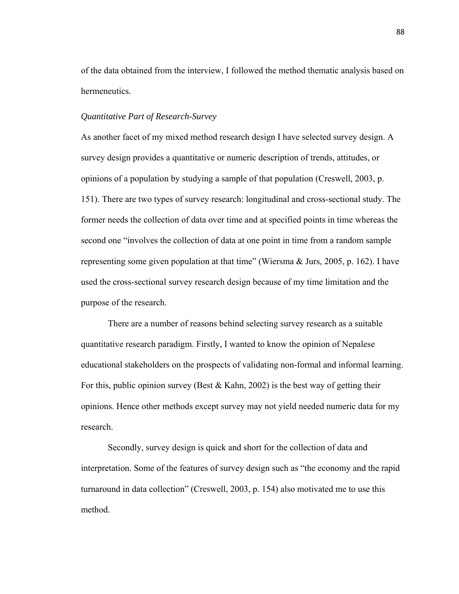of the data obtained from the interview, I followed the method thematic analysis based on hermeneutics.

## *Quantitative Part of Research-Survey*

As another facet of my mixed method research design I have selected survey design. A survey design provides a quantitative or numeric description of trends, attitudes, or opinions of a population by studying a sample of that population (Creswell, 2003, p. 151). There are two types of survey research: longitudinal and cross-sectional study. The former needs the collection of data over time and at specified points in time whereas the second one "involves the collection of data at one point in time from a random sample representing some given population at that time" (Wiersma  $& Jurs, 2005, p. 162$ ). I have used the cross-sectional survey research design because of my time limitation and the purpose of the research.

There are a number of reasons behind selecting survey research as a suitable quantitative research paradigm. Firstly, I wanted to know the opinion of Nepalese educational stakeholders on the prospects of validating non-formal and informal learning. For this, public opinion survey (Best  $& Kahn, 2002$ ) is the best way of getting their opinions. Hence other methods except survey may not yield needed numeric data for my research.

Secondly, survey design is quick and short for the collection of data and interpretation. Some of the features of survey design such as "the economy and the rapid turnaround in data collection" (Creswell, 2003, p. 154) also motivated me to use this method.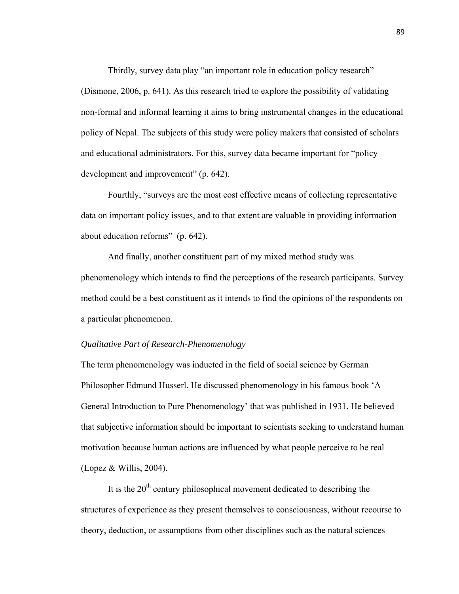Thirdly, survey data play "an important role in education policy research" (Dismone, 2006, p. 641). As this research tried to explore the possibility of validating non-formal and informal learning it aims to bring instrumental changes in the educational policy of Nepal. The subjects of this study were policy makers that consisted of scholars and educational administrators. For this, survey data became important for "policy development and improvement" (p. 642).

Fourthly, "surveys are the most cost effective means of collecting representative data on important policy issues, and to that extent are valuable in providing information about education reforms" (p. 642).

And finally, another constituent part of my mixed method study was phenomenology which intends to find the perceptions of the research participants. Survey method could be a best constituent as it intends to find the opinions of the respondents on a particular phenomenon.

## *Qualitative Part of Research-Phenomenology*

The term phenomenology was inducted in the field of social science by German Philosopher Edmund Husserl. He discussed phenomenology in his famous book 'A General Introduction to Pure Phenomenology' that was published in 1931. He believed that subjective information should be important to scientists seeking to understand human motivation because human actions are influenced by what people perceive to be real (Lopez  $&$  Willis, 2004).

It is the  $20<sup>th</sup>$  century philosophical movement dedicated to describing the structures of experience as they present themselves to consciousness, without recourse to theory, deduction, or assumptions from other disciplines such as the natural sciences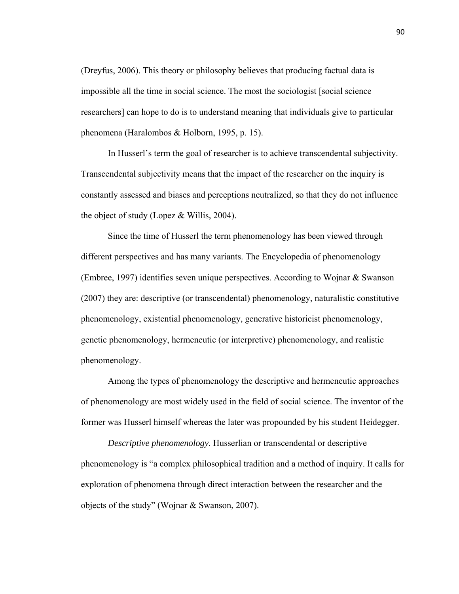(Dreyfus, 2006). This theory or philosophy believes that producing factual data is impossible all the time in social science. The most the sociologist [social science researchers] can hope to do is to understand meaning that individuals give to particular phenomena (Haralombos & Holborn, 1995, p. 15).

In Husserl's term the goal of researcher is to achieve transcendental subjectivity. Transcendental subjectivity means that the impact of the researcher on the inquiry is constantly assessed and biases and perceptions neutralized, so that they do not influence the object of study (Lopez & Willis, 2004).

 Since the time of Husserl the term phenomenology has been viewed through different perspectives and has many variants. The Encyclopedia of phenomenology (Embree, 1997) identifies seven unique perspectives. According to Wojnar & Swanson (2007) they are: descriptive (or transcendental) phenomenology, naturalistic constitutive phenomenology, existential phenomenology, generative historicist phenomenology, genetic phenomenology, hermeneutic (or interpretive) phenomenology, and realistic phenomenology.

 Among the types of phenomenology the descriptive and hermeneutic approaches of phenomenology are most widely used in the field of social science. The inventor of the former was Husserl himself whereas the later was propounded by his student Heidegger.

*Descriptive phenomenology*. Husserlian or transcendental or descriptive phenomenology is "a complex philosophical tradition and a method of inquiry. It calls for exploration of phenomena through direct interaction between the researcher and the objects of the study" (Wojnar & Swanson, 2007).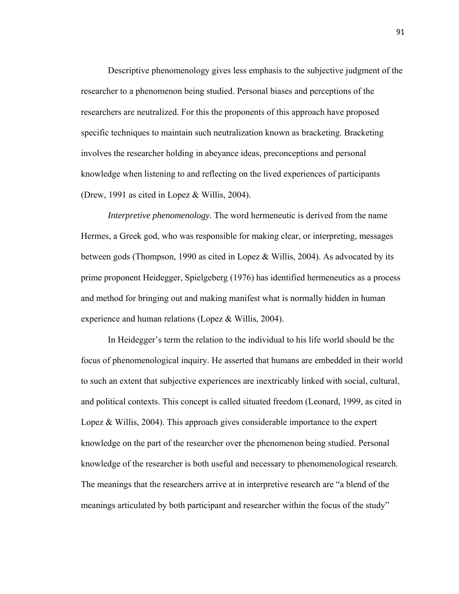Descriptive phenomenology gives less emphasis to the subjective judgment of the researcher to a phenomenon being studied. Personal biases and perceptions of the researchers are neutralized. For this the proponents of this approach have proposed specific techniques to maintain such neutralization known as bracketing. Bracketing involves the researcher holding in abeyance ideas, preconceptions and personal knowledge when listening to and reflecting on the lived experiences of participants (Drew, 1991 as cited in Lopez & Willis, 2004).

*Interpretive phenomenology.* The word hermeneutic is derived from the name Hermes, a Greek god, who was responsible for making clear, or interpreting, messages between gods (Thompson, 1990 as cited in Lopez & Willis, 2004). As advocated by its prime proponent Heidegger, Spielgeberg (1976) has identified hermeneutics as a process and method for bringing out and making manifest what is normally hidden in human experience and human relations (Lopez & Willis, 2004).

 In Heidegger's term the relation to the individual to his life world should be the focus of phenomenological inquiry. He asserted that humans are embedded in their world to such an extent that subjective experiences are inextricably linked with social, cultural, and political contexts. This concept is called situated freedom (Leonard, 1999, as cited in Lopez  $\&$  Willis, 2004). This approach gives considerable importance to the expert knowledge on the part of the researcher over the phenomenon being studied. Personal knowledge of the researcher is both useful and necessary to phenomenological research. The meanings that the researchers arrive at in interpretive research are "a blend of the meanings articulated by both participant and researcher within the focus of the study"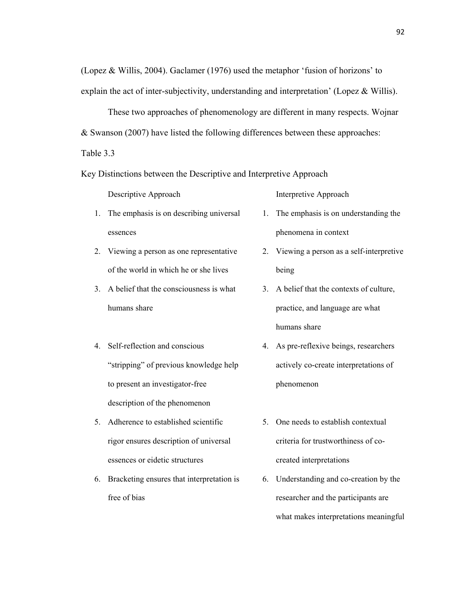(Lopez & Willis, 2004). Gaclamer (1976) used the metaphor 'fusion of horizons' to explain the act of inter-subjectivity, understanding and interpretation' (Lopez & Willis).

 These two approaches of phenomenology are different in many respects. Wojnar & Swanson (2007) have listed the following differences between these approaches:

Table 3.3

Key Distinctions between the Descriptive and Interpretive Approach

Descriptive Approach Interpretive Approach

- 1. The emphasis is on describing universal essences
- 2. Viewing a person as one representative of the world in which he or she lives
- 3. A belief that the consciousness is what humans share
- 4. Self-reflection and conscious "stripping" of previous knowledge help to present an investigator-free description of the phenomenon
- 5. Adherence to established scientific rigor ensures description of universal essences or eidetic structures
- 6. Bracketing ensures that interpretation is free of bias

- 1. The emphasis is on understanding the phenomena in context
- 2. Viewing a person as a self-interpretive being
- 3. A belief that the contexts of culture, practice, and language are what humans share
- 4. As pre-reflexive beings, researchers actively co-create interpretations of phenomenon
- 5. One needs to establish contextual criteria for trustworthiness of cocreated interpretations
- 6. Understanding and co-creation by the researcher and the participants are what makes interpretations meaningful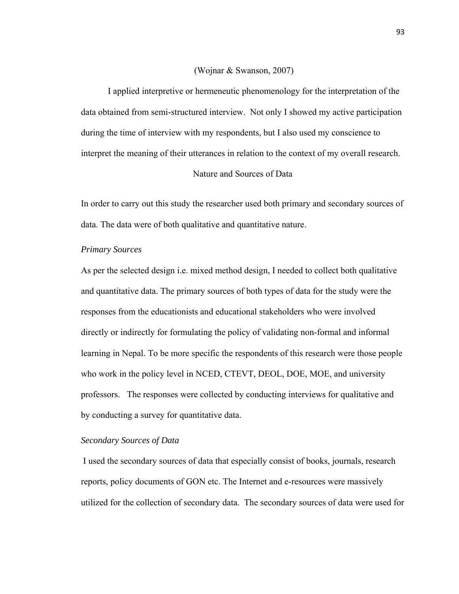## (Wojnar & Swanson, 2007)

I applied interpretive or hermeneutic phenomenology for the interpretation of the data obtained from semi-structured interview. Not only I showed my active participation during the time of interview with my respondents, but I also used my conscience to interpret the meaning of their utterances in relation to the context of my overall research.

# Nature and Sources of Data

In order to carry out this study the researcher used both primary and secondary sources of data. The data were of both qualitative and quantitative nature.

#### *Primary Sources*

As per the selected design i.e. mixed method design, I needed to collect both qualitative and quantitative data. The primary sources of both types of data for the study were the responses from the educationists and educational stakeholders who were involved directly or indirectly for formulating the policy of validating non-formal and informal learning in Nepal. To be more specific the respondents of this research were those people who work in the policy level in NCED, CTEVT, DEOL, DOE, MOE, and university professors. The responses were collected by conducting interviews for qualitative and by conducting a survey for quantitative data.

## *Secondary Sources of Data*

I used the secondary sources of data that especially consist of books, journals, research reports, policy documents of GON etc. The Internet and e-resources were massively utilized for the collection of secondary data. The secondary sources of data were used for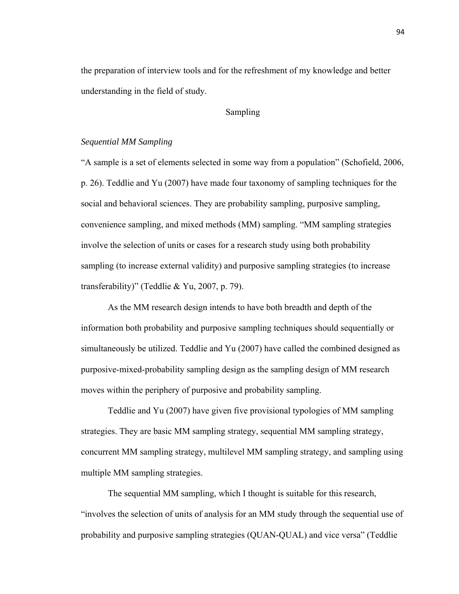the preparation of interview tools and for the refreshment of my knowledge and better understanding in the field of study.

# Sampling

## *Sequential MM Sampling*

"A sample is a set of elements selected in some way from a population" (Schofield, 2006, p. 26). Teddlie and Yu (2007) have made four taxonomy of sampling techniques for the social and behavioral sciences. They are probability sampling, purposive sampling, convenience sampling, and mixed methods (MM) sampling. "MM sampling strategies involve the selection of units or cases for a research study using both probability sampling (to increase external validity) and purposive sampling strategies (to increase transferability)" (Teddlie & Yu, 2007, p. 79).

As the MM research design intends to have both breadth and depth of the information both probability and purposive sampling techniques should sequentially or simultaneously be utilized. Teddlie and Yu (2007) have called the combined designed as purposive-mixed-probability sampling design as the sampling design of MM research moves within the periphery of purposive and probability sampling.

Teddlie and Yu (2007) have given five provisional typologies of MM sampling strategies. They are basic MM sampling strategy, sequential MM sampling strategy, concurrent MM sampling strategy, multilevel MM sampling strategy, and sampling using multiple MM sampling strategies.

The sequential MM sampling, which I thought is suitable for this research, "involves the selection of units of analysis for an MM study through the sequential use of probability and purposive sampling strategies (QUAN-QUAL) and vice versa" (Teddlie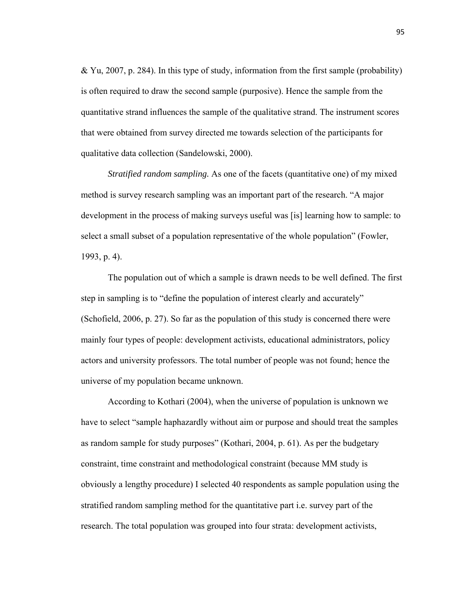$& Yu, 2007, p. 284$ ). In this type of study, information from the first sample (probability) is often required to draw the second sample (purposive). Hence the sample from the quantitative strand influences the sample of the qualitative strand. The instrument scores that were obtained from survey directed me towards selection of the participants for qualitative data collection (Sandelowski, 2000).

*Stratified random sampling.* As one of the facets (quantitative one) of my mixed method is survey research sampling was an important part of the research. "A major development in the process of making surveys useful was [is] learning how to sample: to select a small subset of a population representative of the whole population" (Fowler, 1993, p. 4).

The population out of which a sample is drawn needs to be well defined. The first step in sampling is to "define the population of interest clearly and accurately" (Schofield, 2006, p. 27). So far as the population of this study is concerned there were mainly four types of people: development activists, educational administrators, policy actors and university professors. The total number of people was not found; hence the universe of my population became unknown.

According to Kothari (2004), when the universe of population is unknown we have to select "sample haphazardly without aim or purpose and should treat the samples as random sample for study purposes" (Kothari, 2004, p. 61). As per the budgetary constraint, time constraint and methodological constraint (because MM study is obviously a lengthy procedure) I selected 40 respondents as sample population using the stratified random sampling method for the quantitative part i.e. survey part of the research. The total population was grouped into four strata: development activists,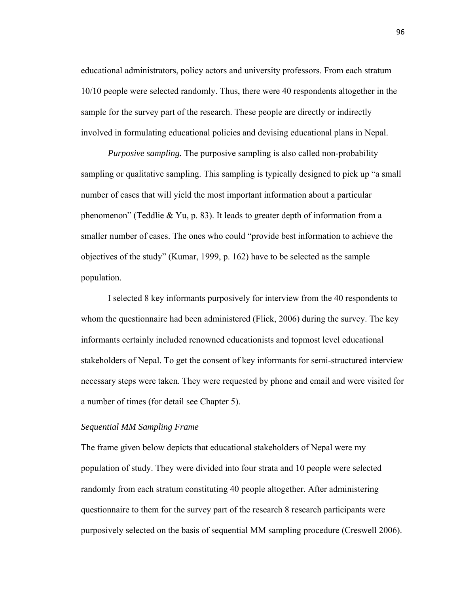educational administrators, policy actors and university professors. From each stratum 10/10 people were selected randomly. Thus, there were 40 respondents altogether in the sample for the survey part of the research. These people are directly or indirectly involved in formulating educational policies and devising educational plans in Nepal.

*Purposive sampling.* The purposive sampling is also called non-probability sampling or qualitative sampling. This sampling is typically designed to pick up "a small number of cases that will yield the most important information about a particular phenomenon" (Teddlie & Yu, p. 83). It leads to greater depth of information from a smaller number of cases. The ones who could "provide best information to achieve the objectives of the study" (Kumar, 1999, p. 162) have to be selected as the sample population.

I selected 8 key informants purposively for interview from the 40 respondents to whom the questionnaire had been administered (Flick, 2006) during the survey. The key informants certainly included renowned educationists and topmost level educational stakeholders of Nepal. To get the consent of key informants for semi-structured interview necessary steps were taken. They were requested by phone and email and were visited for a number of times (for detail see Chapter 5).

## *Sequential MM Sampling Frame*

The frame given below depicts that educational stakeholders of Nepal were my population of study. They were divided into four strata and 10 people were selected randomly from each stratum constituting 40 people altogether. After administering questionnaire to them for the survey part of the research 8 research participants were purposively selected on the basis of sequential MM sampling procedure (Creswell 2006).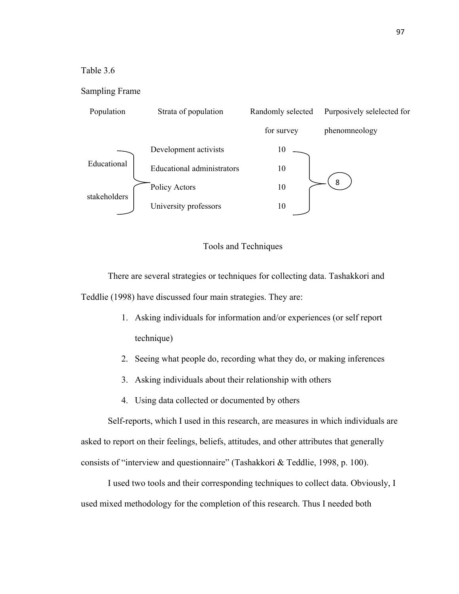# Table 3.6

## Sampling Frame



## Tools and Techniques

 There are several strategies or techniques for collecting data. Tashakkori and Teddlie (1998) have discussed four main strategies. They are:

- 1. Asking individuals for information and/or experiences (or self report technique)
- 2. Seeing what people do, recording what they do, or making inferences
- 3. Asking individuals about their relationship with others
- 4. Using data collected or documented by others

Self-reports, which I used in this research, are measures in which individuals are asked to report on their feelings, beliefs, attitudes, and other attributes that generally consists of "interview and questionnaire" (Tashakkori & Teddlie, 1998, p. 100).

I used two tools and their corresponding techniques to collect data. Obviously, I used mixed methodology for the completion of this research. Thus I needed both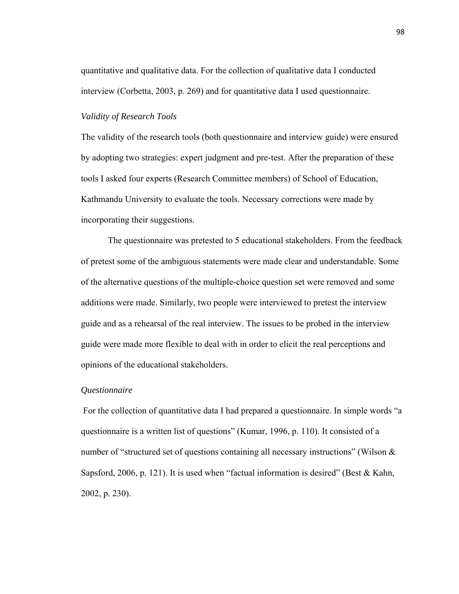quantitative and qualitative data. For the collection of qualitative data I conducted interview (Corbetta, 2003, p. 269) and for quantitative data I used questionnaire.

## *Validity of Research Tools*

The validity of the research tools (both questionnaire and interview guide) were ensured by adopting two strategies: expert judgment and pre-test. After the preparation of these tools I asked four experts (Research Committee members) of School of Education, Kathmandu University to evaluate the tools. Necessary corrections were made by incorporating their suggestions.

 The questionnaire was pretested to 5 educational stakeholders. From the feedback of pretest some of the ambiguous statements were made clear and understandable. Some of the alternative questions of the multiple-choice question set were removed and some additions were made. Similarly, two people were interviewed to pretest the interview guide and as a rehearsal of the real interview. The issues to be probed in the interview guide were made more flexible to deal with in order to elicit the real perceptions and opinions of the educational stakeholders.

#### *Questionnaire*

 For the collection of quantitative data I had prepared a questionnaire. In simple words "a questionnaire is a written list of questions" (Kumar, 1996, p. 110). It consisted of a number of "structured set of questions containing all necessary instructions" (Wilson & Sapsford, 2006, p. 121). It is used when "factual information is desired" (Best & Kahn, 2002, p. 230).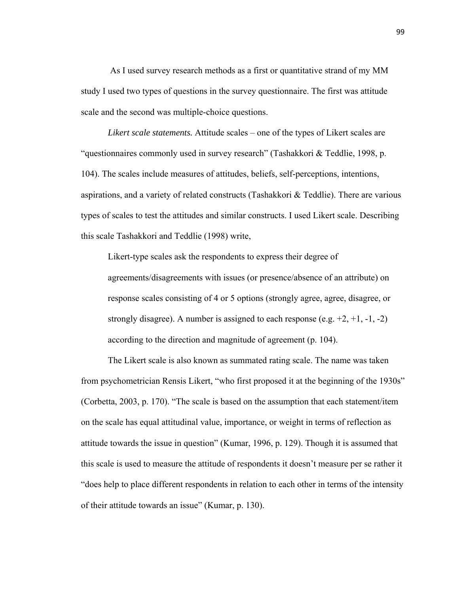As I used survey research methods as a first or quantitative strand of my MM study I used two types of questions in the survey questionnaire. The first was attitude scale and the second was multiple-choice questions.

*Likert scale statements.* Attitude scales – one of the types of Likert scales are "questionnaires commonly used in survey research" (Tashakkori & Teddlie, 1998, p. 104). The scales include measures of attitudes, beliefs, self-perceptions, intentions, aspirations, and a variety of related constructs (Tashakkori & Teddlie). There are various types of scales to test the attitudes and similar constructs. I used Likert scale. Describing this scale Tashakkori and Teddlie (1998) write,

Likert-type scales ask the respondents to express their degree of agreements/disagreements with issues (or presence/absence of an attribute) on response scales consisting of 4 or 5 options (strongly agree, agree, disagree, or strongly disagree). A number is assigned to each response (e.g.  $+2$ ,  $+1$ ,  $-1$ ,  $-2$ ) according to the direction and magnitude of agreement (p. 104).

The Likert scale is also known as summated rating scale. The name was taken from psychometrician Rensis Likert, "who first proposed it at the beginning of the 1930s" (Corbetta, 2003, p. 170). "The scale is based on the assumption that each statement/item on the scale has equal attitudinal value, importance, or weight in terms of reflection as attitude towards the issue in question" (Kumar, 1996, p. 129). Though it is assumed that this scale is used to measure the attitude of respondents it doesn't measure per se rather it "does help to place different respondents in relation to each other in terms of the intensity of their attitude towards an issue" (Kumar, p. 130).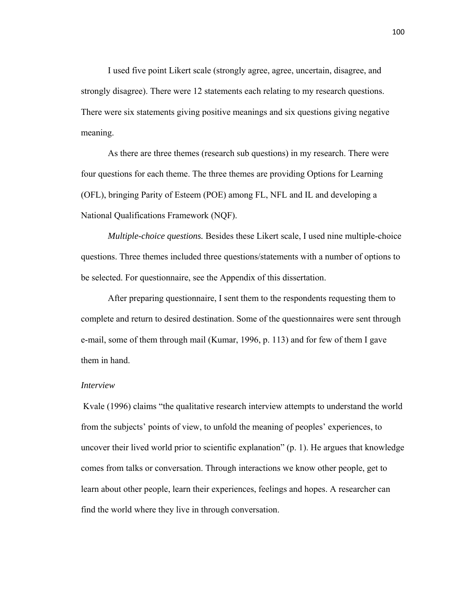I used five point Likert scale (strongly agree, agree, uncertain, disagree, and strongly disagree). There were 12 statements each relating to my research questions. There were six statements giving positive meanings and six questions giving negative meaning.

As there are three themes (research sub questions) in my research. There were four questions for each theme. The three themes are providing Options for Learning (OFL), bringing Parity of Esteem (POE) among FL, NFL and IL and developing a National Qualifications Framework (NQF).

*Multiple-choice questions.* Besides these Likert scale, I used nine multiple-choice questions. Three themes included three questions/statements with a number of options to be selected. For questionnaire, see the Appendix of this dissertation.

After preparing questionnaire, I sent them to the respondents requesting them to complete and return to desired destination. Some of the questionnaires were sent through e-mail, some of them through mail (Kumar, 1996, p. 113) and for few of them I gave them in hand.

## *Interview*

Kvale (1996) claims "the qualitative research interview attempts to understand the world from the subjects' points of view, to unfold the meaning of peoples' experiences, to uncover their lived world prior to scientific explanation" (p. 1). He argues that knowledge comes from talks or conversation. Through interactions we know other people, get to learn about other people, learn their experiences, feelings and hopes. A researcher can find the world where they live in through conversation.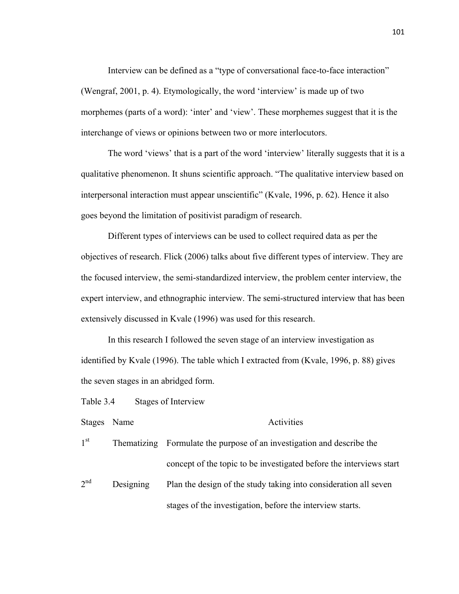Interview can be defined as a "type of conversational face-to-face interaction" (Wengraf, 2001, p. 4). Etymologically, the word 'interview' is made up of two morphemes (parts of a word): 'inter' and 'view'. These morphemes suggest that it is the interchange of views or opinions between two or more interlocutors.

The word 'views' that is a part of the word 'interview' literally suggests that it is a qualitative phenomenon. It shuns scientific approach. "The qualitative interview based on interpersonal interaction must appear unscientific" (Kvale, 1996, p. 62). Hence it also goes beyond the limitation of positivist paradigm of research.

Different types of interviews can be used to collect required data as per the objectives of research. Flick (2006) talks about five different types of interview. They are the focused interview, the semi-standardized interview, the problem center interview, the expert interview, and ethnographic interview. The semi-structured interview that has been extensively discussed in Kvale (1996) was used for this research.

In this research I followed the seven stage of an interview investigation as identified by Kvale (1996). The table which I extracted from (Kvale, 1996, p. 88) gives the seven stages in an abridged form.

Table 3.4 Stages of Interview

Stages Name Activities

 $1<sup>st</sup>$  Thematizing Formulate the purpose of an investigation and describe the concept of the topic to be investigated before the interviews start  $2^{nd}$ Designing Plan the design of the study taking into consideration all seven

stages of the investigation, before the interview starts.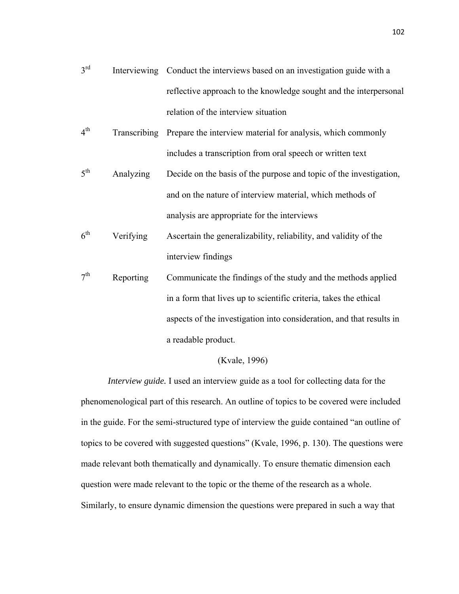- $3<sup>rd</sup>$  Interviewing Conduct the interviews based on an investigation guide with a reflective approach to the knowledge sought and the interpersonal relation of the interview situation
- $4^{\text{th}}$  Transcribing Prepare the interview material for analysis, which commonly includes a transcription from oral speech or written text
- $5<sup>th</sup>$  Analyzing Decide on the basis of the purpose and topic of the investigation, and on the nature of interview material, which methods of analysis are appropriate for the interviews
- $6<sup>th</sup>$  Verifying Ascertain the generalizability, reliability, and validity of the interview findings
- $7<sup>th</sup>$  Reporting Communicate the findings of the study and the methods applied in a form that lives up to scientific criteria, takes the ethical aspects of the investigation into consideration, and that results in a readable product.

## (Kvale, 1996)

*Interview guide.* I used an interview guide as a tool for collecting data for the phenomenological part of this research. An outline of topics to be covered were included in the guide. For the semi-structured type of interview the guide contained "an outline of topics to be covered with suggested questions" (Kvale, 1996, p. 130). The questions were made relevant both thematically and dynamically. To ensure thematic dimension each question were made relevant to the topic or the theme of the research as a whole. Similarly, to ensure dynamic dimension the questions were prepared in such a way that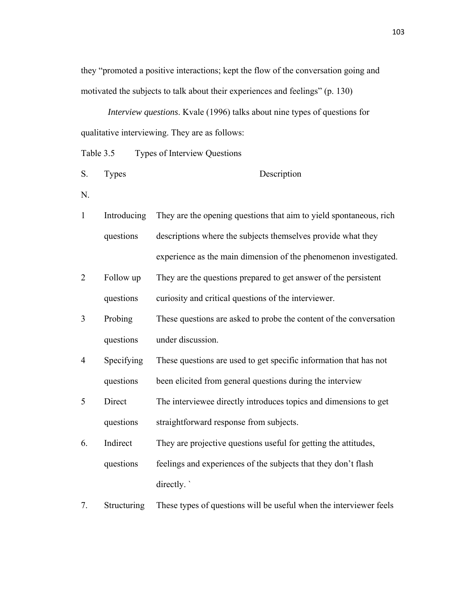they "promoted a positive interactions; kept the flow of the conversation going and motivated the subjects to talk about their experiences and feelings" (p. 130)

*Interview questions*. Kvale (1996) talks about nine types of questions for qualitative interviewing. They are as follows:

Table 3.5 Types of Interview Questions

- S. Types Description
- N.
- 1 Introducing questions They are the opening questions that aim to yield spontaneous, rich descriptions where the subjects themselves provide what they experience as the main dimension of the phenomenon investigated.
- 2 Follow up questions They are the questions prepared to get answer of the persistent curiosity and critical questions of the interviewer.
- 3 Probing questions These questions are asked to probe the content of the conversation under discussion.
- 4 Specifying questions These questions are used to get specific information that has not been elicited from general questions during the interview
- 5 Direct questions The interviewee directly introduces topics and dimensions to get straightforward response from subjects.
- 6. Indirect questions They are projective questions useful for getting the attitudes, feelings and experiences of the subjects that they don't flash directly. `
- 7. Structuring These types of questions will be useful when the interviewer feels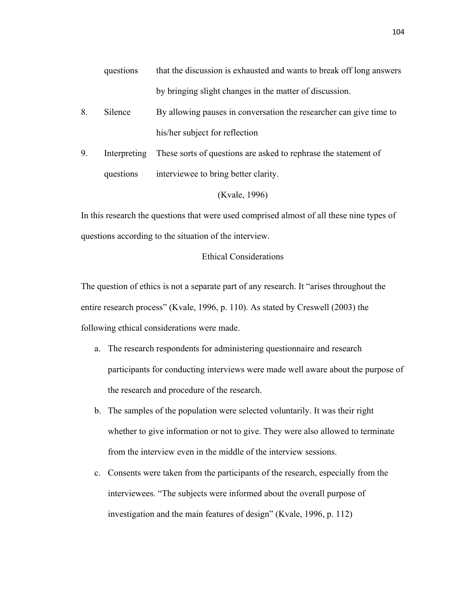- questions that the discussion is exhausted and wants to break off long answers by bringing slight changes in the matter of discussion.
- 8. Silence By allowing pauses in conversation the researcher can give time to his/her subject for reflection
- 9. Interpreting questions These sorts of questions are asked to rephrase the statement of interviewee to bring better clarity.

## (Kvale, 1996)

In this research the questions that were used comprised almost of all these nine types of questions according to the situation of the interview.

# Ethical Considerations

The question of ethics is not a separate part of any research. It "arises throughout the entire research process" (Kvale, 1996, p. 110). As stated by Creswell (2003) the following ethical considerations were made.

- a. The research respondents for administering questionnaire and research participants for conducting interviews were made well aware about the purpose of the research and procedure of the research.
- b. The samples of the population were selected voluntarily. It was their right whether to give information or not to give. They were also allowed to terminate from the interview even in the middle of the interview sessions.
- c. Consents were taken from the participants of the research, especially from the interviewees. "The subjects were informed about the overall purpose of investigation and the main features of design" (Kvale, 1996, p. 112)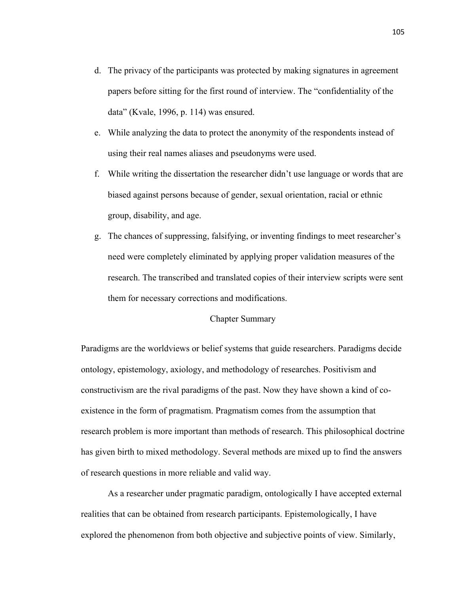- d. The privacy of the participants was protected by making signatures in agreement papers before sitting for the first round of interview. The "confidentiality of the data" (Kvale, 1996, p. 114) was ensured.
- e. While analyzing the data to protect the anonymity of the respondents instead of using their real names aliases and pseudonyms were used.
- f. While writing the dissertation the researcher didn't use language or words that are biased against persons because of gender, sexual orientation, racial or ethnic group, disability, and age.
- g. The chances of suppressing, falsifying, or inventing findings to meet researcher's need were completely eliminated by applying proper validation measures of the research. The transcribed and translated copies of their interview scripts were sent them for necessary corrections and modifications.

# Chapter Summary

Paradigms are the worldviews or belief systems that guide researchers. Paradigms decide ontology, epistemology, axiology, and methodology of researches. Positivism and constructivism are the rival paradigms of the past. Now they have shown a kind of coexistence in the form of pragmatism. Pragmatism comes from the assumption that research problem is more important than methods of research. This philosophical doctrine has given birth to mixed methodology. Several methods are mixed up to find the answers of research questions in more reliable and valid way.

 As a researcher under pragmatic paradigm, ontologically I have accepted external realities that can be obtained from research participants. Epistemologically, I have explored the phenomenon from both objective and subjective points of view. Similarly,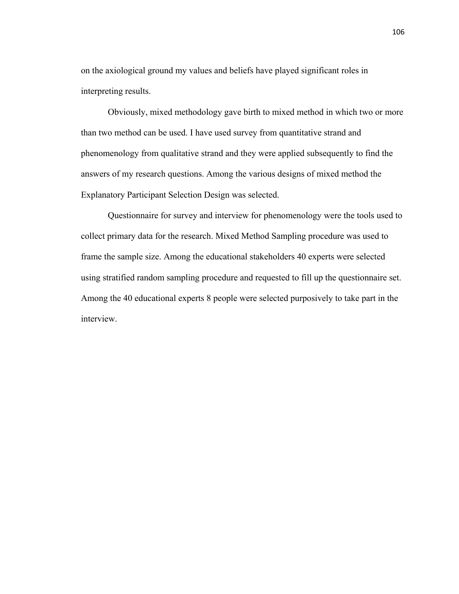on the axiological ground my values and beliefs have played significant roles in interpreting results.

 Obviously, mixed methodology gave birth to mixed method in which two or more than two method can be used. I have used survey from quantitative strand and phenomenology from qualitative strand and they were applied subsequently to find the answers of my research questions. Among the various designs of mixed method the Explanatory Participant Selection Design was selected.

 Questionnaire for survey and interview for phenomenology were the tools used to collect primary data for the research. Mixed Method Sampling procedure was used to frame the sample size. Among the educational stakeholders 40 experts were selected using stratified random sampling procedure and requested to fill up the questionnaire set. Among the 40 educational experts 8 people were selected purposively to take part in the interview.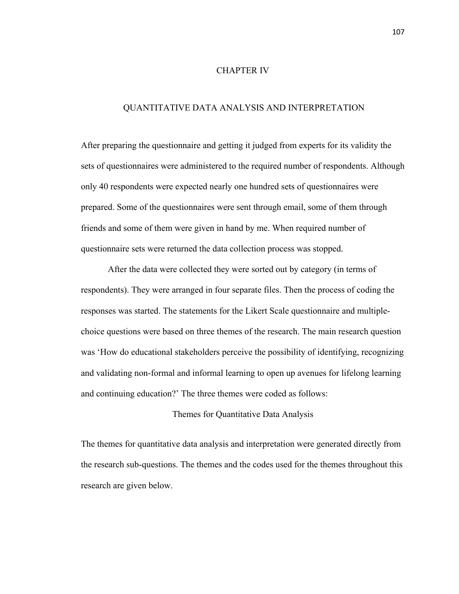## CHAPTER IV

## QUANTITATIVE DATA ANALYSIS AND INTERPRETATION

After preparing the questionnaire and getting it judged from experts for its validity the sets of questionnaires were administered to the required number of respondents. Although only 40 respondents were expected nearly one hundred sets of questionnaires were prepared. Some of the questionnaires were sent through email, some of them through friends and some of them were given in hand by me. When required number of questionnaire sets were returned the data collection process was stopped.

 After the data were collected they were sorted out by category (in terms of respondents). They were arranged in four separate files. Then the process of coding the responses was started. The statements for the Likert Scale questionnaire and multiplechoice questions were based on three themes of the research. The main research question was 'How do educational stakeholders perceive the possibility of identifying, recognizing and validating non-formal and informal learning to open up avenues for lifelong learning and continuing education?' The three themes were coded as follows:

# Themes for Quantitative Data Analysis

The themes for quantitative data analysis and interpretation were generated directly from the research sub-questions. The themes and the codes used for the themes throughout this research are given below.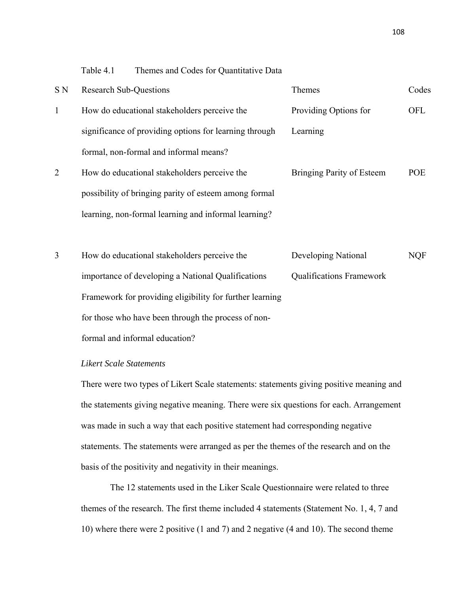Table 4.1 Themes and Codes for Quantitative Data

| S <sub>N</sub> | <b>Research Sub-Questions</b>                          | Themes                          | Codes      |
|----------------|--------------------------------------------------------|---------------------------------|------------|
| $\mathbf{1}$   | How do educational stakeholders perceive the           | Providing Options for           | OFL        |
|                | significance of providing options for learning through | Learning                        |            |
|                | formal, non-formal and informal means?                 |                                 |            |
| 2              | How do educational stakeholders perceive the           | Bringing Parity of Esteem       | <b>POE</b> |
|                | possibility of bringing parity of esteem among formal  |                                 |            |
|                | learning, non-formal learning and informal learning?   |                                 |            |
|                |                                                        |                                 |            |
| 3              | How do educational stakeholders perceive the           | Developing National             | <b>NQF</b> |
|                | importance of developing a National Qualifications     | <b>Qualifications Framework</b> |            |

Framework for providing eligibility for further learning for those who have been through the process of nonformal and informal education?

# *Likert Scale Statements*

There were two types of Likert Scale statements: statements giving positive meaning and the statements giving negative meaning. There were six questions for each. Arrangement was made in such a way that each positive statement had corresponding negative statements. The statements were arranged as per the themes of the research and on the basis of the positivity and negativity in their meanings.

The 12 statements used in the Liker Scale Questionnaire were related to three themes of the research. The first theme included 4 statements (Statement No. 1, 4, 7 and 10) where there were 2 positive (1 and 7) and 2 negative (4 and 10). The second theme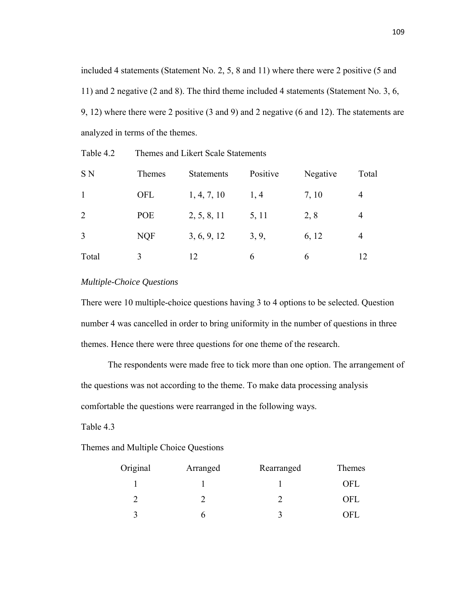included 4 statements (Statement No. 2, 5, 8 and 11) where there were 2 positive (5 and 11) and 2 negative (2 and 8). The third theme included 4 statements (Statement No. 3, 6, 9, 12) where there were 2 positive (3 and 9) and 2 negative (6 and 12). The statements are analyzed in terms of the themes.

| Table 4.2 |  | Themes and Likert Scale Statements |
|-----------|--|------------------------------------|
|           |  |                                    |

| S <sub>N</sub> | Themes     | <b>Statements</b> | Positive | Negative | Total          |
|----------------|------------|-------------------|----------|----------|----------------|
|                | <b>OFL</b> | 1, 4, 7, 10       | 1,4      | 7, 10    | 4              |
| 2              | POE        | 2, 5, 8, 11       | 5, 11    | 2,8      | 4              |
| 3              | <b>NQF</b> | 3, 6, 9, 12       | 3, 9,    | 6, 12    | $\overline{4}$ |
| Total          |            | 12                | 6        | 6        | 12             |

# *Multiple-Choice Questions*

There were 10 multiple-choice questions having 3 to 4 options to be selected. Question number 4 was cancelled in order to bring uniformity in the number of questions in three themes. Hence there were three questions for one theme of the research.

 The respondents were made free to tick more than one option. The arrangement of the questions was not according to the theme. To make data processing analysis comfortable the questions were rearranged in the following ways.

Table 4.3

Themes and Multiple Choice Questions

| Original | Arranged | Rearranged | Themes     |
|----------|----------|------------|------------|
|          |          |            | OFL        |
|          |          |            | <b>OFL</b> |
|          |          |            | OFI        |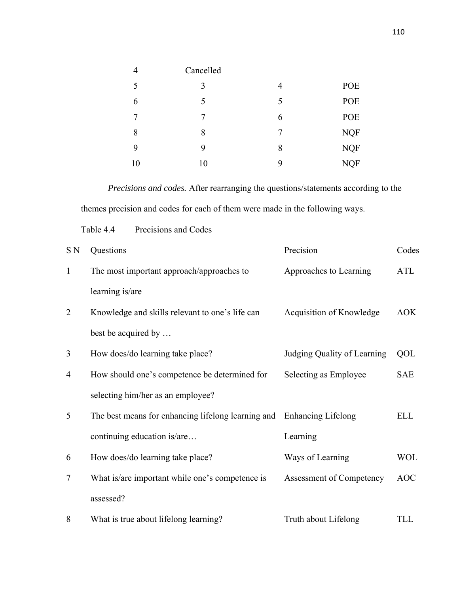| 4  | Cancelled |   |            |
|----|-----------|---|------------|
| 5  | 3         | 4 | POE        |
| 6  | 5         | 5 | POE        |
| 7  | 7         | 6 | POE        |
| 8  | 8         | 7 | <b>NQF</b> |
| 9  | 9         | 8 | <b>NQF</b> |
| 10 | 10        | 9 | <b>NQF</b> |

 *Precisions and codes.* After rearranging the questions/statements according to the themes precision and codes for each of them were made in the following ways.

Table 4.4 Precisions and Codes

| S N            | Questions                                          | Precision                   | Codes      |
|----------------|----------------------------------------------------|-----------------------------|------------|
| $\mathbf{1}$   | The most important approach/approaches to          | Approaches to Learning      | <b>ATL</b> |
|                | learning is/are                                    |                             |            |
| $\overline{2}$ | Knowledge and skills relevant to one's life can    | Acquisition of Knowledge    | AOK        |
|                | best be acquired by                                |                             |            |
| 3              | How does/do learning take place?                   | Judging Quality of Learning | QOL        |
| 4              | How should one's competence be determined for      | Selecting as Employee       | <b>SAE</b> |
|                | selecting him/her as an employee?                  |                             |            |
| 5              | The best means for enhancing lifelong learning and | Enhancing Lifelong          | <b>ELL</b> |
|                | continuing education is/are                        | Learning                    |            |
| 6              | How does/do learning take place?                   | Ways of Learning            | <b>WOL</b> |
| $\overline{7}$ | What is/are important while one's competence is    | Assessment of Competency    | <b>AOC</b> |
|                | assessed?                                          |                             |            |
| 8              | What is true about lifelong learning?              | Truth about Lifelong        | TLL        |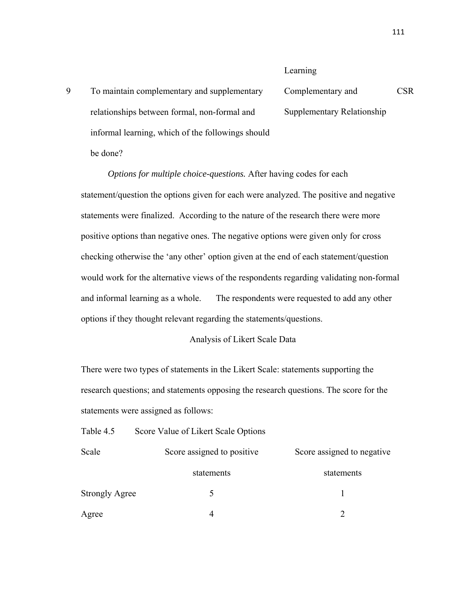## Learning

9 To maintain complementary and supplementary relationships between formal, non-formal and informal learning, which of the followings should be done? Complementary and Supplementary Relationship CSR

*Options for multiple choice-questions.* After having codes for each statement/question the options given for each were analyzed. The positive and negative statements were finalized. According to the nature of the research there were more positive options than negative ones. The negative options were given only for cross checking otherwise the 'any other' option given at the end of each statement/question would work for the alternative views of the respondents regarding validating non-formal and informal learning as a whole. The respondents were requested to add any other options if they thought relevant regarding the statements/questions.

## Analysis of Likert Scale Data

There were two types of statements in the Likert Scale: statements supporting the research questions; and statements opposing the research questions. The score for the statements were assigned as follows:

Table 4.5 Score Value of Likert Scale Options

| Scale                 | Score assigned to positive | Score assigned to negative |  |  |
|-----------------------|----------------------------|----------------------------|--|--|
|                       | statements                 | statements                 |  |  |
| <b>Strongly Agree</b> |                            |                            |  |  |
| Agree                 |                            |                            |  |  |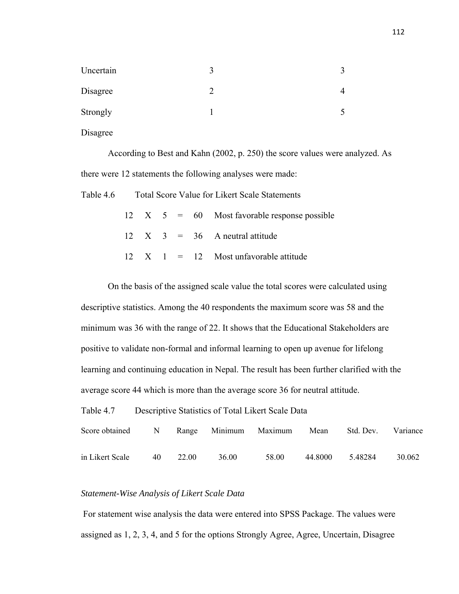| Uncertain |  |
|-----------|--|
| Disagree  |  |
| Strongly  |  |

Disagree

 According to Best and Kahn (2002, p. 250) the score values were analyzed. As there were 12 statements the following analyses were made:

Table 4.6 Total Score Value for Likert Scale Statements

|  |  | $12 \quad X \quad 5 = 60$ Most favorable response possible |
|--|--|------------------------------------------------------------|
|  |  | $12 \quad X \quad 3 = 36$ A neutral attitude               |
|  |  | $12 \quad X \quad 1 = 12$ Most unfavorable attitude        |

 On the basis of the assigned scale value the total scores were calculated using descriptive statistics. Among the 40 respondents the maximum score was 58 and the minimum was 36 with the range of 22. It shows that the Educational Stakeholders are positive to validate non-formal and informal learning to open up avenue for lifelong learning and continuing education in Nepal. The result has been further clarified with the average score 44 which is more than the average score 36 for neutral attitude.

Table 4.7 Descriptive Statistics of Total Likert Scale Data

| Score obtained N Range Minimum Maximum |    |       |       |        | Mean    | Std. Dev. | Variance |
|----------------------------------------|----|-------|-------|--------|---------|-----------|----------|
| in Likert Scale                        | 40 | 22 OO | 36.00 | -58.00 | 44.8000 | 5.48284   | 30.062   |

#### *Statement-Wise Analysis of Likert Scale Data*

 For statement wise analysis the data were entered into SPSS Package. The values were assigned as 1, 2, 3, 4, and 5 for the options Strongly Agree, Agree, Uncertain, Disagree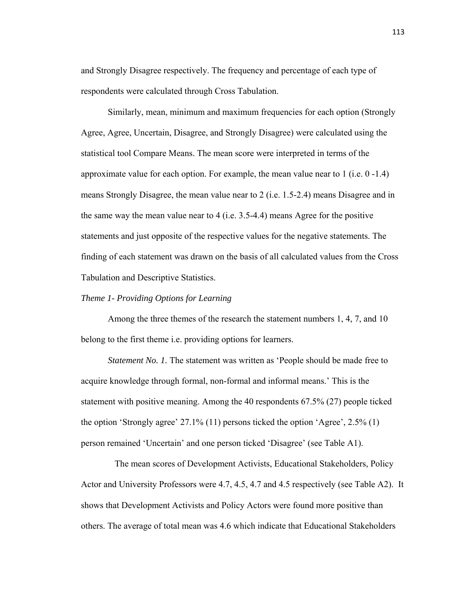and Strongly Disagree respectively. The frequency and percentage of each type of respondents were calculated through Cross Tabulation.

 Similarly, mean, minimum and maximum frequencies for each option (Strongly Agree, Agree, Uncertain, Disagree, and Strongly Disagree) were calculated using the statistical tool Compare Means. The mean score were interpreted in terms of the approximate value for each option. For example, the mean value near to 1 (i.e. 0 -1.4) means Strongly Disagree, the mean value near to 2 (i.e. 1.5-2.4) means Disagree and in the same way the mean value near to 4 (i.e. 3.5-4.4) means Agree for the positive statements and just opposite of the respective values for the negative statements. The finding of each statement was drawn on the basis of all calculated values from the Cross Tabulation and Descriptive Statistics.

# *Theme 1- Providing Options for Learning*

Among the three themes of the research the statement numbers 1, 4, 7, and 10 belong to the first theme i.e. providing options for learners.

*Statement No. 1.* The statement was written as 'People should be made free to acquire knowledge through formal, non-formal and informal means.' This is the statement with positive meaning. Among the 40 respondents 67.5% (27) people ticked the option 'Strongly agree' 27.1% (11) persons ticked the option 'Agree', 2.5% (1) person remained 'Uncertain' and one person ticked 'Disagree' (see Table A1).

 The mean scores of Development Activists, Educational Stakeholders, Policy Actor and University Professors were 4.7, 4.5, 4.7 and 4.5 respectively (see Table A2). It shows that Development Activists and Policy Actors were found more positive than others. The average of total mean was 4.6 which indicate that Educational Stakeholders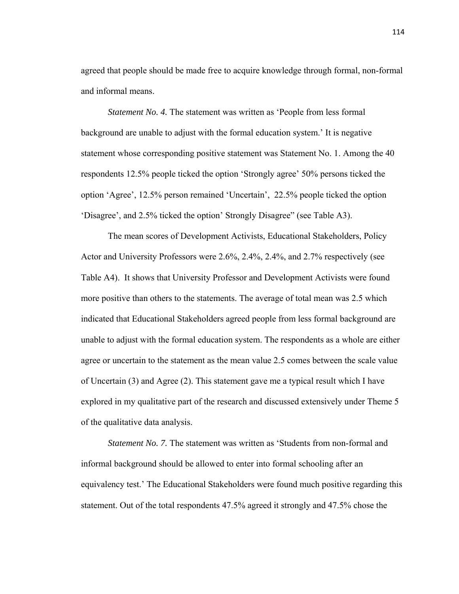agreed that people should be made free to acquire knowledge through formal, non-formal and informal means.

*Statement No. 4.* The statement was written as 'People from less formal background are unable to adjust with the formal education system.' It is negative statement whose corresponding positive statement was Statement No. 1. Among the 40 respondents 12.5% people ticked the option 'Strongly agree' 50% persons ticked the option 'Agree', 12.5% person remained 'Uncertain', 22.5% people ticked the option 'Disagree', and 2.5% ticked the option' Strongly Disagree" (see Table A3).

 The mean scores of Development Activists, Educational Stakeholders, Policy Actor and University Professors were 2.6%, 2.4%, 2.4%, and 2.7% respectively (see Table A4). It shows that University Professor and Development Activists were found more positive than others to the statements. The average of total mean was 2.5 which indicated that Educational Stakeholders agreed people from less formal background are unable to adjust with the formal education system. The respondents as a whole are either agree or uncertain to the statement as the mean value 2.5 comes between the scale value of Uncertain (3) and Agree (2). This statement gave me a typical result which I have explored in my qualitative part of the research and discussed extensively under Theme 5 of the qualitative data analysis.

 *Statement No. 7.* The statement was written as 'Students from non-formal and informal background should be allowed to enter into formal schooling after an equivalency test.' The Educational Stakeholders were found much positive regarding this statement. Out of the total respondents 47.5% agreed it strongly and 47.5% chose the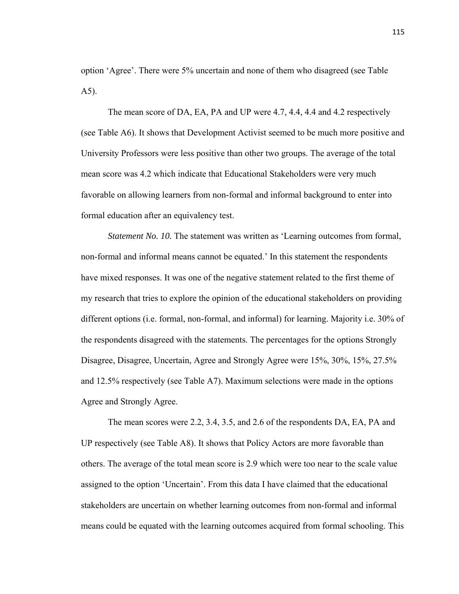option 'Agree'. There were 5% uncertain and none of them who disagreed (see Table A5).

 The mean score of DA, EA, PA and UP were 4.7, 4.4, 4.4 and 4.2 respectively (see Table A6). It shows that Development Activist seemed to be much more positive and University Professors were less positive than other two groups. The average of the total mean score was 4.2 which indicate that Educational Stakeholders were very much favorable on allowing learners from non-formal and informal background to enter into formal education after an equivalency test.

*Statement No. 10.* The statement was written as 'Learning outcomes from formal, non-formal and informal means cannot be equated.' In this statement the respondents have mixed responses. It was one of the negative statement related to the first theme of my research that tries to explore the opinion of the educational stakeholders on providing different options (i.e. formal, non-formal, and informal) for learning. Majority i.e. 30% of the respondents disagreed with the statements. The percentages for the options Strongly Disagree, Disagree, Uncertain, Agree and Strongly Agree were 15%, 30%, 15%, 27.5% and 12.5% respectively (see Table A7). Maximum selections were made in the options Agree and Strongly Agree.

 The mean scores were 2.2, 3.4, 3.5, and 2.6 of the respondents DA, EA, PA and UP respectively (see Table A8). It shows that Policy Actors are more favorable than others. The average of the total mean score is 2.9 which were too near to the scale value assigned to the option 'Uncertain'. From this data I have claimed that the educational stakeholders are uncertain on whether learning outcomes from non-formal and informal means could be equated with the learning outcomes acquired from formal schooling. This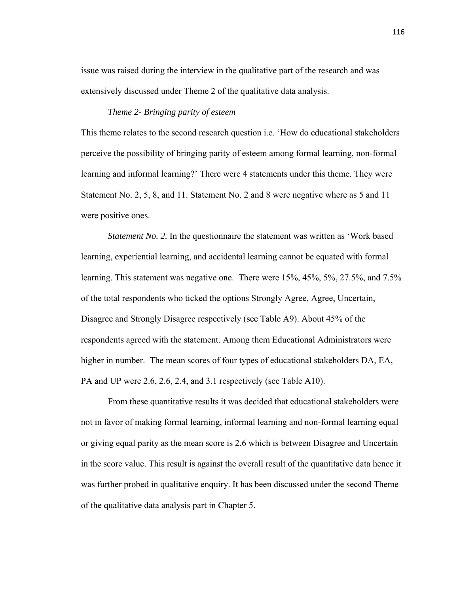issue was raised during the interview in the qualitative part of the research and was extensively discussed under Theme 2 of the qualitative data analysis.

# *Theme 2- Bringing parity of esteem*

This theme relates to the second research question i.e. 'How do educational stakeholders perceive the possibility of bringing parity of esteem among formal learning, non-formal learning and informal learning?' There were 4 statements under this theme. They were Statement No. 2, 5, 8, and 11. Statement No. 2 and 8 were negative where as 5 and 11 were positive ones.

*Statement No. 2.* In the questionnaire the statement was written as 'Work based learning, experiential learning, and accidental learning cannot be equated with formal learning. This statement was negative one. There were 15%, 45%, 5%, 27.5%, and 7.5% of the total respondents who ticked the options Strongly Agree, Agree, Uncertain, Disagree and Strongly Disagree respectively (see Table A9). About 45% of the respondents agreed with the statement. Among them Educational Administrators were higher in number. The mean scores of four types of educational stakeholders DA, EA, PA and UP were 2.6, 2.6, 2.4, and 3.1 respectively (see Table A10).

 From these quantitative results it was decided that educational stakeholders were not in favor of making formal learning, informal learning and non-formal learning equal or giving equal parity as the mean score is 2.6 which is between Disagree and Uncertain in the score value. This result is against the overall result of the quantitative data hence it was further probed in qualitative enquiry. It has been discussed under the second Theme of the qualitative data analysis part in Chapter 5.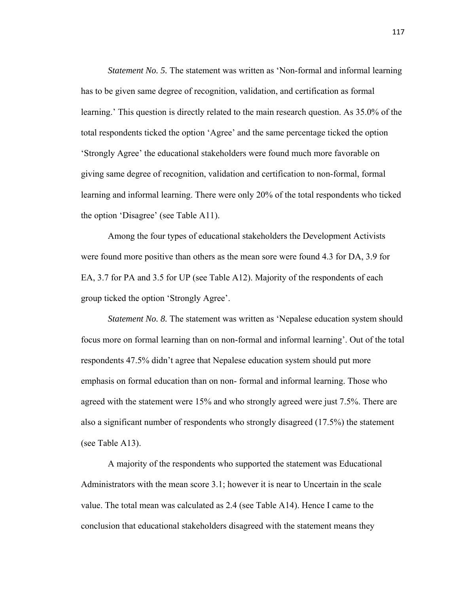*Statement No. 5.* The statement was written as 'Non-formal and informal learning has to be given same degree of recognition, validation, and certification as formal learning.' This question is directly related to the main research question. As 35.0% of the total respondents ticked the option 'Agree' and the same percentage ticked the option 'Strongly Agree' the educational stakeholders were found much more favorable on giving same degree of recognition, validation and certification to non-formal, formal learning and informal learning. There were only 20% of the total respondents who ticked the option 'Disagree' (see Table A11).

 Among the four types of educational stakeholders the Development Activists were found more positive than others as the mean sore were found 4.3 for DA, 3.9 for EA, 3.7 for PA and 3.5 for UP (see Table A12). Majority of the respondents of each group ticked the option 'Strongly Agree'.

*Statement No. 8.* The statement was written as 'Nepalese education system should focus more on formal learning than on non-formal and informal learning'. Out of the total respondents 47.5% didn't agree that Nepalese education system should put more emphasis on formal education than on non- formal and informal learning. Those who agreed with the statement were 15% and who strongly agreed were just 7.5%. There are also a significant number of respondents who strongly disagreed (17.5%) the statement (see Table A13).

 A majority of the respondents who supported the statement was Educational Administrators with the mean score 3.1; however it is near to Uncertain in the scale value. The total mean was calculated as 2.4 (see Table A14). Hence I came to the conclusion that educational stakeholders disagreed with the statement means they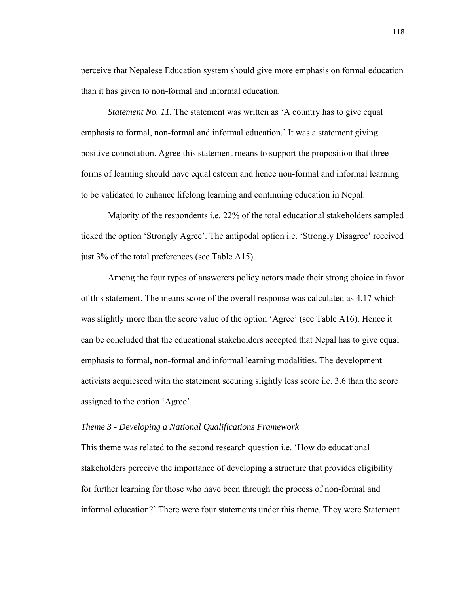perceive that Nepalese Education system should give more emphasis on formal education than it has given to non-formal and informal education.

*Statement No. 11.* The statement was written as 'A country has to give equal emphasis to formal, non-formal and informal education.' It was a statement giving positive connotation. Agree this statement means to support the proposition that three forms of learning should have equal esteem and hence non-formal and informal learning to be validated to enhance lifelong learning and continuing education in Nepal.

 Majority of the respondents i.e. 22% of the total educational stakeholders sampled ticked the option 'Strongly Agree'. The antipodal option i.e. 'Strongly Disagree' received just 3% of the total preferences (see Table A15).

 Among the four types of answerers policy actors made their strong choice in favor of this statement. The means score of the overall response was calculated as 4.17 which was slightly more than the score value of the option 'Agree' (see Table A16). Hence it can be concluded that the educational stakeholders accepted that Nepal has to give equal emphasis to formal, non-formal and informal learning modalities. The development activists acquiesced with the statement securing slightly less score i.e. 3.6 than the score assigned to the option 'Agree'.

## *Theme 3 - Developing a National Qualifications Framework*

This theme was related to the second research question i.e. 'How do educational stakeholders perceive the importance of developing a structure that provides eligibility for further learning for those who have been through the process of non-formal and informal education?' There were four statements under this theme. They were Statement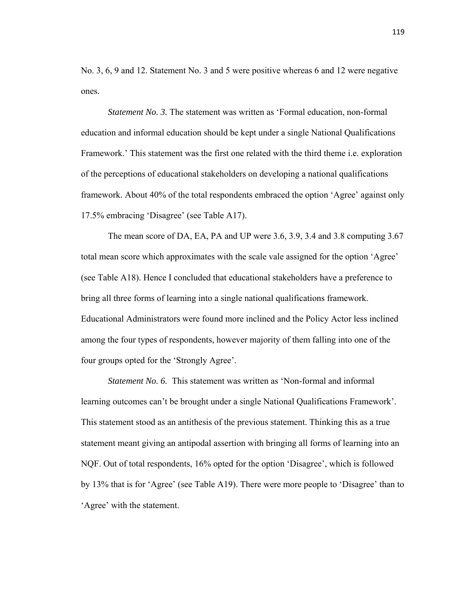No. 3, 6, 9 and 12. Statement No. 3 and 5 were positive whereas 6 and 12 were negative ones.

*Statement No. 3.* The statement was written as 'Formal education, non-formal education and informal education should be kept under a single National Qualifications Framework.' This statement was the first one related with the third theme i.e. exploration of the perceptions of educational stakeholders on developing a national qualifications framework. About 40% of the total respondents embraced the option 'Agree' against only 17.5% embracing 'Disagree' (see Table A17).

 The mean score of DA, EA, PA and UP were 3.6, 3.9, 3.4 and 3.8 computing 3.67 total mean score which approximates with the scale vale assigned for the option 'Agree' (see Table A18). Hence I concluded that educational stakeholders have a preference to bring all three forms of learning into a single national qualifications framework. Educational Administrators were found more inclined and the Policy Actor less inclined among the four types of respondents, however majority of them falling into one of the four groups opted for the 'Strongly Agree'.

*Statement No. 6.* This statement was written as 'Non-formal and informal learning outcomes can't be brought under a single National Qualifications Framework'. This statement stood as an antithesis of the previous statement. Thinking this as a true statement meant giving an antipodal assertion with bringing all forms of learning into an NQF. Out of total respondents, 16% opted for the option 'Disagree', which is followed by 13% that is for 'Agree' (see Table A19). There were more people to 'Disagree' than to 'Agree' with the statement.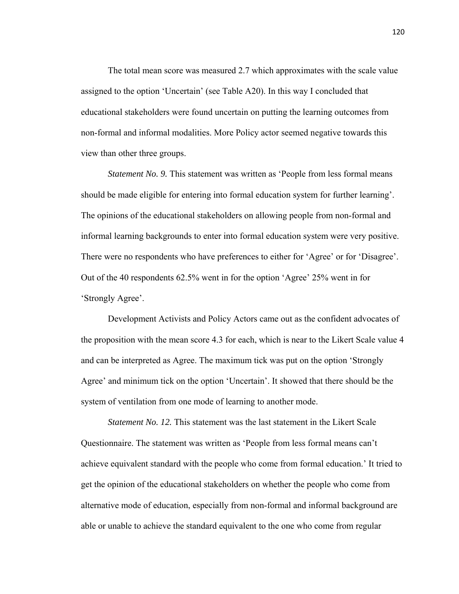The total mean score was measured 2.7 which approximates with the scale value assigned to the option 'Uncertain' (see Table A20). In this way I concluded that educational stakeholders were found uncertain on putting the learning outcomes from non-formal and informal modalities. More Policy actor seemed negative towards this view than other three groups.

*Statement No. 9.* This statement was written as 'People from less formal means should be made eligible for entering into formal education system for further learning'. The opinions of the educational stakeholders on allowing people from non-formal and informal learning backgrounds to enter into formal education system were very positive. There were no respondents who have preferences to either for 'Agree' or for 'Disagree'. Out of the 40 respondents 62.5% went in for the option 'Agree' 25% went in for 'Strongly Agree'.

 Development Activists and Policy Actors came out as the confident advocates of the proposition with the mean score 4.3 for each, which is near to the Likert Scale value 4 and can be interpreted as Agree. The maximum tick was put on the option 'Strongly Agree' and minimum tick on the option 'Uncertain'. It showed that there should be the system of ventilation from one mode of learning to another mode.

*Statement No. 12.* This statement was the last statement in the Likert Scale Questionnaire. The statement was written as 'People from less formal means can't achieve equivalent standard with the people who come from formal education.' It tried to get the opinion of the educational stakeholders on whether the people who come from alternative mode of education, especially from non-formal and informal background are able or unable to achieve the standard equivalent to the one who come from regular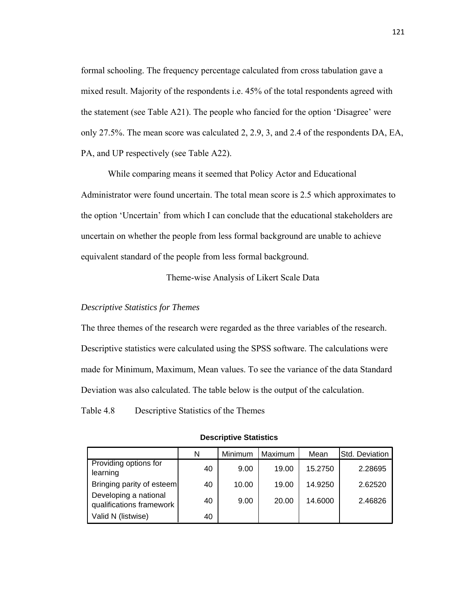formal schooling. The frequency percentage calculated from cross tabulation gave a mixed result. Majority of the respondents i.e. 45% of the total respondents agreed with the statement (see Table A21). The people who fancied for the option 'Disagree' were only 27.5%. The mean score was calculated 2, 2.9, 3, and 2.4 of the respondents DA, EA, PA, and UP respectively (see Table A22).

 While comparing means it seemed that Policy Actor and Educational Administrator were found uncertain. The total mean score is 2.5 which approximates to the option 'Uncertain' from which I can conclude that the educational stakeholders are uncertain on whether the people from less formal background are unable to achieve equivalent standard of the people from less formal background.

Theme-wise Analysis of Likert Scale Data

# *Descriptive Statistics for Themes*

The three themes of the research were regarded as the three variables of the research. Descriptive statistics were calculated using the SPSS software. The calculations were made for Minimum, Maximum, Mean values. To see the variance of the data Standard Deviation was also calculated. The table below is the output of the calculation.

Table 4.8 Descriptive Statistics of the Themes

|                                                   | N  | Minimum | Maximum | Mean    | Std. Deviation |
|---------------------------------------------------|----|---------|---------|---------|----------------|
| Providing options for<br>learning                 | 40 | 9.00    | 19.00   | 15.2750 | 2.28695        |
| Bringing parity of esteem                         | 40 | 10.00   | 19.00   | 14.9250 | 2.62520        |
| Developing a national<br>qualifications framework | 40 | 9.00    | 20.00   | 14.6000 | 2.46826        |
| Valid N (listwise)                                | 40 |         |         |         |                |

#### **Descriptive Statistics**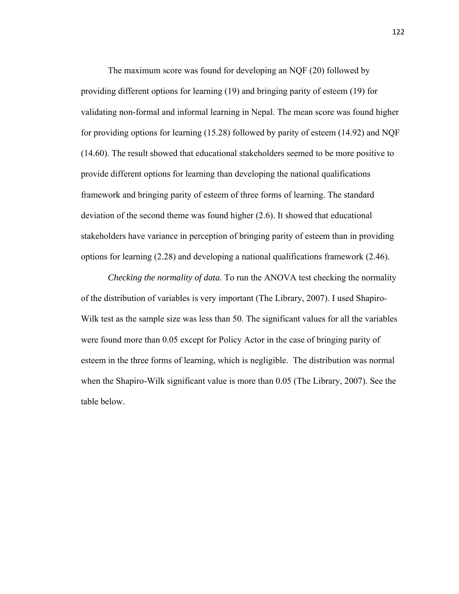The maximum score was found for developing an NQF (20) followed by providing different options for learning (19) and bringing parity of esteem (19) for validating non-formal and informal learning in Nepal. The mean score was found higher for providing options for learning (15.28) followed by parity of esteem (14.92) and NQF (14.60). The result showed that educational stakeholders seemed to be more positive to provide different options for learning than developing the national qualifications framework and bringing parity of esteem of three forms of learning. The standard deviation of the second theme was found higher (2.6). It showed that educational stakeholders have variance in perception of bringing parity of esteem than in providing options for learning (2.28) and developing a national qualifications framework (2.46).

*Checking the normality of data.* To run the ANOVA test checking the normality of the distribution of variables is very important (The Library, 2007). I used Shapiro-Wilk test as the sample size was less than 50. The significant values for all the variables were found more than 0.05 except for Policy Actor in the case of bringing parity of esteem in the three forms of learning, which is negligible. The distribution was normal when the Shapiro-Wilk significant value is more than 0.05 (The Library, 2007). See the table below.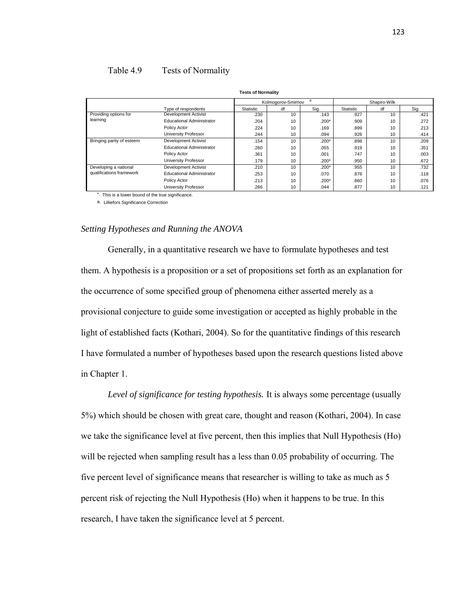# Table 4.9 Tests of Normality

| <b>Tests of Normality</b> |                                  |           |                    |         |           |              |      |
|---------------------------|----------------------------------|-----------|--------------------|---------|-----------|--------------|------|
|                           |                                  |           | Kolmogorov-Smirnov | a       |           | Shapiro-Wilk |      |
|                           | Type of respondents              | Statistic | df                 | Sig.    | Statistic | df           | Sig. |
| Providing options for     | <b>Development Activist</b>      | .230      | 10                 | .143    | .927      | 10           | .421 |
| learning                  | <b>Educational Administrator</b> | .204      | 10                 | $.200*$ | .909      | 10           | .272 |
|                           | Policy Actor                     | .224      | 10                 | .169    | .899      | 10           | .213 |
|                           | University Professor             | .244      | 10                 | .094    | .926      | 10           | .414 |
| Bringing parity of esteem | Development Activist             | .154      | 10                 | $.200*$ | .898      | 10           | .209 |
|                           | <b>Educational Administrator</b> | .260      | 10                 | .055    | .919      | 10           | .351 |
|                           | Policy Actor                     | .361      | 10                 | .001    | .747      | 10           | .003 |
|                           | University Professor             | .179      | 10                 | $.200*$ | .950      | 10           | .672 |
| Developing a national     | Development Activist             | .210      | 10                 | $.200*$ | .955      | 10           | .732 |
| qualifications framework  | <b>Educational Administrator</b> | .253      | 10                 | .070    | .876      | 10           | .118 |
|                           | Policy Actor                     | .213      | 10                 | $.200*$ | .860      | 10           | .076 |
|                           | University Professor             | .266      | 10                 | .044    | .877      | 10           | .121 |

\* This is a lower bound of the true significance. a. Lilliefors Significance Correction

# *Setting Hypotheses and Running the ANOVA*

 Generally, in a quantitative research we have to formulate hypotheses and test them. A hypothesis is a proposition or a set of propositions set forth as an explanation for the occurrence of some specified group of phenomena either asserted merely as a provisional conjecture to guide some investigation or accepted as highly probable in the light of established facts (Kothari, 2004). So for the quantitative findings of this research I have formulated a number of hypotheses based upon the research questions listed above in Chapter 1.

 *Level of significance for testing hypothesis.* It is always some percentage (usually 5%) which should be chosen with great care, thought and reason (Kothari, 2004). In case we take the significance level at five percent, then this implies that Null Hypothesis (Ho) will be rejected when sampling result has a less than 0.05 probability of occurring. The five percent level of significance means that researcher is willing to take as much as 5 percent risk of rejecting the Null Hypothesis (Ho) when it happens to be true. In this research, I have taken the significance level at 5 percent.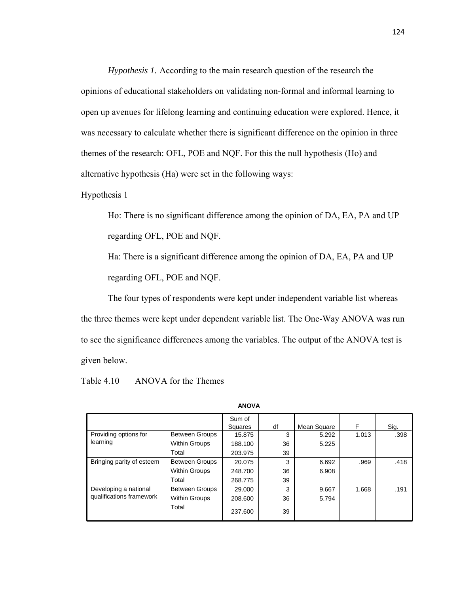*Hypothesis 1.* According to the main research question of the research the opinions of educational stakeholders on validating non-formal and informal learning to open up avenues for lifelong learning and continuing education were explored. Hence, it was necessary to calculate whether there is significant difference on the opinion in three themes of the research: OFL, POE and NQF. For this the null hypothesis (Ho) and alternative hypothesis (Ha) were set in the following ways:

Hypothesis 1

Ho: There is no significant difference among the opinion of DA, EA, PA and UP regarding OFL, POE and NQF.

Ha: There is a significant difference among the opinion of DA, EA, PA and UP regarding OFL, POE and NQF.

 The four types of respondents were kept under independent variable list whereas the three themes were kept under dependent variable list. The One-Way ANOVA was run to see the significance differences among the variables. The output of the ANOVA test is given below.

Table 4.10 ANOVA for the Themes

|                           |                       | Sum of<br>Squares | df | Mean Square | F     | Sig. |
|---------------------------|-----------------------|-------------------|----|-------------|-------|------|
| Providing options for     | <b>Between Groups</b> | 15.875            | 3  | 5.292       | 1.013 | .398 |
| learning                  | <b>Within Groups</b>  | 188.100           | 36 | 5.225       |       |      |
|                           | Total                 | 203.975           | 39 |             |       |      |
| Bringing parity of esteem | <b>Between Groups</b> | 20.075            | 3  | 6.692       | .969  | .418 |
|                           | <b>Within Groups</b>  | 248.700           | 36 | 6.908       |       |      |
|                           | Total                 | 268.775           | 39 |             |       |      |
| Developing a national     | <b>Between Groups</b> | 29,000            | 3  | 9.667       | 1.668 | .191 |
| qualifications framework  | <b>Within Groups</b>  | 208.600           | 36 | 5.794       |       |      |
|                           | Total                 | 237.600           | 39 |             |       |      |

**ANOVA**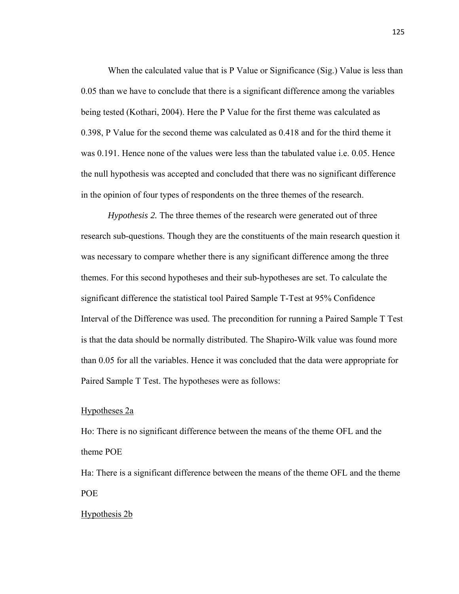When the calculated value that is P Value or Significance (Sig.) Value is less than 0.05 than we have to conclude that there is a significant difference among the variables being tested (Kothari, 2004). Here the P Value for the first theme was calculated as 0.398, P Value for the second theme was calculated as 0.418 and for the third theme it was 0.191. Hence none of the values were less than the tabulated value i.e. 0.05. Hence the null hypothesis was accepted and concluded that there was no significant difference in the opinion of four types of respondents on the three themes of the research.

*Hypothesis 2.* The three themes of the research were generated out of three research sub-questions. Though they are the constituents of the main research question it was necessary to compare whether there is any significant difference among the three themes. For this second hypotheses and their sub-hypotheses are set. To calculate the significant difference the statistical tool Paired Sample T-Test at 95% Confidence Interval of the Difference was used. The precondition for running a Paired Sample T Test is that the data should be normally distributed. The Shapiro-Wilk value was found more than 0.05 for all the variables. Hence it was concluded that the data were appropriate for Paired Sample T Test. The hypotheses were as follows:

# Hypotheses 2a

Ho: There is no significant difference between the means of the theme OFL and the theme POE

Ha: There is a significant difference between the means of the theme OFL and the theme POE

# Hypothesis 2b

125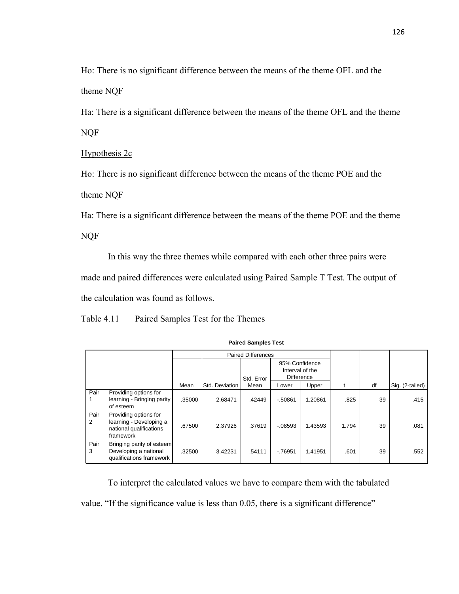Ho: There is no significant difference between the means of the theme OFL and the theme NQF

Ha: There is a significant difference between the means of the theme OFL and the theme NQF

Hypothesis 2c

Ho: There is no significant difference between the means of the theme POE and the theme NQF

Ha: There is a significant difference between the means of the theme POE and the theme NQF

 In this way the three themes while compared with each other three pairs were made and paired differences were calculated using Paired Sample T Test. The output of the calculation was found as follows.

Table 4.11 Paired Samples Test for the Themes

|           |                                                                                          |        |                | <b>Paired Differences</b> |                                                        |         |       |    |                 |
|-----------|------------------------------------------------------------------------------------------|--------|----------------|---------------------------|--------------------------------------------------------|---------|-------|----|-----------------|
|           |                                                                                          |        |                | Std. Error                | 95% Confidence<br>Interval of the<br><b>Difference</b> |         |       |    |                 |
|           |                                                                                          | Mean   | Std. Deviation | Mean                      | Lower                                                  | Upper   |       | df | Sig. (2-tailed) |
| Pair      | Providing options for<br>learning - Bringing parity<br>of esteem                         | .35000 | 2.68471        | .42449                    | $-0.50861$                                             | 1.20861 | .825  | 39 | .415            |
| Pair<br>2 | Providing options for<br>learning - Developing a<br>national qualifications<br>framework | .67500 | 2.37926        | .37619                    | $-0.08593$                                             | 1.43593 | 1.794 | 39 | .081            |
| Pair<br>3 | Bringing parity of esteem<br>Developing a national<br>qualifications framework           | .32500 | 3.42231        | .54111                    | $-76951$                                               | 1.41951 | .601  | 39 | .552            |

**Paired Samples Test**

 To interpret the calculated values we have to compare them with the tabulated value. "If the significance value is less than 0.05, there is a significant difference"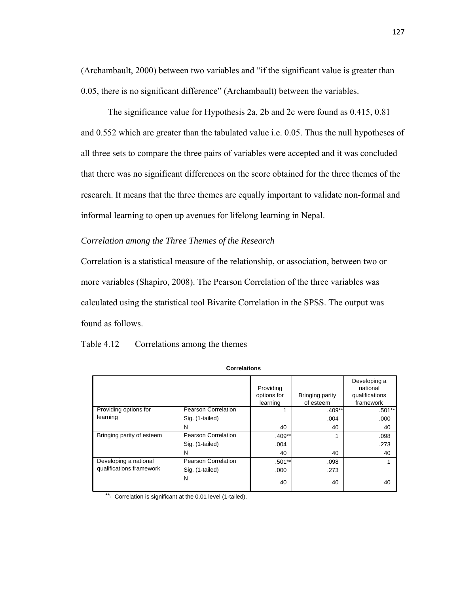(Archambault, 2000) between two variables and "if the significant value is greater than 0.05, there is no significant difference" (Archambault) between the variables.

 The significance value for Hypothesis 2a, 2b and 2c were found as 0.415, 0.81 and 0.552 which are greater than the tabulated value i.e. 0.05. Thus the null hypotheses of all three sets to compare the three pairs of variables were accepted and it was concluded that there was no significant differences on the score obtained for the three themes of the research. It means that the three themes are equally important to validate non-formal and informal learning to open up avenues for lifelong learning in Nepal.

# *Correlation among the Three Themes of the Research*

Correlation is a statistical measure of the relationship, or association, between two or more variables (Shapiro, 2008). The Pearson Correlation of the three variables was calculated using the statistical tool Bivarite Correlation in the SPSS. The output was found as follows.

| Table 4.12 | Correlations among the themes |
|------------|-------------------------------|
|------------|-------------------------------|

|                           |                            | Providing<br>options for<br>learning | Bringing parity<br>of esteem | Developing a<br>national<br>qualifications<br>framework |
|---------------------------|----------------------------|--------------------------------------|------------------------------|---------------------------------------------------------|
| Providing options for     | <b>Pearson Correlation</b> |                                      | $.409**$                     | $.501**$                                                |
| learning                  | Sig. (1-tailed)            |                                      | .004                         | .000                                                    |
|                           | N                          | 40                                   | 40                           | 40                                                      |
| Bringing parity of esteem | <b>Pearson Correlation</b> | $.409**$                             | 1                            | .098                                                    |
|                           | Sig. (1-tailed)            | .004                                 |                              | .273                                                    |
|                           | N                          | 40                                   | 40                           | 40                                                      |
| Developing a national     | Pearson Correlation        | $.501**$                             | .098                         |                                                         |
| qualifications framework  | Sig. (1-tailed)            | .000                                 | .273                         |                                                         |
|                           | N                          | 40                                   | 40                           | 40                                                      |

**Correlations**

\*\*. Correlation is significant at the 0.01 level (1-tailed).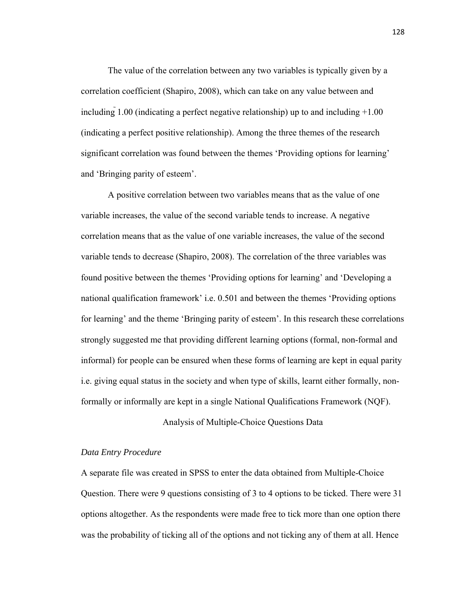The value of the correlation between any two variables is typically given by a correlation coefficient (Shapiro, 2008), which can take on any value between and including 1.00 (indicating a perfect negative relationship) up to and including +1.00 (indicating a perfect positive relationship). Among the three themes of the research significant correlation was found between the themes 'Providing options for learning' and 'Bringing parity of esteem'.

 A positive correlation between two variables means that as the value of one variable increases, the value of the second variable tends to increase. A negative correlation means that as the value of one variable increases, the value of the second variable tends to decrease (Shapiro, 2008). The correlation of the three variables was found positive between the themes 'Providing options for learning' and 'Developing a national qualification framework' i.e. 0.501 and between the themes 'Providing options for learning' and the theme 'Bringing parity of esteem'. In this research these correlations strongly suggested me that providing different learning options (formal, non-formal and informal) for people can be ensured when these forms of learning are kept in equal parity i.e. giving equal status in the society and when type of skills, learnt either formally, nonformally or informally are kept in a single National Qualifications Framework (NQF).

Analysis of Multiple-Choice Questions Data

# *Data Entry Procedure*

A separate file was created in SPSS to enter the data obtained from Multiple-Choice Question. There were 9 questions consisting of 3 to 4 options to be ticked. There were 31 options altogether. As the respondents were made free to tick more than one option there was the probability of ticking all of the options and not ticking any of them at all. Hence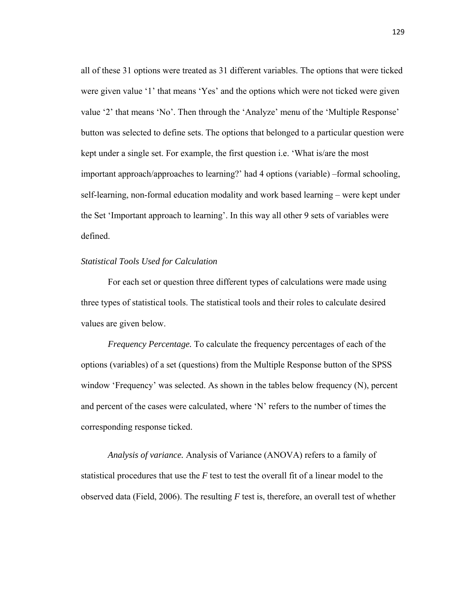all of these 31 options were treated as 31 different variables. The options that were ticked were given value '1' that means 'Yes' and the options which were not ticked were given value '2' that means 'No'. Then through the 'Analyze' menu of the 'Multiple Response' button was selected to define sets. The options that belonged to a particular question were kept under a single set. For example, the first question i.e. 'What is/are the most important approach/approaches to learning?' had 4 options (variable) –formal schooling, self-learning, non-formal education modality and work based learning – were kept under the Set 'Important approach to learning'. In this way all other 9 sets of variables were defined.

# *Statistical Tools Used for Calculation*

 For each set or question three different types of calculations were made using three types of statistical tools. The statistical tools and their roles to calculate desired values are given below.

*Frequency Percentage.* To calculate the frequency percentages of each of the options (variables) of a set (questions) from the Multiple Response button of the SPSS window 'Frequency' was selected. As shown in the tables below frequency (N), percent and percent of the cases were calculated, where 'N' refers to the number of times the corresponding response ticked.

*Analysis of variance.* Analysis of Variance (ANOVA) refers to a family of statistical procedures that use the *F* test to test the overall fit of a linear model to the observed data (Field, 2006). The resulting *F* test is, therefore, an overall test of whether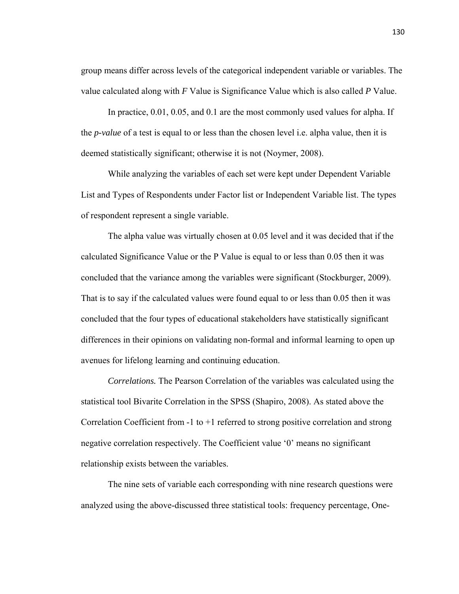group means differ across levels of the categorical independent variable or variables. The value calculated along with *F* Value is Significance Value which is also called *P* Value.

 In practice, 0.01, 0.05, and 0.1 are the most commonly used values for alpha. If the *p-value* of a test is equal to or less than the chosen level i.e. alpha value, then it is deemed statistically significant; otherwise it is not (Noymer, 2008).

 While analyzing the variables of each set were kept under Dependent Variable List and Types of Respondents under Factor list or Independent Variable list. The types of respondent represent a single variable.

 The alpha value was virtually chosen at 0.05 level and it was decided that if the calculated Significance Value or the P Value is equal to or less than 0.05 then it was concluded that the variance among the variables were significant (Stockburger, 2009). That is to say if the calculated values were found equal to or less than 0.05 then it was concluded that the four types of educational stakeholders have statistically significant differences in their opinions on validating non-formal and informal learning to open up avenues for lifelong learning and continuing education.

*Correlations.* The Pearson Correlation of the variables was calculated using the statistical tool Bivarite Correlation in the SPSS (Shapiro, 2008). As stated above the Correlation Coefficient from  $-1$  to  $+1$  referred to strong positive correlation and strong negative correlation respectively. The Coefficient value '0' means no significant relationship exists between the variables.

 The nine sets of variable each corresponding with nine research questions were analyzed using the above-discussed three statistical tools: frequency percentage, One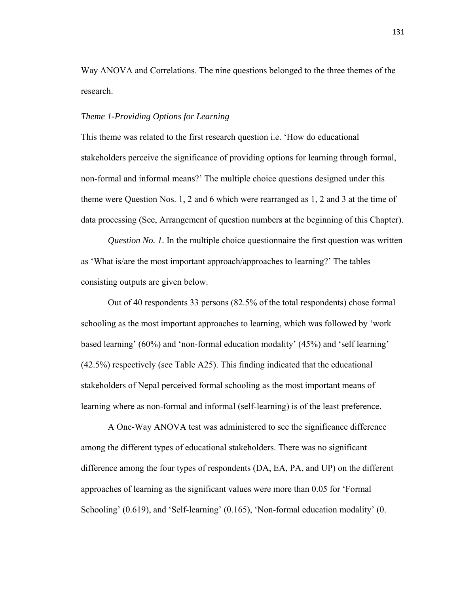Way ANOVA and Correlations. The nine questions belonged to the three themes of the research.

# *Theme 1-Providing Options for Learning*

This theme was related to the first research question i.e. 'How do educational stakeholders perceive the significance of providing options for learning through formal, non-formal and informal means?' The multiple choice questions designed under this theme were Question Nos. 1, 2 and 6 which were rearranged as 1, 2 and 3 at the time of data processing (See, Arrangement of question numbers at the beginning of this Chapter).

*Question No. 1.* In the multiple choice questionnaire the first question was written as 'What is/are the most important approach/approaches to learning?' The tables consisting outputs are given below.

 Out of 40 respondents 33 persons (82.5% of the total respondents) chose formal schooling as the most important approaches to learning, which was followed by 'work based learning' (60%) and 'non-formal education modality' (45%) and 'self learning' (42.5%) respectively (see Table A25). This finding indicated that the educational stakeholders of Nepal perceived formal schooling as the most important means of learning where as non-formal and informal (self-learning) is of the least preference.

 A One-Way ANOVA test was administered to see the significance difference among the different types of educational stakeholders. There was no significant difference among the four types of respondents (DA, EA, PA, and UP) on the different approaches of learning as the significant values were more than 0.05 for 'Formal Schooling' (0.619), and 'Self-learning' (0.165), 'Non-formal education modality' (0.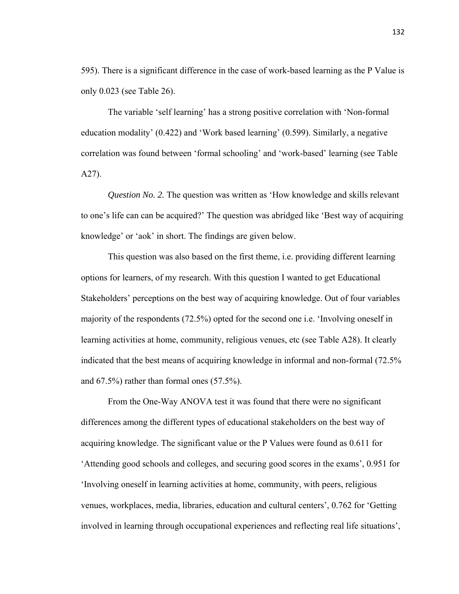595). There is a significant difference in the case of work-based learning as the P Value is only 0.023 (see Table 26).

 The variable 'self learning' has a strong positive correlation with 'Non-formal education modality' (0.422) and 'Work based learning' (0.599). Similarly, a negative correlation was found between 'formal schooling' and 'work-based' learning (see Table A27).

*Question No. 2.* The question was written as 'How knowledge and skills relevant to one's life can can be acquired?' The question was abridged like 'Best way of acquiring knowledge' or 'aok' in short. The findings are given below.

 This question was also based on the first theme, i.e. providing different learning options for learners, of my research. With this question I wanted to get Educational Stakeholders' perceptions on the best way of acquiring knowledge. Out of four variables majority of the respondents (72.5%) opted for the second one i.e. 'Involving oneself in learning activities at home, community, religious venues, etc (see Table A28). It clearly indicated that the best means of acquiring knowledge in informal and non-formal (72.5% and 67.5%) rather than formal ones (57.5%).

 From the One-Way ANOVA test it was found that there were no significant differences among the different types of educational stakeholders on the best way of acquiring knowledge. The significant value or the P Values were found as 0.611 for 'Attending good schools and colleges, and securing good scores in the exams', 0.951 for 'Involving oneself in learning activities at home, community, with peers, religious venues, workplaces, media, libraries, education and cultural centers', 0.762 for 'Getting involved in learning through occupational experiences and reflecting real life situations',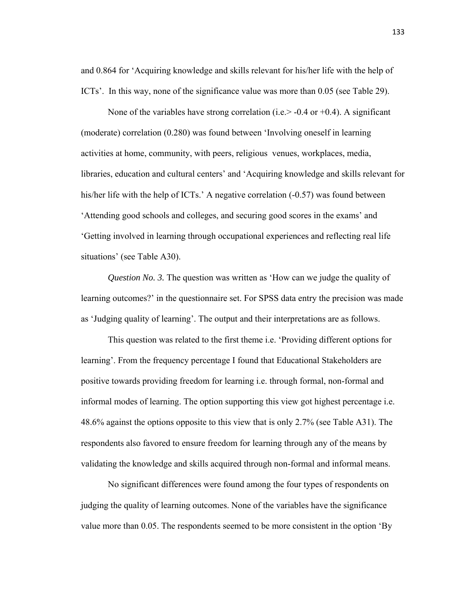and 0.864 for 'Acquiring knowledge and skills relevant for his/her life with the help of ICTs'. In this way, none of the significance value was more than 0.05 (see Table 29).

None of the variables have strong correlation (i.e.  $>$  -0.4 or +0.4). A significant (moderate) correlation (0.280) was found between 'Involving oneself in learning activities at home, community, with peers, religious venues, workplaces, media, libraries, education and cultural centers' and 'Acquiring knowledge and skills relevant for his/her life with the help of ICTs.' A negative correlation (-0.57) was found between 'Attending good schools and colleges, and securing good scores in the exams' and 'Getting involved in learning through occupational experiences and reflecting real life situations' (see Table A30).

*Question No. 3.* The question was written as 'How can we judge the quality of learning outcomes?' in the questionnaire set. For SPSS data entry the precision was made as 'Judging quality of learning'. The output and their interpretations are as follows.

 This question was related to the first theme i.e. 'Providing different options for learning'. From the frequency percentage I found that Educational Stakeholders are positive towards providing freedom for learning i.e. through formal, non-formal and informal modes of learning. The option supporting this view got highest percentage i.e. 48.6% against the options opposite to this view that is only 2.7% (see Table A31). The respondents also favored to ensure freedom for learning through any of the means by validating the knowledge and skills acquired through non-formal and informal means.

 No significant differences were found among the four types of respondents on judging the quality of learning outcomes. None of the variables have the significance value more than 0.05. The respondents seemed to be more consistent in the option 'By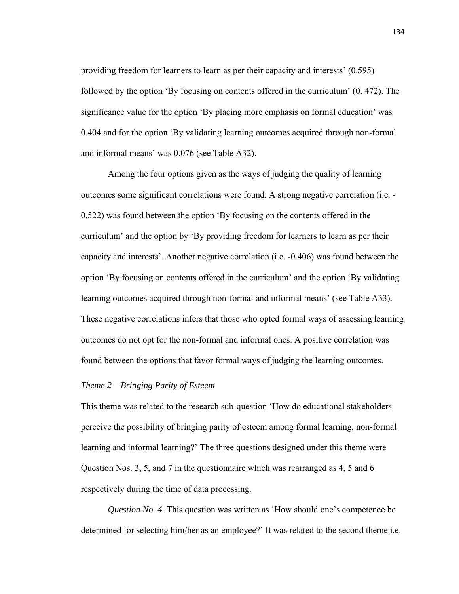providing freedom for learners to learn as per their capacity and interests' (0.595) followed by the option 'By focusing on contents offered in the curriculum' (0. 472). The significance value for the option 'By placing more emphasis on formal education' was 0.404 and for the option 'By validating learning outcomes acquired through non-formal and informal means' was 0.076 (see Table A32).

 Among the four options given as the ways of judging the quality of learning outcomes some significant correlations were found. A strong negative correlation (i.e. - 0.522) was found between the option 'By focusing on the contents offered in the curriculum' and the option by 'By providing freedom for learners to learn as per their capacity and interests'. Another negative correlation (i.e. -0.406) was found between the option 'By focusing on contents offered in the curriculum' and the option 'By validating learning outcomes acquired through non-formal and informal means' (see Table A33). These negative correlations infers that those who opted formal ways of assessing learning outcomes do not opt for the non-formal and informal ones. A positive correlation was found between the options that favor formal ways of judging the learning outcomes.

# *Theme 2 – Bringing Parity of Esteem*

This theme was related to the research sub-question 'How do educational stakeholders perceive the possibility of bringing parity of esteem among formal learning, non-formal learning and informal learning?' The three questions designed under this theme were Question Nos. 3, 5, and 7 in the questionnaire which was rearranged as 4, 5 and 6 respectively during the time of data processing.

*Question No. 4.* This question was written as 'How should one's competence be determined for selecting him/her as an employee?' It was related to the second theme i.e.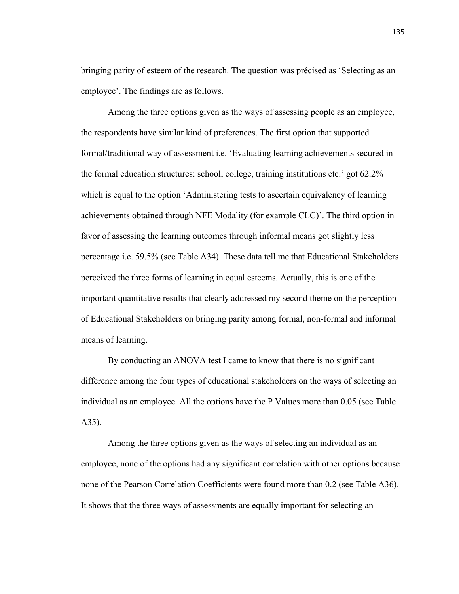bringing parity of esteem of the research. The question was précised as 'Selecting as an employee'. The findings are as follows.

 Among the three options given as the ways of assessing people as an employee, the respondents have similar kind of preferences. The first option that supported formal/traditional way of assessment i.e. 'Evaluating learning achievements secured in the formal education structures: school, college, training institutions etc.' got 62.2% which is equal to the option 'Administering tests to ascertain equivalency of learning achievements obtained through NFE Modality (for example CLC)'. The third option in favor of assessing the learning outcomes through informal means got slightly less percentage i.e. 59.5% (see Table A34). These data tell me that Educational Stakeholders perceived the three forms of learning in equal esteems. Actually, this is one of the important quantitative results that clearly addressed my second theme on the perception of Educational Stakeholders on bringing parity among formal, non-formal and informal means of learning.

 By conducting an ANOVA test I came to know that there is no significant difference among the four types of educational stakeholders on the ways of selecting an individual as an employee. All the options have the P Values more than 0.05 (see Table A35).

 Among the three options given as the ways of selecting an individual as an employee, none of the options had any significant correlation with other options because none of the Pearson Correlation Coefficients were found more than 0.2 (see Table A36). It shows that the three ways of assessments are equally important for selecting an

135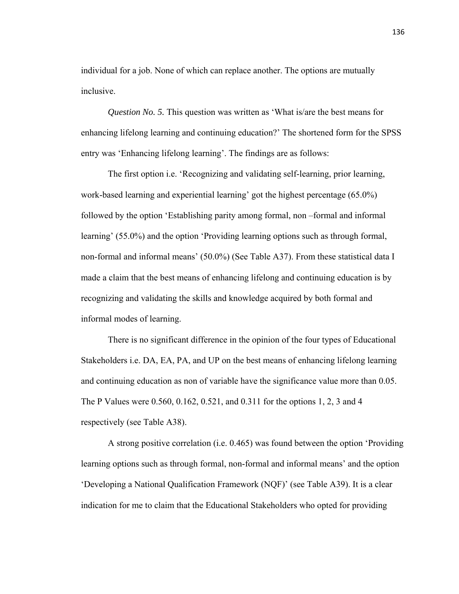individual for a job. None of which can replace another. The options are mutually inclusive.

*Question No. 5.* This question was written as 'What is/are the best means for enhancing lifelong learning and continuing education?' The shortened form for the SPSS entry was 'Enhancing lifelong learning'. The findings are as follows:

 The first option i.e. 'Recognizing and validating self-learning, prior learning, work-based learning and experiential learning' got the highest percentage (65.0%) followed by the option 'Establishing parity among formal, non –formal and informal learning' (55.0%) and the option 'Providing learning options such as through formal, non-formal and informal means' (50.0%) (See Table A37). From these statistical data I made a claim that the best means of enhancing lifelong and continuing education is by recognizing and validating the skills and knowledge acquired by both formal and informal modes of learning.

 There is no significant difference in the opinion of the four types of Educational Stakeholders i.e. DA, EA, PA, and UP on the best means of enhancing lifelong learning and continuing education as non of variable have the significance value more than 0.05. The P Values were 0.560, 0.162, 0.521, and 0.311 for the options 1, 2, 3 and 4 respectively (see Table A38).

 A strong positive correlation (i.e. 0.465) was found between the option 'Providing learning options such as through formal, non-formal and informal means' and the option 'Developing a National Qualification Framework (NQF)' (see Table A39). It is a clear indication for me to claim that the Educational Stakeholders who opted for providing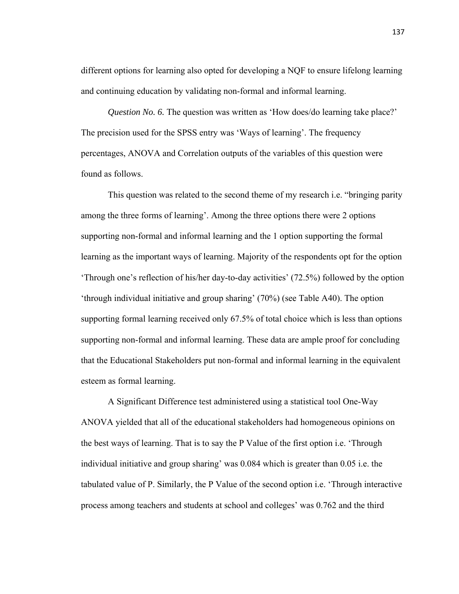different options for learning also opted for developing a NQF to ensure lifelong learning and continuing education by validating non-formal and informal learning.

*Question No. 6.* The question was written as 'How does/do learning take place?' The precision used for the SPSS entry was 'Ways of learning'. The frequency percentages, ANOVA and Correlation outputs of the variables of this question were found as follows.

 This question was related to the second theme of my research i.e. "bringing parity among the three forms of learning'. Among the three options there were 2 options supporting non-formal and informal learning and the 1 option supporting the formal learning as the important ways of learning. Majority of the respondents opt for the option 'Through one's reflection of his/her day-to-day activities' (72.5%) followed by the option 'through individual initiative and group sharing' (70%) (see Table A40). The option supporting formal learning received only 67.5% of total choice which is less than options supporting non-formal and informal learning. These data are ample proof for concluding that the Educational Stakeholders put non-formal and informal learning in the equivalent esteem as formal learning.

 A Significant Difference test administered using a statistical tool One-Way ANOVA yielded that all of the educational stakeholders had homogeneous opinions on the best ways of learning. That is to say the P Value of the first option i.e. 'Through individual initiative and group sharing' was 0.084 which is greater than 0.05 i.e. the tabulated value of P. Similarly, the P Value of the second option i.e. 'Through interactive process among teachers and students at school and colleges' was 0.762 and the third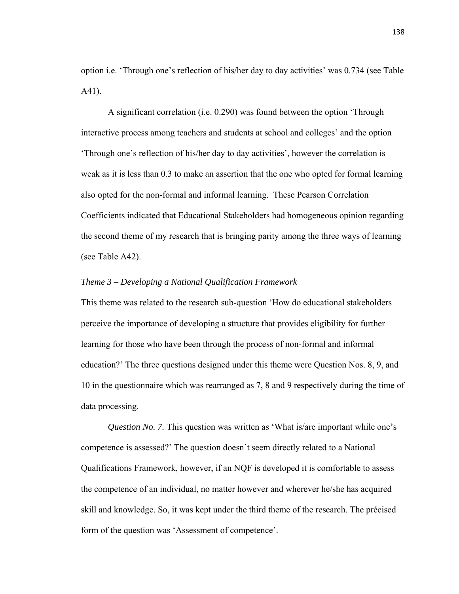option i.e. 'Through one's reflection of his/her day to day activities' was 0.734 (see Table A41).

 A significant correlation (i.e. 0.290) was found between the option 'Through interactive process among teachers and students at school and colleges' and the option 'Through one's reflection of his/her day to day activities', however the correlation is weak as it is less than 0.3 to make an assertion that the one who opted for formal learning also opted for the non-formal and informal learning. These Pearson Correlation Coefficients indicated that Educational Stakeholders had homogeneous opinion regarding the second theme of my research that is bringing parity among the three ways of learning (see Table A42).

# *Theme 3 – Developing a National Qualification Framework*

This theme was related to the research sub-question 'How do educational stakeholders perceive the importance of developing a structure that provides eligibility for further learning for those who have been through the process of non-formal and informal education?' The three questions designed under this theme were Question Nos. 8, 9, and 10 in the questionnaire which was rearranged as 7, 8 and 9 respectively during the time of data processing.

*Question No. 7.* This question was written as 'What is/are important while one's competence is assessed?' The question doesn't seem directly related to a National Qualifications Framework, however, if an NQF is developed it is comfortable to assess the competence of an individual, no matter however and wherever he/she has acquired skill and knowledge. So, it was kept under the third theme of the research. The précised form of the question was 'Assessment of competence'.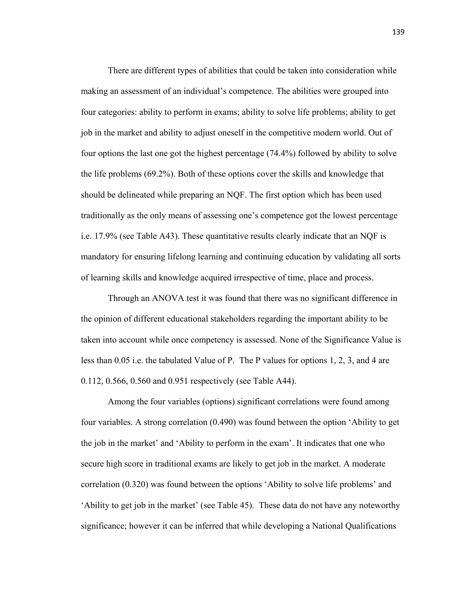There are different types of abilities that could be taken into consideration while making an assessment of an individual's competence. The abilities were grouped into four categories: ability to perform in exams; ability to solve life problems; ability to get job in the market and ability to adjust oneself in the competitive modern world. Out of four options the last one got the highest percentage (74.4%) followed by ability to solve the life problems (69.2%). Both of these options cover the skills and knowledge that should be delineated while preparing an NQF. The first option which has been used traditionally as the only means of assessing one's competence got the lowest percentage i.e. 17.9% (see Table A43). These quantitative results clearly indicate that an NQF is mandatory for ensuring lifelong learning and continuing education by validating all sorts of learning skills and knowledge acquired irrespective of time, place and process.

 Through an ANOVA test it was found that there was no significant difference in the opinion of different educational stakeholders regarding the important ability to be taken into account while once competency is assessed. None of the Significance Value is less than 0.05 i.e. the tabulated Value of P. The P values for options 1, 2, 3, and 4 are 0.112, 0.566, 0.560 and 0.951 respectively (see Table A44).

 Among the four variables (options) significant correlations were found among four variables. A strong correlation (0.490) was found between the option 'Ability to get the job in the market' and 'Ability to perform in the exam'. It indicates that one who secure high score in traditional exams are likely to get job in the market. A moderate correlation (0.320) was found between the options 'Ability to solve life problems' and 'Ability to get job in the market' (see Table 45). These data do not have any noteworthy significance; however it can be inferred that while developing a National Qualifications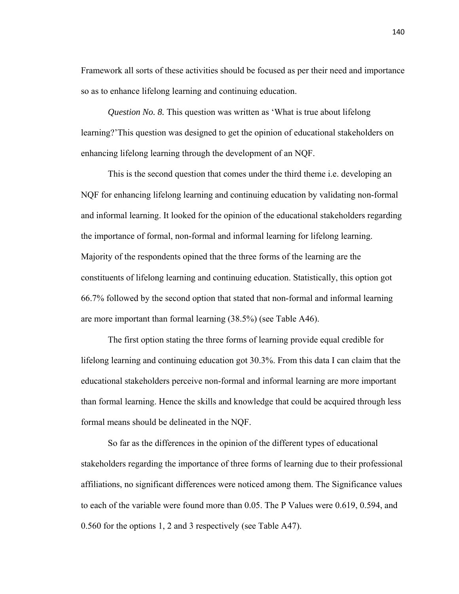Framework all sorts of these activities should be focused as per their need and importance so as to enhance lifelong learning and continuing education.

*Question No. 8.* This question was written as 'What is true about lifelong learning?'This question was designed to get the opinion of educational stakeholders on enhancing lifelong learning through the development of an NQF.

 This is the second question that comes under the third theme i.e. developing an NQF for enhancing lifelong learning and continuing education by validating non-formal and informal learning. It looked for the opinion of the educational stakeholders regarding the importance of formal, non-formal and informal learning for lifelong learning. Majority of the respondents opined that the three forms of the learning are the constituents of lifelong learning and continuing education. Statistically, this option got 66.7% followed by the second option that stated that non-formal and informal learning are more important than formal learning (38.5%) (see Table A46).

 The first option stating the three forms of learning provide equal credible for lifelong learning and continuing education got 30.3%. From this data I can claim that the educational stakeholders perceive non-formal and informal learning are more important than formal learning. Hence the skills and knowledge that could be acquired through less formal means should be delineated in the NQF.

 So far as the differences in the opinion of the different types of educational stakeholders regarding the importance of three forms of learning due to their professional affiliations, no significant differences were noticed among them. The Significance values to each of the variable were found more than 0.05. The P Values were 0.619, 0.594, and 0.560 for the options 1, 2 and 3 respectively (see Table A47).

140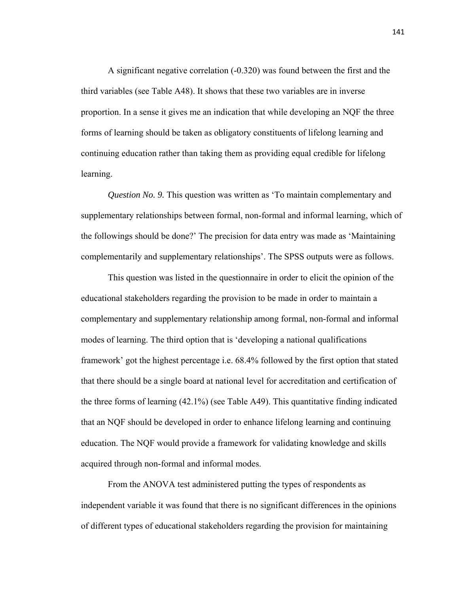A significant negative correlation (-0.320) was found between the first and the third variables (see Table A48). It shows that these two variables are in inverse proportion. In a sense it gives me an indication that while developing an NQF the three forms of learning should be taken as obligatory constituents of lifelong learning and continuing education rather than taking them as providing equal credible for lifelong learning.

*Question No. 9.* This question was written as 'To maintain complementary and supplementary relationships between formal, non-formal and informal learning, which of the followings should be done?' The precision for data entry was made as 'Maintaining complementarily and supplementary relationships'. The SPSS outputs were as follows.

 This question was listed in the questionnaire in order to elicit the opinion of the educational stakeholders regarding the provision to be made in order to maintain a complementary and supplementary relationship among formal, non-formal and informal modes of learning. The third option that is 'developing a national qualifications framework' got the highest percentage i.e. 68.4% followed by the first option that stated that there should be a single board at national level for accreditation and certification of the three forms of learning (42.1%) (see Table A49). This quantitative finding indicated that an NQF should be developed in order to enhance lifelong learning and continuing education. The NQF would provide a framework for validating knowledge and skills acquired through non-formal and informal modes.

 From the ANOVA test administered putting the types of respondents as independent variable it was found that there is no significant differences in the opinions of different types of educational stakeholders regarding the provision for maintaining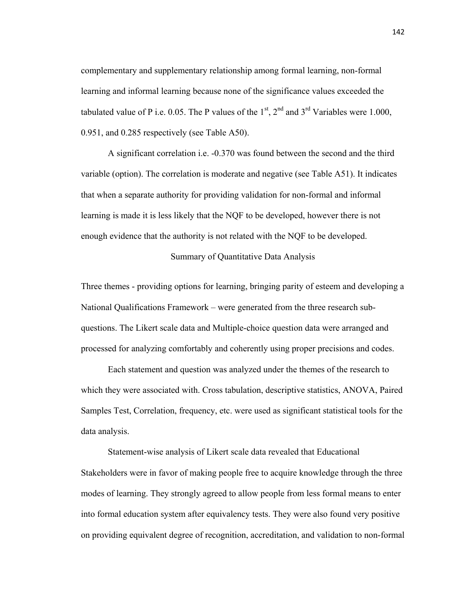complementary and supplementary relationship among formal learning, non-formal learning and informal learning because none of the significance values exceeded the tabulated value of P i.e. 0.05. The P values of the  $1<sup>st</sup>$ ,  $2<sup>nd</sup>$  and  $3<sup>rd</sup>$  Variables were 1.000, 0.951, and 0.285 respectively (see Table A50).

 A significant correlation i.e. -0.370 was found between the second and the third variable (option). The correlation is moderate and negative (see Table A51). It indicates that when a separate authority for providing validation for non-formal and informal learning is made it is less likely that the NQF to be developed, however there is not enough evidence that the authority is not related with the NQF to be developed.

# Summary of Quantitative Data Analysis

Three themes - providing options for learning, bringing parity of esteem and developing a National Qualifications Framework – were generated from the three research subquestions. The Likert scale data and Multiple-choice question data were arranged and processed for analyzing comfortably and coherently using proper precisions and codes.

 Each statement and question was analyzed under the themes of the research to which they were associated with. Cross tabulation, descriptive statistics, ANOVA, Paired Samples Test, Correlation, frequency, etc. were used as significant statistical tools for the data analysis.

 Statement-wise analysis of Likert scale data revealed that Educational Stakeholders were in favor of making people free to acquire knowledge through the three modes of learning. They strongly agreed to allow people from less formal means to enter into formal education system after equivalency tests. They were also found very positive on providing equivalent degree of recognition, accreditation, and validation to non-formal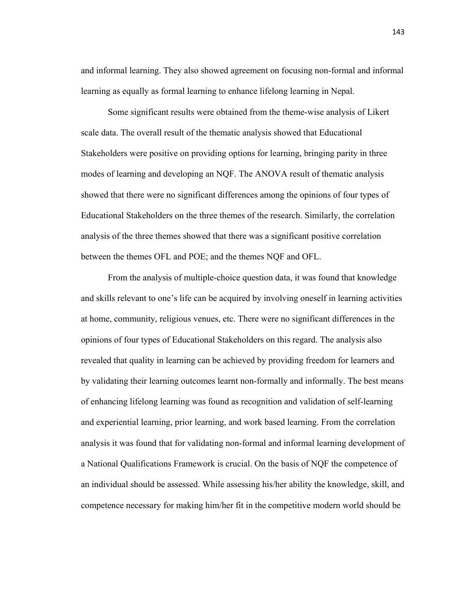and informal learning. They also showed agreement on focusing non-formal and informal learning as equally as formal learning to enhance lifelong learning in Nepal.

 Some significant results were obtained from the theme-wise analysis of Likert scale data. The overall result of the thematic analysis showed that Educational Stakeholders were positive on providing options for learning, bringing parity in three modes of learning and developing an NQF. The ANOVA result of thematic analysis showed that there were no significant differences among the opinions of four types of Educational Stakeholders on the three themes of the research. Similarly, the correlation analysis of the three themes showed that there was a significant positive correlation between the themes OFL and POE; and the themes NQF and OFL.

 From the analysis of multiple-choice question data, it was found that knowledge and skills relevant to one's life can be acquired by involving oneself in learning activities at home, community, religious venues, etc. There were no significant differences in the opinions of four types of Educational Stakeholders on this regard. The analysis also revealed that quality in learning can be achieved by providing freedom for learners and by validating their learning outcomes learnt non-formally and informally. The best means of enhancing lifelong learning was found as recognition and validation of self-learning and experiential learning, prior learning, and work based learning. From the correlation analysis it was found that for validating non-formal and informal learning development of a National Qualifications Framework is crucial. On the basis of NQF the competence of an individual should be assessed. While assessing his/her ability the knowledge, skill, and competence necessary for making him/her fit in the competitive modern world should be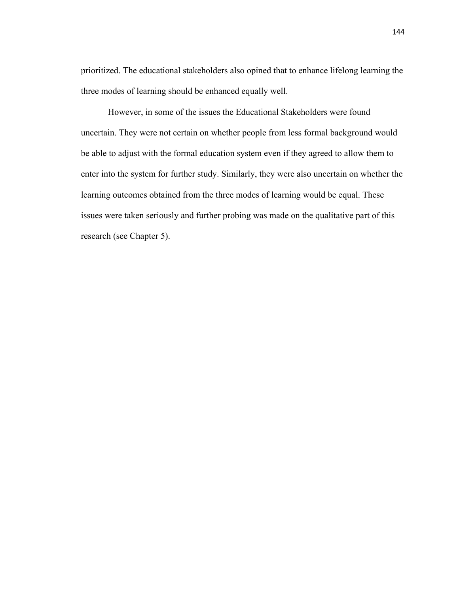prioritized. The educational stakeholders also opined that to enhance lifelong learning the three modes of learning should be enhanced equally well.

 However, in some of the issues the Educational Stakeholders were found uncertain. They were not certain on whether people from less formal background would be able to adjust with the formal education system even if they agreed to allow them to enter into the system for further study. Similarly, they were also uncertain on whether the learning outcomes obtained from the three modes of learning would be equal. These issues were taken seriously and further probing was made on the qualitative part of this research (see Chapter 5).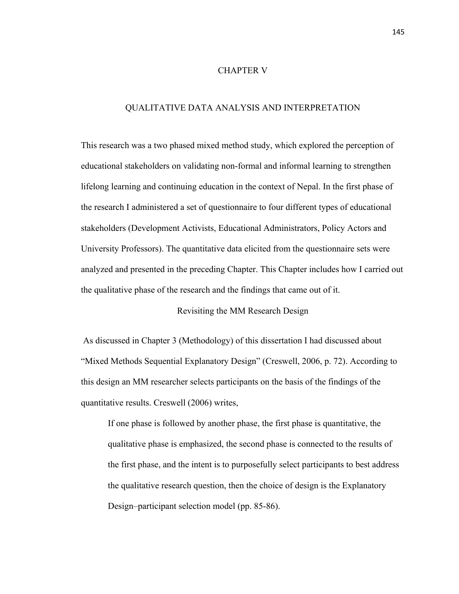# CHAPTER V

# QUALITATIVE DATA ANALYSIS AND INTERPRETATION

This research was a two phased mixed method study, which explored the perception of educational stakeholders on validating non-formal and informal learning to strengthen lifelong learning and continuing education in the context of Nepal. In the first phase of the research I administered a set of questionnaire to four different types of educational stakeholders (Development Activists, Educational Administrators, Policy Actors and University Professors). The quantitative data elicited from the questionnaire sets were analyzed and presented in the preceding Chapter. This Chapter includes how I carried out the qualitative phase of the research and the findings that came out of it.

Revisiting the MM Research Design

 As discussed in Chapter 3 (Methodology) of this dissertation I had discussed about "Mixed Methods Sequential Explanatory Design" (Creswell, 2006, p. 72). According to this design an MM researcher selects participants on the basis of the findings of the quantitative results. Creswell (2006) writes,

If one phase is followed by another phase, the first phase is quantitative, the qualitative phase is emphasized, the second phase is connected to the results of the first phase, and the intent is to purposefully select participants to best address the qualitative research question, then the choice of design is the Explanatory Design–participant selection model (pp. 85-86).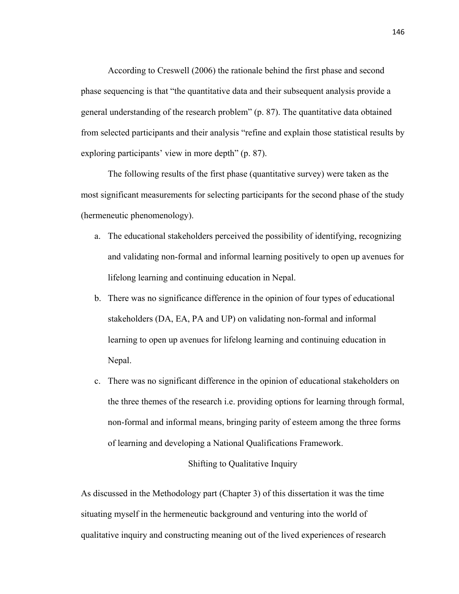According to Creswell (2006) the rationale behind the first phase and second phase sequencing is that "the quantitative data and their subsequent analysis provide a general understanding of the research problem" (p. 87). The quantitative data obtained from selected participants and their analysis "refine and explain those statistical results by exploring participants' view in more depth" (p. 87).

 The following results of the first phase (quantitative survey) were taken as the most significant measurements for selecting participants for the second phase of the study (hermeneutic phenomenology).

- a. The educational stakeholders perceived the possibility of identifying, recognizing and validating non-formal and informal learning positively to open up avenues for lifelong learning and continuing education in Nepal.
- b. There was no significance difference in the opinion of four types of educational stakeholders (DA, EA, PA and UP) on validating non-formal and informal learning to open up avenues for lifelong learning and continuing education in Nepal.
- c. There was no significant difference in the opinion of educational stakeholders on the three themes of the research i.e. providing options for learning through formal, non-formal and informal means, bringing parity of esteem among the three forms of learning and developing a National Qualifications Framework.

# Shifting to Qualitative Inquiry

As discussed in the Methodology part (Chapter 3) of this dissertation it was the time situating myself in the hermeneutic background and venturing into the world of qualitative inquiry and constructing meaning out of the lived experiences of research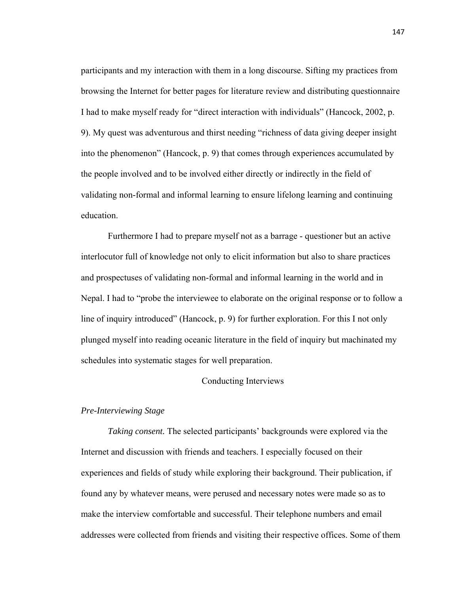participants and my interaction with them in a long discourse. Sifting my practices from browsing the Internet for better pages for literature review and distributing questionnaire I had to make myself ready for "direct interaction with individuals" (Hancock, 2002, p. 9). My quest was adventurous and thirst needing "richness of data giving deeper insight into the phenomenon" (Hancock, p. 9) that comes through experiences accumulated by the people involved and to be involved either directly or indirectly in the field of validating non-formal and informal learning to ensure lifelong learning and continuing education.

 Furthermore I had to prepare myself not as a barrage - questioner but an active interlocutor full of knowledge not only to elicit information but also to share practices and prospectuses of validating non-formal and informal learning in the world and in Nepal. I had to "probe the interviewee to elaborate on the original response or to follow a line of inquiry introduced" (Hancock, p. 9) for further exploration. For this I not only plunged myself into reading oceanic literature in the field of inquiry but machinated my schedules into systematic stages for well preparation.

## Conducting Interviews

## *Pre-Interviewing Stage*

*Taking consent.* The selected participants' backgrounds were explored via the Internet and discussion with friends and teachers. I especially focused on their experiences and fields of study while exploring their background. Their publication, if found any by whatever means, were perused and necessary notes were made so as to make the interview comfortable and successful. Their telephone numbers and email addresses were collected from friends and visiting their respective offices. Some of them

147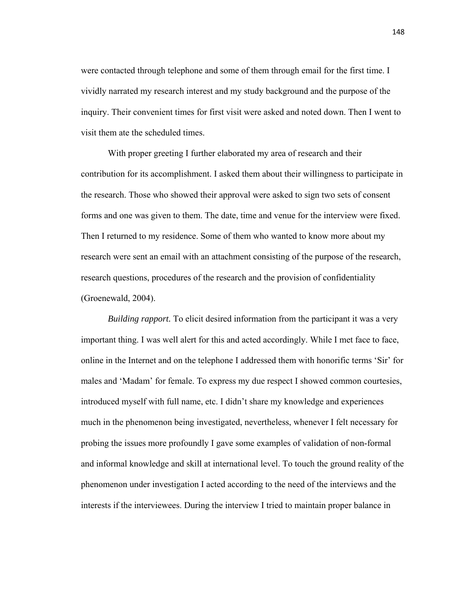were contacted through telephone and some of them through email for the first time. I vividly narrated my research interest and my study background and the purpose of the inquiry. Their convenient times for first visit were asked and noted down. Then I went to visit them ate the scheduled times.

 With proper greeting I further elaborated my area of research and their contribution for its accomplishment. I asked them about their willingness to participate in the research. Those who showed their approval were asked to sign two sets of consent forms and one was given to them. The date, time and venue for the interview were fixed. Then I returned to my residence. Some of them who wanted to know more about my research were sent an email with an attachment consisting of the purpose of the research, research questions, procedures of the research and the provision of confidentiality (Groenewald, 2004).

*Building rapport.* To elicit desired information from the participant it was a very important thing. I was well alert for this and acted accordingly. While I met face to face, online in the Internet and on the telephone I addressed them with honorific terms 'Sir' for males and 'Madam' for female. To express my due respect I showed common courtesies, introduced myself with full name, etc. I didn't share my knowledge and experiences much in the phenomenon being investigated, nevertheless, whenever I felt necessary for probing the issues more profoundly I gave some examples of validation of non-formal and informal knowledge and skill at international level. To touch the ground reality of the phenomenon under investigation I acted according to the need of the interviews and the interests if the interviewees. During the interview I tried to maintain proper balance in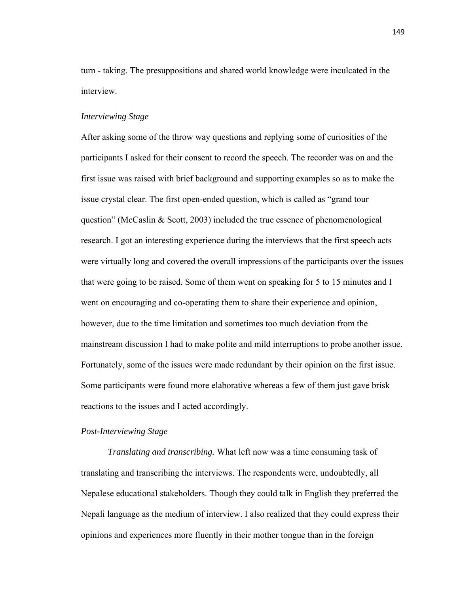turn - taking. The presuppositions and shared world knowledge were inculcated in the interview.

#### *Interviewing Stage*

After asking some of the throw way questions and replying some of curiosities of the participants I asked for their consent to record the speech. The recorder was on and the first issue was raised with brief background and supporting examples so as to make the issue crystal clear. The first open-ended question, which is called as "grand tour question" (McCaslin & Scott, 2003) included the true essence of phenomenological research. I got an interesting experience during the interviews that the first speech acts were virtually long and covered the overall impressions of the participants over the issues that were going to be raised. Some of them went on speaking for 5 to 15 minutes and I went on encouraging and co-operating them to share their experience and opinion, however, due to the time limitation and sometimes too much deviation from the mainstream discussion I had to make polite and mild interruptions to probe another issue. Fortunately, some of the issues were made redundant by their opinion on the first issue. Some participants were found more elaborative whereas a few of them just gave brisk reactions to the issues and I acted accordingly.

#### *Post-Interviewing Stage*

*Translating and transcribing.* What left now was a time consuming task of translating and transcribing the interviews. The respondents were, undoubtedly, all Nepalese educational stakeholders. Though they could talk in English they preferred the Nepali language as the medium of interview. I also realized that they could express their opinions and experiences more fluently in their mother tongue than in the foreign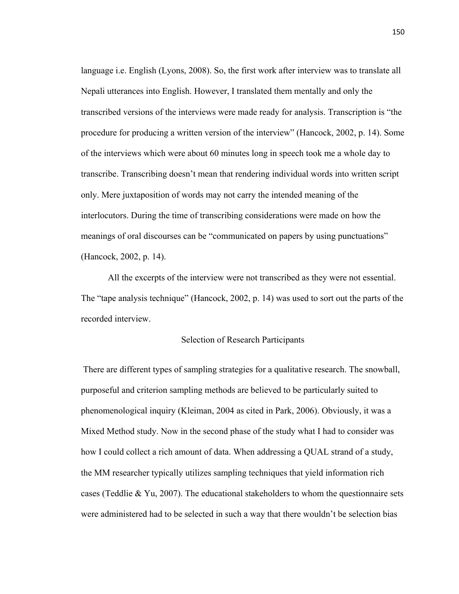language i.e. English (Lyons, 2008). So, the first work after interview was to translate all Nepali utterances into English. However, I translated them mentally and only the transcribed versions of the interviews were made ready for analysis. Transcription is "the procedure for producing a written version of the interview" (Hancock, 2002, p. 14). Some of the interviews which were about 60 minutes long in speech took me a whole day to transcribe. Transcribing doesn't mean that rendering individual words into written script only. Mere juxtaposition of words may not carry the intended meaning of the interlocutors. During the time of transcribing considerations were made on how the meanings of oral discourses can be "communicated on papers by using punctuations" (Hancock, 2002, p. 14).

All the excerpts of the interview were not transcribed as they were not essential. The "tape analysis technique" (Hancock, 2002, p. 14) was used to sort out the parts of the recorded interview.

# Selection of Research Participants

 There are different types of sampling strategies for a qualitative research. The snowball, purposeful and criterion sampling methods are believed to be particularly suited to phenomenological inquiry (Kleiman, 2004 as cited in Park, 2006). Obviously, it was a Mixed Method study. Now in the second phase of the study what I had to consider was how I could collect a rich amount of data. When addressing a QUAL strand of a study, the MM researcher typically utilizes sampling techniques that yield information rich cases (Teddlie & Yu, 2007). The educational stakeholders to whom the questionnaire sets were administered had to be selected in such a way that there wouldn't be selection bias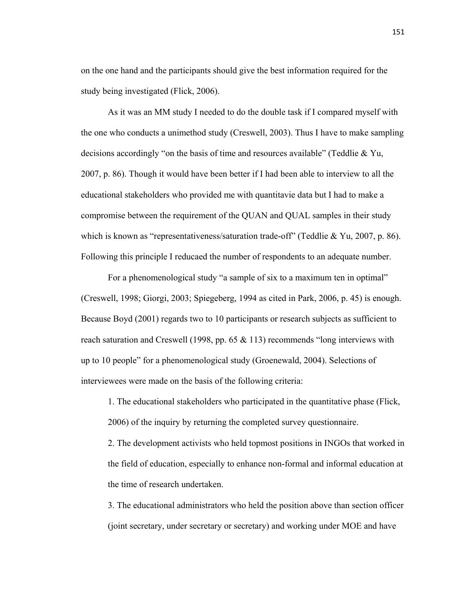on the one hand and the participants should give the best information required for the study being investigated (Flick, 2006).

 As it was an MM study I needed to do the double task if I compared myself with the one who conducts a unimethod study (Creswell, 2003). Thus I have to make sampling decisions accordingly "on the basis of time and resources available" (Teddlie & Yu, 2007, p. 86). Though it would have been better if I had been able to interview to all the educational stakeholders who provided me with quantitavie data but I had to make a compromise between the requirement of the QUAN and QUAL samples in their study which is known as "representativeness/saturation trade-off" (Teddlie & Yu, 2007, p. 86). Following this principle I reducaed the number of respondents to an adequate number.

 For a phenomenological study "a sample of six to a maximum ten in optimal" (Creswell, 1998; Giorgi, 2003; Spiegeberg, 1994 as cited in Park, 2006, p. 45) is enough. Because Boyd (2001) regards two to 10 participants or research subjects as sufficient to reach saturation and Creswell (1998, pp. 65 & 113) recommends "long interviews with up to 10 people" for a phenomenological study (Groenewald, 2004). Selections of interviewees were made on the basis of the following criteria:

1. The educational stakeholders who participated in the quantitative phase (Flick, 2006) of the inquiry by returning the completed survey questionnaire.

2. The development activists who held topmost positions in INGOs that worked in the field of education, especially to enhance non-formal and informal education at the time of research undertaken.

3. The educational administrators who held the position above than section officer (joint secretary, under secretary or secretary) and working under MOE and have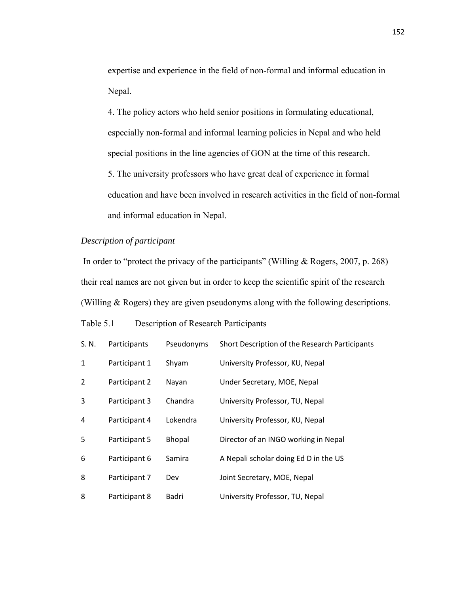expertise and experience in the field of non-formal and informal education in Nepal.

4. The policy actors who held senior positions in formulating educational, especially non-formal and informal learning policies in Nepal and who held special positions in the line agencies of GON at the time of this research. 5. The university professors who have great deal of experience in formal

education and have been involved in research activities in the field of non-formal and informal education in Nepal.

# *Description of participant*

In order to "protect the privacy of the participants" (Willing & Rogers, 2007, p. 268) their real names are not given but in order to keep the scientific spirit of the research (Willing & Rogers) they are given pseudonyms along with the following descriptions.

# Table 5.1 Description of Research Participants

| S. N. | Participants  | Pseudonyms    | Short Description of the Research Participants |
|-------|---------------|---------------|------------------------------------------------|
| 1     | Participant 1 | Shyam         | University Professor, KU, Nepal                |
| 2     | Participant 2 | Nayan         | Under Secretary, MOE, Nepal                    |
| 3     | Participant 3 | Chandra       | University Professor, TU, Nepal                |
| 4     | Participant 4 | Lokendra      | University Professor, KU, Nepal                |
| 5     | Participant 5 | <b>Bhopal</b> | Director of an INGO working in Nepal           |
| 6     | Participant 6 | Samira        | A Nepali scholar doing Ed D in the US          |
| 8     | Participant 7 | Dev           | Joint Secretary, MOE, Nepal                    |
| 8     | Participant 8 | Badri         | University Professor, TU, Nepal                |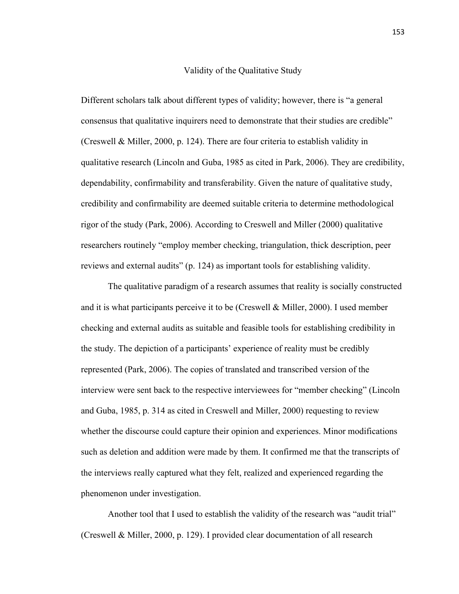## Validity of the Qualitative Study

Different scholars talk about different types of validity; however, there is "a general consensus that qualitative inquirers need to demonstrate that their studies are credible" (Creswell & Miller, 2000, p. 124). There are four criteria to establish validity in qualitative research (Lincoln and Guba, 1985 as cited in Park, 2006). They are credibility, dependability, confirmability and transferability. Given the nature of qualitative study, credibility and confirmability are deemed suitable criteria to determine methodological rigor of the study (Park, 2006). According to Creswell and Miller (2000) qualitative researchers routinely "employ member checking, triangulation, thick description, peer reviews and external audits" (p. 124) as important tools for establishing validity.

 The qualitative paradigm of a research assumes that reality is socially constructed and it is what participants perceive it to be (Creswell  $\&$  Miller, 2000). I used member checking and external audits as suitable and feasible tools for establishing credibility in the study. The depiction of a participants' experience of reality must be credibly represented (Park, 2006). The copies of translated and transcribed version of the interview were sent back to the respective interviewees for "member checking" (Lincoln and Guba, 1985, p. 314 as cited in Creswell and Miller, 2000) requesting to review whether the discourse could capture their opinion and experiences. Minor modifications such as deletion and addition were made by them. It confirmed me that the transcripts of the interviews really captured what they felt, realized and experienced regarding the phenomenon under investigation.

 Another tool that I used to establish the validity of the research was "audit trial" (Creswell & Miller, 2000, p. 129). I provided clear documentation of all research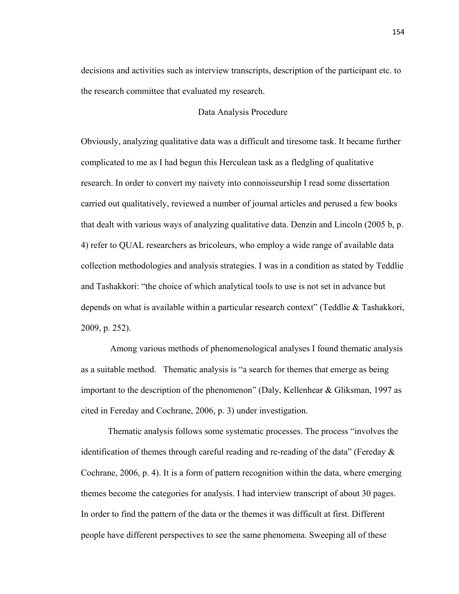decisions and activities such as interview transcripts, description of the participant etc. to the research committee that evaluated my research.

# Data Analysis Procedure

Obviously, analyzing qualitative data was a difficult and tiresome task. It became further complicated to me as I had begun this Herculean task as a fledgling of qualitative research. In order to convert my naivety into connoisseurship I read some dissertation carried out qualitatively, reviewed a number of journal articles and perused a few books that dealt with various ways of analyzing qualitative data. Denzin and Lincoln (2005 b, p. 4) refer to QUAL researchers as bricoleurs, who employ a wide range of available data collection methodologies and analysis strategies. I was in a condition as stated by Teddlie and Tashakkori: "the choice of which analytical tools to use is not set in advance but depends on what is available within a particular research context" (Teddlie & Tashakkori, 2009, p. 252).

 Among various methods of phenomenological analyses I found thematic analysis as a suitable method. Thematic analysis is "a search for themes that emerge as being important to the description of the phenomenon" (Daly, Kellenhear & Gliksman, 1997 as cited in Fereday and Cochrane, 2006, p. 3) under investigation.

 Thematic analysis follows some systematic processes. The process "involves the identification of themes through careful reading and re-reading of the data" (Fereday  $\&$ Cochrane, 2006, p. 4). It is a form of pattern recognition within the data, where emerging themes become the categories for analysis. I had interview transcript of about 30 pages. In order to find the pattern of the data or the themes it was difficult at first. Different people have different perspectives to see the same phenomena. Sweeping all of these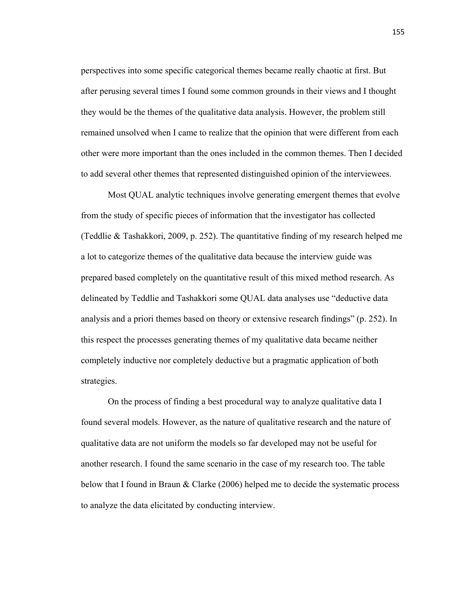perspectives into some specific categorical themes became really chaotic at first. But after perusing several times I found some common grounds in their views and I thought they would be the themes of the qualitative data analysis. However, the problem still remained unsolved when I came to realize that the opinion that were different from each other were more important than the ones included in the common themes. Then I decided to add several other themes that represented distinguished opinion of the interviewees.

 Most QUAL analytic techniques involve generating emergent themes that evolve from the study of specific pieces of information that the investigator has collected (Teddlie & Tashakkori, 2009, p. 252). The quantitative finding of my research helped me a lot to categorize themes of the qualitative data because the interview guide was prepared based completely on the quantitative result of this mixed method research. As delineated by Teddlie and Tashakkori some QUAL data analyses use "deductive data analysis and a priori themes based on theory or extensive research findings" (p. 252). In this respect the processes generating themes of my qualitative data became neither completely inductive nor completely deductive but a pragmatic application of both strategies.

 On the process of finding a best procedural way to analyze qualitative data I found several models. However, as the nature of qualitative research and the nature of qualitative data are not uniform the models so far developed may not be useful for another research. I found the same scenario in the case of my research too. The table below that I found in Braun & Clarke (2006) helped me to decide the systematic process to analyze the data elicitated by conducting interview.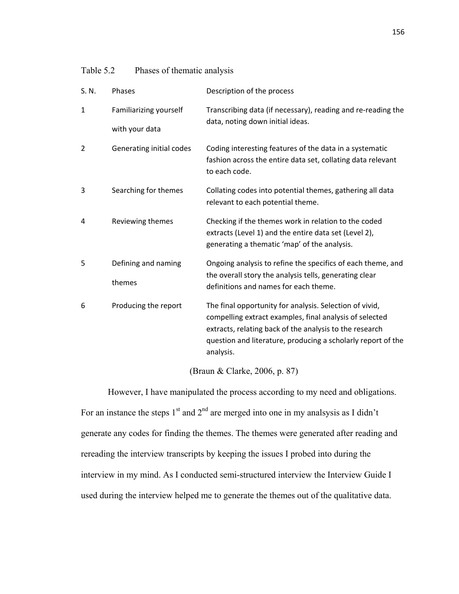| Table 5.2 | Phases of thematic analysis |  |
|-----------|-----------------------------|--|

| S. N.        | Phases                   | Description of the process                                                                                                                                                                                                                                 |  |  |  |
|--------------|--------------------------|------------------------------------------------------------------------------------------------------------------------------------------------------------------------------------------------------------------------------------------------------------|--|--|--|
| $\mathbf{1}$ | Familiarizing yourself   | Transcribing data (if necessary), reading and re-reading the                                                                                                                                                                                               |  |  |  |
|              | with your data           | data, noting down initial ideas.                                                                                                                                                                                                                           |  |  |  |
| 2            | Generating initial codes | Coding interesting features of the data in a systematic<br>fashion across the entire data set, collating data relevant<br>to each code.                                                                                                                    |  |  |  |
| 3            | Searching for themes     | Collating codes into potential themes, gathering all data<br>relevant to each potential theme.                                                                                                                                                             |  |  |  |
| 4            | Reviewing themes         | Checking if the themes work in relation to the coded<br>extracts (Level 1) and the entire data set (Level 2),<br>generating a thematic 'map' of the analysis.                                                                                              |  |  |  |
| 5            | Defining and naming      | Ongoing analysis to refine the specifics of each theme, and<br>the overall story the analysis tells, generating clear                                                                                                                                      |  |  |  |
|              | themes                   | definitions and names for each theme.                                                                                                                                                                                                                      |  |  |  |
| 6            | Producing the report     | The final opportunity for analysis. Selection of vivid,<br>compelling extract examples, final analysis of selected<br>extracts, relating back of the analysis to the research<br>question and literature, producing a scholarly report of the<br>analysis. |  |  |  |

(Braun & Clarke, 2006, p. 87)

 However, I have manipulated the process according to my need and obligations. For an instance the steps  $1<sup>st</sup>$  and  $2<sup>nd</sup>$  are merged into one in my analsysis as I didn't generate any codes for finding the themes. The themes were generated after reading and rereading the interview transcripts by keeping the issues I probed into during the interview in my mind. As I conducted semi-structured interview the Interview Guide I used during the interview helped me to generate the themes out of the qualitative data.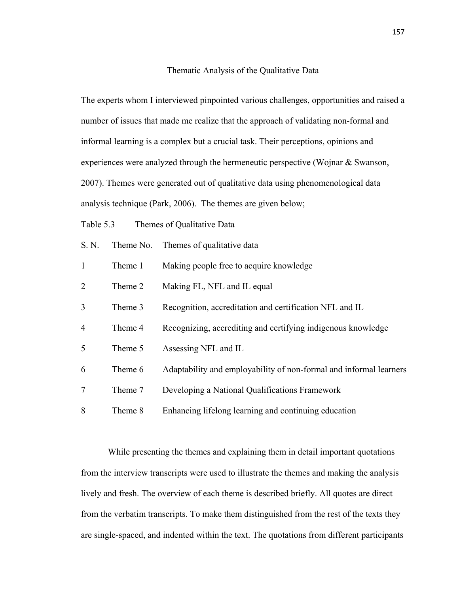## Thematic Analysis of the Qualitative Data

The experts whom I interviewed pinpointed various challenges, opportunities and raised a number of issues that made me realize that the approach of validating non-formal and informal learning is a complex but a crucial task. Their perceptions, opinions and experiences were analyzed through the hermeneutic perspective (Wojnar & Swanson, 2007). Themes were generated out of qualitative data using phenomenological data analysis technique (Park, 2006). The themes are given below;

Table 5.3 Themes of Qualitative Data

| S. N.        | Theme No. | Themes of qualitative data                                         |
|--------------|-----------|--------------------------------------------------------------------|
| $\mathbf{1}$ | Theme 1   | Making people free to acquire knowledge                            |
| 2            | Theme 2   | Making FL, NFL and IL equal                                        |
| 3            | Theme 3   | Recognition, accreditation and certification NFL and IL            |
| 4            | Theme 4   | Recognizing, accrediting and certifying indigenous knowledge       |
| 5            | Theme 5   | Assessing NFL and IL                                               |
| 6            | Theme 6   | Adaptability and employability of non-formal and informal learners |
| 7            | Theme 7   | Developing a National Qualifications Framework                     |
| 8            | Theme 8   | Enhancing lifelong learning and continuing education               |

 While presenting the themes and explaining them in detail important quotations from the interview transcripts were used to illustrate the themes and making the analysis lively and fresh. The overview of each theme is described briefly. All quotes are direct from the verbatim transcripts. To make them distinguished from the rest of the texts they are single-spaced, and indented within the text. The quotations from different participants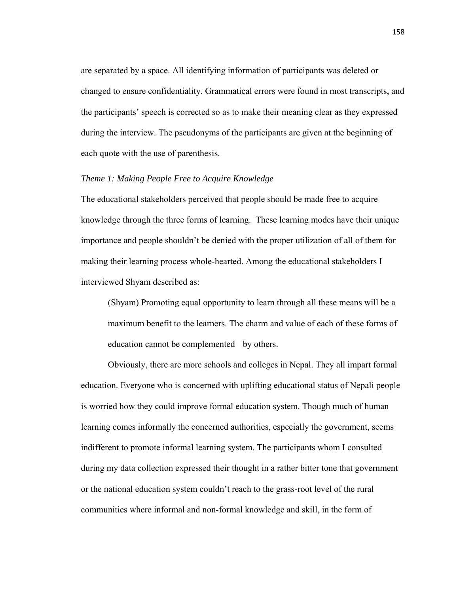are separated by a space. All identifying information of participants was deleted or changed to ensure confidentiality. Grammatical errors were found in most transcripts, and the participants' speech is corrected so as to make their meaning clear as they expressed during the interview. The pseudonyms of the participants are given at the beginning of each quote with the use of parenthesis.

### *Theme 1: Making People Free to Acquire Knowledge*

The educational stakeholders perceived that people should be made free to acquire knowledge through the three forms of learning. These learning modes have their unique importance and people shouldn't be denied with the proper utilization of all of them for making their learning process whole-hearted. Among the educational stakeholders I interviewed Shyam described as:

(Shyam) Promoting equal opportunity to learn through all these means will be a maximum benefit to the learners. The charm and value of each of these forms of education cannot be complemented by others.

 Obviously, there are more schools and colleges in Nepal. They all impart formal education. Everyone who is concerned with uplifting educational status of Nepali people is worried how they could improve formal education system. Though much of human learning comes informally the concerned authorities, especially the government, seems indifferent to promote informal learning system. The participants whom I consulted during my data collection expressed their thought in a rather bitter tone that government or the national education system couldn't reach to the grass-root level of the rural communities where informal and non-formal knowledge and skill, in the form of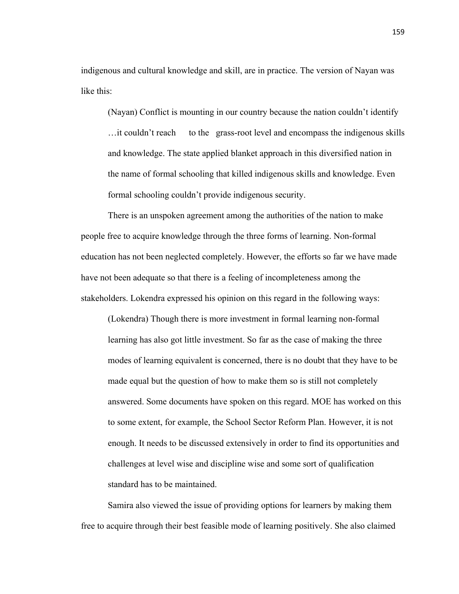indigenous and cultural knowledge and skill, are in practice. The version of Nayan was like this:

(Nayan) Conflict is mounting in our country because the nation couldn't identify …it couldn't reach to the grass-root level and encompass the indigenous skills and knowledge. The state applied blanket approach in this diversified nation in the name of formal schooling that killed indigenous skills and knowledge. Even formal schooling couldn't provide indigenous security.

 There is an unspoken agreement among the authorities of the nation to make people free to acquire knowledge through the three forms of learning. Non-formal education has not been neglected completely. However, the efforts so far we have made have not been adequate so that there is a feeling of incompleteness among the stakeholders. Lokendra expressed his opinion on this regard in the following ways:

(Lokendra) Though there is more investment in formal learning non-formal learning has also got little investment. So far as the case of making the three modes of learning equivalent is concerned, there is no doubt that they have to be made equal but the question of how to make them so is still not completely answered. Some documents have spoken on this regard. MOE has worked on this to some extent, for example, the School Sector Reform Plan. However, it is not enough. It needs to be discussed extensively in order to find its opportunities and challenges at level wise and discipline wise and some sort of qualification standard has to be maintained.

 Samira also viewed the issue of providing options for learners by making them free to acquire through their best feasible mode of learning positively. She also claimed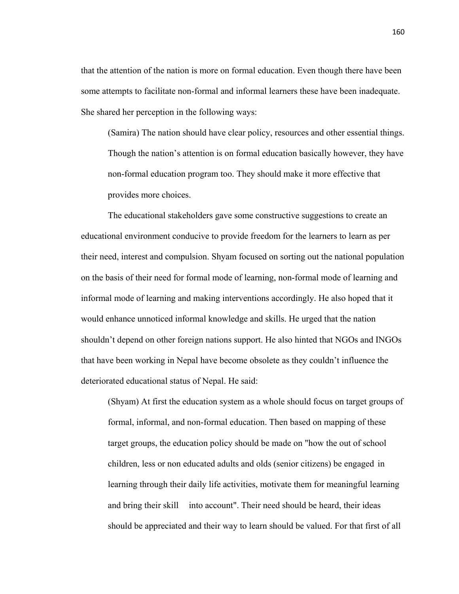that the attention of the nation is more on formal education. Even though there have been some attempts to facilitate non-formal and informal learners these have been inadequate. She shared her perception in the following ways:

(Samira) The nation should have clear policy, resources and other essential things. Though the nation's attention is on formal education basically however, they have non-formal education program too. They should make it more effective that provides more choices.

 The educational stakeholders gave some constructive suggestions to create an educational environment conducive to provide freedom for the learners to learn as per their need, interest and compulsion. Shyam focused on sorting out the national population on the basis of their need for formal mode of learning, non-formal mode of learning and informal mode of learning and making interventions accordingly. He also hoped that it would enhance unnoticed informal knowledge and skills. He urged that the nation shouldn't depend on other foreign nations support. He also hinted that NGOs and INGOs that have been working in Nepal have become obsolete as they couldn't influence the deteriorated educational status of Nepal. He said:

(Shyam) At first the education system as a whole should focus on target groups of formal, informal, and non-formal education. Then based on mapping of these target groups, the education policy should be made on "how the out of school children, less or non educated adults and olds (senior citizens) be engaged in learning through their daily life activities, motivate them for meaningful learning and bring their skill into account". Their need should be heard, their ideas should be appreciated and their way to learn should be valued. For that first of all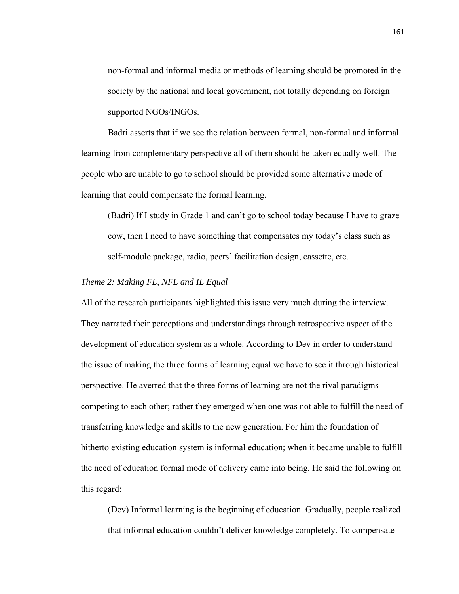non-formal and informal media or methods of learning should be promoted in the society by the national and local government, not totally depending on foreign supported NGOs/INGOs.

 Badri asserts that if we see the relation between formal, non-formal and informal learning from complementary perspective all of them should be taken equally well. The people who are unable to go to school should be provided some alternative mode of learning that could compensate the formal learning.

(Badri) If I study in Grade 1 and can't go to school today because I have to graze cow, then I need to have something that compensates my today's class such as self-module package, radio, peers' facilitation design, cassette, etc.

# *Theme 2: Making FL, NFL and IL Equal*

All of the research participants highlighted this issue very much during the interview. They narrated their perceptions and understandings through retrospective aspect of the development of education system as a whole. According to Dev in order to understand the issue of making the three forms of learning equal we have to see it through historical perspective. He averred that the three forms of learning are not the rival paradigms competing to each other; rather they emerged when one was not able to fulfill the need of transferring knowledge and skills to the new generation. For him the foundation of hitherto existing education system is informal education; when it became unable to fulfill the need of education formal mode of delivery came into being. He said the following on this regard:

(Dev) Informal learning is the beginning of education. Gradually, people realized that informal education couldn't deliver knowledge completely. To compensate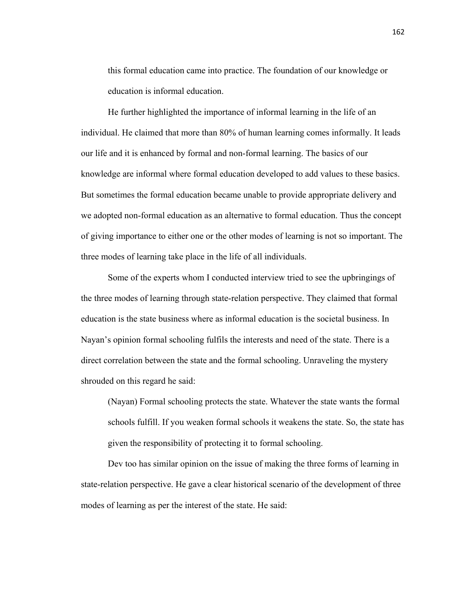this formal education came into practice. The foundation of our knowledge or education is informal education.

 He further highlighted the importance of informal learning in the life of an individual. He claimed that more than 80% of human learning comes informally. It leads our life and it is enhanced by formal and non-formal learning. The basics of our knowledge are informal where formal education developed to add values to these basics. But sometimes the formal education became unable to provide appropriate delivery and we adopted non-formal education as an alternative to formal education. Thus the concept of giving importance to either one or the other modes of learning is not so important. The three modes of learning take place in the life of all individuals.

 Some of the experts whom I conducted interview tried to see the upbringings of the three modes of learning through state-relation perspective. They claimed that formal education is the state business where as informal education is the societal business. In Nayan's opinion formal schooling fulfils the interests and need of the state. There is a direct correlation between the state and the formal schooling. Unraveling the mystery shrouded on this regard he said:

(Nayan) Formal schooling protects the state. Whatever the state wants the formal schools fulfill. If you weaken formal schools it weakens the state. So, the state has given the responsibility of protecting it to formal schooling.

 Dev too has similar opinion on the issue of making the three forms of learning in state-relation perspective. He gave a clear historical scenario of the development of three modes of learning as per the interest of the state. He said: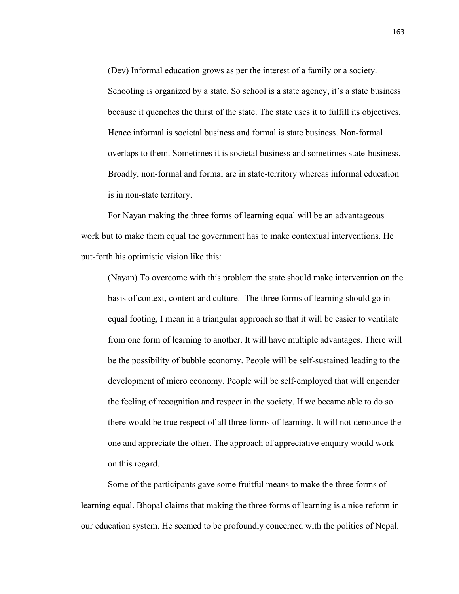(Dev) Informal education grows as per the interest of a family or a society. Schooling is organized by a state. So school is a state agency, it's a state business because it quenches the thirst of the state. The state uses it to fulfill its objectives. Hence informal is societal business and formal is state business. Non-formal overlaps to them. Sometimes it is societal business and sometimes state-business. Broadly, non-formal and formal are in state-territory whereas informal education is in non-state territory.

 For Nayan making the three forms of learning equal will be an advantageous work but to make them equal the government has to make contextual interventions. He put-forth his optimistic vision like this:

(Nayan) To overcome with this problem the state should make intervention on the basis of context, content and culture. The three forms of learning should go in equal footing, I mean in a triangular approach so that it will be easier to ventilate from one form of learning to another. It will have multiple advantages. There will be the possibility of bubble economy. People will be self-sustained leading to the development of micro economy. People will be self-employed that will engender the feeling of recognition and respect in the society. If we became able to do so there would be true respect of all three forms of learning. It will not denounce the one and appreciate the other. The approach of appreciative enquiry would work on this regard.

 Some of the participants gave some fruitful means to make the three forms of learning equal. Bhopal claims that making the three forms of learning is a nice reform in our education system. He seemed to be profoundly concerned with the politics of Nepal.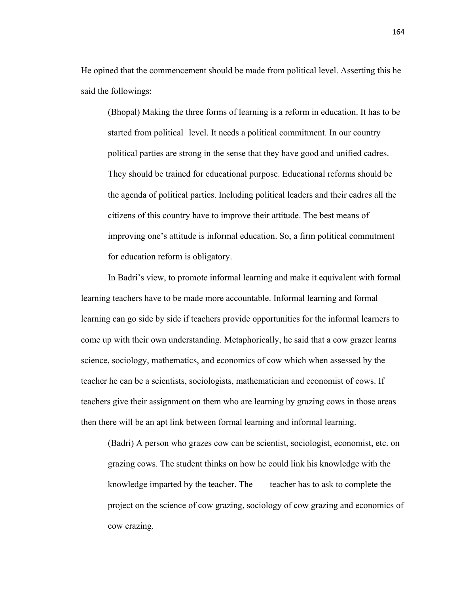He opined that the commencement should be made from political level. Asserting this he said the followings:

(Bhopal) Making the three forms of learning is a reform in education. It has to be started from political level. It needs a political commitment. In our country political parties are strong in the sense that they have good and unified cadres. They should be trained for educational purpose. Educational reforms should be the agenda of political parties. Including political leaders and their cadres all the citizens of this country have to improve their attitude. The best means of improving one's attitude is informal education. So, a firm political commitment for education reform is obligatory.

 In Badri's view, to promote informal learning and make it equivalent with formal learning teachers have to be made more accountable. Informal learning and formal learning can go side by side if teachers provide opportunities for the informal learners to come up with their own understanding. Metaphorically, he said that a cow grazer learns science, sociology, mathematics, and economics of cow which when assessed by the teacher he can be a scientists, sociologists, mathematician and economist of cows. If teachers give their assignment on them who are learning by grazing cows in those areas then there will be an apt link between formal learning and informal learning.

(Badri) A person who grazes cow can be scientist, sociologist, economist, etc. on grazing cows. The student thinks on how he could link his knowledge with the knowledge imparted by the teacher. The teacher has to ask to complete the project on the science of cow grazing, sociology of cow grazing and economics of cow crazing.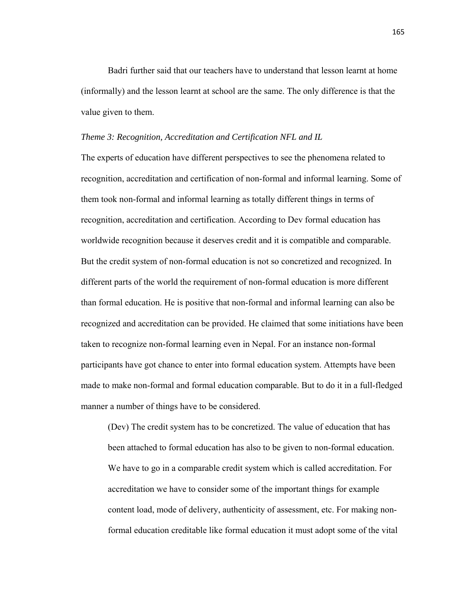Badri further said that our teachers have to understand that lesson learnt at home (informally) and the lesson learnt at school are the same. The only difference is that the value given to them.

#### *Theme 3: Recognition, Accreditation and Certification NFL and IL*

The experts of education have different perspectives to see the phenomena related to recognition, accreditation and certification of non-formal and informal learning. Some of them took non-formal and informal learning as totally different things in terms of recognition, accreditation and certification. According to Dev formal education has worldwide recognition because it deserves credit and it is compatible and comparable. But the credit system of non-formal education is not so concretized and recognized. In different parts of the world the requirement of non-formal education is more different than formal education. He is positive that non-formal and informal learning can also be recognized and accreditation can be provided. He claimed that some initiations have been taken to recognize non-formal learning even in Nepal. For an instance non-formal participants have got chance to enter into formal education system. Attempts have been made to make non-formal and formal education comparable. But to do it in a full-fledged manner a number of things have to be considered.

(Dev) The credit system has to be concretized. The value of education that has been attached to formal education has also to be given to non-formal education. We have to go in a comparable credit system which is called accreditation. For accreditation we have to consider some of the important things for example content load, mode of delivery, authenticity of assessment, etc. For making nonformal education creditable like formal education it must adopt some of the vital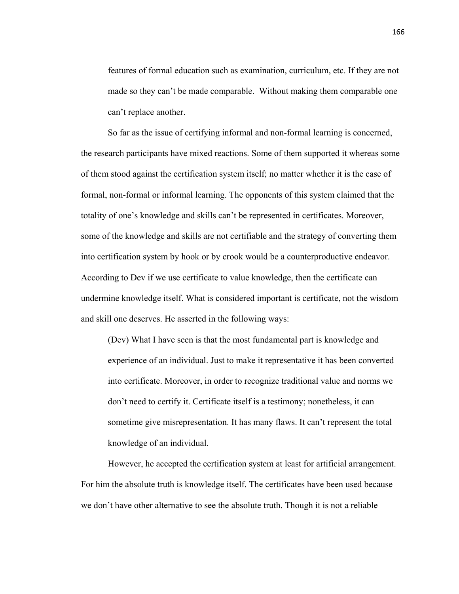features of formal education such as examination, curriculum, etc. If they are not made so they can't be made comparable. Without making them comparable one can't replace another.

 So far as the issue of certifying informal and non-formal learning is concerned, the research participants have mixed reactions. Some of them supported it whereas some of them stood against the certification system itself; no matter whether it is the case of formal, non-formal or informal learning. The opponents of this system claimed that the totality of one's knowledge and skills can't be represented in certificates. Moreover, some of the knowledge and skills are not certifiable and the strategy of converting them into certification system by hook or by crook would be a counterproductive endeavor. According to Dev if we use certificate to value knowledge, then the certificate can undermine knowledge itself. What is considered important is certificate, not the wisdom and skill one deserves. He asserted in the following ways:

(Dev) What I have seen is that the most fundamental part is knowledge and experience of an individual. Just to make it representative it has been converted into certificate. Moreover, in order to recognize traditional value and norms we don't need to certify it. Certificate itself is a testimony; nonetheless, it can sometime give misrepresentation. It has many flaws. It can't represent the total knowledge of an individual.

 However, he accepted the certification system at least for artificial arrangement. For him the absolute truth is knowledge itself. The certificates have been used because we don't have other alternative to see the absolute truth. Though it is not a reliable

166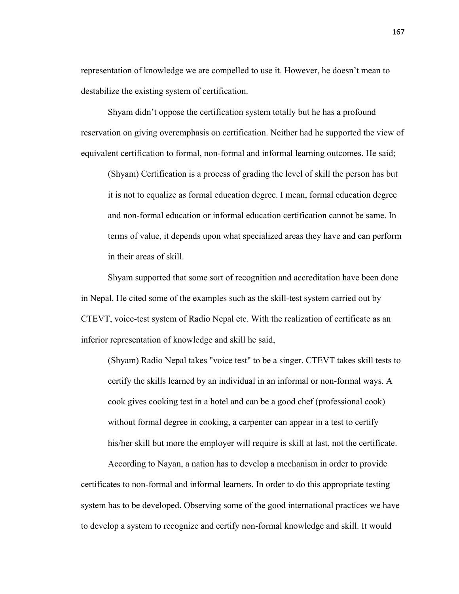representation of knowledge we are compelled to use it. However, he doesn't mean to destabilize the existing system of certification.

 Shyam didn't oppose the certification system totally but he has a profound reservation on giving overemphasis on certification. Neither had he supported the view of equivalent certification to formal, non-formal and informal learning outcomes. He said;

(Shyam) Certification is a process of grading the level of skill the person has but it is not to equalize as formal education degree. I mean, formal education degree and non-formal education or informal education certification cannot be same. In terms of value, it depends upon what specialized areas they have and can perform in their areas of skill.

 Shyam supported that some sort of recognition and accreditation have been done in Nepal. He cited some of the examples such as the skill-test system carried out by CTEVT, voice-test system of Radio Nepal etc. With the realization of certificate as an inferior representation of knowledge and skill he said,

(Shyam) Radio Nepal takes "voice test" to be a singer. CTEVT takes skill tests to certify the skills learned by an individual in an informal or non-formal ways. A cook gives cooking test in a hotel and can be a good chef (professional cook) without formal degree in cooking, a carpenter can appear in a test to certify his/her skill but more the employer will require is skill at last, not the certificate.

 According to Nayan, a nation has to develop a mechanism in order to provide certificates to non-formal and informal learners. In order to do this appropriate testing system has to be developed. Observing some of the good international practices we have to develop a system to recognize and certify non-formal knowledge and skill. It would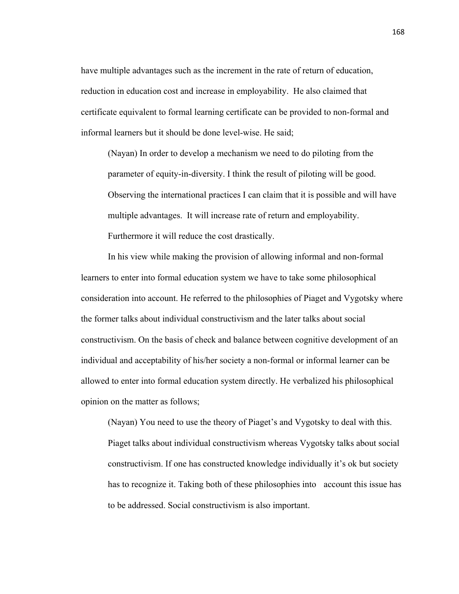have multiple advantages such as the increment in the rate of return of education, reduction in education cost and increase in employability. He also claimed that certificate equivalent to formal learning certificate can be provided to non-formal and informal learners but it should be done level-wise. He said;

(Nayan) In order to develop a mechanism we need to do piloting from the parameter of equity-in-diversity. I think the result of piloting will be good. Observing the international practices I can claim that it is possible and will have multiple advantages. It will increase rate of return and employability. Furthermore it will reduce the cost drastically.

 In his view while making the provision of allowing informal and non-formal learners to enter into formal education system we have to take some philosophical consideration into account. He referred to the philosophies of Piaget and Vygotsky where the former talks about individual constructivism and the later talks about social constructivism. On the basis of check and balance between cognitive development of an individual and acceptability of his/her society a non-formal or informal learner can be allowed to enter into formal education system directly. He verbalized his philosophical opinion on the matter as follows;

(Nayan) You need to use the theory of Piaget's and Vygotsky to deal with this. Piaget talks about individual constructivism whereas Vygotsky talks about social constructivism. If one has constructed knowledge individually it's ok but society has to recognize it. Taking both of these philosophies into account this issue has to be addressed. Social constructivism is also important.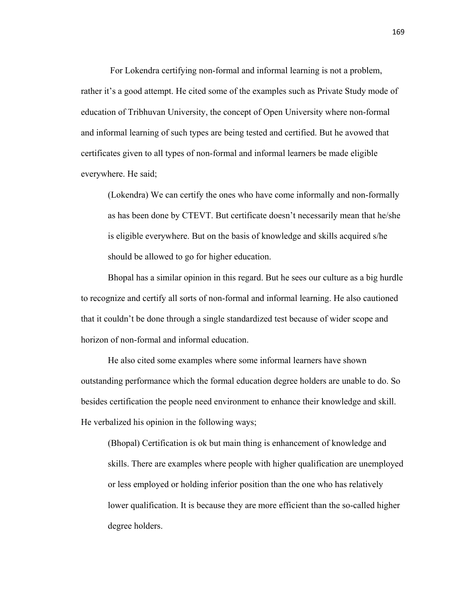For Lokendra certifying non-formal and informal learning is not a problem, rather it's a good attempt. He cited some of the examples such as Private Study mode of education of Tribhuvan University, the concept of Open University where non-formal and informal learning of such types are being tested and certified. But he avowed that certificates given to all types of non-formal and informal learners be made eligible everywhere. He said;

(Lokendra) We can certify the ones who have come informally and non-formally as has been done by CTEVT. But certificate doesn't necessarily mean that he/she is eligible everywhere. But on the basis of knowledge and skills acquired s/he should be allowed to go for higher education.

 Bhopal has a similar opinion in this regard. But he sees our culture as a big hurdle to recognize and certify all sorts of non-formal and informal learning. He also cautioned that it couldn't be done through a single standardized test because of wider scope and horizon of non-formal and informal education.

 He also cited some examples where some informal learners have shown outstanding performance which the formal education degree holders are unable to do. So besides certification the people need environment to enhance their knowledge and skill. He verbalized his opinion in the following ways;

(Bhopal) Certification is ok but main thing is enhancement of knowledge and skills. There are examples where people with higher qualification are unemployed or less employed or holding inferior position than the one who has relatively lower qualification. It is because they are more efficient than the so-called higher degree holders.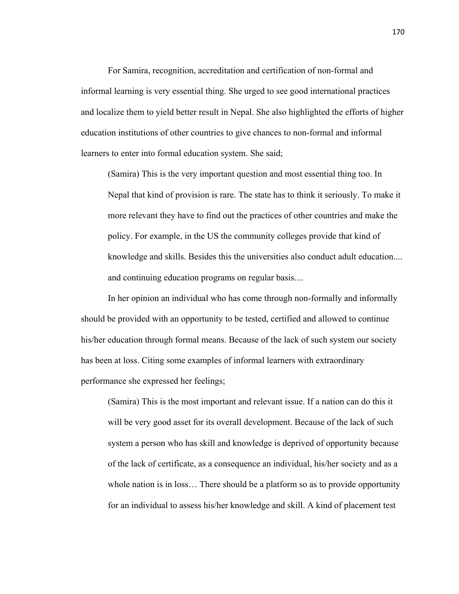For Samira, recognition, accreditation and certification of non-formal and informal learning is very essential thing. She urged to see good international practices and localize them to yield better result in Nepal. She also highlighted the efforts of higher education institutions of other countries to give chances to non-formal and informal learners to enter into formal education system. She said;

(Samira) This is the very important question and most essential thing too. In Nepal that kind of provision is rare. The state has to think it seriously. To make it more relevant they have to find out the practices of other countries and make the policy. For example, in the US the community colleges provide that kind of knowledge and skills. Besides this the universities also conduct adult education.... and continuing education programs on regular basis....

 In her opinion an individual who has come through non-formally and informally should be provided with an opportunity to be tested, certified and allowed to continue his/her education through formal means. Because of the lack of such system our society has been at loss. Citing some examples of informal learners with extraordinary performance she expressed her feelings;

(Samira) This is the most important and relevant issue. If a nation can do this it will be very good asset for its overall development. Because of the lack of such system a person who has skill and knowledge is deprived of opportunity because of the lack of certificate, as a consequence an individual, his/her society and as a whole nation is in loss... There should be a platform so as to provide opportunity for an individual to assess his/her knowledge and skill. A kind of placement test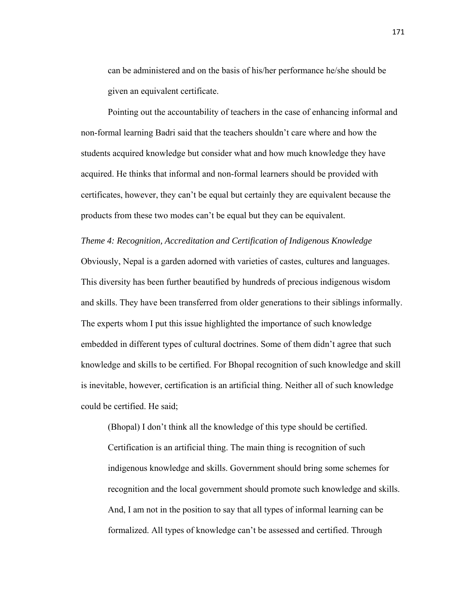can be administered and on the basis of his/her performance he/she should be given an equivalent certificate.

 Pointing out the accountability of teachers in the case of enhancing informal and non-formal learning Badri said that the teachers shouldn't care where and how the students acquired knowledge but consider what and how much knowledge they have acquired. He thinks that informal and non-formal learners should be provided with certificates, however, they can't be equal but certainly they are equivalent because the products from these two modes can't be equal but they can be equivalent.

### *Theme 4: Recognition, Accreditation and Certification of Indigenous Knowledge*

Obviously, Nepal is a garden adorned with varieties of castes, cultures and languages. This diversity has been further beautified by hundreds of precious indigenous wisdom and skills. They have been transferred from older generations to their siblings informally. The experts whom I put this issue highlighted the importance of such knowledge embedded in different types of cultural doctrines. Some of them didn't agree that such knowledge and skills to be certified. For Bhopal recognition of such knowledge and skill is inevitable, however, certification is an artificial thing. Neither all of such knowledge could be certified. He said;

(Bhopal) I don't think all the knowledge of this type should be certified. Certification is an artificial thing. The main thing is recognition of such indigenous knowledge and skills. Government should bring some schemes for recognition and the local government should promote such knowledge and skills. And, I am not in the position to say that all types of informal learning can be formalized. All types of knowledge can't be assessed and certified. Through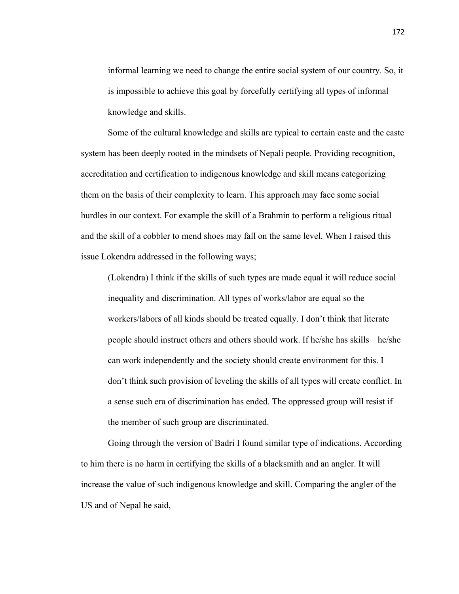informal learning we need to change the entire social system of our country. So, it is impossible to achieve this goal by forcefully certifying all types of informal knowledge and skills.

 Some of the cultural knowledge and skills are typical to certain caste and the caste system has been deeply rooted in the mindsets of Nepali people. Providing recognition, accreditation and certification to indigenous knowledge and skill means categorizing them on the basis of their complexity to learn. This approach may face some social hurdles in our context. For example the skill of a Brahmin to perform a religious ritual and the skill of a cobbler to mend shoes may fall on the same level. When I raised this issue Lokendra addressed in the following ways;

(Lokendra) I think if the skills of such types are made equal it will reduce social inequality and discrimination. All types of works/labor are equal so the workers/labors of all kinds should be treated equally. I don't think that literate people should instruct others and others should work. If he/she has skills he/she can work independently and the society should create environment for this. I don't think such provision of leveling the skills of all types will create conflict. In a sense such era of discrimination has ended. The oppressed group will resist if the member of such group are discriminated.

 Going through the version of Badri I found similar type of indications. According to him there is no harm in certifying the skills of a blacksmith and an angler. It will increase the value of such indigenous knowledge and skill. Comparing the angler of the US and of Nepal he said,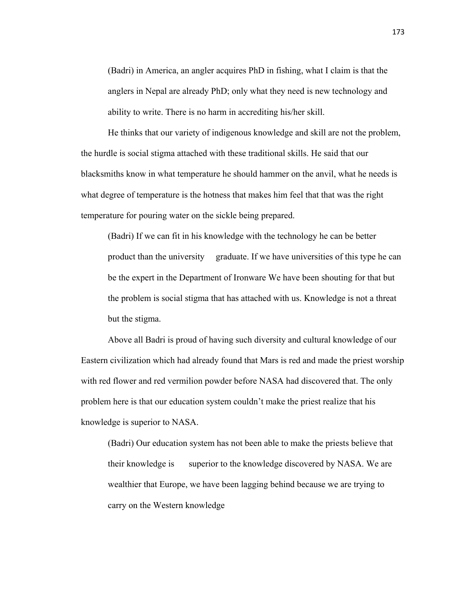(Badri) in America, an angler acquires PhD in fishing, what I claim is that the anglers in Nepal are already PhD; only what they need is new technology and ability to write. There is no harm in accrediting his/her skill.

 He thinks that our variety of indigenous knowledge and skill are not the problem, the hurdle is social stigma attached with these traditional skills. He said that our blacksmiths know in what temperature he should hammer on the anvil, what he needs is what degree of temperature is the hotness that makes him feel that that was the right temperature for pouring water on the sickle being prepared.

(Badri) If we can fit in his knowledge with the technology he can be better product than the university graduate. If we have universities of this type he can be the expert in the Department of Ironware We have been shouting for that but the problem is social stigma that has attached with us. Knowledge is not a threat but the stigma.

 Above all Badri is proud of having such diversity and cultural knowledge of our Eastern civilization which had already found that Mars is red and made the priest worship with red flower and red vermilion powder before NASA had discovered that. The only problem here is that our education system couldn't make the priest realize that his knowledge is superior to NASA.

(Badri) Our education system has not been able to make the priests believe that their knowledge is superior to the knowledge discovered by NASA. We are wealthier that Europe, we have been lagging behind because we are trying to carry on the Western knowledge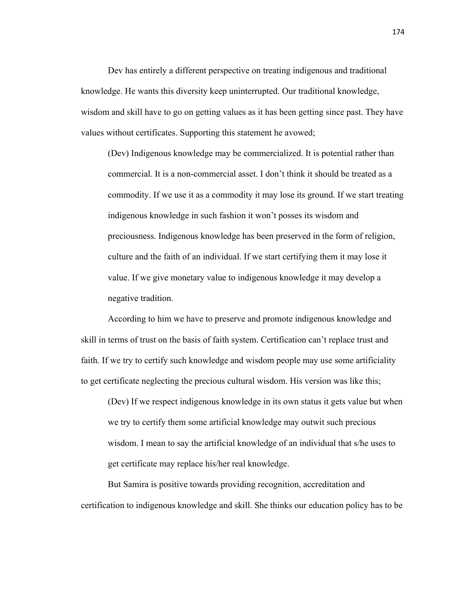Dev has entirely a different perspective on treating indigenous and traditional knowledge. He wants this diversity keep uninterrupted. Our traditional knowledge, wisdom and skill have to go on getting values as it has been getting since past. They have values without certificates. Supporting this statement he avowed;

(Dev) Indigenous knowledge may be commercialized. It is potential rather than commercial. It is a non-commercial asset. I don't think it should be treated as a commodity. If we use it as a commodity it may lose its ground. If we start treating indigenous knowledge in such fashion it won't posses its wisdom and preciousness. Indigenous knowledge has been preserved in the form of religion, culture and the faith of an individual. If we start certifying them it may lose it value. If we give monetary value to indigenous knowledge it may develop a negative tradition.

 According to him we have to preserve and promote indigenous knowledge and skill in terms of trust on the basis of faith system. Certification can't replace trust and faith. If we try to certify such knowledge and wisdom people may use some artificiality to get certificate neglecting the precious cultural wisdom. His version was like this;

(Dev) If we respect indigenous knowledge in its own status it gets value but when we try to certify them some artificial knowledge may outwit such precious wisdom. I mean to say the artificial knowledge of an individual that s/he uses to get certificate may replace his/her real knowledge.

 But Samira is positive towards providing recognition, accreditation and certification to indigenous knowledge and skill. She thinks our education policy has to be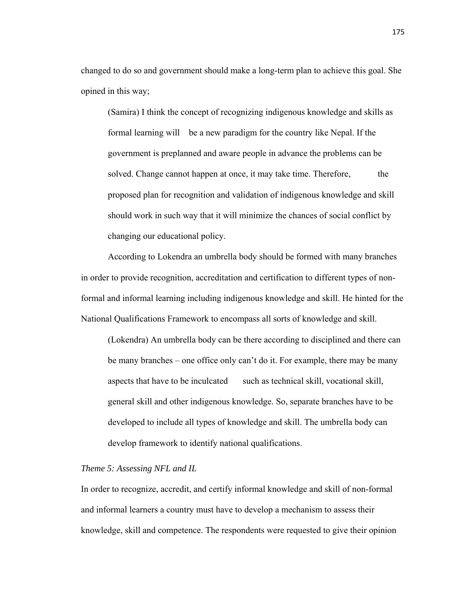changed to do so and government should make a long-term plan to achieve this goal. She opined in this way;

(Samira) I think the concept of recognizing indigenous knowledge and skills as formal learning will be a new paradigm for the country like Nepal. If the government is preplanned and aware people in advance the problems can be solved. Change cannot happen at once, it may take time. Therefore, the proposed plan for recognition and validation of indigenous knowledge and skill should work in such way that it will minimize the chances of social conflict by changing our educational policy.

 According to Lokendra an umbrella body should be formed with many branches in order to provide recognition, accreditation and certification to different types of nonformal and informal learning including indigenous knowledge and skill. He hinted for the National Qualifications Framework to encompass all sorts of knowledge and skill.

(Lokendra) An umbrella body can be there according to disciplined and there can be many branches – one office only can't do it. For example, there may be many aspects that have to be inculcated such as technical skill, vocational skill, general skill and other indigenous knowledge. So, separate branches have to be developed to include all types of knowledge and skill. The umbrella body can develop framework to identify national qualifications.

# *Theme 5: Assessing NFL and IL*

In order to recognize, accredit, and certify informal knowledge and skill of non-formal and informal learners a country must have to develop a mechanism to assess their knowledge, skill and competence. The respondents were requested to give their opinion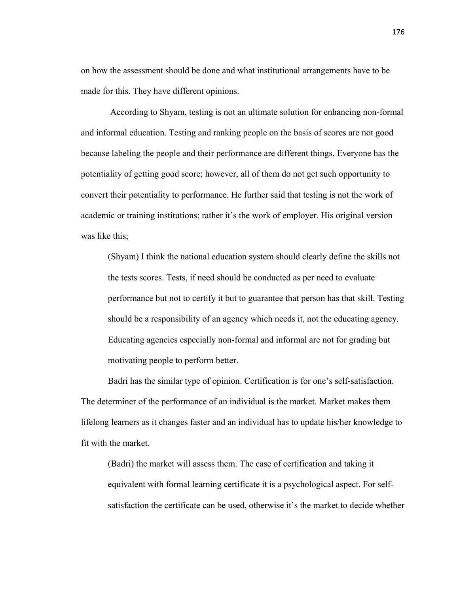on how the assessment should be done and what institutional arrangements have to be made for this. They have different opinions.

 According to Shyam, testing is not an ultimate solution for enhancing non-formal and informal education. Testing and ranking people on the basis of scores are not good because labeling the people and their performance are different things. Everyone has the potentiality of getting good score; however, all of them do not get such opportunity to convert their potentiality to performance. He further said that testing is not the work of academic or training institutions; rather it's the work of employer. His original version was like this;

(Shyam) I think the national education system should clearly define the skills not the tests scores. Tests, if need should be conducted as per need to evaluate performance but not to certify it but to guarantee that person has that skill. Testing should be a responsibility of an agency which needs it, not the educating agency. Educating agencies especially non-formal and informal are not for grading but motivating people to perform better.

 Badri has the similar type of opinion. Certification is for one's self-satisfaction. The determiner of the performance of an individual is the market. Market makes them lifelong learners as it changes faster and an individual has to update his/her knowledge to fit with the market.

(Badri) the market will assess them. The case of certification and taking it equivalent with formal learning certificate it is a psychological aspect. For selfsatisfaction the certificate can be used, otherwise it's the market to decide whether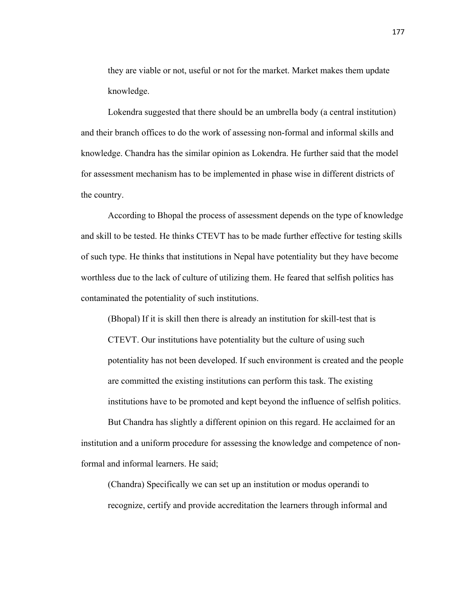they are viable or not, useful or not for the market. Market makes them update knowledge.

 Lokendra suggested that there should be an umbrella body (a central institution) and their branch offices to do the work of assessing non-formal and informal skills and knowledge. Chandra has the similar opinion as Lokendra. He further said that the model for assessment mechanism has to be implemented in phase wise in different districts of the country.

 According to Bhopal the process of assessment depends on the type of knowledge and skill to be tested. He thinks CTEVT has to be made further effective for testing skills of such type. He thinks that institutions in Nepal have potentiality but they have become worthless due to the lack of culture of utilizing them. He feared that selfish politics has contaminated the potentiality of such institutions.

(Bhopal) If it is skill then there is already an institution for skill-test that is CTEVT. Our institutions have potentiality but the culture of using such potentiality has not been developed. If such environment is created and the people are committed the existing institutions can perform this task. The existing institutions have to be promoted and kept beyond the influence of selfish politics.

 But Chandra has slightly a different opinion on this regard. He acclaimed for an institution and a uniform procedure for assessing the knowledge and competence of nonformal and informal learners. He said;

(Chandra) Specifically we can set up an institution or modus operandi to recognize, certify and provide accreditation the learners through informal and

177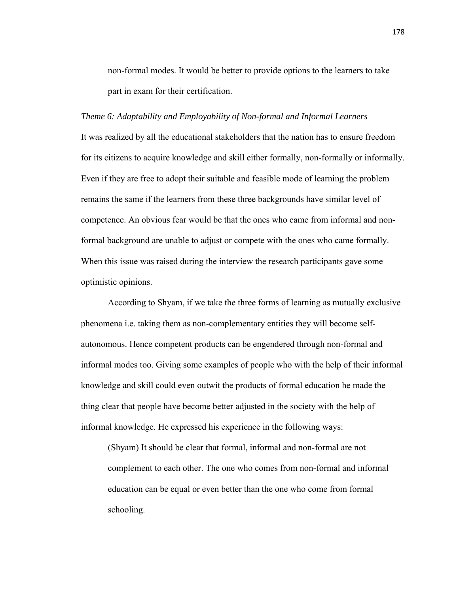non-formal modes. It would be better to provide options to the learners to take part in exam for their certification.

#### *Theme 6: Adaptability and Employability of Non-formal and Informal Learners*

It was realized by all the educational stakeholders that the nation has to ensure freedom for its citizens to acquire knowledge and skill either formally, non-formally or informally. Even if they are free to adopt their suitable and feasible mode of learning the problem remains the same if the learners from these three backgrounds have similar level of competence. An obvious fear would be that the ones who came from informal and nonformal background are unable to adjust or compete with the ones who came formally. When this issue was raised during the interview the research participants gave some optimistic opinions.

 According to Shyam, if we take the three forms of learning as mutually exclusive phenomena i.e. taking them as non-complementary entities they will become selfautonomous. Hence competent products can be engendered through non-formal and informal modes too. Giving some examples of people who with the help of their informal knowledge and skill could even outwit the products of formal education he made the thing clear that people have become better adjusted in the society with the help of informal knowledge. He expressed his experience in the following ways:

(Shyam) It should be clear that formal, informal and non-formal are not complement to each other. The one who comes from non-formal and informal education can be equal or even better than the one who come from formal schooling.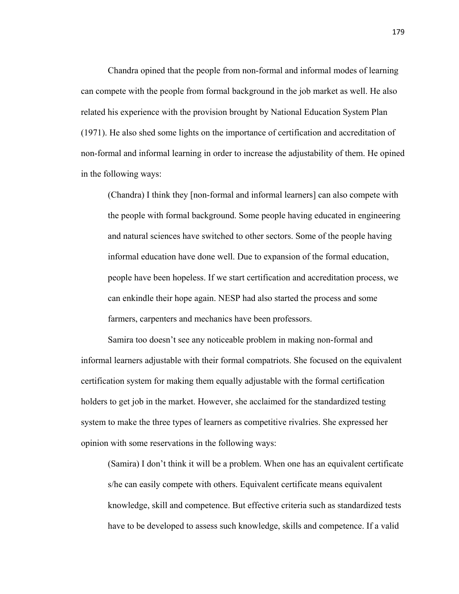Chandra opined that the people from non-formal and informal modes of learning can compete with the people from formal background in the job market as well. He also related his experience with the provision brought by National Education System Plan (1971). He also shed some lights on the importance of certification and accreditation of non-formal and informal learning in order to increase the adjustability of them. He opined in the following ways:

(Chandra) I think they [non-formal and informal learners] can also compete with the people with formal background. Some people having educated in engineering and natural sciences have switched to other sectors. Some of the people having informal education have done well. Due to expansion of the formal education, people have been hopeless. If we start certification and accreditation process, we can enkindle their hope again. NESP had also started the process and some farmers, carpenters and mechanics have been professors.

 Samira too doesn't see any noticeable problem in making non-formal and informal learners adjustable with their formal compatriots. She focused on the equivalent certification system for making them equally adjustable with the formal certification holders to get job in the market. However, she acclaimed for the standardized testing system to make the three types of learners as competitive rivalries. She expressed her opinion with some reservations in the following ways:

(Samira) I don't think it will be a problem. When one has an equivalent certificate s/he can easily compete with others. Equivalent certificate means equivalent knowledge, skill and competence. But effective criteria such as standardized tests have to be developed to assess such knowledge, skills and competence. If a valid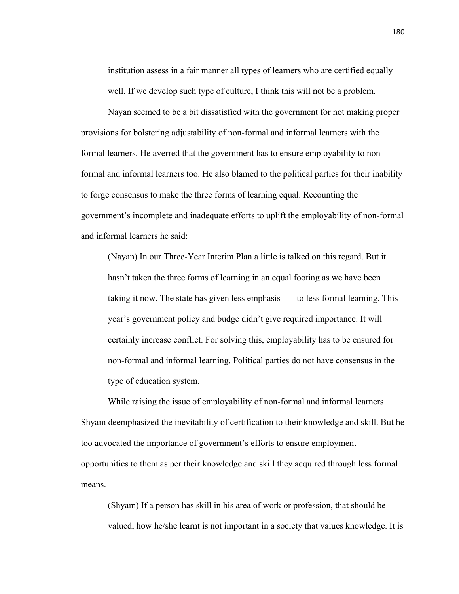institution assess in a fair manner all types of learners who are certified equally well. If we develop such type of culture, I think this will not be a problem.

 Nayan seemed to be a bit dissatisfied with the government for not making proper provisions for bolstering adjustability of non-formal and informal learners with the formal learners. He averred that the government has to ensure employability to nonformal and informal learners too. He also blamed to the political parties for their inability to forge consensus to make the three forms of learning equal. Recounting the government's incomplete and inadequate efforts to uplift the employability of non-formal and informal learners he said:

(Nayan) In our Three-Year Interim Plan a little is talked on this regard. But it hasn't taken the three forms of learning in an equal footing as we have been taking it now. The state has given less emphasis to less formal learning. This year's government policy and budge didn't give required importance. It will certainly increase conflict. For solving this, employability has to be ensured for non-formal and informal learning. Political parties do not have consensus in the type of education system.

 While raising the issue of employability of non-formal and informal learners Shyam deemphasized the inevitability of certification to their knowledge and skill. But he too advocated the importance of government's efforts to ensure employment opportunities to them as per their knowledge and skill they acquired through less formal means.

(Shyam) If a person has skill in his area of work or profession, that should be valued, how he/she learnt is not important in a society that values knowledge. It is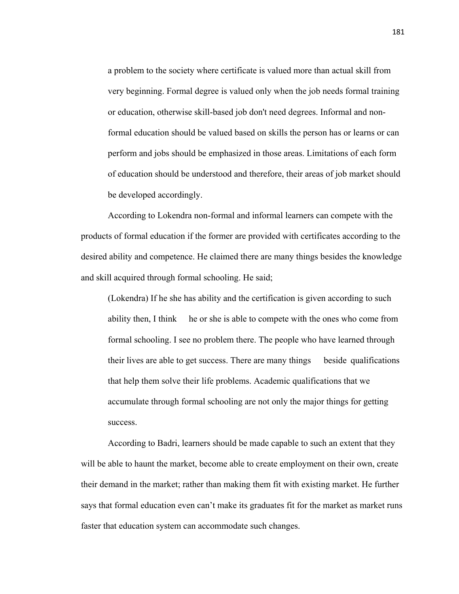a problem to the society where certificate is valued more than actual skill from very beginning. Formal degree is valued only when the job needs formal training or education, otherwise skill-based job don't need degrees. Informal and nonformal education should be valued based on skills the person has or learns or can perform and jobs should be emphasized in those areas. Limitations of each form of education should be understood and therefore, their areas of job market should be developed accordingly.

 According to Lokendra non-formal and informal learners can compete with the products of formal education if the former are provided with certificates according to the desired ability and competence. He claimed there are many things besides the knowledge and skill acquired through formal schooling. He said;

(Lokendra) If he she has ability and the certification is given according to such ability then, I think he or she is able to compete with the ones who come from formal schooling. I see no problem there. The people who have learned through their lives are able to get success. There are many things beside qualifications that help them solve their life problems. Academic qualifications that we accumulate through formal schooling are not only the major things for getting success.

 According to Badri, learners should be made capable to such an extent that they will be able to haunt the market, become able to create employment on their own, create their demand in the market; rather than making them fit with existing market. He further says that formal education even can't make its graduates fit for the market as market runs faster that education system can accommodate such changes.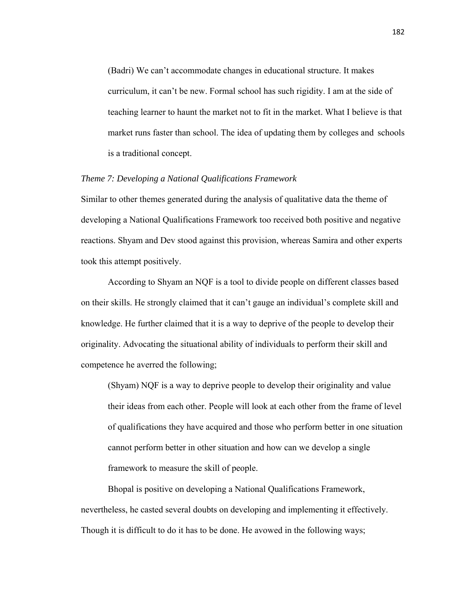(Badri) We can't accommodate changes in educational structure. It makes curriculum, it can't be new. Formal school has such rigidity. I am at the side of teaching learner to haunt the market not to fit in the market. What I believe is that market runs faster than school. The idea of updating them by colleges and schools is a traditional concept.

## *Theme 7: Developing a National Qualifications Framework*

Similar to other themes generated during the analysis of qualitative data the theme of developing a National Qualifications Framework too received both positive and negative reactions. Shyam and Dev stood against this provision, whereas Samira and other experts took this attempt positively.

 According to Shyam an NQF is a tool to divide people on different classes based on their skills. He strongly claimed that it can't gauge an individual's complete skill and knowledge. He further claimed that it is a way to deprive of the people to develop their originality. Advocating the situational ability of individuals to perform their skill and competence he averred the following;

(Shyam) NQF is a way to deprive people to develop their originality and value their ideas from each other. People will look at each other from the frame of level of qualifications they have acquired and those who perform better in one situation cannot perform better in other situation and how can we develop a single framework to measure the skill of people.

 Bhopal is positive on developing a National Qualifications Framework, nevertheless, he casted several doubts on developing and implementing it effectively. Though it is difficult to do it has to be done. He avowed in the following ways;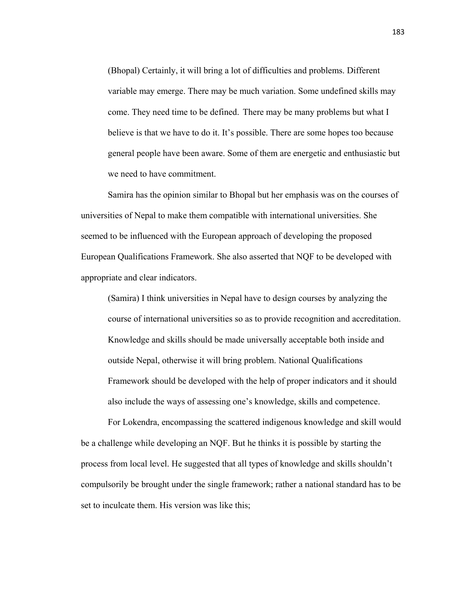(Bhopal) Certainly, it will bring a lot of difficulties and problems. Different variable may emerge. There may be much variation. Some undefined skills may come. They need time to be defined. There may be many problems but what I believe is that we have to do it. It's possible. There are some hopes too because general people have been aware. Some of them are energetic and enthusiastic but we need to have commitment.

 Samira has the opinion similar to Bhopal but her emphasis was on the courses of universities of Nepal to make them compatible with international universities. She seemed to be influenced with the European approach of developing the proposed European Qualifications Framework. She also asserted that NQF to be developed with appropriate and clear indicators.

(Samira) I think universities in Nepal have to design courses by analyzing the course of international universities so as to provide recognition and accreditation. Knowledge and skills should be made universally acceptable both inside and outside Nepal, otherwise it will bring problem. National Qualifications Framework should be developed with the help of proper indicators and it should also include the ways of assessing one's knowledge, skills and competence.

 For Lokendra, encompassing the scattered indigenous knowledge and skill would be a challenge while developing an NQF. But he thinks it is possible by starting the process from local level. He suggested that all types of knowledge and skills shouldn't compulsorily be brought under the single framework; rather a national standard has to be set to inculcate them. His version was like this;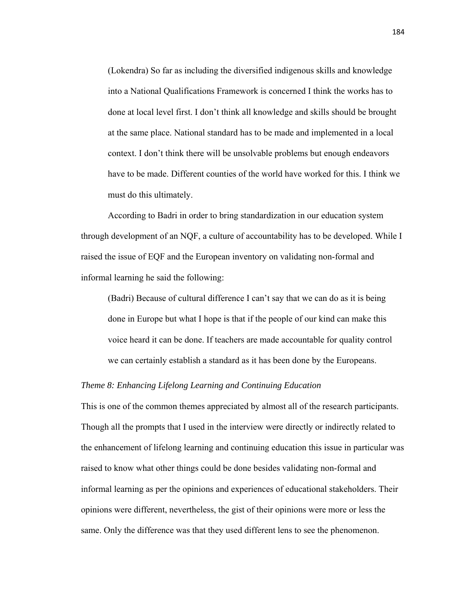(Lokendra) So far as including the diversified indigenous skills and knowledge into a National Qualifications Framework is concerned I think the works has to done at local level first. I don't think all knowledge and skills should be brought at the same place. National standard has to be made and implemented in a local context. I don't think there will be unsolvable problems but enough endeavors have to be made. Different counties of the world have worked for this. I think we must do this ultimately.

 According to Badri in order to bring standardization in our education system through development of an NQF, a culture of accountability has to be developed. While I raised the issue of EQF and the European inventory on validating non-formal and informal learning he said the following:

(Badri) Because of cultural difference I can't say that we can do as it is being done in Europe but what I hope is that if the people of our kind can make this voice heard it can be done. If teachers are made accountable for quality control we can certainly establish a standard as it has been done by the Europeans.

# *Theme 8: Enhancing Lifelong Learning and Continuing Education*

This is one of the common themes appreciated by almost all of the research participants. Though all the prompts that I used in the interview were directly or indirectly related to the enhancement of lifelong learning and continuing education this issue in particular was raised to know what other things could be done besides validating non-formal and informal learning as per the opinions and experiences of educational stakeholders. Their opinions were different, nevertheless, the gist of their opinions were more or less the same. Only the difference was that they used different lens to see the phenomenon.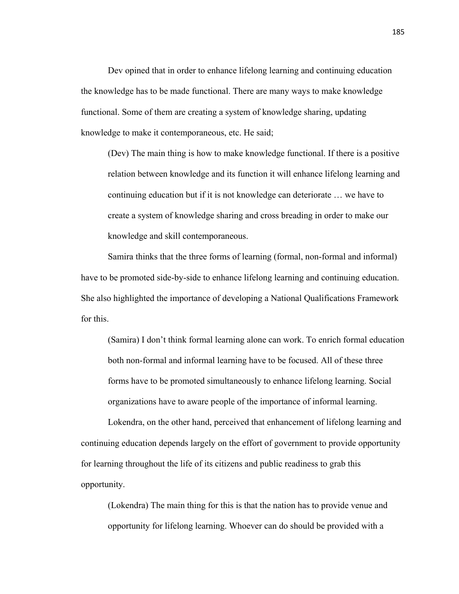Dev opined that in order to enhance lifelong learning and continuing education the knowledge has to be made functional. There are many ways to make knowledge functional. Some of them are creating a system of knowledge sharing, updating knowledge to make it contemporaneous, etc. He said;

(Dev) The main thing is how to make knowledge functional. If there is a positive relation between knowledge and its function it will enhance lifelong learning and continuing education but if it is not knowledge can deteriorate … we have to create a system of knowledge sharing and cross breading in order to make our knowledge and skill contemporaneous.

 Samira thinks that the three forms of learning (formal, non-formal and informal) have to be promoted side-by-side to enhance lifelong learning and continuing education. She also highlighted the importance of developing a National Qualifications Framework for this.

(Samira) I don't think formal learning alone can work. To enrich formal education both non-formal and informal learning have to be focused. All of these three forms have to be promoted simultaneously to enhance lifelong learning. Social organizations have to aware people of the importance of informal learning.

 Lokendra, on the other hand, perceived that enhancement of lifelong learning and continuing education depends largely on the effort of government to provide opportunity for learning throughout the life of its citizens and public readiness to grab this opportunity.

(Lokendra) The main thing for this is that the nation has to provide venue and opportunity for lifelong learning. Whoever can do should be provided with a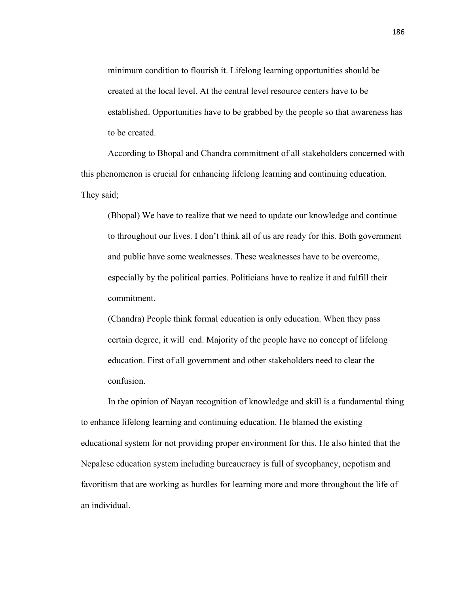minimum condition to flourish it. Lifelong learning opportunities should be created at the local level. At the central level resource centers have to be established. Opportunities have to be grabbed by the people so that awareness has to be created.

 According to Bhopal and Chandra commitment of all stakeholders concerned with this phenomenon is crucial for enhancing lifelong learning and continuing education. They said;

(Bhopal) We have to realize that we need to update our knowledge and continue to throughout our lives. I don't think all of us are ready for this. Both government and public have some weaknesses. These weaknesses have to be overcome, especially by the political parties. Politicians have to realize it and fulfill their commitment.

(Chandra) People think formal education is only education. When they pass certain degree, it will end. Majority of the people have no concept of lifelong education. First of all government and other stakeholders need to clear the confusion.

 In the opinion of Nayan recognition of knowledge and skill is a fundamental thing to enhance lifelong learning and continuing education. He blamed the existing educational system for not providing proper environment for this. He also hinted that the Nepalese education system including bureaucracy is full of sycophancy, nepotism and favoritism that are working as hurdles for learning more and more throughout the life of an individual.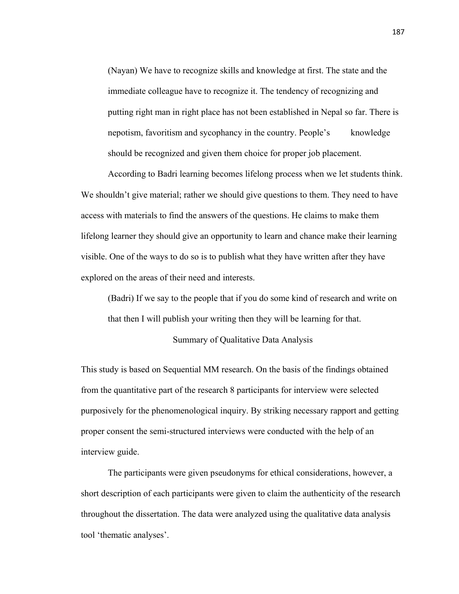(Nayan) We have to recognize skills and knowledge at first. The state and the immediate colleague have to recognize it. The tendency of recognizing and putting right man in right place has not been established in Nepal so far. There is nepotism, favoritism and sycophancy in the country. People's knowledge should be recognized and given them choice for proper job placement.

 According to Badri learning becomes lifelong process when we let students think. We shouldn't give material; rather we should give questions to them. They need to have access with materials to find the answers of the questions. He claims to make them lifelong learner they should give an opportunity to learn and chance make their learning visible. One of the ways to do so is to publish what they have written after they have explored on the areas of their need and interests.

(Badri) If we say to the people that if you do some kind of research and write on that then I will publish your writing then they will be learning for that.

### Summary of Qualitative Data Analysis

This study is based on Sequential MM research. On the basis of the findings obtained from the quantitative part of the research 8 participants for interview were selected purposively for the phenomenological inquiry. By striking necessary rapport and getting proper consent the semi-structured interviews were conducted with the help of an interview guide.

 The participants were given pseudonyms for ethical considerations, however, a short description of each participants were given to claim the authenticity of the research throughout the dissertation. The data were analyzed using the qualitative data analysis tool 'thematic analyses'.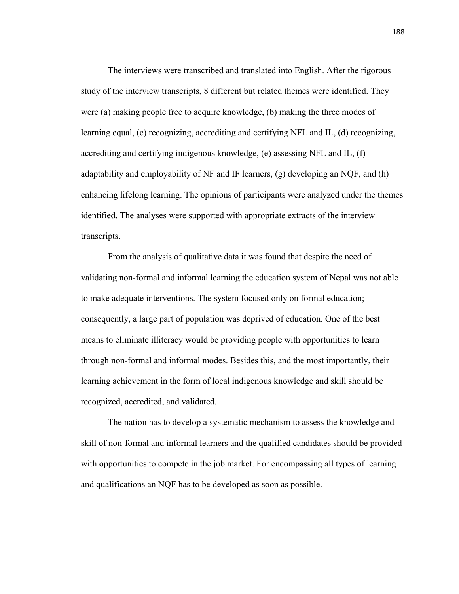The interviews were transcribed and translated into English. After the rigorous study of the interview transcripts, 8 different but related themes were identified. They were (a) making people free to acquire knowledge, (b) making the three modes of learning equal, (c) recognizing, accrediting and certifying NFL and IL, (d) recognizing, accrediting and certifying indigenous knowledge, (e) assessing NFL and IL, (f) adaptability and employability of NF and IF learners, (g) developing an NQF, and (h) enhancing lifelong learning. The opinions of participants were analyzed under the themes identified. The analyses were supported with appropriate extracts of the interview transcripts.

 From the analysis of qualitative data it was found that despite the need of validating non-formal and informal learning the education system of Nepal was not able to make adequate interventions. The system focused only on formal education; consequently, a large part of population was deprived of education. One of the best means to eliminate illiteracy would be providing people with opportunities to learn through non-formal and informal modes. Besides this, and the most importantly, their learning achievement in the form of local indigenous knowledge and skill should be recognized, accredited, and validated.

 The nation has to develop a systematic mechanism to assess the knowledge and skill of non-formal and informal learners and the qualified candidates should be provided with opportunities to compete in the job market. For encompassing all types of learning and qualifications an NQF has to be developed as soon as possible.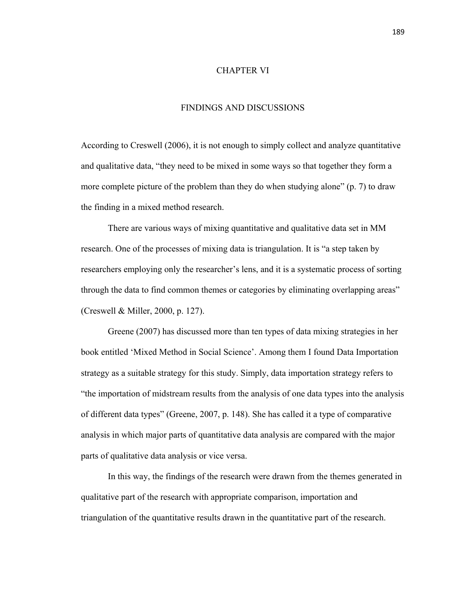# CHAPTER VI

# FINDINGS AND DISCUSSIONS

According to Creswell (2006), it is not enough to simply collect and analyze quantitative and qualitative data, "they need to be mixed in some ways so that together they form a more complete picture of the problem than they do when studying alone" (p. 7) to draw the finding in a mixed method research.

 There are various ways of mixing quantitative and qualitative data set in MM research. One of the processes of mixing data is triangulation. It is "a step taken by researchers employing only the researcher's lens, and it is a systematic process of sorting through the data to find common themes or categories by eliminating overlapping areas" (Creswell & Miller, 2000, p. 127).

 Greene (2007) has discussed more than ten types of data mixing strategies in her book entitled 'Mixed Method in Social Science'. Among them I found Data Importation strategy as a suitable strategy for this study. Simply, data importation strategy refers to "the importation of midstream results from the analysis of one data types into the analysis of different data types" (Greene, 2007, p. 148). She has called it a type of comparative analysis in which major parts of quantitative data analysis are compared with the major parts of qualitative data analysis or vice versa.

 In this way, the findings of the research were drawn from the themes generated in qualitative part of the research with appropriate comparison, importation and triangulation of the quantitative results drawn in the quantitative part of the research.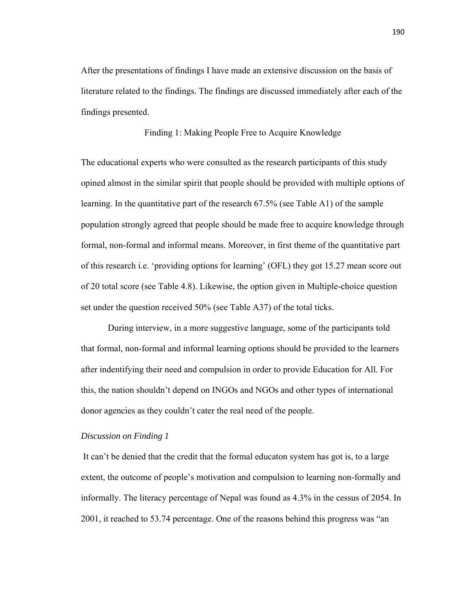After the presentations of findings I have made an extensive discussion on the basis of literature related to the findings. The findings are discussed immediately after each of the findings presented.

# Finding 1: Making People Free to Acquire Knowledge

The educational experts who were consulted as the research participants of this study opined almost in the similar spirit that people should be provided with multiple options of learning. In the quantitative part of the research 67.5% (see Table A1) of the sample population strongly agreed that people should be made free to acquire knowledge through formal, non-formal and informal means. Moreover, in first theme of the quantitative part of this research i.e. 'providing options for learning' (OFL) they got 15.27 mean score out of 20 total score (see Table 4.8). Likewise, the option given in Multiple-choice question set under the question received 50% (see Table A37) of the total ticks.

 During interview, in a more suggestive language, some of the participants told that formal, non-formal and informal learning options should be provided to the learners after indentifying their need and compulsion in order to provide Education for All. For this, the nation shouldn't depend on INGOs and NGOs and other types of international donor agencies as they couldn't cater the real need of the people.

#### *Discussion on Finding 1*

It can't be denied that the credit that the formal educaton system has got is, to a large extent, the outcome of people's motivation and compulsion to learning non-formally and informally. The literacy percentage of Nepal was found as 4.3% in the cessus of 2054. In 2001, it reached to 53.74 percentage. One of the reasons behind this progress was "an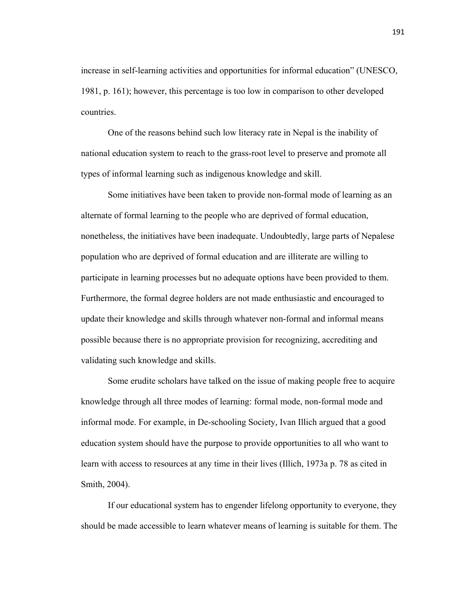increase in self-learning activities and opportunities for informal education" (UNESCO, 1981, p. 161); however, this percentage is too low in comparison to other developed countries.

 One of the reasons behind such low literacy rate in Nepal is the inability of national education system to reach to the grass-root level to preserve and promote all types of informal learning such as indigenous knowledge and skill.

 Some initiatives have been taken to provide non-formal mode of learning as an alternate of formal learning to the people who are deprived of formal education, nonetheless, the initiatives have been inadequate. Undoubtedly, large parts of Nepalese population who are deprived of formal education and are illiterate are willing to participate in learning processes but no adequate options have been provided to them. Furthermore, the formal degree holders are not made enthusiastic and encouraged to update their knowledge and skills through whatever non-formal and informal means possible because there is no appropriate provision for recognizing, accrediting and validating such knowledge and skills.

 Some erudite scholars have talked on the issue of making people free to acquire knowledge through all three modes of learning: formal mode, non-formal mode and informal mode. For example, in De-schooling Society*,* Ivan Illich argued that a good education system should have the purpose to provide opportunities to all who want to learn with access to resources at any time in their lives (Illich, 1973a p. 78 as cited in Smith, 2004).

 If our educational system has to engender lifelong opportunity to everyone, they should be made accessible to learn whatever means of learning is suitable for them. The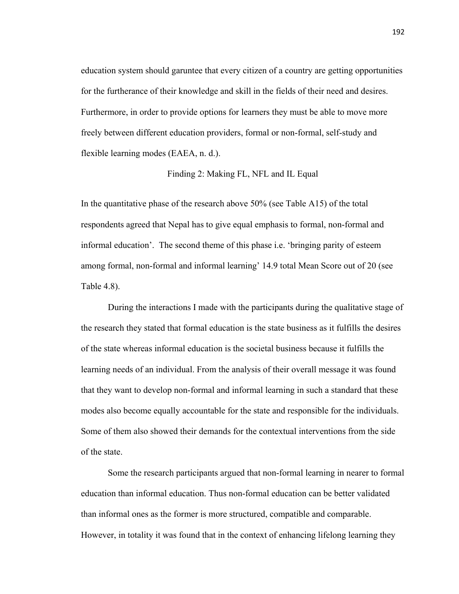education system should garuntee that every citizen of a country are getting opportunities for the furtherance of their knowledge and skill in the fields of their need and desires. Furthermore, in order to provide options for learners they must be able to move more freely between different education providers, formal or non-formal, self-study and flexible learning modes (EAEA, n. d.).

Finding 2: Making FL, NFL and IL Equal

In the quantitative phase of the research above 50% (see Table A15) of the total respondents agreed that Nepal has to give equal emphasis to formal, non-formal and informal education'. The second theme of this phase i.e. 'bringing parity of esteem among formal, non-formal and informal learning' 14.9 total Mean Score out of 20 (see Table 4.8).

 During the interactions I made with the participants during the qualitative stage of the research they stated that formal education is the state business as it fulfills the desires of the state whereas informal education is the societal business because it fulfills the learning needs of an individual. From the analysis of their overall message it was found that they want to develop non-formal and informal learning in such a standard that these modes also become equally accountable for the state and responsible for the individuals. Some of them also showed their demands for the contextual interventions from the side of the state.

 Some the research participants argued that non-formal learning in nearer to formal education than informal education. Thus non-formal education can be better validated than informal ones as the former is more structured, compatible and comparable. However, in totality it was found that in the context of enhancing lifelong learning they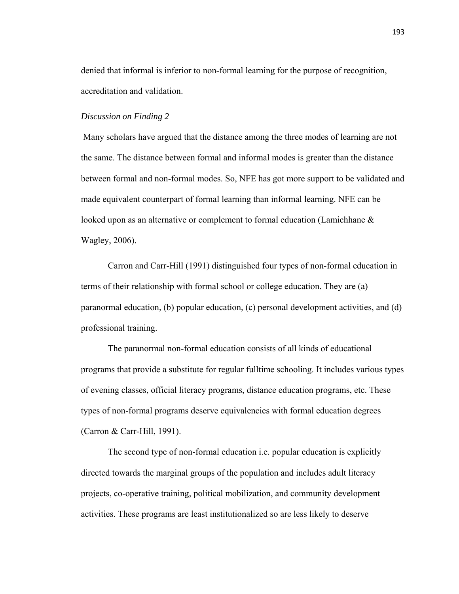denied that informal is inferior to non-formal learning for the purpose of recognition, accreditation and validation.

### *Discussion on Finding 2*

Many scholars have argued that the distance among the three modes of learning are not the same. The distance between formal and informal modes is greater than the distance between formal and non-formal modes. So, NFE has got more support to be validated and made equivalent counterpart of formal learning than informal learning. NFE can be looked upon as an alternative or complement to formal education (Lamichhane & Wagley, 2006).

 Carron and Carr-Hill (1991) distinguished four types of non-formal education in terms of their relationship with formal school or college education. They are (a) paranormal education, (b) popular education, (c) personal development activities, and (d) professional training.

 The paranormal non-formal education consists of all kinds of educational programs that provide a substitute for regular fulltime schooling. It includes various types of evening classes, official literacy programs, distance education programs, etc. These types of non-formal programs deserve equivalencies with formal education degrees (Carron & Carr-Hill, 1991).

 The second type of non-formal education i.e. popular education is explicitly directed towards the marginal groups of the population and includes adult literacy projects, co-operative training, political mobilization, and community development activities. These programs are least institutionalized so are less likely to deserve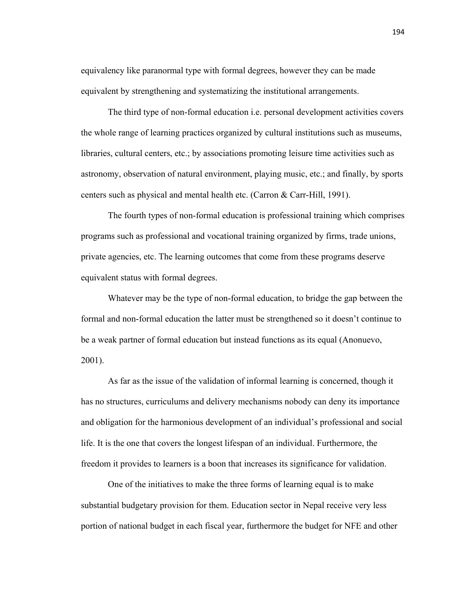equivalency like paranormal type with formal degrees, however they can be made equivalent by strengthening and systematizing the institutional arrangements.

 The third type of non-formal education i.e. personal development activities covers the whole range of learning practices organized by cultural institutions such as museums, libraries, cultural centers, etc.; by associations promoting leisure time activities such as astronomy, observation of natural environment, playing music, etc.; and finally, by sports centers such as physical and mental health etc. (Carron & Carr-Hill, 1991).

 The fourth types of non-formal education is professional training which comprises programs such as professional and vocational training organized by firms, trade unions, private agencies, etc. The learning outcomes that come from these programs deserve equivalent status with formal degrees.

 Whatever may be the type of non-formal education, to bridge the gap between the formal and non-formal education the latter must be strengthened so it doesn't continue to be a weak partner of formal education but instead functions as its equal (Anonuevo, 2001).

 As far as the issue of the validation of informal learning is concerned, though it has no structures, curriculums and delivery mechanisms nobody can deny its importance and obligation for the harmonious development of an individual's professional and social life. It is the one that covers the longest lifespan of an individual. Furthermore, the freedom it provides to learners is a boon that increases its significance for validation.

 One of the initiatives to make the three forms of learning equal is to make substantial budgetary provision for them. Education sector in Nepal receive very less portion of national budget in each fiscal year, furthermore the budget for NFE and other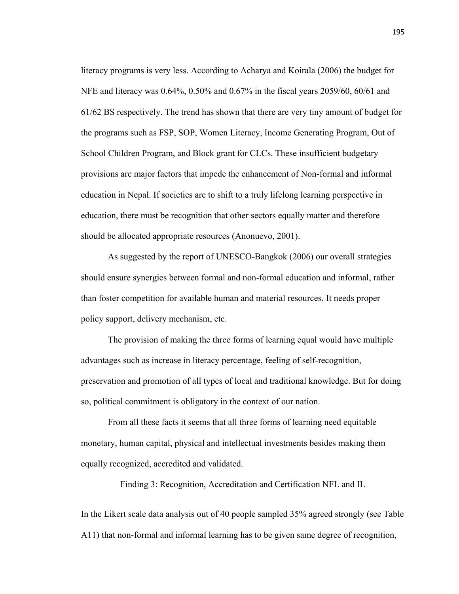literacy programs is very less. According to Acharya and Koirala (2006) the budget for NFE and literacy was 0.64%, 0.50% and 0.67% in the fiscal years 2059/60, 60/61 and 61/62 BS respectively. The trend has shown that there are very tiny amount of budget for the programs such as FSP, SOP, Women Literacy, Income Generating Program, Out of School Children Program, and Block grant for CLCs. These insufficient budgetary provisions are major factors that impede the enhancement of Non-formal and informal education in Nepal. If societies are to shift to a truly lifelong learning perspective in education, there must be recognition that other sectors equally matter and therefore should be allocated appropriate resources (Anonuevo, 2001).

 As suggested by the report of UNESCO-Bangkok (2006) our overall strategies should ensure synergies between formal and non-formal education and informal, rather than foster competition for available human and material resources. It needs proper policy support, delivery mechanism, etc.

 The provision of making the three forms of learning equal would have multiple advantages such as increase in literacy percentage, feeling of self-recognition, preservation and promotion of all types of local and traditional knowledge. But for doing so, political commitment is obligatory in the context of our nation.

 From all these facts it seems that all three forms of learning need equitable monetary, human capital, physical and intellectual investments besides making them equally recognized, accredited and validated.

Finding 3: Recognition, Accreditation and Certification NFL and IL

In the Likert scale data analysis out of 40 people sampled 35% agreed strongly (see Table A11) that non-formal and informal learning has to be given same degree of recognition,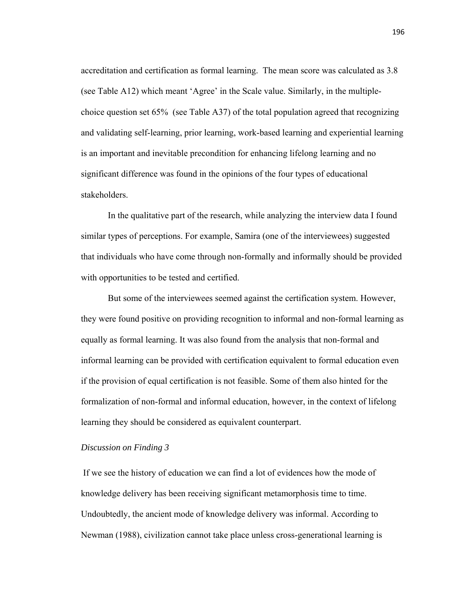accreditation and certification as formal learning. The mean score was calculated as 3.8 (see Table A12) which meant 'Agree' in the Scale value. Similarly, in the multiplechoice question set 65% (see Table A37) of the total population agreed that recognizing and validating self-learning, prior learning, work-based learning and experiential learning is an important and inevitable precondition for enhancing lifelong learning and no significant difference was found in the opinions of the four types of educational stakeholders.

 In the qualitative part of the research, while analyzing the interview data I found similar types of perceptions. For example, Samira (one of the interviewees) suggested that individuals who have come through non-formally and informally should be provided with opportunities to be tested and certified.

 But some of the interviewees seemed against the certification system. However, they were found positive on providing recognition to informal and non-formal learning as equally as formal learning. It was also found from the analysis that non-formal and informal learning can be provided with certification equivalent to formal education even if the provision of equal certification is not feasible. Some of them also hinted for the formalization of non-formal and informal education, however, in the context of lifelong learning they should be considered as equivalent counterpart.

#### *Discussion on Finding 3*

If we see the history of education we can find a lot of evidences how the mode of knowledge delivery has been receiving significant metamorphosis time to time. Undoubtedly, the ancient mode of knowledge delivery was informal. According to Newman (1988), civilization cannot take place unless cross-generational learning is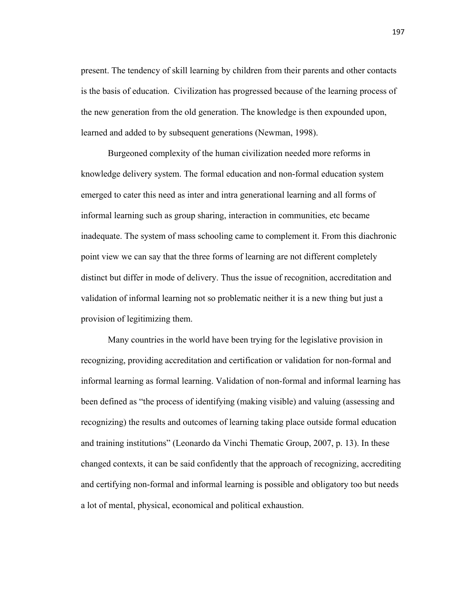present. The tendency of skill learning by children from their parents and other contacts is the basis of education. Civilization has progressed because of the learning process of the new generation from the old generation. The knowledge is then expounded upon, learned and added to by subsequent generations (Newman, 1998).

 Burgeoned complexity of the human civilization needed more reforms in knowledge delivery system. The formal education and non-formal education system emerged to cater this need as inter and intra generational learning and all forms of informal learning such as group sharing, interaction in communities, etc became inadequate. The system of mass schooling came to complement it. From this diachronic point view we can say that the three forms of learning are not different completely distinct but differ in mode of delivery. Thus the issue of recognition, accreditation and validation of informal learning not so problematic neither it is a new thing but just a provision of legitimizing them.

 Many countries in the world have been trying for the legislative provision in recognizing, providing accreditation and certification or validation for non-formal and informal learning as formal learning. Validation of non-formal and informal learning has been defined as "the process of identifying (making visible) and valuing (assessing and recognizing) the results and outcomes of learning taking place outside formal education and training institutions" (Leonardo da Vinchi Thematic Group, 2007, p. 13). In these changed contexts, it can be said confidently that the approach of recognizing, accrediting and certifying non-formal and informal learning is possible and obligatory too but needs a lot of mental, physical, economical and political exhaustion.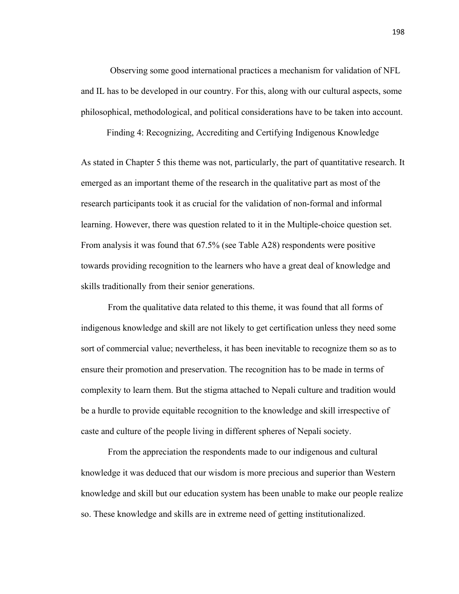Observing some good international practices a mechanism for validation of NFL and IL has to be developed in our country. For this, along with our cultural aspects, some philosophical, methodological, and political considerations have to be taken into account.

Finding 4: Recognizing, Accrediting and Certifying Indigenous Knowledge

As stated in Chapter 5 this theme was not, particularly, the part of quantitative research. It emerged as an important theme of the research in the qualitative part as most of the research participants took it as crucial for the validation of non-formal and informal learning. However, there was question related to it in the Multiple-choice question set. From analysis it was found that 67.5% (see Table A28) respondents were positive towards providing recognition to the learners who have a great deal of knowledge and skills traditionally from their senior generations.

From the qualitative data related to this theme, it was found that all forms of indigenous knowledge and skill are not likely to get certification unless they need some sort of commercial value; nevertheless, it has been inevitable to recognize them so as to ensure their promotion and preservation. The recognition has to be made in terms of complexity to learn them. But the stigma attached to Nepali culture and tradition would be a hurdle to provide equitable recognition to the knowledge and skill irrespective of caste and culture of the people living in different spheres of Nepali society.

 From the appreciation the respondents made to our indigenous and cultural knowledge it was deduced that our wisdom is more precious and superior than Western knowledge and skill but our education system has been unable to make our people realize so. These knowledge and skills are in extreme need of getting institutionalized.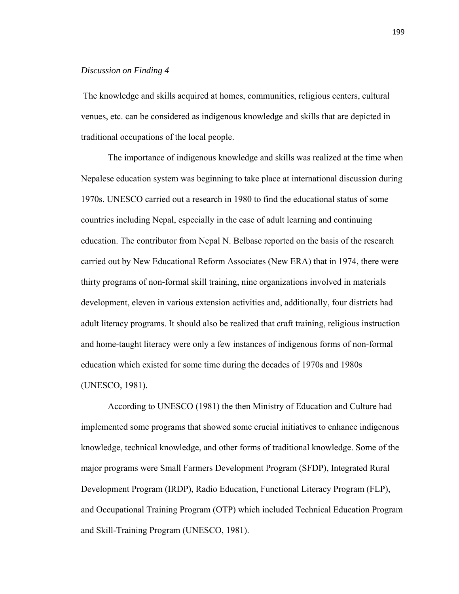#### *Discussion on Finding 4*

The knowledge and skills acquired at homes, communities, religious centers, cultural venues, etc. can be considered as indigenous knowledge and skills that are depicted in traditional occupations of the local people.

 The importance of indigenous knowledge and skills was realized at the time when Nepalese education system was beginning to take place at international discussion during 1970s. UNESCO carried out a research in 1980 to find the educational status of some countries including Nepal, especially in the case of adult learning and continuing education. The contributor from Nepal N. Belbase reported on the basis of the research carried out by New Educational Reform Associates (New ERA) that in 1974, there were thirty programs of non-formal skill training, nine organizations involved in materials development, eleven in various extension activities and, additionally, four districts had adult literacy programs. It should also be realized that craft training, religious instruction and home-taught literacy were only a few instances of indigenous forms of non-formal education which existed for some time during the decades of 1970s and 1980s (UNESCO, 1981).

 According to UNESCO (1981) the then Ministry of Education and Culture had implemented some programs that showed some crucial initiatives to enhance indigenous knowledge, technical knowledge, and other forms of traditional knowledge. Some of the major programs were Small Farmers Development Program (SFDP), Integrated Rural Development Program (IRDP), Radio Education, Functional Literacy Program (FLP), and Occupational Training Program (OTP) which included Technical Education Program and Skill-Training Program (UNESCO, 1981).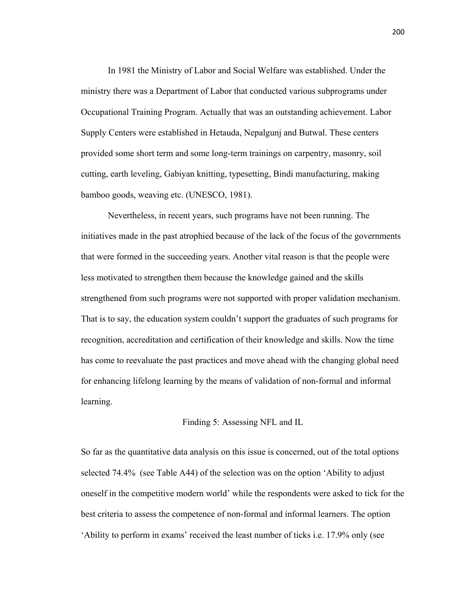In 1981 the Ministry of Labor and Social Welfare was established. Under the ministry there was a Department of Labor that conducted various subprograms under Occupational Training Program. Actually that was an outstanding achievement. Labor Supply Centers were established in Hetauda, Nepalgunj and Butwal. These centers provided some short term and some long-term trainings on carpentry, masonry, soil cutting, earth leveling, Gabiyan knitting, typesetting, Bindi manufacturing, making bamboo goods, weaving etc. (UNESCO, 1981).

 Nevertheless, in recent years, such programs have not been running. The initiatives made in the past atrophied because of the lack of the focus of the governments that were formed in the succeeding years. Another vital reason is that the people were less motivated to strengthen them because the knowledge gained and the skills strengthened from such programs were not supported with proper validation mechanism. That is to say, the education system couldn't support the graduates of such programs for recognition, accreditation and certification of their knowledge and skills. Now the time has come to reevaluate the past practices and move ahead with the changing global need for enhancing lifelong learning by the means of validation of non-formal and informal learning.

#### Finding 5: Assessing NFL and IL

So far as the quantitative data analysis on this issue is concerned, out of the total options selected 74.4% (see Table A44) of the selection was on the option 'Ability to adjust oneself in the competitive modern world' while the respondents were asked to tick for the best criteria to assess the competence of non-formal and informal learners. The option 'Ability to perform in exams' received the least number of ticks i.e. 17.9% only (see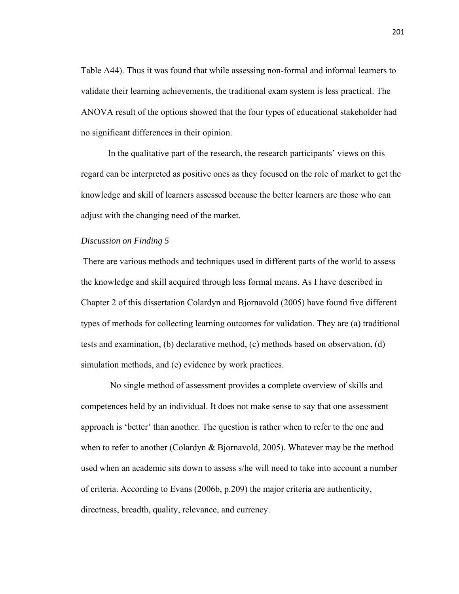Table A44). Thus it was found that while assessing non-formal and informal learners to validate their learning achievements, the traditional exam system is less practical. The ANOVA result of the options showed that the four types of educational stakeholder had no significant differences in their opinion.

 In the qualitative part of the research, the research participants' views on this regard can be interpreted as positive ones as they focused on the role of market to get the knowledge and skill of learners assessed because the better learners are those who can adjust with the changing need of the market.

#### *Discussion on Finding 5*

 There are various methods and techniques used in different parts of the world to assess the knowledge and skill acquired through less formal means. As I have described in Chapter 2 of this dissertation Colardyn and Bjornavold (2005) have found five different types of methods for collecting learning outcomes for validation. They are (a) traditional tests and examination, (b) declarative method, (c) methods based on observation, (d) simulation methods, and (e) evidence by work practices.

 No single method of assessment provides a complete overview of skills and competences held by an individual. It does not make sense to say that one assessment approach is 'better' than another. The question is rather when to refer to the one and when to refer to another (Colardyn & Bjornavold, 2005). Whatever may be the method used when an academic sits down to assess s/he will need to take into account a number of criteria. According to Evans (2006b, p.209) the major criteria are authenticity, directness, breadth, quality, relevance, and currency.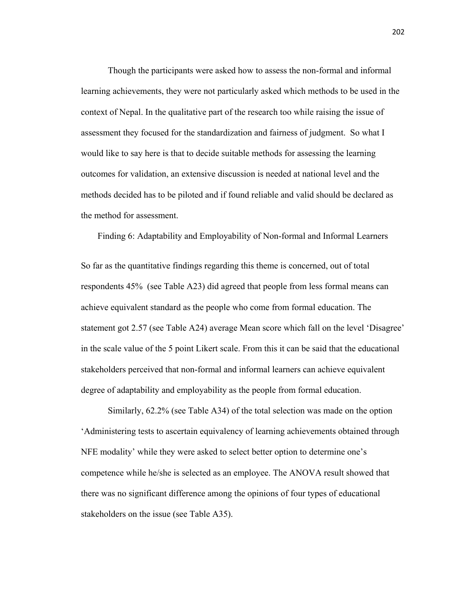Though the participants were asked how to assess the non-formal and informal learning achievements, they were not particularly asked which methods to be used in the context of Nepal. In the qualitative part of the research too while raising the issue of assessment they focused for the standardization and fairness of judgment. So what I would like to say here is that to decide suitable methods for assessing the learning outcomes for validation, an extensive discussion is needed at national level and the methods decided has to be piloted and if found reliable and valid should be declared as the method for assessment.

Finding 6: Adaptability and Employability of Non-formal and Informal Learners

So far as the quantitative findings regarding this theme is concerned, out of total respondents 45% (see Table A23) did agreed that people from less formal means can achieve equivalent standard as the people who come from formal education. The statement got 2.57 (see Table A24) average Mean score which fall on the level 'Disagree' in the scale value of the 5 point Likert scale. From this it can be said that the educational stakeholders perceived that non-formal and informal learners can achieve equivalent degree of adaptability and employability as the people from formal education.

 Similarly, 62.2% (see Table A34) of the total selection was made on the option 'Administering tests to ascertain equivalency of learning achievements obtained through NFE modality' while they were asked to select better option to determine one's competence while he/she is selected as an employee. The ANOVA result showed that there was no significant difference among the opinions of four types of educational stakeholders on the issue (see Table A35).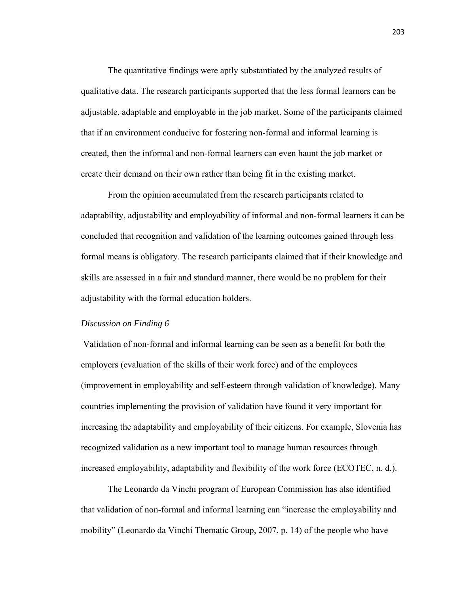The quantitative findings were aptly substantiated by the analyzed results of qualitative data. The research participants supported that the less formal learners can be adjustable, adaptable and employable in the job market. Some of the participants claimed that if an environment conducive for fostering non-formal and informal learning is created, then the informal and non-formal learners can even haunt the job market or create their demand on their own rather than being fit in the existing market.

 From the opinion accumulated from the research participants related to adaptability, adjustability and employability of informal and non-formal learners it can be concluded that recognition and validation of the learning outcomes gained through less formal means is obligatory. The research participants claimed that if their knowledge and skills are assessed in a fair and standard manner, there would be no problem for their adjustability with the formal education holders.

## *Discussion on Finding 6*

 Validation of non-formal and informal learning can be seen as a benefit for both the employers (evaluation of the skills of their work force) and of the employees (improvement in employability and self-esteem through validation of knowledge). Many countries implementing the provision of validation have found it very important for increasing the adaptability and employability of their citizens. For example, Slovenia has recognized validation as a new important tool to manage human resources through increased employability, adaptability and flexibility of the work force (ECOTEC, n. d.).

 The Leonardo da Vinchi program of European Commission has also identified that validation of non-formal and informal learning can "increase the employability and mobility" (Leonardo da Vinchi Thematic Group, 2007, p. 14) of the people who have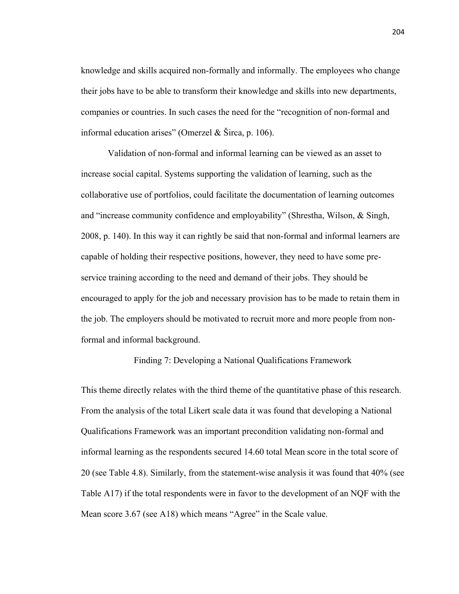knowledge and skills acquired non-formally and informally. The employees who change their jobs have to be able to transform their knowledge and skills into new departments, companies or countries. In such cases the need for the "recognition of non-formal and informal education arises" (Omerzel & Širca, p. 106).

 Validation of non-formal and informal learning can be viewed as an asset to increase social capital. Systems supporting the validation of learning, such as the collaborative use of portfolios, could facilitate the documentation of learning outcomes and "increase community confidence and employability" (Shrestha, Wilson, & Singh, 2008, p. 140). In this way it can rightly be said that non-formal and informal learners are capable of holding their respective positions, however, they need to have some preservice training according to the need and demand of their jobs. They should be encouraged to apply for the job and necessary provision has to be made to retain them in the job. The employers should be motivated to recruit more and more people from nonformal and informal background.

Finding 7: Developing a National Qualifications Framework

This theme directly relates with the third theme of the quantitative phase of this research. From the analysis of the total Likert scale data it was found that developing a National Qualifications Framework was an important precondition validating non-formal and informal learning as the respondents secured 14.60 total Mean score in the total score of 20 (see Table 4.8). Similarly, from the statement-wise analysis it was found that 40% (see Table A17) if the total respondents were in favor to the development of an NQF with the Mean score 3.67 (see A18) which means "Agree" in the Scale value.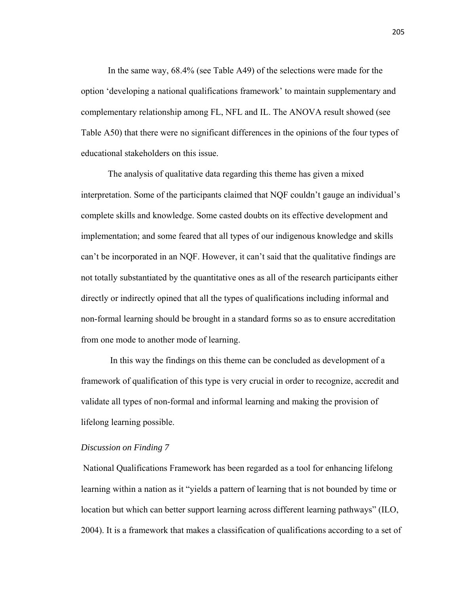In the same way, 68.4% (see Table A49) of the selections were made for the option 'developing a national qualifications framework' to maintain supplementary and complementary relationship among FL, NFL and IL. The ANOVA result showed (see Table A50) that there were no significant differences in the opinions of the four types of educational stakeholders on this issue.

 The analysis of qualitative data regarding this theme has given a mixed interpretation. Some of the participants claimed that NQF couldn't gauge an individual's complete skills and knowledge. Some casted doubts on its effective development and implementation; and some feared that all types of our indigenous knowledge and skills can't be incorporated in an NQF. However, it can't said that the qualitative findings are not totally substantiated by the quantitative ones as all of the research participants either directly or indirectly opined that all the types of qualifications including informal and non-formal learning should be brought in a standard forms so as to ensure accreditation from one mode to another mode of learning.

 In this way the findings on this theme can be concluded as development of a framework of qualification of this type is very crucial in order to recognize, accredit and validate all types of non-formal and informal learning and making the provision of lifelong learning possible.

# *Discussion on Finding 7*

 National Qualifications Framework has been regarded as a tool for enhancing lifelong learning within a nation as it "yields a pattern of learning that is not bounded by time or location but which can better support learning across different learning pathways" (ILO, 2004). It is a framework that makes a classification of qualifications according to a set of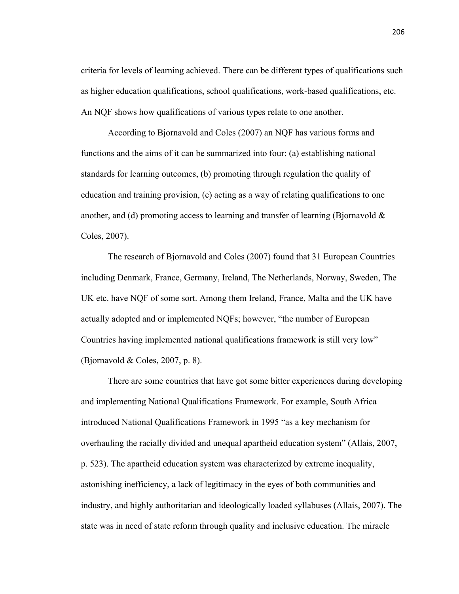criteria for levels of learning achieved. There can be different types of qualifications such as higher education qualifications, school qualifications, work-based qualifications, etc. An NQF shows how qualifications of various types relate to one another.

 According to Bjornavold and Coles (2007) an NQF has various forms and functions and the aims of it can be summarized into four: (a) establishing national standards for learning outcomes, (b) promoting through regulation the quality of education and training provision, (c) acting as a way of relating qualifications to one another, and (d) promoting access to learning and transfer of learning (Bjornavold  $\&$ Coles, 2007).

 The research of Bjornavold and Coles (2007) found that 31 European Countries including Denmark, France, Germany, Ireland, The Netherlands, Norway, Sweden, The UK etc. have NQF of some sort. Among them Ireland, France, Malta and the UK have actually adopted and or implemented NQFs; however, "the number of European Countries having implemented national qualifications framework is still very low" (Bjornavold  $& Coles, 2007, p. 8$ ).

 There are some countries that have got some bitter experiences during developing and implementing National Qualifications Framework. For example, South Africa introduced National Qualifications Framework in 1995 "as a key mechanism for overhauling the racially divided and unequal apartheid education system" (Allais, 2007, p. 523). The apartheid education system was characterized by extreme inequality, astonishing inefficiency, a lack of legitimacy in the eyes of both communities and industry, and highly authoritarian and ideologically loaded syllabuses (Allais, 2007). The state was in need of state reform through quality and inclusive education. The miracle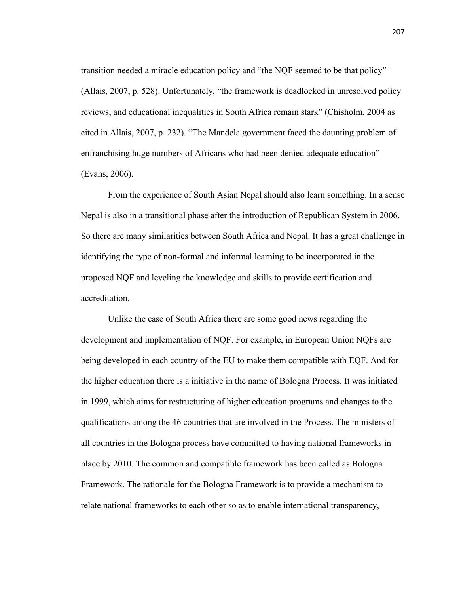transition needed a miracle education policy and "the NQF seemed to be that policy" (Allais, 2007, p. 528). Unfortunately, "the framework is deadlocked in unresolved policy reviews, and educational inequalities in South Africa remain stark" (Chisholm, 2004 as cited in Allais, 2007, p. 232). "The Mandela government faced the daunting problem of enfranchising huge numbers of Africans who had been denied adequate education" (Evans, 2006).

 From the experience of South Asian Nepal should also learn something. In a sense Nepal is also in a transitional phase after the introduction of Republican System in 2006. So there are many similarities between South Africa and Nepal. It has a great challenge in identifying the type of non-formal and informal learning to be incorporated in the proposed NQF and leveling the knowledge and skills to provide certification and accreditation.

 Unlike the case of South Africa there are some good news regarding the development and implementation of NQF. For example, in European Union NQFs are being developed in each country of the EU to make them compatible with EQF. And for the higher education there is a initiative in the name of Bologna Process. It was initiated in 1999, which aims for restructuring of higher education programs and changes to the qualifications among the 46 countries that are involved in the Process. The ministers of all countries in the Bologna process have committed to having national frameworks in place by 2010. The common and compatible framework has been called as Bologna Framework. The rationale for the Bologna Framework is to provide a mechanism to relate national frameworks to each other so as to enable international transparency,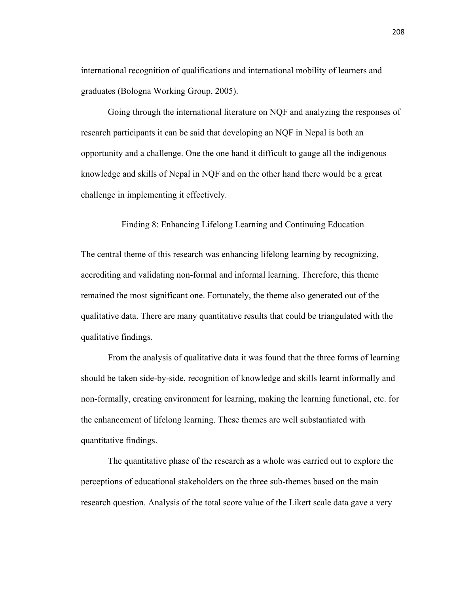international recognition of qualifications and international mobility of learners and graduates (Bologna Working Group, 2005).

 Going through the international literature on NQF and analyzing the responses of research participants it can be said that developing an NQF in Nepal is both an opportunity and a challenge. One the one hand it difficult to gauge all the indigenous knowledge and skills of Nepal in NQF and on the other hand there would be a great challenge in implementing it effectively.

Finding 8: Enhancing Lifelong Learning and Continuing Education

The central theme of this research was enhancing lifelong learning by recognizing, accrediting and validating non-formal and informal learning. Therefore, this theme remained the most significant one. Fortunately, the theme also generated out of the qualitative data. There are many quantitative results that could be triangulated with the qualitative findings.

 From the analysis of qualitative data it was found that the three forms of learning should be taken side-by-side, recognition of knowledge and skills learnt informally and non-formally, creating environment for learning, making the learning functional, etc. for the enhancement of lifelong learning. These themes are well substantiated with quantitative findings.

 The quantitative phase of the research as a whole was carried out to explore the perceptions of educational stakeholders on the three sub-themes based on the main research question. Analysis of the total score value of the Likert scale data gave a very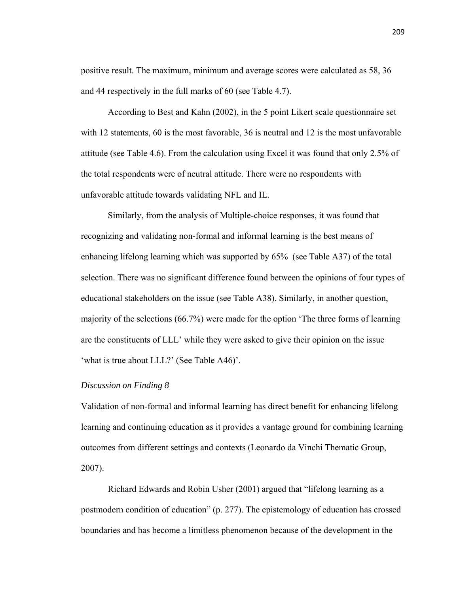positive result. The maximum, minimum and average scores were calculated as 58, 36 and 44 respectively in the full marks of 60 (see Table 4.7).

 According to Best and Kahn (2002), in the 5 point Likert scale questionnaire set with 12 statements, 60 is the most favorable, 36 is neutral and 12 is the most unfavorable attitude (see Table 4.6). From the calculation using Excel it was found that only 2.5% of the total respondents were of neutral attitude. There were no respondents with unfavorable attitude towards validating NFL and IL.

 Similarly, from the analysis of Multiple-choice responses, it was found that recognizing and validating non-formal and informal learning is the best means of enhancing lifelong learning which was supported by 65% (see Table A37) of the total selection. There was no significant difference found between the opinions of four types of educational stakeholders on the issue (see Table A38). Similarly, in another question, majority of the selections (66.7%) were made for the option 'The three forms of learning are the constituents of LLL' while they were asked to give their opinion on the issue 'what is true about LLL?' (See Table A46)'.

## *Discussion on Finding 8*

Validation of non-formal and informal learning has direct benefit for enhancing lifelong learning and continuing education as it provides a vantage ground for combining learning outcomes from different settings and contexts (Leonardo da Vinchi Thematic Group, 2007).

Richard Edwards and Robin Usher (2001) argued that "lifelong learning as a postmodern condition of education" (p. 277). The epistemology of education has crossed boundaries and has become a limitless phenomenon because of the development in the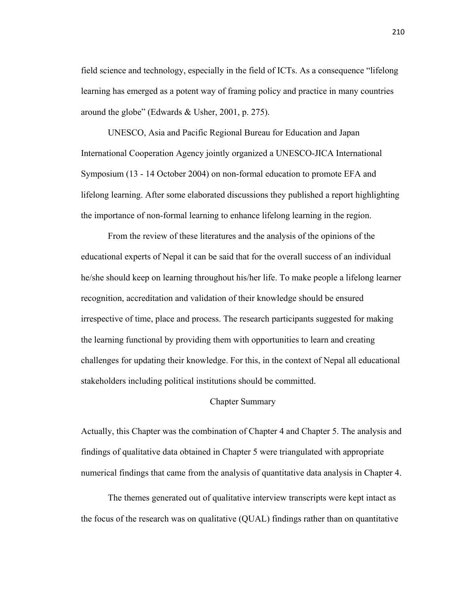field science and technology, especially in the field of ICTs. As a consequence "lifelong learning has emerged as a potent way of framing policy and practice in many countries around the globe" (Edwards & Usher, 2001, p. 275).

 UNESCO, Asia and Pacific Regional Bureau for Education and Japan International Cooperation Agency jointly organized a UNESCO-JICA International Symposium (13 - 14 October 2004) on non-formal education to promote EFA and lifelong learning. After some elaborated discussions they published a report highlighting the importance of non-formal learning to enhance lifelong learning in the region.

 From the review of these literatures and the analysis of the opinions of the educational experts of Nepal it can be said that for the overall success of an individual he/she should keep on learning throughout his/her life. To make people a lifelong learner recognition, accreditation and validation of their knowledge should be ensured irrespective of time, place and process. The research participants suggested for making the learning functional by providing them with opportunities to learn and creating challenges for updating their knowledge. For this, in the context of Nepal all educational stakeholders including political institutions should be committed.

## Chapter Summary

Actually, this Chapter was the combination of Chapter 4 and Chapter 5. The analysis and findings of qualitative data obtained in Chapter 5 were triangulated with appropriate numerical findings that came from the analysis of quantitative data analysis in Chapter 4.

 The themes generated out of qualitative interview transcripts were kept intact as the focus of the research was on qualitative (QUAL) findings rather than on quantitative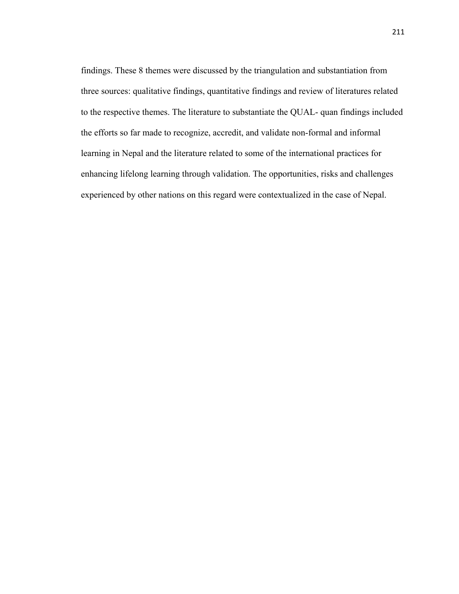findings. These 8 themes were discussed by the triangulation and substantiation from three sources: qualitative findings, quantitative findings and review of literatures related to the respective themes. The literature to substantiate the QUAL- quan findings included the efforts so far made to recognize, accredit, and validate non-formal and informal learning in Nepal and the literature related to some of the international practices for enhancing lifelong learning through validation. The opportunities, risks and challenges experienced by other nations on this regard were contextualized in the case of Nepal.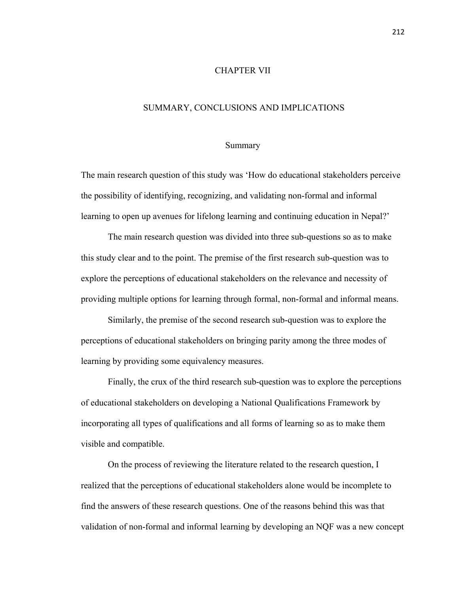## CHAPTER VII

## SUMMARY, CONCLUSIONS AND IMPLICATIONS

#### Summary

The main research question of this study was 'How do educational stakeholders perceive the possibility of identifying, recognizing, and validating non-formal and informal learning to open up avenues for lifelong learning and continuing education in Nepal?'

 The main research question was divided into three sub-questions so as to make this study clear and to the point. The premise of the first research sub-question was to explore the perceptions of educational stakeholders on the relevance and necessity of providing multiple options for learning through formal, non-formal and informal means.

 Similarly, the premise of the second research sub-question was to explore the perceptions of educational stakeholders on bringing parity among the three modes of learning by providing some equivalency measures.

 Finally, the crux of the third research sub-question was to explore the perceptions of educational stakeholders on developing a National Qualifications Framework by incorporating all types of qualifications and all forms of learning so as to make them visible and compatible.

 On the process of reviewing the literature related to the research question, I realized that the perceptions of educational stakeholders alone would be incomplete to find the answers of these research questions. One of the reasons behind this was that validation of non-formal and informal learning by developing an NQF was a new concept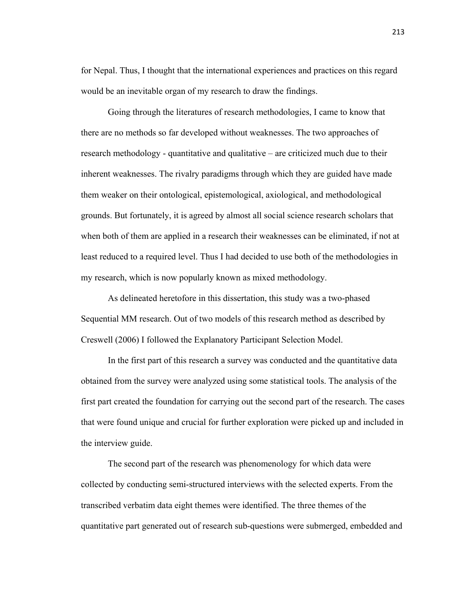for Nepal. Thus, I thought that the international experiences and practices on this regard would be an inevitable organ of my research to draw the findings.

 Going through the literatures of research methodologies, I came to know that there are no methods so far developed without weaknesses. The two approaches of research methodology - quantitative and qualitative – are criticized much due to their inherent weaknesses. The rivalry paradigms through which they are guided have made them weaker on their ontological, epistemological, axiological, and methodological grounds. But fortunately, it is agreed by almost all social science research scholars that when both of them are applied in a research their weaknesses can be eliminated, if not at least reduced to a required level. Thus I had decided to use both of the methodologies in my research, which is now popularly known as mixed methodology.

 As delineated heretofore in this dissertation, this study was a two-phased Sequential MM research. Out of two models of this research method as described by Creswell (2006) I followed the Explanatory Participant Selection Model.

 In the first part of this research a survey was conducted and the quantitative data obtained from the survey were analyzed using some statistical tools. The analysis of the first part created the foundation for carrying out the second part of the research. The cases that were found unique and crucial for further exploration were picked up and included in the interview guide.

 The second part of the research was phenomenology for which data were collected by conducting semi-structured interviews with the selected experts. From the transcribed verbatim data eight themes were identified. The three themes of the quantitative part generated out of research sub-questions were submerged, embedded and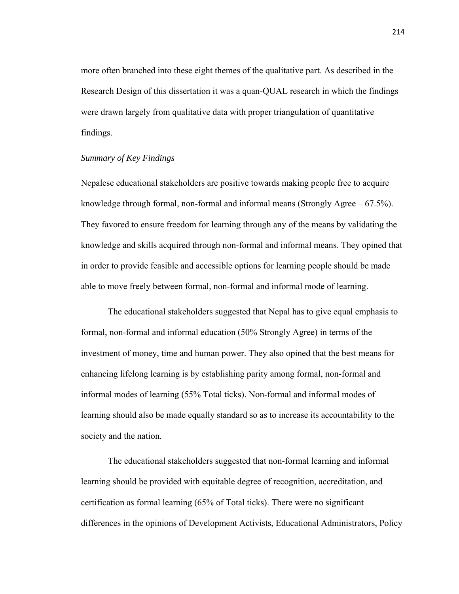more often branched into these eight themes of the qualitative part. As described in the Research Design of this dissertation it was a quan-QUAL research in which the findings were drawn largely from qualitative data with proper triangulation of quantitative findings.

## *Summary of Key Findings*

Nepalese educational stakeholders are positive towards making people free to acquire knowledge through formal, non-formal and informal means (Strongly Agree – 67.5%). They favored to ensure freedom for learning through any of the means by validating the knowledge and skills acquired through non-formal and informal means. They opined that in order to provide feasible and accessible options for learning people should be made able to move freely between formal, non-formal and informal mode of learning.

 The educational stakeholders suggested that Nepal has to give equal emphasis to formal, non-formal and informal education (50% Strongly Agree) in terms of the investment of money, time and human power. They also opined that the best means for enhancing lifelong learning is by establishing parity among formal, non-formal and informal modes of learning (55% Total ticks). Non-formal and informal modes of learning should also be made equally standard so as to increase its accountability to the society and the nation.

 The educational stakeholders suggested that non-formal learning and informal learning should be provided with equitable degree of recognition, accreditation, and certification as formal learning (65% of Total ticks). There were no significant differences in the opinions of Development Activists, Educational Administrators, Policy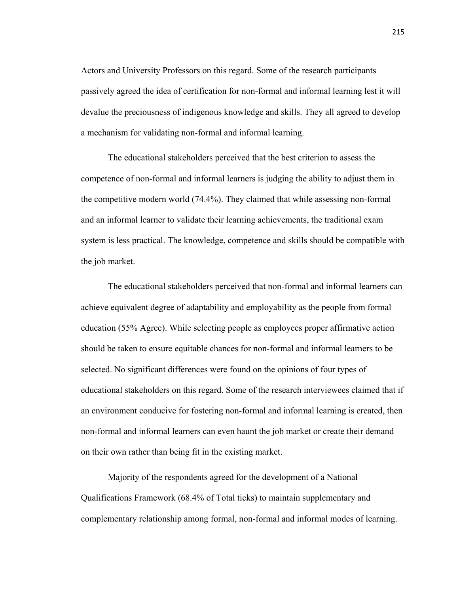Actors and University Professors on this regard. Some of the research participants passively agreed the idea of certification for non-formal and informal learning lest it will devalue the preciousness of indigenous knowledge and skills. They all agreed to develop a mechanism for validating non-formal and informal learning.

 The educational stakeholders perceived that the best criterion to assess the competence of non-formal and informal learners is judging the ability to adjust them in the competitive modern world (74.4%). They claimed that while assessing non-formal and an informal learner to validate their learning achievements, the traditional exam system is less practical. The knowledge, competence and skills should be compatible with the job market.

 The educational stakeholders perceived that non-formal and informal learners can achieve equivalent degree of adaptability and employability as the people from formal education (55% Agree). While selecting people as employees proper affirmative action should be taken to ensure equitable chances for non-formal and informal learners to be selected. No significant differences were found on the opinions of four types of educational stakeholders on this regard. Some of the research interviewees claimed that if an environment conducive for fostering non-formal and informal learning is created, then non-formal and informal learners can even haunt the job market or create their demand on their own rather than being fit in the existing market.

 Majority of the respondents agreed for the development of a National Qualifications Framework (68.4% of Total ticks) to maintain supplementary and complementary relationship among formal, non-formal and informal modes of learning.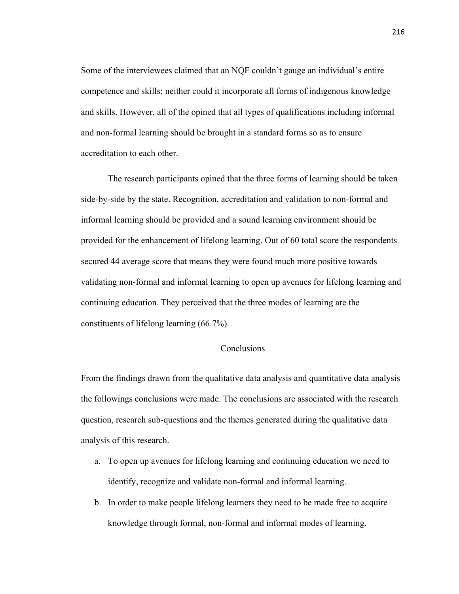Some of the interviewees claimed that an NQF couldn't gauge an individual's entire competence and skills; neither could it incorporate all forms of indigenous knowledge and skills. However, all of the opined that all types of qualifications including informal and non-formal learning should be brought in a standard forms so as to ensure accreditation to each other.

 The research participants opined that the three forms of learning should be taken side-by-side by the state. Recognition, accreditation and validation to non-formal and informal learning should be provided and a sound learning environment should be provided for the enhancement of lifelong learning. Out of 60 total score the respondents secured 44 average score that means they were found much more positive towards validating non-formal and informal learning to open up avenues for lifelong learning and continuing education. They perceived that the three modes of learning are the constituents of lifelong learning (66.7%).

## Conclusions

From the findings drawn from the qualitative data analysis and quantitative data analysis the followings conclusions were made. The conclusions are associated with the research question, research sub-questions and the themes generated during the qualitative data analysis of this research.

- a. To open up avenues for lifelong learning and continuing education we need to identify, recognize and validate non-formal and informal learning.
- b. In order to make people lifelong learners they need to be made free to acquire knowledge through formal, non-formal and informal modes of learning.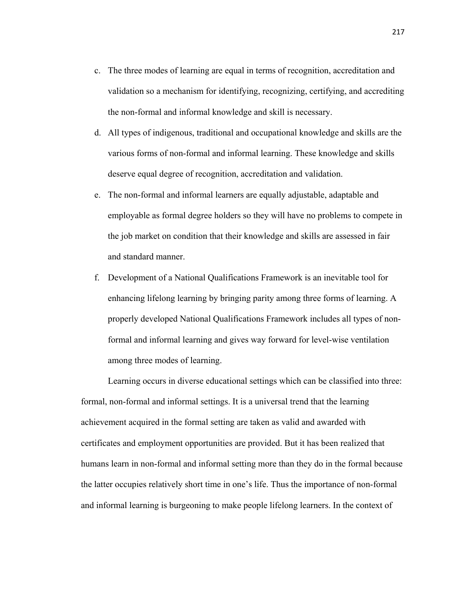- c. The three modes of learning are equal in terms of recognition, accreditation and validation so a mechanism for identifying, recognizing, certifying, and accrediting the non-formal and informal knowledge and skill is necessary.
- d. All types of indigenous, traditional and occupational knowledge and skills are the various forms of non-formal and informal learning. These knowledge and skills deserve equal degree of recognition, accreditation and validation.
- e. The non-formal and informal learners are equally adjustable, adaptable and employable as formal degree holders so they will have no problems to compete in the job market on condition that their knowledge and skills are assessed in fair and standard manner.
- f. Development of a National Qualifications Framework is an inevitable tool for enhancing lifelong learning by bringing parity among three forms of learning. A properly developed National Qualifications Framework includes all types of nonformal and informal learning and gives way forward for level-wise ventilation among three modes of learning.

 Learning occurs in diverse educational settings which can be classified into three: formal, non-formal and informal settings. It is a universal trend that the learning achievement acquired in the formal setting are taken as valid and awarded with certificates and employment opportunities are provided. But it has been realized that humans learn in non-formal and informal setting more than they do in the formal because the latter occupies relatively short time in one's life. Thus the importance of non-formal and informal learning is burgeoning to make people lifelong learners. In the context of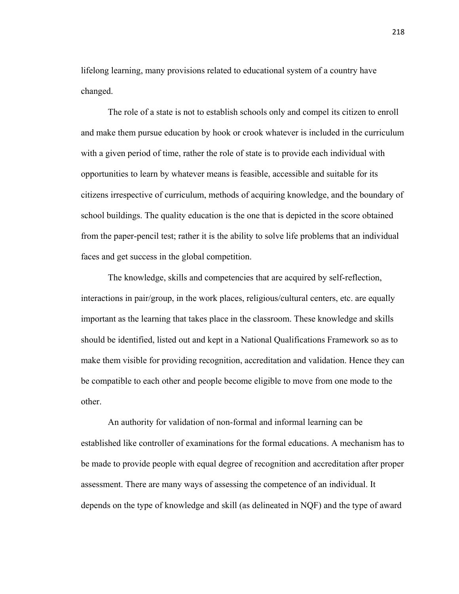lifelong learning, many provisions related to educational system of a country have changed.

 The role of a state is not to establish schools only and compel its citizen to enroll and make them pursue education by hook or crook whatever is included in the curriculum with a given period of time, rather the role of state is to provide each individual with opportunities to learn by whatever means is feasible, accessible and suitable for its citizens irrespective of curriculum, methods of acquiring knowledge, and the boundary of school buildings. The quality education is the one that is depicted in the score obtained from the paper-pencil test; rather it is the ability to solve life problems that an individual faces and get success in the global competition.

 The knowledge, skills and competencies that are acquired by self-reflection, interactions in pair/group, in the work places, religious/cultural centers, etc. are equally important as the learning that takes place in the classroom. These knowledge and skills should be identified, listed out and kept in a National Qualifications Framework so as to make them visible for providing recognition, accreditation and validation. Hence they can be compatible to each other and people become eligible to move from one mode to the other.

 An authority for validation of non-formal and informal learning can be established like controller of examinations for the formal educations. A mechanism has to be made to provide people with equal degree of recognition and accreditation after proper assessment. There are many ways of assessing the competence of an individual. It depends on the type of knowledge and skill (as delineated in NQF) and the type of award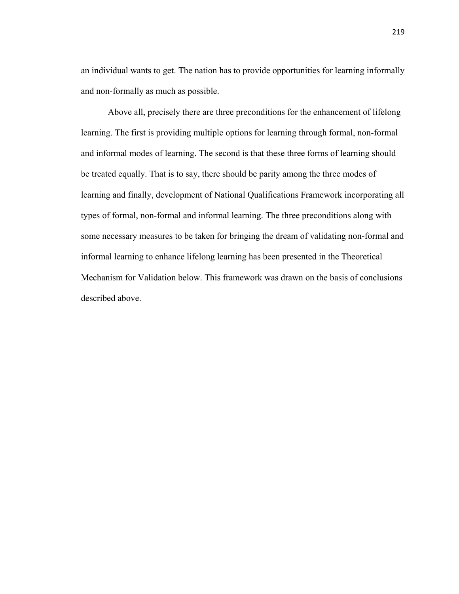an individual wants to get. The nation has to provide opportunities for learning informally and non-formally as much as possible.

 Above all, precisely there are three preconditions for the enhancement of lifelong learning. The first is providing multiple options for learning through formal, non-formal and informal modes of learning. The second is that these three forms of learning should be treated equally. That is to say, there should be parity among the three modes of learning and finally, development of National Qualifications Framework incorporating all types of formal, non-formal and informal learning. The three preconditions along with some necessary measures to be taken for bringing the dream of validating non-formal and informal learning to enhance lifelong learning has been presented in the Theoretical Mechanism for Validation below. This framework was drawn on the basis of conclusions described above.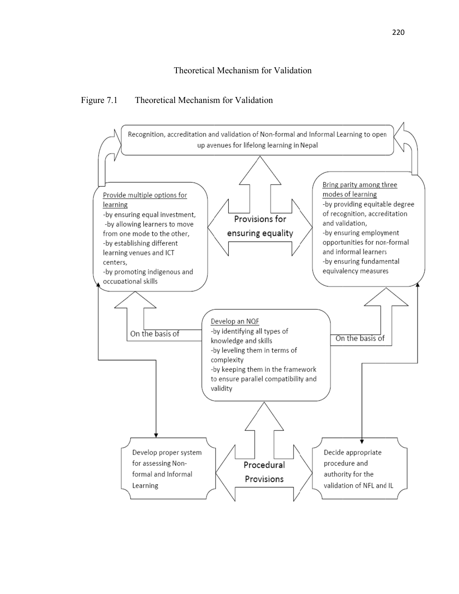#### Figure 7.1 l Mechanism for Valida tion

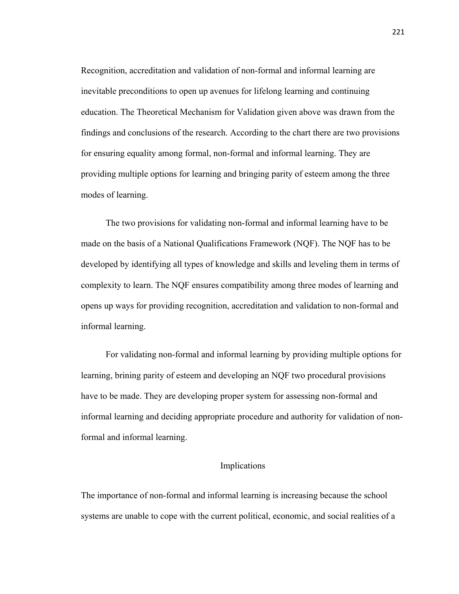Recognition, accreditation and validation of non-formal and informal learning are inevitable preconditions to open up avenues for lifelong learning and continuing education. The Theoretical Mechanism for Validation given above was drawn from the findings and conclusions of the research. According to the chart there are two provisions for ensuring equality among formal, non-formal and informal learning. They are providing multiple options for learning and bringing parity of esteem among the three modes of learning.

The two provisions for validating non-formal and informal learning have to be made on the basis of a National Qualifications Framework (NQF). The NQF has to be developed by identifying all types of knowledge and skills and leveling them in terms of complexity to learn. The NQF ensures compatibility among three modes of learning and opens up ways for providing recognition, accreditation and validation to non-formal and informal learning.

For validating non-formal and informal learning by providing multiple options for learning, brining parity of esteem and developing an NQF two procedural provisions have to be made. They are developing proper system for assessing non-formal and informal learning and deciding appropriate procedure and authority for validation of nonformal and informal learning.

#### Implications

The importance of non-formal and informal learning is increasing because the school systems are unable to cope with the current political, economic, and social realities of a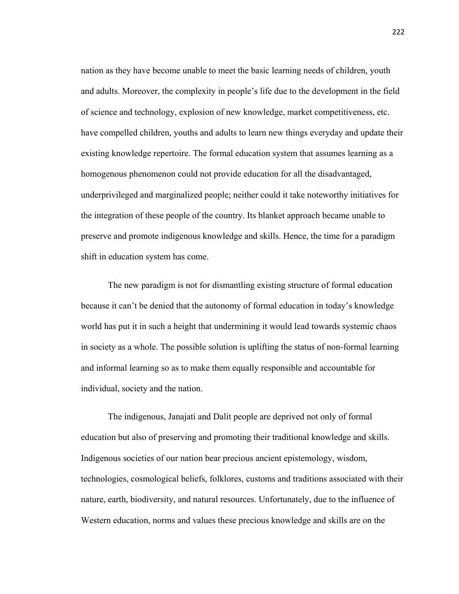nation as they have become unable to meet the basic learning needs of children, youth and adults. Moreover, the complexity in people's life due to the development in the field of science and technology, explosion of new knowledge, market competitiveness, etc. have compelled children, youths and adults to learn new things everyday and update their existing knowledge repertoire. The formal education system that assumes learning as a homogenous phenomenon could not provide education for all the disadvantaged, underprivileged and marginalized people; neither could it take noteworthy initiatives for the integration of these people of the country. Its blanket approach became unable to preserve and promote indigenous knowledge and skills. Hence, the time for a paradigm shift in education system has come.

 The new paradigm is not for dismantling existing structure of formal education because it can't be denied that the autonomy of formal education in today's knowledge world has put it in such a height that undermining it would lead towards systemic chaos in society as a whole. The possible solution is uplifting the status of non-formal learning and informal learning so as to make them equally responsible and accountable for individual, society and the nation.

 The indigenous, Janajati and Dalit people are deprived not only of formal education but also of preserving and promoting their traditional knowledge and skills. Indigenous societies of our nation bear precious ancient epistemology, wisdom, technologies, cosmological beliefs, folklores, customs and traditions associated with their nature, earth, biodiversity, and natural resources. Unfortunately, due to the influence of Western education, norms and values these precious knowledge and skills are on the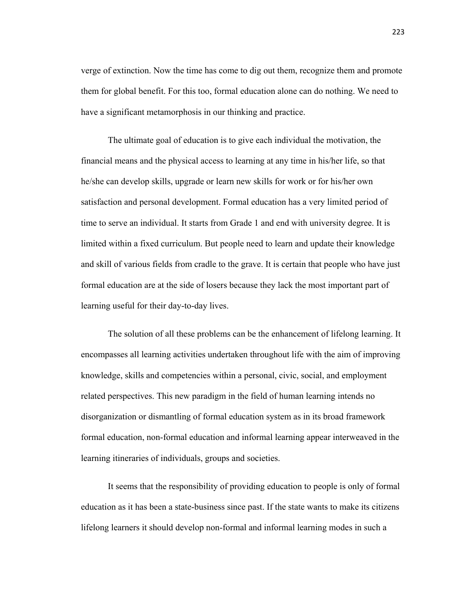verge of extinction. Now the time has come to dig out them, recognize them and promote them for global benefit. For this too, formal education alone can do nothing. We need to have a significant metamorphosis in our thinking and practice.

 The ultimate goal of education is to give each individual the motivation, the financial means and the physical access to learning at any time in his/her life, so that he/she can develop skills, upgrade or learn new skills for work or for his/her own satisfaction and personal development. Formal education has a very limited period of time to serve an individual. It starts from Grade 1 and end with university degree. It is limited within a fixed curriculum. But people need to learn and update their knowledge and skill of various fields from cradle to the grave. It is certain that people who have just formal education are at the side of losers because they lack the most important part of learning useful for their day-to-day lives.

 The solution of all these problems can be the enhancement of lifelong learning. It encompasses all learning activities undertaken throughout life with the aim of improving knowledge, skills and competencies within a personal, civic, social, and employment related perspectives. This new paradigm in the field of human learning intends no disorganization or dismantling of formal education system as in its broad framework formal education, non-formal education and informal learning appear interweaved in the learning itineraries of individuals, groups and societies.

 It seems that the responsibility of providing education to people is only of formal education as it has been a state-business since past. If the state wants to make its citizens lifelong learners it should develop non-formal and informal learning modes in such a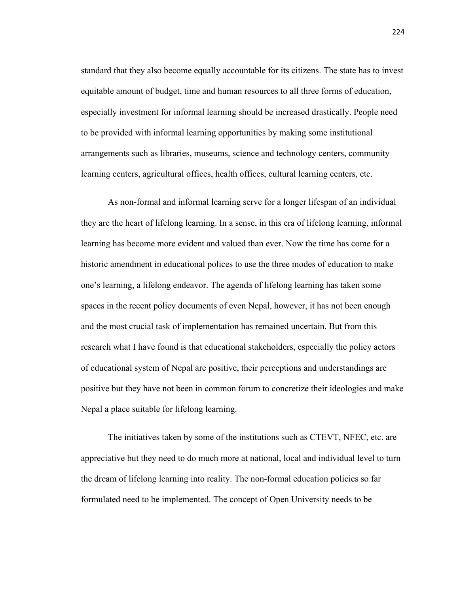standard that they also become equally accountable for its citizens. The state has to invest equitable amount of budget, time and human resources to all three forms of education, especially investment for informal learning should be increased drastically. People need to be provided with informal learning opportunities by making some institutional arrangements such as libraries, museums, science and technology centers, community learning centers, agricultural offices, health offices, cultural learning centers, etc.

 As non-formal and informal learning serve for a longer lifespan of an individual they are the heart of lifelong learning. In a sense, in this era of lifelong learning, informal learning has become more evident and valued than ever. Now the time has come for a historic amendment in educational polices to use the three modes of education to make one's learning, a lifelong endeavor. The agenda of lifelong learning has taken some spaces in the recent policy documents of even Nepal, however, it has not been enough and the most crucial task of implementation has remained uncertain. But from this research what I have found is that educational stakeholders, especially the policy actors of educational system of Nepal are positive, their perceptions and understandings are positive but they have not been in common forum to concretize their ideologies and make Nepal a place suitable for lifelong learning.

 The initiatives taken by some of the institutions such as CTEVT, NFEC, etc. are appreciative but they need to do much more at national, local and individual level to turn the dream of lifelong learning into reality. The non-formal education policies so far formulated need to be implemented. The concept of Open University needs to be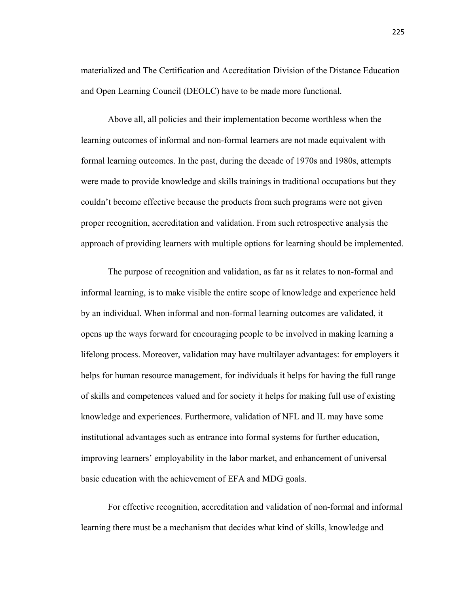materialized and The Certification and Accreditation Division of the Distance Education and Open Learning Council (DEOLC) have to be made more functional.

 Above all, all policies and their implementation become worthless when the learning outcomes of informal and non-formal learners are not made equivalent with formal learning outcomes. In the past, during the decade of 1970s and 1980s, attempts were made to provide knowledge and skills trainings in traditional occupations but they couldn't become effective because the products from such programs were not given proper recognition, accreditation and validation. From such retrospective analysis the approach of providing learners with multiple options for learning should be implemented.

 The purpose of recognition and validation, as far as it relates to non-formal and informal learning, is to make visible the entire scope of knowledge and experience held by an individual. When informal and non-formal learning outcomes are validated, it opens up the ways forward for encouraging people to be involved in making learning a lifelong process. Moreover, validation may have multilayer advantages: for employers it helps for human resource management, for individuals it helps for having the full range of skills and competences valued and for society it helps for making full use of existing knowledge and experiences. Furthermore, validation of NFL and IL may have some institutional advantages such as entrance into formal systems for further education, improving learners' employability in the labor market, and enhancement of universal basic education with the achievement of EFA and MDG goals.

 For effective recognition, accreditation and validation of non-formal and informal learning there must be a mechanism that decides what kind of skills, knowledge and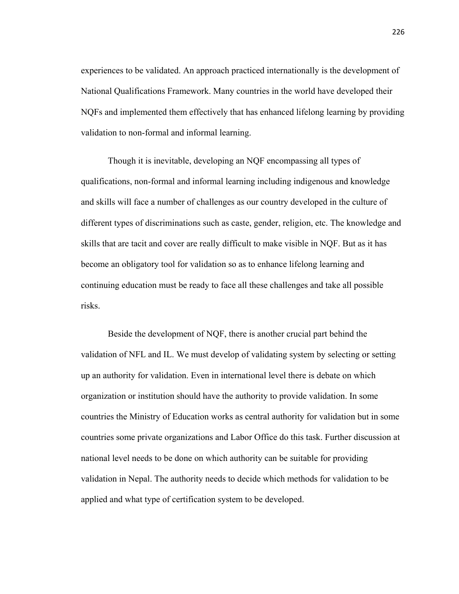experiences to be validated. An approach practiced internationally is the development of National Qualifications Framework. Many countries in the world have developed their NQFs and implemented them effectively that has enhanced lifelong learning by providing validation to non-formal and informal learning.

 Though it is inevitable, developing an NQF encompassing all types of qualifications, non-formal and informal learning including indigenous and knowledge and skills will face a number of challenges as our country developed in the culture of different types of discriminations such as caste, gender, religion, etc. The knowledge and skills that are tacit and cover are really difficult to make visible in NQF. But as it has become an obligatory tool for validation so as to enhance lifelong learning and continuing education must be ready to face all these challenges and take all possible risks.

 Beside the development of NQF, there is another crucial part behind the validation of NFL and IL. We must develop of validating system by selecting or setting up an authority for validation. Even in international level there is debate on which organization or institution should have the authority to provide validation. In some countries the Ministry of Education works as central authority for validation but in some countries some private organizations and Labor Office do this task. Further discussion at national level needs to be done on which authority can be suitable for providing validation in Nepal. The authority needs to decide which methods for validation to be applied and what type of certification system to be developed.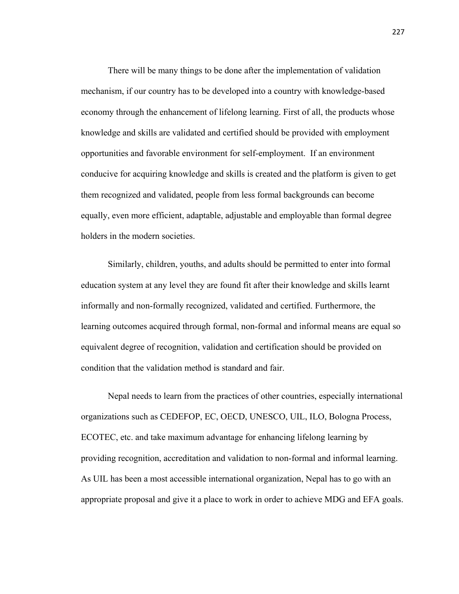There will be many things to be done after the implementation of validation mechanism, if our country has to be developed into a country with knowledge-based economy through the enhancement of lifelong learning. First of all, the products whose knowledge and skills are validated and certified should be provided with employment opportunities and favorable environment for self-employment. If an environment conducive for acquiring knowledge and skills is created and the platform is given to get them recognized and validated, people from less formal backgrounds can become equally, even more efficient, adaptable, adjustable and employable than formal degree holders in the modern societies.

 Similarly, children, youths, and adults should be permitted to enter into formal education system at any level they are found fit after their knowledge and skills learnt informally and non-formally recognized, validated and certified. Furthermore, the learning outcomes acquired through formal, non-formal and informal means are equal so equivalent degree of recognition, validation and certification should be provided on condition that the validation method is standard and fair.

 Nepal needs to learn from the practices of other countries, especially international organizations such as CEDEFOP, EC, OECD, UNESCO, UIL, ILO, Bologna Process, ECOTEC, etc. and take maximum advantage for enhancing lifelong learning by providing recognition, accreditation and validation to non-formal and informal learning. As UIL has been a most accessible international organization, Nepal has to go with an appropriate proposal and give it a place to work in order to achieve MDG and EFA goals.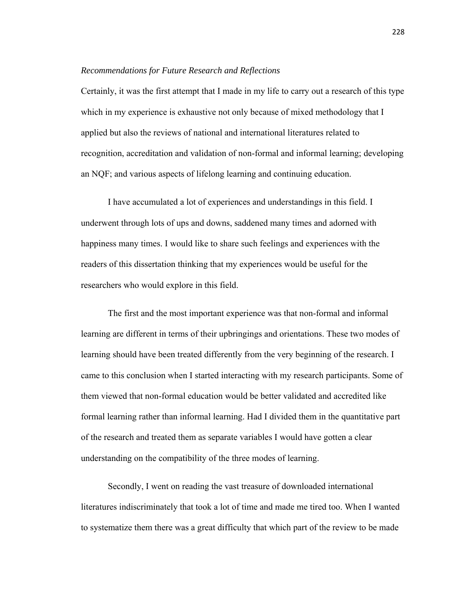#### *Recommendations for Future Research and Reflections*

Certainly, it was the first attempt that I made in my life to carry out a research of this type which in my experience is exhaustive not only because of mixed methodology that I applied but also the reviews of national and international literatures related to recognition, accreditation and validation of non-formal and informal learning; developing an NQF; and various aspects of lifelong learning and continuing education.

 I have accumulated a lot of experiences and understandings in this field. I underwent through lots of ups and downs, saddened many times and adorned with happiness many times. I would like to share such feelings and experiences with the readers of this dissertation thinking that my experiences would be useful for the researchers who would explore in this field.

 The first and the most important experience was that non-formal and informal learning are different in terms of their upbringings and orientations. These two modes of learning should have been treated differently from the very beginning of the research. I came to this conclusion when I started interacting with my research participants. Some of them viewed that non-formal education would be better validated and accredited like formal learning rather than informal learning. Had I divided them in the quantitative part of the research and treated them as separate variables I would have gotten a clear understanding on the compatibility of the three modes of learning.

 Secondly, I went on reading the vast treasure of downloaded international literatures indiscriminately that took a lot of time and made me tired too. When I wanted to systematize them there was a great difficulty that which part of the review to be made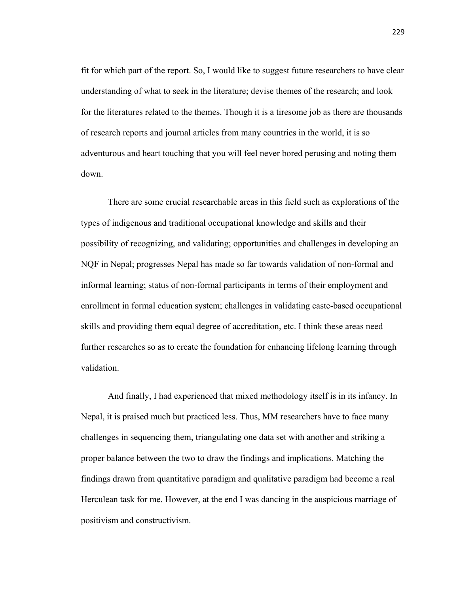fit for which part of the report. So, I would like to suggest future researchers to have clear understanding of what to seek in the literature; devise themes of the research; and look for the literatures related to the themes. Though it is a tiresome job as there are thousands of research reports and journal articles from many countries in the world, it is so adventurous and heart touching that you will feel never bored perusing and noting them down.

 There are some crucial researchable areas in this field such as explorations of the types of indigenous and traditional occupational knowledge and skills and their possibility of recognizing, and validating; opportunities and challenges in developing an NQF in Nepal; progresses Nepal has made so far towards validation of non-formal and informal learning; status of non-formal participants in terms of their employment and enrollment in formal education system; challenges in validating caste-based occupational skills and providing them equal degree of accreditation, etc. I think these areas need further researches so as to create the foundation for enhancing lifelong learning through validation.

 And finally, I had experienced that mixed methodology itself is in its infancy. In Nepal, it is praised much but practiced less. Thus, MM researchers have to face many challenges in sequencing them, triangulating one data set with another and striking a proper balance between the two to draw the findings and implications. Matching the findings drawn from quantitative paradigm and qualitative paradigm had become a real Herculean task for me. However, at the end I was dancing in the auspicious marriage of positivism and constructivism.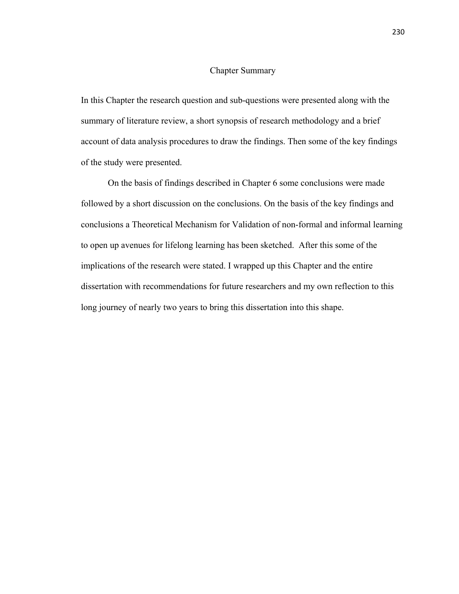#### Chapter Summary

In this Chapter the research question and sub-questions were presented along with the summary of literature review, a short synopsis of research methodology and a brief account of data analysis procedures to draw the findings. Then some of the key findings of the study were presented.

 On the basis of findings described in Chapter 6 some conclusions were made followed by a short discussion on the conclusions. On the basis of the key findings and conclusions a Theoretical Mechanism for Validation of non-formal and informal learning to open up avenues for lifelong learning has been sketched. After this some of the implications of the research were stated. I wrapped up this Chapter and the entire dissertation with recommendations for future researchers and my own reflection to this long journey of nearly two years to bring this dissertation into this shape.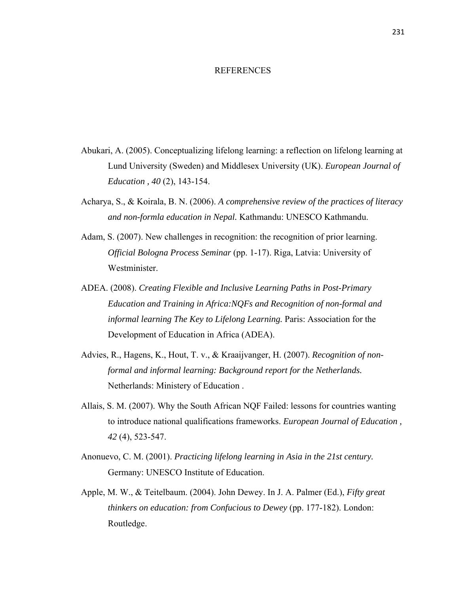#### REFERENCES

- Abukari, A. (2005). Conceptualizing lifelong learning: a reflection on lifelong learning at Lund University (Sweden) and Middlesex University (UK). *European Journal of Education , 40* (2), 143-154.
- Acharya, S., & Koirala, B. N. (2006). *A comprehensive review of the practices of literacy and non-formla education in Nepal.* Kathmandu: UNESCO Kathmandu.
- Adam, S. (2007). New challenges in recognition: the recognition of prior learning. *Official Bologna Process Seminar* (pp. 1-17). Riga, Latvia: University of Westminister.
- ADEA. (2008). *Creating Flexible and Inclusive Learning Paths in Post-Primary Education and Training in Africa:NQFs and Recognition of non-formal and informal learning The Key to Lifelong Learning.* Paris: Association for the Development of Education in Africa (ADEA).
- Advies, R., Hagens, K., Hout, T. v., & Kraaijvanger, H. (2007). *Recognition of nonformal and informal learning: Background report for the Netherlands.* Netherlands: Ministery of Education .
- Allais, S. M. (2007). Why the South African NQF Failed: lessons for countries wanting to introduce national qualifications frameworks. *European Journal of Education , 42* (4), 523-547.
- Anonuevo, C. M. (2001). *Practicing lifelong learning in Asia in the 21st century.* Germany: UNESCO Institute of Education.
- Apple, M. W., & Teitelbaum. (2004). John Dewey. In J. A. Palmer (Ed.), *Fifty great thinkers on education: from Confucious to Dewey* (pp. 177-182). London: Routledge.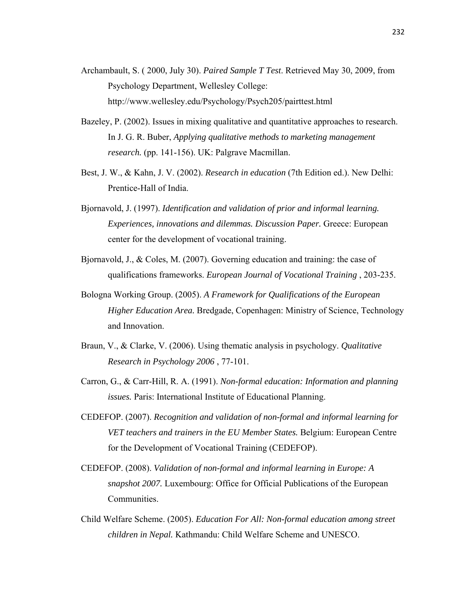- Archambault, S. ( 2000, July 30). *Paired Sample T Test*. Retrieved May 30, 2009, from Psychology Department, Wellesley College: http://www.wellesley.edu/Psychology/Psych205/pairttest.html
- Bazeley, P. (2002). Issues in mixing qualitative and quantitative approaches to research. In J. G. R. Buber, *Applying qualitative methods to marketing management research.* (pp. 141-156). UK: Palgrave Macmillan.
- Best, J. W., & Kahn, J. V. (2002). *Research in education* (7th Edition ed.). New Delhi: Prentice-Hall of India.
- Bjornavold, J. (1997). *Identification and validation of prior and informal learning. Experiences, innovations and dilemmas. Discussion Paper.* Greece: European center for the development of vocational training.
- Bjornavold, J., & Coles, M. (2007). Governing education and training: the case of qualifications frameworks. *European Journal of Vocational Training* , 203-235.
- Bologna Working Group. (2005). *A Framework for Qualifications of the European Higher Education Area.* Bredgade, Copenhagen: Ministry of Science, Technology and Innovation.
- Braun, V., & Clarke, V. (2006). Using thematic analysis in psychology. *Qualitative Research in Psychology 2006* , 77-101.
- Carron, G., & Carr-Hill, R. A. (1991). *Non-formal education: Information and planning issues.* Paris: International Institute of Educational Planning.
- CEDEFOP. (2007). *Recognition and validation of non-formal and informal learning for VET teachers and trainers in the EU Member States.* Belgium: European Centre for the Development of Vocational Training (CEDEFOP).
- CEDEFOP. (2008). *Validation of non-formal and informal learning in Europe: A snapshot 2007.* Luxembourg: Office for Official Publications of the European Communities.
- Child Welfare Scheme. (2005). *Education For All: Non-formal education among street children in Nepal.* Kathmandu: Child Welfare Scheme and UNESCO.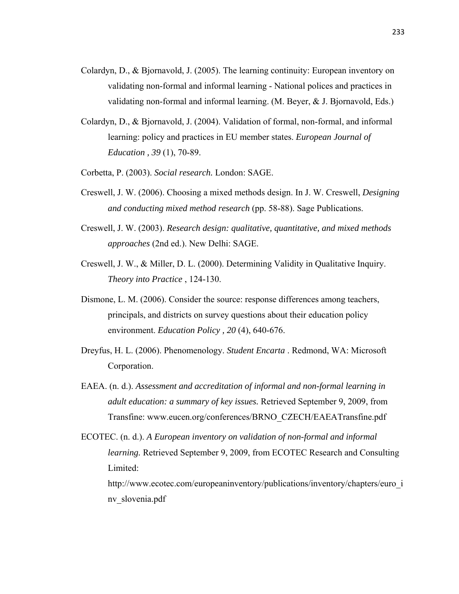- Colardyn, D., & Bjornavold, J. (2005). The learning continuity: European inventory on validating non-formal and informal learning - National polices and practices in validating non-formal and informal learning. (M. Beyer, & J. Bjornavold, Eds.)
- Colardyn, D., & Bjornavold, J. (2004). Validation of formal, non-formal, and informal learning: policy and practices in EU member states. *European Journal of Education , 39* (1), 70-89.
- Corbetta, P. (2003). *Social research.* London: SAGE.
- Creswell, J. W. (2006). Choosing a mixed methods design. In J. W. Creswell, *Designing and conducting mixed method research* (pp. 58-88). Sage Publications.
- Creswell, J. W. (2003). *Research design: qualitative, quantitative, and mixed methods approaches* (2nd ed.). New Delhi: SAGE.
- Creswell, J. W., & Miller, D. L. (2000). Determining Validity in Qualitative Inquiry. *Theory into Practice* , 124-130.
- Dismone, L. M. (2006). Consider the source: response differences among teachers, principals, and districts on survey questions about their education policy environment. *Education Policy , 20* (4), 640-676.
- Dreyfus, H. L. (2006). Phenomenology. *Student Encarta* . Redmond, WA: Microsoft Corporation.
- EAEA. (n. d.). *Assessment and accreditation of informal and non-formal learning in adult education: a summary of key issues.* Retrieved September 9, 2009, from Transfine: www.eucen.org/conferences/BRNO\_CZECH/EAEATransfine.pdf

ECOTEC. (n. d.). *A European inventory on validation of non-formal and informal learning.* Retrieved September 9, 2009, from ECOTEC Research and Consulting Limited: http://www.ecotec.com/europeaninventory/publications/inventory/chapters/euro\_i nv\_slovenia.pdf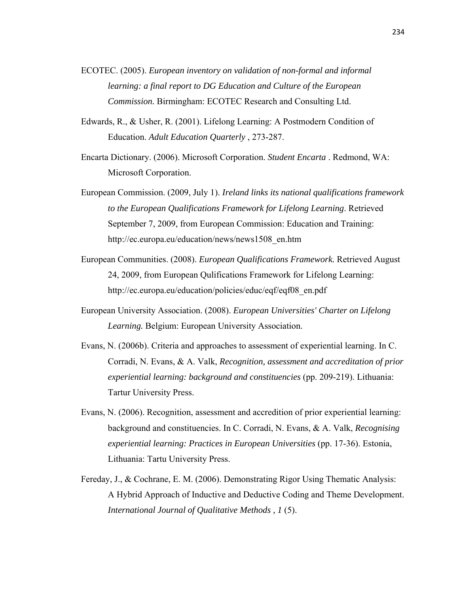- ECOTEC. (2005). *European inventory on validation of non-formal and informal learning: a final report to DG Education and Culture of the European Commission.* Birmingham: ECOTEC Research and Consulting Ltd.
- Edwards, R., & Usher, R. (2001). Lifelong Learning: A Postmodern Condition of Education. *Adult Education Quarterly* , 273-287.
- Encarta Dictionary. (2006). Microsoft Corporation. *Student Encarta* . Redmond, WA: Microsoft Corporation.
- European Commission. (2009, July 1). *Ireland links its national qualifications framework to the European Qualifications Framework for Lifelong Learning*. Retrieved September 7, 2009, from European Commission: Education and Training: http://ec.europa.eu/education/news/news1508\_en.htm
- European Communities. (2008). *European Qualifications Framework.* Retrieved August 24, 2009, from European Qulifications Framework for Lifelong Learning: http://ec.europa.eu/education/policies/educ/eqf/eqf08\_en.pdf
- European University Association. (2008). *European Universities' Charter on Lifelong Learning.* Belgium: European University Association.
- Evans, N. (2006b). Criteria and approaches to assessment of experiential learning. In C. Corradi, N. Evans, & A. Valk, *Recognition, assessment and accreditation of prior experiential learning: background and constituencies* (pp. 209-219). Lithuania: Tartur University Press.
- Evans, N. (2006). Recognition, assessment and accredition of prior experiential learning: background and constituencies. In C. Corradi, N. Evans, & A. Valk, *Recognising experiential learning: Practices in European Universities* (pp. 17-36). Estonia, Lithuania: Tartu University Press.
- Fereday, J., & Cochrane, E. M. (2006). Demonstrating Rigor Using Thematic Analysis: A Hybrid Approach of Inductive and Deductive Coding and Theme Development. *International Journal of Qualitative Methods , 1* (5).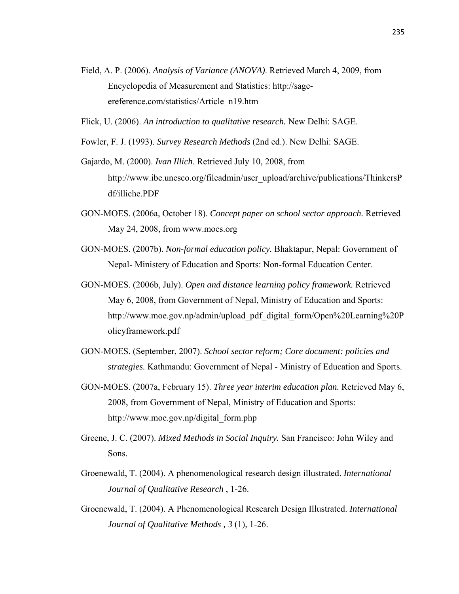- Field, A. P. (2006). *Analysis of Variance (ANOVA)*. Retrieved March 4, 2009, from Encyclopedia of Measurement and Statistics: http://sageereference.com/statistics/Article\_n19.htm
- Flick, U. (2006). *An introduction to qualitative research.* New Delhi: SAGE.
- Fowler, F. J. (1993). *Survey Research Methods* (2nd ed.). New Delhi: SAGE.
- Gajardo, M. (2000). *Ivan Illich*. Retrieved July 10, 2008, from http://www.ibe.unesco.org/fileadmin/user\_upload/archive/publications/ThinkersP df/illiche.PDF
- GON-MOES. (2006a, October 18). *Concept paper on school sector approach.* Retrieved May 24, 2008, from www.moes.org
- GON-MOES. (2007b). *Non-formal education policy.* Bhaktapur, Nepal: Government of Nepal- Ministery of Education and Sports: Non-formal Education Center.
- GON-MOES. (2006b, July). *Open and distance learning policy framework.* Retrieved May 6, 2008, from Government of Nepal, Ministry of Education and Sports: http://www.moe.gov.np/admin/upload\_pdf\_digital\_form/Open%20Learning%20P olicyframework.pdf
- GON-MOES. (September, 2007). *School sector reform; Core document: policies and strategies.* Kathmandu: Government of Nepal - Ministry of Education and Sports.
- GON-MOES. (2007a, February 15). *Three year interim education plan.* Retrieved May 6, 2008, from Government of Nepal, Ministry of Education and Sports: http://www.moe.gov.np/digital\_form.php
- Greene, J. C. (2007). *Mixed Methods in Social Inquiry.* San Francisco: John Wiley and Sons.
- Groenewald, T. (2004). A phenomenological research design illustrated. *International Journal of Qualitative Research* , 1-26.
- Groenewald, T. (2004). A Phenomenological Research Design Illustrated. *International Journal of Qualitative Methods , 3* (1), 1-26.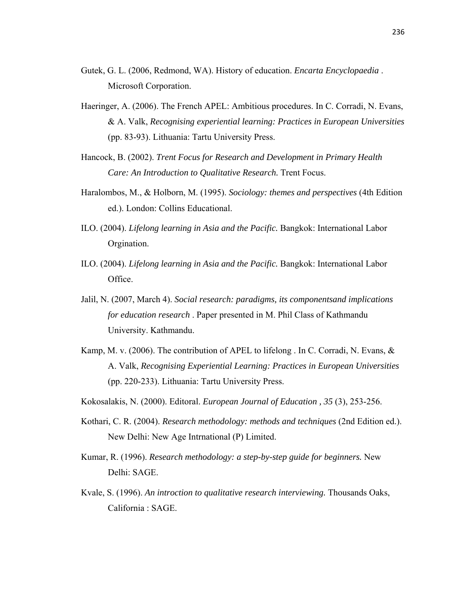- Gutek, G. L. (2006, Redmond, WA). History of education. *Encarta Encyclopaedia* . Microsoft Corporation.
- Haeringer, A. (2006). The French APEL: Ambitious procedures. In C. Corradi, N. Evans, & A. Valk, *Recognising experiential learning: Practices in European Universities* (pp. 83-93). Lithuania: Tartu University Press.
- Hancock, B. (2002). *Trent Focus for Research and Development in Primary Health Care: An Introduction to Qualitative Research.* Trent Focus.
- Haralombos, M., & Holborn, M. (1995). *Sociology: themes and perspectives* (4th Edition ed.). London: Collins Educational.
- ILO. (2004). *Lifelong learning in Asia and the Pacific.* Bangkok: International Labor Orgination.
- ILO. (2004). *Lifelong learning in Asia and the Pacific.* Bangkok: International Labor Office.
- Jalil, N. (2007, March 4). *Social research: paradigms, its componentsand implications for education research* . Paper presented in M. Phil Class of Kathmandu University. Kathmandu.
- Kamp, M. v. (2006). The contribution of APEL to lifelong . In C. Corradi, N. Evans, & A. Valk, *Recognising Experiential Learning: Practices in European Universities* (pp. 220-233). Lithuania: Tartu University Press.
- Kokosalakis, N. (2000). Editoral. *European Journal of Education , 35* (3), 253-256.
- Kothari, C. R. (2004). *Research methodology: methods and techniques* (2nd Edition ed.). New Delhi: New Age Intrnational (P) Limited.
- Kumar, R. (1996). *Research methodology: a step-by-step guide for beginners.* New Delhi: SAGE.
- Kvale, S. (1996). *An introction to qualitative research interviewing.* Thousands Oaks, California : SAGE.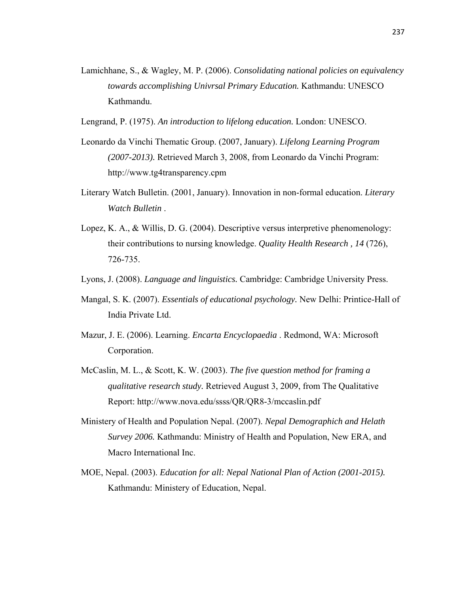- Lamichhane, S., & Wagley, M. P. (2006). *Consolidating national policies on equivalency towards accomplishing Univrsal Primary Education.* Kathmandu: UNESCO Kathmandu.
- Lengrand, P. (1975). *An introduction to lifelong education.* London: UNESCO.
- Leonardo da Vinchi Thematic Group. (2007, January). *Lifelong Learning Program (2007-2013).* Retrieved March 3, 2008, from Leonardo da Vinchi Program: http://www.tg4transparency.cpm
- Literary Watch Bulletin. (2001, January). Innovation in non-formal education. *Literary Watch Bulletin* .
- Lopez, K. A., & Willis, D. G. (2004). Descriptive versus interpretive phenomenology: their contributions to nursing knowledge. *Quality Health Research , 14* (726), 726-735.
- Lyons, J. (2008). *Language and linguistics.* Cambridge: Cambridge University Press.
- Mangal, S. K. (2007). *Essentials of educational psychology.* New Delhi: Printice-Hall of India Private Ltd.
- Mazur, J. E. (2006). Learning. *Encarta Encyclopaedia* . Redmond, WA: Microsoft Corporation.
- McCaslin, M. L., & Scott, K. W. (2003). *The five question method for framing a qualitative research study.* Retrieved August 3, 2009, from The Qualitative Report: http://www.nova.edu/ssss/QR/QR8-3/mccaslin.pdf
- Ministery of Health and Population Nepal. (2007). *Nepal Demographich and Helath Survey 2006.* Kathmandu: Ministry of Health and Population, New ERA, and Macro International Inc.
- MOE, Nepal. (2003). *Education for all: Nepal National Plan of Action (2001-2015).* Kathmandu: Ministery of Education, Nepal.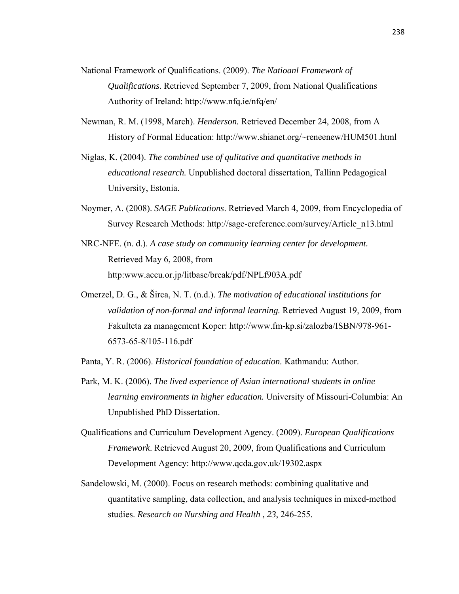- National Framework of Qualifications. (2009). *The Natioanl Framework of Qualifications*. Retrieved September 7, 2009, from National Qualifications Authority of Ireland: http://www.nfq.ie/nfq/en/
- Newman, R. M. (1998, March). *Henderson.* Retrieved December 24, 2008, from A History of Formal Education: http://www.shianet.org/~reneenew/HUM501.html
- Niglas, K. (2004). *The combined use of qulitative and quantitative methods in educational research.* Unpublished doctoral dissertation, Tallinn Pedagogical University, Estonia.
- Noymer, A. (2008). *SAGE Publications*. Retrieved March 4, 2009, from Encyclopedia of Survey Research Methods: http://sage-ereference.com/survey/Article\_n13.html
- NRC-NFE. (n. d.). *A case study on community learning center for development.* Retrieved May 6, 2008, from http:www.accu.or.jp/litbase/break/pdf/NPLf903A.pdf
- Omerzel, D. G., & Širca, N. T. (n.d.). *The motivation of educational institutions for validation of non-formal and informal learning.* Retrieved August 19, 2009, from Fakulteta za management Koper: http://www.fm-kp.si/zalozba/ISBN/978-961- 6573-65-8/105-116.pdf
- Panta, Y. R. (2006). *Historical foundation of education.* Kathmandu: Author.
- Park, M. K. (2006). *The lived experience of Asian international students in online learning environments in higher education.* University of Missouri-Columbia: An Unpublished PhD Dissertation.
- Qualifications and Curriculum Development Agency. (2009). *European Qualifications Framework*. Retrieved August 20, 2009, from Qualifications and Curriculum Development Agency: http://www.qcda.gov.uk/19302.aspx
- Sandelowski, M. (2000). Focus on research methods: combining qualitative and quantitative sampling, data collection, and analysis techniques in mixed-method studies. *Research on Nurshing and Health , 23*, 246-255.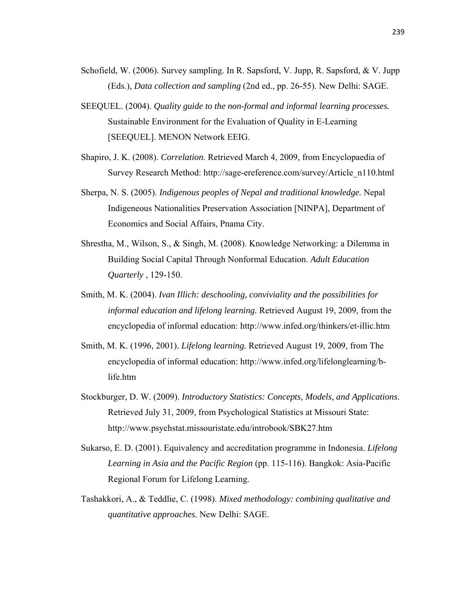- Schofield, W. (2006). Survey sampling. In R. Sapsford, V. Jupp, R. Sapsford, & V. Jupp (Eds.), *Data collection and sampling* (2nd ed., pp. 26-55). New Delhi: SAGE.
- SEEQUEL. (2004). *Quality guide to the non-formal and informal learning processes.* Sustainable Environment for the Evaluation of Quality in E-Learning [SEEQUEL]. MENON Network EEIG.
- Shapiro, J. K. (2008). *Correlation.* Retrieved March 4, 2009, from Encyclopaedia of Survey Research Method: http://sage-ereference.com/survey/Article\_n110.html
- Sherpa, N. S. (2005). *Indigenous peoples of Nepal and traditional knowledge.* Nepal Indigeneous Nationalities Preservation Association [NINPA], Department of Economics and Social Affairs, Pnama City.
- Shrestha, M., Wilson, S., & Singh, M. (2008). Knowledge Networking: a Dilemma in Building Social Capital Through Nonformal Education. *Adult Education Quarterly* , 129-150.
- Smith, M. K. (2004). *Ivan Illich: deschooling, conviviality and the possibilities for informal education and lifelong learning.* Retrieved August 19, 2009, from the encyclopedia of informal education: http://www.infed.org/thinkers/et-illic.htm
- Smith, M. K. (1996, 2001). *Lifelong learning.* Retrieved August 19, 2009, from The encyclopedia of informal education: http://www.infed.org/lifelonglearning/blife.htm
- Stockburger, D. W. (2009). *Introductory Statistics: Concepts, Models, and Applications*. Retrieved July 31, 2009, from Psychological Statistics at Missouri State: http://www.psychstat.missouristate.edu/introbook/SBK27.htm
- Sukarso, E. D. (2001). Equivalency and accreditation programme in Indonesia. *Lifelong Learning in Asia and the Pacific Region* (pp. 115-116). Bangkok: Asia-Pacific Regional Forum for Lifelong Learning.
- Tashakkori, A., & Teddlie, C. (1998). *Mixed methodology: combining qualitative and quantitative approaches.* New Delhi: SAGE.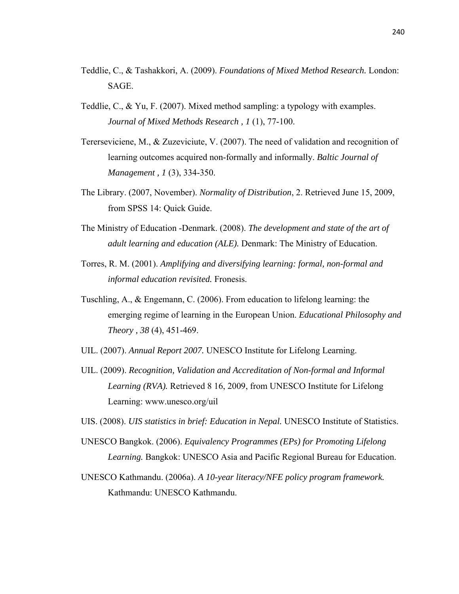- Teddlie, C., & Tashakkori, A. (2009). *Foundations of Mixed Method Research.* London: SAGE.
- Teddlie, C., & Yu, F. (2007). Mixed method sampling: a typology with examples. *Journal of Mixed Methods Research , 1* (1), 77-100.
- Tererseviciene, M., & Zuzeviciute, V. (2007). The need of validation and recognition of learning outcomes acquired non-formally and informally. *Baltic Journal of Management , 1* (3), 334-350.
- The Library. (2007, November). *Normality of Distribution*, 2. Retrieved June 15, 2009, from SPSS 14: Quick Guide.
- The Ministry of Education -Denmark. (2008). *The development and state of the art of adult learning and education (ALE).* Denmark: The Ministry of Education.
- Torres, R. M. (2001). *Amplifying and diversifying learning: formal, non-formal and informal education revisited.* Fronesis.
- Tuschling, A., & Engemann, C. (2006). From education to lifelong learning: the emerging regime of learning in the European Union. *Educational Philosophy and Theory , 38* (4), 451-469.
- UIL. (2007). *Annual Report 2007.* UNESCO Institute for Lifelong Learning.
- UIL. (2009). *Recognition, Validation and Accreditation of Non-formal and Informal Learning (RVA).* Retrieved 8 16, 2009, from UNESCO Institute for Lifelong Learning: www.unesco.org/uil
- UIS. (2008). *UIS statistics in brief: Education in Nepal.* UNESCO Institute of Statistics.
- UNESCO Bangkok. (2006). *Equivalency Programmes (EPs) for Promoting Lifelong Learning.* Bangkok: UNESCO Asia and Pacific Regional Bureau for Education.
- UNESCO Kathmandu. (2006a). *A 10-year literacy/NFE policy program framework.* Kathmandu: UNESCO Kathmandu.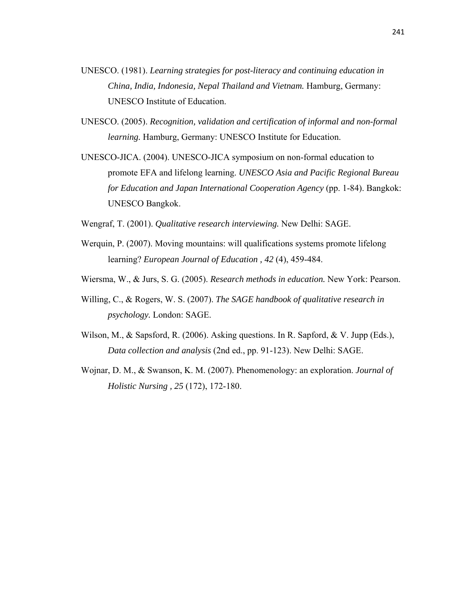- UNESCO. (1981). *Learning strategies for post-literacy and continuing education in China, India, Indonesia, Nepal Thailand and Vietnam.* Hamburg, Germany: UNESCO Institute of Education.
- UNESCO. (2005). *Recognition, validation and certification of informal and non-formal learning.* Hamburg, Germany: UNESCO Institute for Education.
- UNESCO-JICA. (2004). UNESCO-JICA symposium on non-formal education to promote EFA and lifelong learning. *UNESCO Asia and Pacific Regional Bureau for Education and Japan International Cooperation Agency* (pp. 1-84). Bangkok: UNESCO Bangkok.
- Wengraf, T. (2001). *Qualitative research interviewing.* New Delhi: SAGE.
- Werquin, P. (2007). Moving mountains: will qualifications systems promote lifelong learning? *European Journal of Education , 42* (4), 459-484.
- Wiersma, W., & Jurs, S. G. (2005). *Research methods in education.* New York: Pearson.
- Willing, C., & Rogers, W. S. (2007). *The SAGE handbook of qualitative research in psychology.* London: SAGE.
- Wilson, M., & Sapsford, R. (2006). Asking questions. In R. Sapford, & V. Jupp (Eds.), *Data collection and analysis* (2nd ed., pp. 91-123). New Delhi: SAGE.
- Wojnar, D. M., & Swanson, K. M. (2007). Phenomenology: an exploration. *Journal of Holistic Nursing , 25* (172), 172-180.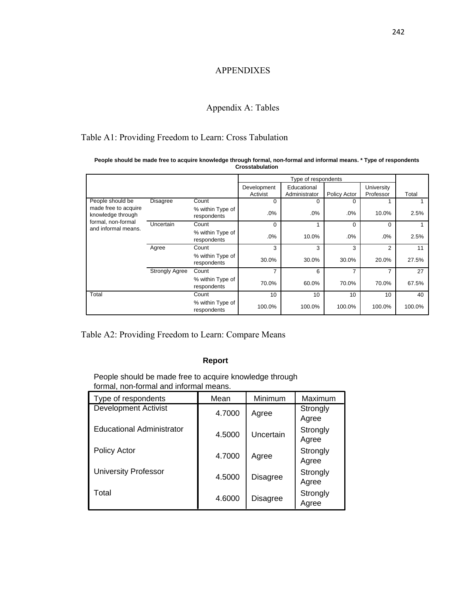### APPENDIXES

## Appendix A: Tables

## Table A1: Providing Freedom to Learn: Cross Tabulation

|                                                                                        |                       |                                 |             | Type of respondents |              |                |        |
|----------------------------------------------------------------------------------------|-----------------------|---------------------------------|-------------|---------------------|--------------|----------------|--------|
|                                                                                        |                       |                                 | Development | Educational         |              | University     |        |
|                                                                                        |                       |                                 | Activist    | Administrator       | Policy Actor | Professor      | Total  |
| People should be                                                                       | <b>Disagree</b>       | Count                           | $\Omega$    | $\Omega$            | $\Omega$     |                |        |
| made free to acquire<br>knowledge through<br>formal, non-formal<br>and informal means. |                       | % within Type of<br>respondents | .0%         | $.0\%$              | .0%          | 10.0%          | 2.5%   |
|                                                                                        | Uncertain             | Count                           | $\Omega$    |                     | $\Omega$     | $\Omega$       |        |
|                                                                                        |                       | % within Type of<br>respondents | .0%         | 10.0%               | .0%          | .0%            | 2.5%   |
|                                                                                        | Agree                 | Count                           | 3           | 3                   | 3            | $\overline{2}$ | 11     |
|                                                                                        |                       | % within Type of<br>respondents | 30.0%       | 30.0%               | 30.0%        | 20.0%          | 27.5%  |
|                                                                                        | <b>Strongly Agree</b> | Count                           | 7           | 6                   | 7            | 7              | 27     |
|                                                                                        |                       | % within Type of<br>respondents | 70.0%       | 60.0%               | 70.0%        | 70.0%          | 67.5%  |
| Total                                                                                  |                       | Count                           | 10          | 10                  | 10           | 10             | 40     |
|                                                                                        |                       | % within Type of<br>respondents | 100.0%      | 100.0%              | 100.0%       | 100.0%         | 100.0% |

**People should be made free to acquire knowledge through formal, non-formal and informal means. \* Type of respondents Crosstabulation**

Table A2: Providing Freedom to Learn: Compare Means

#### **Report**

People should be made free to acquire knowledge through formal, non-formal and informal means.

| Type of respondents         | Mean   | Minimum         | Maximum           |
|-----------------------------|--------|-----------------|-------------------|
| <b>Development Activist</b> | 4.7000 | Agree           | Strongly<br>Agree |
| Educational Administrator   | 4.5000 | Uncertain       | Strongly<br>Agree |
| <b>Policy Actor</b>         | 4.7000 | Agree           | Strongly<br>Agree |
| <b>University Professor</b> | 4.5000 | <b>Disagree</b> | Strongly<br>Agree |
| Total                       | 4.6000 | Disagree        | Strongly<br>Agree |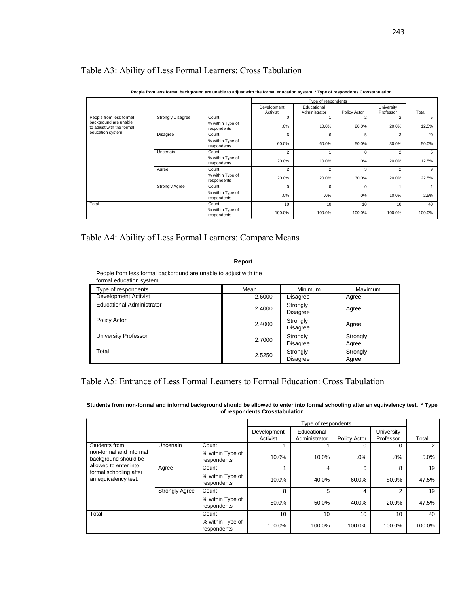## Table A3: Ability of Less Formal Learners: Cross Tabulation

|                                                    | report in the contract payable of the conduct of a communities of the contract of the control of the controller in the controller of the controller in the controller in the controller in the controller in the controller in |                                 |                         |                              |              |                         |        |
|----------------------------------------------------|--------------------------------------------------------------------------------------------------------------------------------------------------------------------------------------------------------------------------------|---------------------------------|-------------------------|------------------------------|--------------|-------------------------|--------|
|                                                    |                                                                                                                                                                                                                                |                                 |                         | Type of respondents          |              |                         |        |
|                                                    |                                                                                                                                                                                                                                |                                 | Development<br>Activist | Educational<br>Administrator | Policy Actor | University<br>Professor | Total  |
| People from less formal                            | <b>Strongly Disagree</b>                                                                                                                                                                                                       | Count                           | $\Omega$                |                              | 2            | $\overline{2}$          | 5      |
| background are unable<br>to adjust with the formal |                                                                                                                                                                                                                                | % within Type of<br>respondents | .0%                     | 10.0%                        | 20.0%        | 20.0%                   | 12.5%  |
| education system.                                  | Disagree                                                                                                                                                                                                                       | Count                           | 6                       | 6                            | 5            | 3                       | 20     |
|                                                    |                                                                                                                                                                                                                                | % within Type of<br>respondents | 60.0%                   | 60.0%                        | 50.0%        | 30.0%                   | 50.0%  |
|                                                    | Uncertain                                                                                                                                                                                                                      | Count                           | $\overline{2}$          |                              | $\Omega$     | $\overline{2}$          | 5      |
|                                                    |                                                                                                                                                                                                                                | % within Type of<br>respondents | 20.0%                   | 10.0%                        | .0%          | 20.0%                   | 12.5%  |
|                                                    | Agree                                                                                                                                                                                                                          | Count                           | 2                       | $\overline{2}$               | 3            | 2                       | 9      |
|                                                    |                                                                                                                                                                                                                                | % within Type of<br>respondents | 20.0%                   | 20.0%                        | 30.0%        | 20.0%                   | 22.5%  |
|                                                    | <b>Strongly Agree</b>                                                                                                                                                                                                          | Count                           | $\Omega$                | 0                            | $\Omega$     |                         |        |
|                                                    |                                                                                                                                                                                                                                | % within Type of<br>respondents | .0%                     | .0%                          | .0%          | 10.0%                   | 2.5%   |
| Total                                              |                                                                                                                                                                                                                                | Count                           | 10                      | 10                           | 10           | 10 <sup>1</sup>         | 40     |
|                                                    |                                                                                                                                                                                                                                | % within Type of<br>respondents | 100.0%                  | 100.0%                       | 100.0%       | 100.0%                  | 100.0% |

#### **People from less formal background are unable to adjust with the formal education system. \* Type of respondents Crosstabulation**

### Table A4: Ability of Less Formal Learners: Compare Means

#### **Report**

People from less formal background are unable to adjust with the formal education system.

| ype of respondents               | Mean   | Minimum                     | Maximum           |
|----------------------------------|--------|-----------------------------|-------------------|
| Development Activist             | 2.6000 | <b>Disagree</b>             | Agree             |
| <b>Educational Administrator</b> | 2.4000 | Strongly<br><b>Disagree</b> | Agree             |
| Policy Actor                     | 2.4000 | Strongly<br><b>Disagree</b> | Agree             |
| University Professor             | 2.7000 | Strongly<br><b>Disagree</b> | Strongly<br>Agree |
| Total                            | 2.5250 | Strongly<br><b>Disagree</b> | Strongly<br>Agree |

## Table A5: Entrance of Less Formal Learners to Formal Education: Cross Tabulation

#### **Students from non-formal and informal background should be allowed to enter into formal schooling after an equivalency test. \* Type of respondents Crosstabulation**

|                                                 |                       |                                 |                         | Type of respondents          |              |                         |        |
|-------------------------------------------------|-----------------------|---------------------------------|-------------------------|------------------------------|--------------|-------------------------|--------|
|                                                 |                       |                                 | Development<br>Activist | Educational<br>Administrator | Policy Actor | University<br>Professor | Total  |
| Students from                                   | Uncertain             | Count                           |                         |                              | O            | $\Omega$                | 2      |
| non-formal and informal<br>background should be |                       | % within Type of<br>respondents | 10.0%                   | 10.0%                        | $.0\%$       | .0%                     | 5.0%   |
| allowed to enter into                           | Agree                 | Count                           |                         | 4                            | 6            | 8                       | 19     |
| formal schooling after<br>an equivalency test.  |                       | % within Type of<br>respondents | 10.0%                   | 40.0%                        | 60.0%        | 80.0%                   | 47.5%  |
|                                                 | <b>Strongly Agree</b> | Count                           | 8                       | 5                            | 4            | 2                       | 19     |
|                                                 |                       | % within Type of<br>respondents | 80.0%                   | 50.0%                        | 40.0%        | 20.0%                   | 47.5%  |
| Total                                           |                       | Count                           | 10                      | 10                           | 10           | 10                      | 40     |
|                                                 |                       | % within Type of<br>respondents | 100.0%                  | 100.0%                       | 100.0%       | 100.0%                  | 100.0% |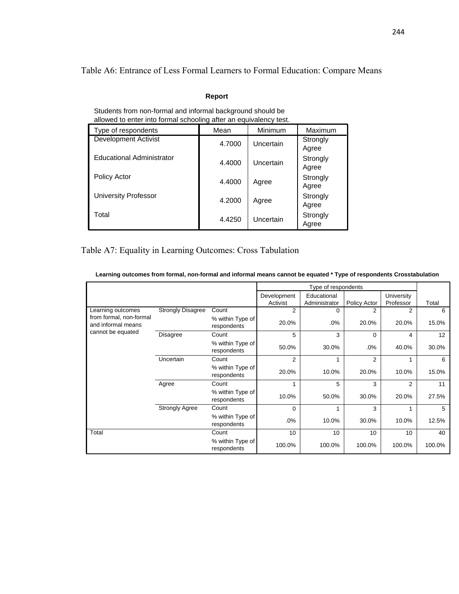Table A6: Entrance of Less Formal Learners to Formal Education: Compare Means

#### **Report**

| allowed to enter into formal schooling after an equivalency test. |        |           |                   |  |  |  |  |
|-------------------------------------------------------------------|--------|-----------|-------------------|--|--|--|--|
| Type of respondents                                               | Mean   | Minimum   | Maximum           |  |  |  |  |
| Development Activist                                              | 4.7000 | Uncertain | Strongly<br>Agree |  |  |  |  |
| <b>Educational Administrator</b>                                  | 4.4000 | Uncertain | Strongly<br>Agree |  |  |  |  |
| <b>Policy Actor</b>                                               | 4.4000 | Agree     | Strongly<br>Agree |  |  |  |  |
| University Professor                                              | 4.2000 | Agree     | Strongly<br>Agree |  |  |  |  |
| Total                                                             | 4.4250 | Uncertain | Strongly<br>Agree |  |  |  |  |

Students from non-formal and informal background should be allowed to enter into formal schooling after an equivalency test.

## Table A7: Equality in Learning Outcomes: Cross Tabulation

**Learning outcomes from formal, non-formal and informal means cannot be equated \* Type of respondents Crosstabulation**

|                                               |                          |                                 |                         | Type of respondents          |                     |                         |        |
|-----------------------------------------------|--------------------------|---------------------------------|-------------------------|------------------------------|---------------------|-------------------------|--------|
|                                               |                          |                                 | Development<br>Activist | Educational<br>Administrator | <b>Policy Actor</b> | University<br>Professor | Total  |
| Learning outcomes                             | <b>Strongly Disagree</b> | Count                           | $\overline{2}$          | 0                            | 2                   | 2                       | 6      |
| from formal, non-formal<br>and informal means |                          | % within Type of<br>respondents | 20.0%                   | .0%                          | 20.0%               | 20.0%                   | 15.0%  |
| cannot be equated                             | Disagree                 | Count                           | 5                       | 3                            | $\Omega$            | 4                       | 12     |
|                                               |                          | % within Type of<br>respondents | 50.0%                   | 30.0%                        | .0%                 | 40.0%                   | 30.0%  |
|                                               | Uncertain                | Count                           | 2                       |                              | 2                   |                         | 6      |
|                                               |                          | % within Type of<br>respondents | 20.0%                   | 10.0%                        | 20.0%               | 10.0%                   | 15.0%  |
|                                               | Agree                    | Count                           |                         | 5                            | 3                   | $\overline{2}$          | 11     |
|                                               |                          | % within Type of<br>respondents | 10.0%                   | 50.0%                        | 30.0%               | 20.0%                   | 27.5%  |
|                                               | <b>Strongly Agree</b>    | Count                           | $\Omega$                |                              | 3                   |                         | 5      |
|                                               |                          | % within Type of<br>respondents | .0%                     | 10.0%                        | 30.0%               | 10.0%                   | 12.5%  |
| Total                                         |                          | Count                           | 10                      | 10                           | 10                  | 10                      | 40     |
|                                               |                          | % within Type of<br>respondents | 100.0%                  | 100.0%                       | 100.0%              | 100.0%                  | 100.0% |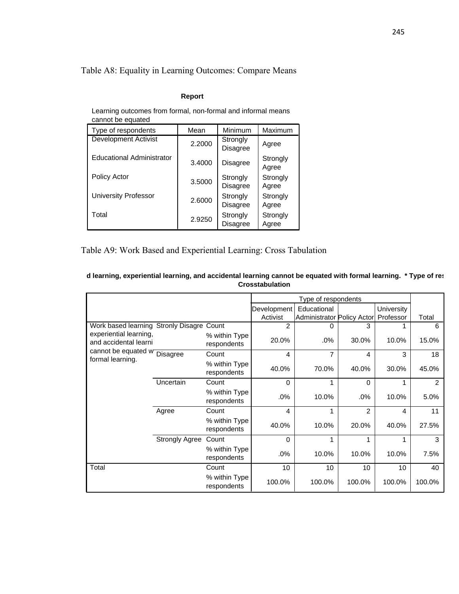## Table A8: Equality in Learning Outcomes: Compare Means

#### **Report**

Learning outcomes from formal, non-formal and informal means cannot be equated

| Type of respondents              | Mean   | Minimum                     | Maximum           |
|----------------------------------|--------|-----------------------------|-------------------|
| <b>Development Activist</b>      | 2.2000 | Strongly<br><b>Disagree</b> | Agree             |
| <b>Educational Administrator</b> | 3.4000 | Disagree                    | Strongly<br>Agree |
| <b>Policy Actor</b>              | 3.5000 | Strongly<br><b>Disagree</b> | Strongly<br>Agree |
| <b>University Professor</b>      | 2.6000 | Strongly<br><b>Disagree</b> | Strongly<br>Agree |
| Total                            | 2.9250 | Strongly<br><b>Disagree</b> | Strongly<br>Agree |

## Table A9: Work Based and Experiential Learning: Cross Tabulation

|                                                 |                       |                              |                         | Type of respondents                       |                |                         |                |
|-------------------------------------------------|-----------------------|------------------------------|-------------------------|-------------------------------------------|----------------|-------------------------|----------------|
|                                                 |                       |                              | Development<br>Activist | Educational<br>Administrator Policy Actor |                | University<br>Professor | Total          |
| Work based learning Stronly Disagre Count       |                       |                              | $\overline{2}$          | 0                                         | 3              |                         | 6              |
| experiential learning,<br>and accidental learni |                       | % within Type<br>respondents | 20.0%                   | $.0\%$                                    | 30.0%          | 10.0%                   | 15.0%          |
| cannot be equated w Disagree                    |                       | Count                        | 4                       | 7                                         | 4              | 3                       | 18             |
| formal learning.                                |                       | % within Type<br>respondents | 40.0%                   | 70.0%                                     | 40.0%          | 30.0%                   | 45.0%          |
|                                                 | <b>Uncertain</b>      | Count                        | $\Omega$                | 1                                         | $\Omega$       | 1                       | $\overline{2}$ |
|                                                 |                       | % within Type<br>respondents | .0%                     | 10.0%                                     | $.0\%$         | 10.0%                   | 5.0%           |
|                                                 | Agree                 | Count                        | 4                       | 1                                         | $\mathfrak{p}$ | 4                       | 11             |
|                                                 |                       | % within Type<br>respondents | 40.0%                   | 10.0%                                     | 20.0%          | 40.0%                   | 27.5%          |
|                                                 | <b>Strongly Agree</b> | Count                        | 0                       | 1                                         |                |                         | 3              |
|                                                 |                       | % within Type<br>respondents | $.0\%$                  | 10.0%                                     | 10.0%          | 10.0%                   | 7.5%           |
| Total                                           |                       | Count                        | 10                      | 10                                        | 10             | 10                      | 40             |
|                                                 |                       | % within Type<br>respondents | 100.0%                  | 100.0%                                    | 100.0%         | 100.0%                  | 100.0%         |

#### **d learning, experiential learning, and accidental learning cannot be equated with formal learning. \* Type of res Crosstabulation**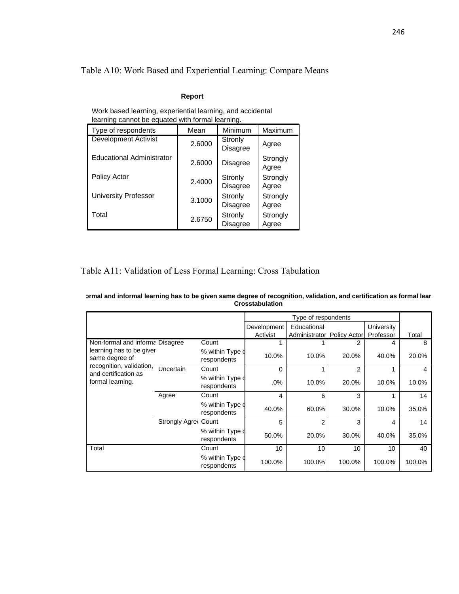## Table A10: Work Based and Experiential Learning: Compare Means

#### **Report**

| learning cannot be equated with formal learning. |        |                            |                   |  |  |  |  |
|--------------------------------------------------|--------|----------------------------|-------------------|--|--|--|--|
| Type of respondents                              | Mean   | Minimum                    | Maximum           |  |  |  |  |
| <b>Development Activist</b>                      | 2.6000 | Stronly<br><b>Disagree</b> | Agree             |  |  |  |  |
| Educational Administrator                        | 2.6000 | Disagree                   | Strongly<br>Agree |  |  |  |  |
| Policy Actor                                     | 2.4000 | Stronly<br><b>Disagree</b> | Strongly<br>Agree |  |  |  |  |
| <b>University Professor</b>                      | 3.1000 | Stronly<br><b>Disagree</b> | Strongly<br>Agree |  |  |  |  |
| Total                                            | 2.6750 | Stronly<br><b>Disagree</b> | Strongly<br>Agree |  |  |  |  |

Work based learning, experiential learning, and accidental

## Table A11: Validation of Less Formal Learning: Cross Tabulation

| prmal and informal learning has to be given same degree of recognition, validation, and certification as formal lear |
|----------------------------------------------------------------------------------------------------------------------|
| Crosstabulation                                                                                                      |

|                                            |                             |                                 |             | Type of respondents        |        |                 |        |
|--------------------------------------------|-----------------------------|---------------------------------|-------------|----------------------------|--------|-----------------|--------|
|                                            |                             |                                 | Development | Educational                |        | University      |        |
|                                            |                             |                                 | Activist    | Administrator Policy Actor |        | Professor       | Total  |
| Non-formal and informa Disagree            |                             | Count                           |             |                            | 2      | 4               | 8      |
| learning has to be giver<br>same degree of |                             | % within Type o<br>respondents  | 10.0%       | 10.0%                      | 20.0%  | 40.0%           | 20.0%  |
| recognition, validation,                   | Uncertain                   | Count                           | 0           |                            | 2      |                 | 4      |
| and certification as<br>formal learning.   |                             | % within Type of<br>respondents | $.0\%$      | 10.0%                      | 20.0%  | 10.0%           | 10.0%  |
|                                            | Agree                       | Count                           | 4           | 6                          | 3      |                 | 14     |
|                                            |                             | % within Type of<br>respondents | 40.0%       | 60.0%                      | 30.0%  | 10.0%           | 35.0%  |
|                                            | <b>Strongly Agree Count</b> |                                 | 5           | $\overline{2}$             | 3      | 4               | 14     |
|                                            |                             | % within Type of<br>respondents | 50.0%       | 20.0%                      | 30.0%  | 40.0%           | 35.0%  |
| Total                                      |                             | Count                           | 10          | 10                         | 10     | 10 <sup>°</sup> | 40     |
|                                            |                             | % within Type of<br>respondents | 100.0%      | 100.0%                     | 100.0% | 100.0%          | 100.0% |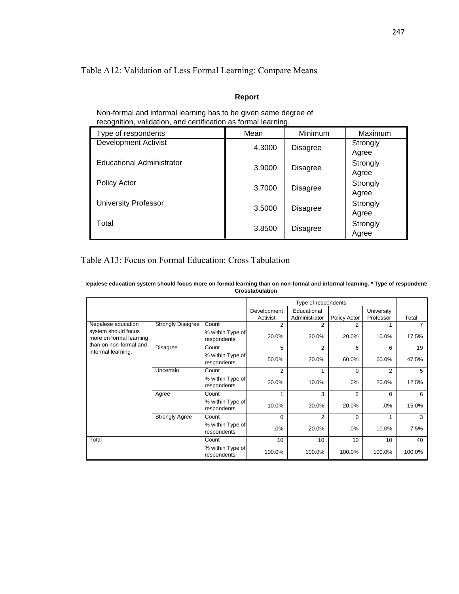## Table A12: Validation of Less Formal Learning: Compare Means

### **Report**

| recognition, validation, and certification as formal learning. |        |                 |                   |  |  |  |
|----------------------------------------------------------------|--------|-----------------|-------------------|--|--|--|
| Type of respondents                                            | Mean   | Minimum         | Maximum           |  |  |  |
| <b>Development Activist</b>                                    | 4.3000 | <b>Disagree</b> | Strongly<br>Agree |  |  |  |
| <b>Educational Administrator</b>                               | 3.9000 | <b>Disagree</b> | Strongly<br>Agree |  |  |  |
| Policy Actor                                                   | 3.7000 | <b>Disagree</b> | Strongly<br>Agree |  |  |  |
| <b>University Professor</b>                                    | 3.5000 | <b>Disagree</b> | Strongly<br>Agree |  |  |  |
| Total                                                          | 3.8500 | <b>Disagree</b> | Strongly<br>Agree |  |  |  |

Non-formal and informal learning has to be given same degree of recognition, validation, and certification as formal learning.

## Table A13: Focus on Formal Education: Cross Tabulation

| lepalese education system should focus more on formal learning than on non-formal and informal learning. * Type of respondent: |  |
|--------------------------------------------------------------------------------------------------------------------------------|--|
| Crosstabulation                                                                                                                |  |

|                                                |                          |                                 |                         | Type of respondents          |                |                         |        |
|------------------------------------------------|--------------------------|---------------------------------|-------------------------|------------------------------|----------------|-------------------------|--------|
|                                                |                          |                                 | Development<br>Activist | Educational<br>Administrator | Policy Actor   | University<br>Professor | Total  |
| Nepalese education                             | <b>Strongly Disagree</b> | Count                           | 2                       | 2                            | 2              |                         |        |
| system should focus<br>more on formal learning |                          | % within Type of<br>respondents | 20.0%                   | 20.0%                        | 20.0%          | 10.0%                   | 17.5%  |
| than on non-formal and                         | Disagree                 | Count                           | 5                       | $\overline{2}$               | 6              | 6                       | 19     |
| informal learning.                             |                          | % within Type of<br>respondents | 50.0%                   | 20.0%                        | 60.0%          | 60.0%                   | 47.5%  |
|                                                | Uncertain                | Count                           | $\overline{2}$          | 1                            | $\Omega$       | $\overline{2}$          | 5      |
|                                                |                          | % within Type of<br>respondents | 20.0%                   | 10.0%                        | .0%            | 20.0%                   | 12.5%  |
|                                                | Agree                    | Count                           | 1                       | 3                            | $\overline{2}$ | $\Omega$                | 6      |
|                                                |                          | % within Type of<br>respondents | 10.0%                   | 30.0%                        | 20.0%          | .0%                     | 15.0%  |
|                                                | <b>Strongly Agree</b>    | Count                           | $\Omega$                | $\overline{2}$               | $\Omega$       |                         | 3      |
|                                                |                          | % within Type of<br>respondents | .0%                     | 20.0%                        | .0%            | 10.0%                   | 7.5%   |
| Total                                          |                          | Count                           | 10                      | 10                           | 10             | 10                      | 40     |
|                                                |                          | % within Type of<br>respondents | 100.0%                  | 100.0%                       | 100.0%         | 100.0%                  | 100.0% |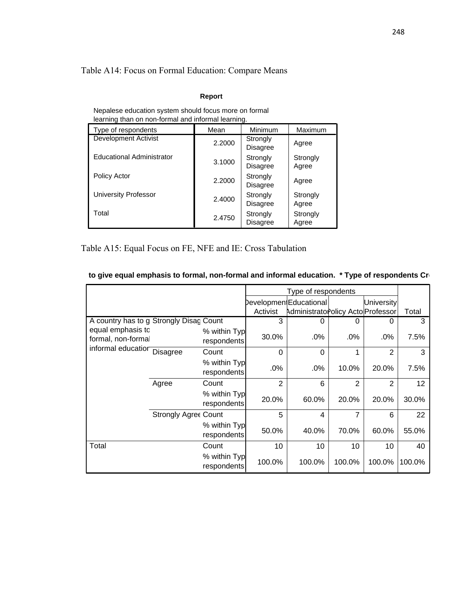## Table A14: Focus on Formal Education: Compare Means

#### **Report**

| learning than on non-formal and informal learning. |        |                      |                   |  |  |  |
|----------------------------------------------------|--------|----------------------|-------------------|--|--|--|
| Type of respondents                                | Mean   | Minimum              | Maximum           |  |  |  |
| <b>Development Activist</b>                        | 2.2000 | Strongly<br>Disagree | Agree             |  |  |  |
| <b>Educational Administrator</b>                   | 3.1000 | Strongly<br>Disagree | Strongly<br>Agree |  |  |  |
| <b>Policy Actor</b>                                | 2.2000 | Strongly<br>Disagree | Agree             |  |  |  |
| University Professor                               | 2.4000 | Strongly<br>Disagree | Strongly<br>Agree |  |  |  |
| Total                                              | 2.4750 | Strongly<br>Disagree | Strongly<br>Agree |  |  |  |

Nepalese education system should focus more on formal learning than on non-formal and informal learning.

Table A15: Equal Focus on FE, NFE and IE: Cross Tabulation

|                                         |                             |                             |                | Type of respondents                |        |                   |                 |
|-----------------------------------------|-----------------------------|-----------------------------|----------------|------------------------------------|--------|-------------------|-----------------|
|                                         |                             |                             |                | Developmen(Educational             |        | <b>University</b> |                 |
|                                         |                             |                             | Activist       | Administrato Policy Acto Professor |        |                   | Total           |
| A country has to g Strongly Disag Count |                             | 3                           | 0              | 0                                  | 0      | 3                 |                 |
| equal emphasis to<br>formal, non-formal |                             | % within Typ<br>respondents | 30.0%          | .0%                                | $.0\%$ | .0%               | 7.5%            |
| informal education Disagree             |                             | Count                       | $\Omega$       | $\Omega$                           | 1      | $\overline{2}$    | 3               |
|                                         |                             | % within Typ<br>respondents | .0%            | .0%                                | 10.0%  | 20.0%             | 7.5%            |
|                                         | Agree                       | Count                       | $\overline{2}$ | 6                                  | 2      | 2                 | 12 <sup>2</sup> |
|                                         |                             | % within Typ<br>respondents | 20.0%          | 60.0%                              | 20.0%  | 20.0%             | 30.0%           |
|                                         | <b>Strongly Agree Count</b> |                             | 5              | 4                                  | 7      | 6                 | 22              |
|                                         |                             | % within Typ<br>respondents | 50.0%          | 40.0%                              | 70.0%  | 60.0%             | 55.0%           |
| Total                                   |                             | Count                       | 10             | 10                                 | 10     | 10                | 40              |
|                                         |                             | % within Typ<br>respondents | 100.0%         | 100.0%                             | 100.0% | 100.0%            | 100.0%          |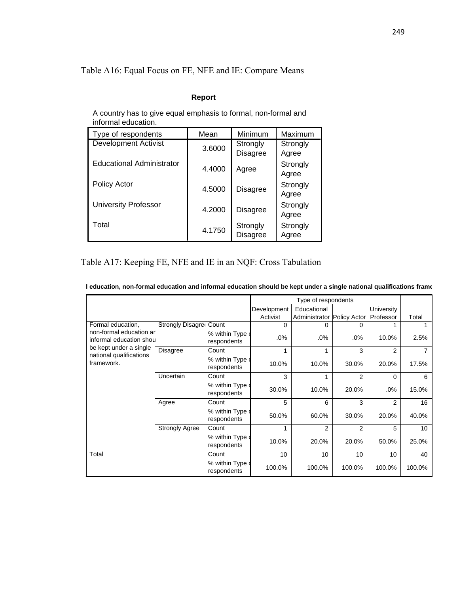## Table A16: Equal Focus on FE, NFE and IE: Compare Means

#### **Report**

A country has to give equal emphasis to formal, non-formal and informal education.

| Type of respondents         | Mean   | Minimum         | Maximum  |
|-----------------------------|--------|-----------------|----------|
| <b>Development Activist</b> | 3.6000 | Strongly        | Strongly |
|                             |        | <b>Disagree</b> | Agree    |
| Educational Administrator   | 4.4000 | Agree           | Strongly |
|                             |        |                 | Agree    |
| Policy Actor                | 4.5000 | <b>Disagree</b> | Strongly |
|                             |        |                 | Agree    |
| <b>University Professor</b> | 4.2000 | <b>Disagree</b> | Strongly |
|                             |        |                 | Agree    |
| Total                       | 4.1750 | Strongly        | Strongly |
|                             |        | <b>Disagree</b> | Agree    |

## Table A17: Keeping FE, NFE and IE in an NQF: Cross Tabulation

| I education, non-formal education and informal education should be kept under a single national qualifications frame |  |  |  |  |
|----------------------------------------------------------------------------------------------------------------------|--|--|--|--|
|----------------------------------------------------------------------------------------------------------------------|--|--|--|--|

|                                                    |                                |                                 | Type of respondents     |                                           |                |                         |        |
|----------------------------------------------------|--------------------------------|---------------------------------|-------------------------|-------------------------------------------|----------------|-------------------------|--------|
|                                                    |                                |                                 | Development<br>Activist | Educational<br>Administrator Policy Actor |                | University<br>Professor | Total  |
| Formal education,                                  | <b>Strongly Disagret Count</b> |                                 | 0                       | 0                                         | 0              |                         |        |
| non-formal education ar<br>informal education shou |                                | % within Type of<br>respondents | .0%                     | .0%                                       | .0%            | 10.0%                   | 2.5%   |
| be kept under a single<br>national qualifications  | Disagree                       | Count                           |                         |                                           | 3              | 2                       |        |
| framework.                                         |                                | % within Type of<br>respondents | 10.0%                   | 10.0%                                     | 30.0%          | 20.0%                   | 17.5%  |
|                                                    | Uncertain                      | Count                           | 3                       |                                           | $\overline{2}$ | 0                       | 6      |
|                                                    |                                | % within Type of<br>respondents | 30.0%                   | 10.0%                                     | 20.0%          | .0%                     | 15.0%  |
|                                                    | Agree                          | Count                           | 5                       | 6                                         | 3              | 2                       | 16     |
|                                                    |                                | % within Type of<br>respondents | 50.0%                   | 60.0%                                     | 30.0%          | 20.0%                   | 40.0%  |
|                                                    | <b>Strongly Agree</b>          | Count                           |                         | $\overline{2}$                            | $\overline{2}$ | 5                       | 10     |
|                                                    |                                | % within Type of<br>respondents | 10.0%                   | 20.0%                                     | 20.0%          | 50.0%                   | 25.0%  |
| Total                                              |                                | Count                           | 10                      | 10                                        | 10             | 10                      | 40     |
|                                                    |                                | % within Type of<br>respondents | 100.0%                  | 100.0%                                    | 100.0%         | 100.0%                  | 100.0% |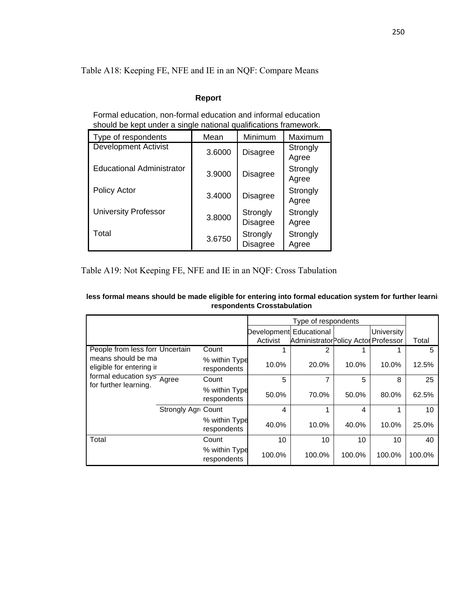Table A18: Keeping FE, NFE and IE in an NQF: Compare Means

## **Report**

Formal education, non-formal education and informal education should be kept under a single national qualifications framework.

| Type of respondents              | Mean   | Minimum                     | Maximum           |
|----------------------------------|--------|-----------------------------|-------------------|
| <b>Development Activist</b>      | 3.6000 | <b>Disagree</b>             | Strongly          |
|                                  |        |                             | Agree             |
| <b>Educational Administrator</b> | 3.9000 | <b>Disagree</b>             | Strongly<br>Agree |
| <b>Policy Actor</b>              | 3.4000 | <b>Disagree</b>             | Strongly<br>Agree |
| <b>University Professor</b>      | 3.8000 | Strongly<br><b>Disagree</b> | Strongly<br>Agree |
| Total                            | 3.6750 | Strongly<br><b>Disagree</b> | Strongly<br>Agree |

Table A19: Not Keeping FE, NFE and IE in an NQF: Cross Tabulation

| less formal means should be made eligible for entering into formal education system for further learni |
|--------------------------------------------------------------------------------------------------------|
| respondents Crosstabulation                                                                            |

|                                                |                            |                              |                         | Type of respondents                  |        |                   |        |
|------------------------------------------------|----------------------------|------------------------------|-------------------------|--------------------------------------|--------|-------------------|--------|
|                                                |                            |                              | Development Educational |                                      |        | <b>University</b> |        |
|                                                |                            |                              | Activist                | Administrator Policy Actor Professor |        |                   | Total  |
| People from less forr Uncertain                |                            | Count                        | 1                       |                                      |        |                   | 5      |
| means should be ma<br>eligible for entering ir |                            | % within Type<br>respondents | 10.0%                   | 20.0%                                | 10.0%  | 10.0%             | 12.5%  |
| formal education sys <sup>Agree</sup>          |                            | Count                        | 5                       | 7                                    | 5      | 8                 | 25     |
| for further learning.                          |                            | % within Type<br>respondents | 50.0%                   | 70.0%                                | 50.0%  | 80.0%             | 62.5%  |
|                                                | <b>Strongly Agri Count</b> |                              | 4                       |                                      | 4      |                   | 10     |
|                                                |                            | % within Type<br>respondents | 40.0%                   | 10.0%                                | 40.0%  | 10.0%             | 25.0%  |
| Total                                          |                            | Count                        | 10                      | 10                                   | 10     | 10                | 40     |
|                                                |                            | % within Type<br>respondents | 100.0%                  | 100.0%                               | 100.0% | 100.0%            | 100.0% |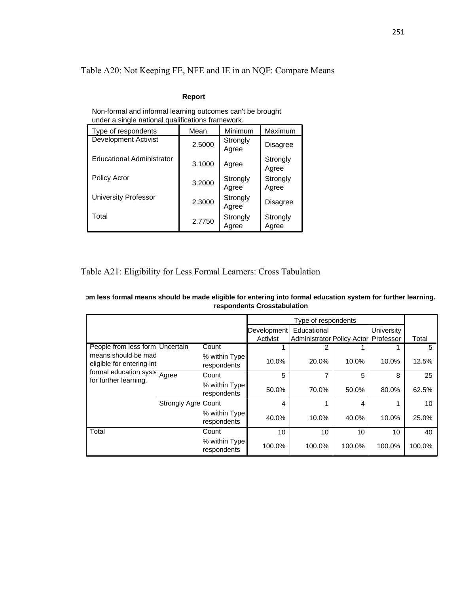Table A20: Not Keeping FE, NFE and IE in an NQF: Compare Means

#### **Report**

| under a single national qualifications framework. |        |                   |                   |  |  |  |
|---------------------------------------------------|--------|-------------------|-------------------|--|--|--|
| Type of respondents                               | Mean   | Minimum           | Maximum           |  |  |  |
| <b>Development Activist</b>                       | 2.5000 | Strongly<br>Agree | <b>Disagree</b>   |  |  |  |
| <b>Educational Administrator</b>                  | 3.1000 | Agree             | Strongly<br>Agree |  |  |  |
| Policy Actor                                      | 3.2000 | Strongly<br>Agree | Strongly<br>Agree |  |  |  |
| <b>University Professor</b>                       | 2.3000 | Strongly<br>Agree | <b>Disagree</b>   |  |  |  |
| Total                                             | 2.7750 | Strongly<br>Agree | Strongly<br>Agree |  |  |  |

Non-formal and informal learning outcomes can't be brought under a single national qualifications framework.

## Table A21: Eligibility for Less Formal Learners: Cross Tabulation

| om less formal means should be made eligible for entering into formal education system for further learning. |
|--------------------------------------------------------------------------------------------------------------|
| respondents Crosstabulation                                                                                  |

|                                                                                                           |                            |                              |                 | Type of respondents               |        |                 |        |
|-----------------------------------------------------------------------------------------------------------|----------------------------|------------------------------|-----------------|-----------------------------------|--------|-----------------|--------|
|                                                                                                           |                            |                              | Development     | Educational                       |        | University      |        |
|                                                                                                           |                            |                              | Activist        | <b>Administrator Policy Actor</b> |        | Professor       | Total  |
| People from less form Uncertain                                                                           |                            | Count                        |                 | 2                                 |        |                 | 5      |
| means should be mad<br>eligible for entering int<br>formal education syste Agree<br>for further learning. |                            | % within Type<br>respondents | 10.0%           | 20.0%                             | 10.0%  | 10.0%           | 12.5%  |
|                                                                                                           |                            | Count                        | 5               |                                   | 5      | 8               | 25     |
|                                                                                                           |                            | % within Type<br>respondents | 50.0%           | 70.0%                             | 50.0%  | 80.0%           | 62.5%  |
|                                                                                                           | <b>Strongly Agre Count</b> |                              | 4               |                                   | 4      |                 | 10     |
|                                                                                                           |                            | % within Type<br>respondents | 40.0%           | 10.0%                             | 40.0%  | 10.0%           | 25.0%  |
| Total                                                                                                     |                            | Count                        | 10 <sup>1</sup> | 10                                | 10     | 10 <sup>1</sup> | 40     |
|                                                                                                           |                            | % within Type<br>respondents | 100.0%          | 100.0%                            | 100.0% | 100.0%          | 100.0% |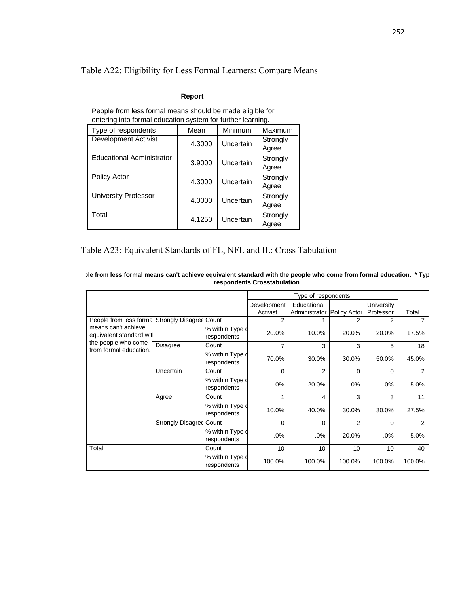## Table A22: Eligibility for Less Formal Learners: Compare Means

#### **Report**

| entering into formal education system for further learning. |        |           |                   |  |  |  |
|-------------------------------------------------------------|--------|-----------|-------------------|--|--|--|
| Type of respondents                                         | Mean   | Minimum   | Maximum           |  |  |  |
| <b>Development Activist</b>                                 | 4.3000 | Uncertain | Strongly<br>Agree |  |  |  |
| Educational Administrator                                   | 3.9000 | Uncertain | Strongly<br>Agree |  |  |  |
| <b>Policy Actor</b>                                         | 4.3000 | Uncertain | Strongly<br>Agree |  |  |  |
| <b>University Professor</b>                                 | 4.0000 | Uncertain | Strongly<br>Agree |  |  |  |
| Total                                                       | 4.1250 | Uncertain | Strongly<br>Agree |  |  |  |

People from less formal means should be made eligible for

## Table A23: Equivalent Standards of FL, NFL and IL: Cross Tabulation

|                                                |                         |                                |                | Type of respondents        |                |            |        |
|------------------------------------------------|-------------------------|--------------------------------|----------------|----------------------------|----------------|------------|--------|
|                                                |                         |                                | Development    | Educational                |                | University |        |
|                                                |                         |                                | Activist       | Administrator Policy Actor |                | Professor  | Total  |
| People from less forma Strongly Disagree Count |                         |                                | $\overline{2}$ |                            | 2              | 2          |        |
| means can't achieve<br>equivalent standard wit |                         | % within Type d<br>respondents | 20.0%          | 10.0%                      | 20.0%          | 20.0%      | 17.5%  |
| the people who come                            | <b>Disagree</b>         | Count                          | 7              | 3                          | 3              | 5          | 18     |
| from formal education.                         |                         | % within Type d<br>respondents | 70.0%          | 30.0%                      | 30.0%          | 50.0%      | 45.0%  |
|                                                | Uncertain               | Count                          | 0              | $\overline{2}$             | 0              | $\Omega$   | 2      |
|                                                |                         | % within Type d<br>respondents | .0%            | 20.0%                      | .0%            | .0%        | 5.0%   |
|                                                | Agree                   | Count                          | 1              | 4                          | 3              | 3          | 11     |
|                                                |                         | % within Type d<br>respondents | 10.0%          | 40.0%                      | 30.0%          | 30.0%      | 27.5%  |
|                                                | Strongly Disagree Count |                                | 0              | 0                          | $\overline{2}$ | 0          | 2      |
|                                                |                         | % within Type d<br>respondents | .0%            | .0%                        | 20.0%          | .0%        | 5.0%   |
| Total                                          |                         | Count                          | 10             | 10                         | 10             | 10         | 40     |
|                                                |                         | % within Type d<br>respondents | 100.0%         | 100.0%                     | 100.0%         | 100.0%     | 100.0% |

**ple from less formal means can't achieve equivalent standard with the people who come from formal education. \* Typ respondents Crosstabulation**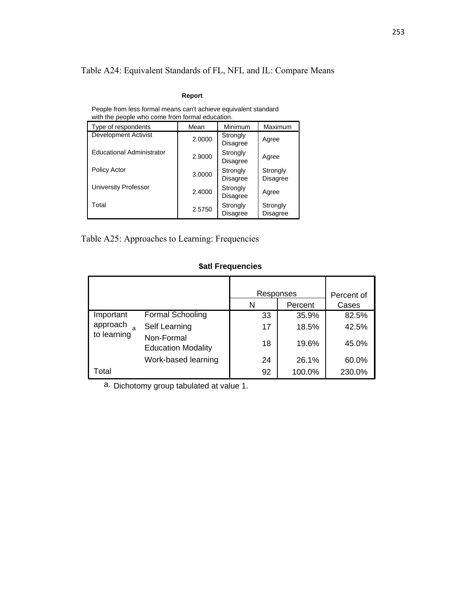## Table A24: Equivalent Standards of FL, NFL and IL: Compare Means

#### **Report**

| Type of respondents              | Mean   | Minimum                     | Maximum                     |  |  |
|----------------------------------|--------|-----------------------------|-----------------------------|--|--|
| <b>Development Activist</b>      | 2.0000 | Strongly<br><b>Disagree</b> | Agree                       |  |  |
| <b>Educational Administrator</b> | 2.9000 | Strongly<br><b>Disagree</b> | Agree                       |  |  |
| Policy Actor                     | 3.0000 | Strongly<br><b>Disagree</b> | Strongly<br><b>Disagree</b> |  |  |
| University Professor             | 2.4000 | Strongly<br><b>Disagree</b> | Agree                       |  |  |
| Total                            | 2.5750 | Strongly<br>Disagree        | Strongly<br>Disagree        |  |  |

People from less formal means can't achieve equivalent standard with the people who come from formal education.

Table A25: Approaches to Learning: Frequencies

### **\$atl Frequencies**

|             |                                         | Responses |         | Percent of |  |
|-------------|-----------------------------------------|-----------|---------|------------|--|
|             |                                         | N         | Percent | Cases      |  |
| Important   | <b>Formal Schooling</b>                 | 33        | 35.9%   | 82.5%      |  |
| approach    | Self Learning                           | 17        | 18.5%   | 42.5%      |  |
| to learning | Non-Formal<br><b>Education Modality</b> | 18        | 19.6%   | 45.0%      |  |
|             | Work-based learning                     | 24        | 26.1%   | 60.0%      |  |
| Total       |                                         | 92        | 100.0%  | 230.0%     |  |

a. Dichotomy group tabulated at value 1.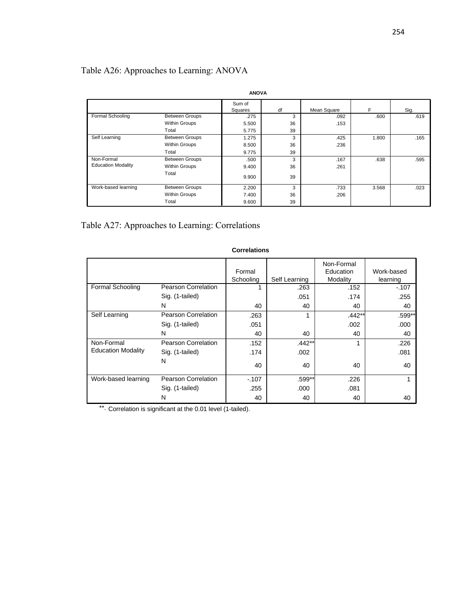## Table A26: Approaches to Learning: ANOVA

|                           | <b>ANOVA</b>          |                   |    |             |       |      |  |  |
|---------------------------|-----------------------|-------------------|----|-------------|-------|------|--|--|
|                           |                       | Sum of<br>Squares | df | Mean Square | F     | Sig. |  |  |
| Formal Schooling          | <b>Between Groups</b> | .275              | 3  | .092        | .600  | .619 |  |  |
|                           | Within Groups         | 5.500             | 36 | .153        |       |      |  |  |
|                           | Total                 | 5.775             | 39 |             |       |      |  |  |
| Self Learning             | <b>Between Groups</b> | 1.275             | 3  | .425        | 1.800 | .165 |  |  |
|                           | <b>Within Groups</b>  | 8.500             | 36 | .236        |       |      |  |  |
|                           | Total                 | 9.775             | 39 |             |       |      |  |  |
| Non-Formal                | <b>Between Groups</b> | .500              | 3  | .167        | .638  | .595 |  |  |
| <b>Education Modality</b> | <b>Within Groups</b>  | 9.400             | 36 | .261        |       |      |  |  |
|                           | Total                 | 9.900             | 39 |             |       |      |  |  |
| Work-based learning       | <b>Between Groups</b> | 2.200             | 3  | .733        | 3.568 | .023 |  |  |
|                           | <b>Within Groups</b>  | 7.400             | 36 | .206        |       |      |  |  |
|                           | Total                 | 9.600             | 39 |             |       |      |  |  |

Table A27: Approaches to Learning: Correlations

|                           |                            |           |               | Non-Formal |            |
|---------------------------|----------------------------|-----------|---------------|------------|------------|
|                           |                            | Formal    |               | Education  | Work-based |
|                           |                            | Schooling | Self Learning | Modality   | learning   |
| <b>Formal Schooling</b>   | <b>Pearson Correlation</b> |           | .263          | .152       | $-.107$    |
|                           | Sig. (1-tailed)            |           | .051          | .174       | .255       |
|                           | N                          | 40        | 40            | 40         | 40         |
| Self Learning             | Pearson Correlation        | .263      | 1             | $.442**$   | .599**     |
|                           | Sig. (1-tailed)            | .051      |               | .002       | .000       |
|                           | N                          | 40        | 40            | 40         | 40         |
| Non-Formal                | Pearson Correlation        | .152      | $.442**$      | 1          | .226       |
| <b>Education Modality</b> | Sig. (1-tailed)            | .174      | .002          |            | .081       |
|                           | N                          | 40        | 40            | 40         | 40         |
| Work-based learning       | Pearson Correlation        | $-0.107$  | .599**        | .226       |            |
|                           | Sig. (1-tailed)            | .255      | .000          | .081       |            |
|                           | N                          | 40        | 40            | 40         | 40         |

#### **Correlations**

\*\* Correlation is significant at the 0.01 level (1-tailed).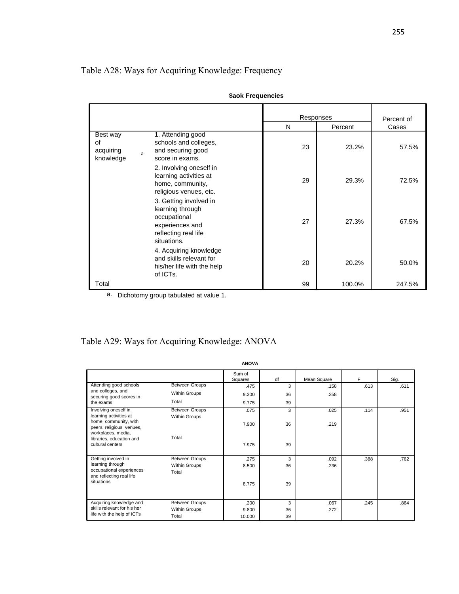## Table A28: Ways for Acquiring Knowledge: Frequency

|                                          |   |                                                                                                                      | Responses |         | Percent of |
|------------------------------------------|---|----------------------------------------------------------------------------------------------------------------------|-----------|---------|------------|
|                                          |   |                                                                                                                      | N         | Percent | Cases      |
| Best way<br>οf<br>acquiring<br>knowledge | a | 1. Attending good<br>schools and colleges,<br>and securing good<br>score in exams.                                   | 23        | 23.2%   | 57.5%      |
|                                          |   | 2. Involving oneself in<br>learning activities at<br>home, community,<br>religious venues, etc.                      | 29        | 29.3%   | 72.5%      |
|                                          |   | 3. Getting involved in<br>learning through<br>occupational<br>experiences and<br>reflecting real life<br>situations. | 27        | 27.3%   | 67.5%      |
|                                          |   | 4. Acquiring knowledge<br>and skills relevant for<br>his/her life with the help<br>of ICTs.                          | 20        | 20.2%   | 50.0%      |
| Total                                    |   |                                                                                                                      | 99        | 100.0%  | 247.5%     |

|  |  | \$aok Frequencies |  |
|--|--|-------------------|--|
|--|--|-------------------|--|

a. Dichotomy group tabulated at value 1.

# Table A29: Ways for Acquiring Knowledge: ANOVA

|                                                 |                       | <b>ANOVA</b>      |    |             |      |      |
|-------------------------------------------------|-----------------------|-------------------|----|-------------|------|------|
|                                                 |                       | Sum of<br>Squares | df | Mean Square | F    | Sig. |
| Attending good schools                          | <b>Between Groups</b> | .475              | 3  | .158        | .613 | .611 |
| and colleges, and<br>securing good scores in    | Within Groups         | 9.300             | 36 | .258        |      |      |
| the exams                                       | Total                 | 9.775             | 39 |             |      |      |
| Involving oneself in                            | <b>Between Groups</b> | .075              | 3  | .025        | .114 | .951 |
| learning activities at<br>home, community, with | Within Groups         |                   |    |             |      |      |
| peers, religious venues,                        |                       | 7.900             | 36 | .219        |      |      |
| workplaces, media,<br>libraries, education and  | Total                 |                   |    |             |      |      |
| cultural centers                                |                       | 7.975             | 39 |             |      |      |
|                                                 |                       |                   |    |             |      |      |
| Getting involved in                             | <b>Between Groups</b> | .275              | 3  | .092        | .388 | .762 |
| learning through<br>occupational experiences    | Within Groups         | 8.500             | 36 | .236        |      |      |
| and reflecting real life                        | Total                 |                   |    |             |      |      |
| situations                                      |                       | 8.775             | 39 |             |      |      |
|                                                 |                       |                   |    |             |      |      |
| Acquiring knowledge and                         | <b>Between Groups</b> | .200              | 3  | .067        | .245 | .864 |
| skills relevant for his her                     | Within Groups         | 9.800             | 36 | .272        |      |      |
| life with the help of ICTs                      | Total                 | 10.000            | 39 |             |      |      |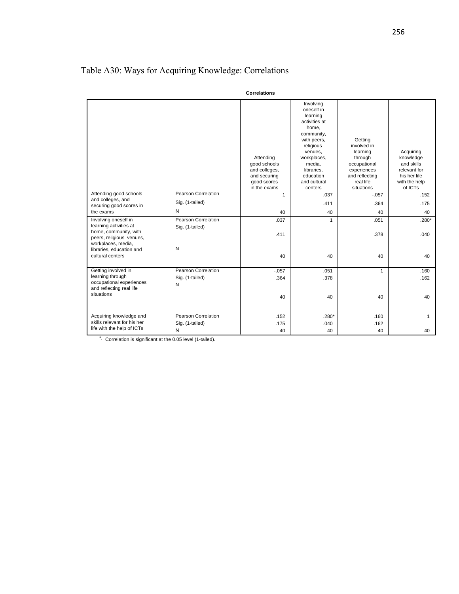|                                                                                                 |                                               | <b>Correlations</b>                                                                       |                                                                                                                                                                                                   |                                                                                                                           |                                                                                                  |
|-------------------------------------------------------------------------------------------------|-----------------------------------------------|-------------------------------------------------------------------------------------------|---------------------------------------------------------------------------------------------------------------------------------------------------------------------------------------------------|---------------------------------------------------------------------------------------------------------------------------|--------------------------------------------------------------------------------------------------|
|                                                                                                 |                                               | Attending<br>good schools<br>and colleges,<br>and securing<br>good scores<br>in the exams | Involving<br>oneself in<br>learning<br>activities at<br>home,<br>community,<br>with peers,<br>religious<br>venues,<br>workplaces,<br>media,<br>libraries.<br>education<br>and cultural<br>centers | Getting<br>involved in<br>learning<br>through<br>occupational<br>experiences<br>and reflecting<br>real life<br>situations | Acquiring<br>knowledge<br>and skills<br>relevant for<br>his her life<br>with the help<br>of ICTs |
| Attending good schools                                                                          | Pearson Correlation                           | $\mathbf{1}$                                                                              | .037                                                                                                                                                                                              | $-057$                                                                                                                    | .152                                                                                             |
| and colleges, and<br>securing good scores in                                                    | Sig. (1-tailed)                               |                                                                                           | .411                                                                                                                                                                                              | .364                                                                                                                      | .175                                                                                             |
| the exams                                                                                       | N                                             | 40                                                                                        | 40                                                                                                                                                                                                | 40                                                                                                                        | 40                                                                                               |
| Involving oneself in<br>learning activities at<br>home, community, with                         | <b>Pearson Correlation</b><br>Sig. (1-tailed) | .037<br>.411                                                                              | $\mathbf{1}$                                                                                                                                                                                      | .051<br>.378                                                                                                              | $.280*$<br>.040                                                                                  |
| peers, religious venues,<br>workplaces, media,<br>libraries, education and<br>cultural centers  | N                                             | 40                                                                                        | 40                                                                                                                                                                                                | 40                                                                                                                        | 40                                                                                               |
| Getting involved in<br>learning through<br>occupational experiences<br>and reflecting real life | Pearson Correlation<br>Sig. (1-tailed)<br>N   | $-0.057$<br>.364                                                                          | .051<br>.378                                                                                                                                                                                      | $\mathbf{1}$                                                                                                              | .160<br>.162                                                                                     |
| situations                                                                                      |                                               | 40                                                                                        | 40                                                                                                                                                                                                | 40                                                                                                                        | 40                                                                                               |
| Acquiring knowledge and<br>skills relevant for his her                                          | <b>Pearson Correlation</b>                    | .152                                                                                      | $.280*$                                                                                                                                                                                           | .160                                                                                                                      | $\mathbf{1}$                                                                                     |
| life with the help of ICTs                                                                      | Sig. (1-tailed)<br>N                          | .175<br>40                                                                                | .040<br>40                                                                                                                                                                                        | .162<br>40                                                                                                                | 40                                                                                               |

## Table A30: Ways for Acquiring Knowledge: Correlations

\*. Correlation is significant at the 0.05 level (1-tailed).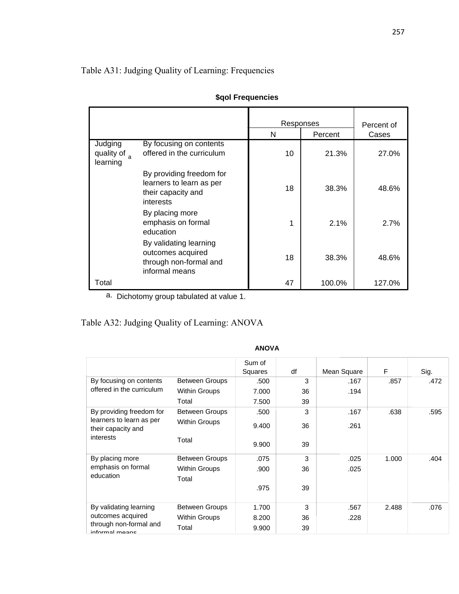## Table A31: Judging Quality of Learning: Frequencies

|                                              |                                                                                         | Responses |         | Percent of |
|----------------------------------------------|-----------------------------------------------------------------------------------------|-----------|---------|------------|
|                                              |                                                                                         | N         | Percent | Cases      |
| Judging<br>quality of $_{\rm a}$<br>learning | By focusing on contents<br>offered in the curriculum                                    | 10        | 21.3%   | 27.0%      |
|                                              | By providing freedom for<br>learners to learn as per<br>their capacity and<br>interests | 18        | 38.3%   | 48.6%      |
|                                              | By placing more<br>emphasis on formal<br>education                                      | 1         | 2.1%    | 2.7%       |
|                                              | By validating learning<br>outcomes acquired<br>through non-formal and<br>informal means | 18        | 38.3%   | 48.6%      |
| Total                                        |                                                                                         | 47        | 100.0%  | 127.0%     |

| \$qol Frequencies |  |
|-------------------|--|
|                   |  |

a. Dichotomy group tabulated at value 1.

## Table A32: Judging Quality of Learning: ANOVA

|                                                |                       | Sum of  |    |             |       |      |
|------------------------------------------------|-----------------------|---------|----|-------------|-------|------|
|                                                |                       | Squares | df | Mean Square | F     | Sig. |
| By focusing on contents                        | <b>Between Groups</b> | .500    | 3  | .167        | .857  | .472 |
| offered in the curriculum                      | Within Groups         | 7.000   | 36 | .194        |       |      |
|                                                | Total                 | 7.500   | 39 |             |       |      |
| By providing freedom for                       | <b>Between Groups</b> | .500    | 3  | .167        | .638  | .595 |
| learners to learn as per<br>their capacity and | <b>Within Groups</b>  | 9.400   | 36 | .261        |       |      |
| interests                                      | Total                 | 9.900   | 39 |             |       |      |
| By placing more                                | <b>Between Groups</b> | .075    | 3  | .025        | 1.000 | .404 |
| emphasis on formal                             | <b>Within Groups</b>  | .900    | 36 | .025        |       |      |
| education                                      | Total                 |         |    |             |       |      |
|                                                |                       | .975    | 39 |             |       |      |
|                                                |                       |         |    |             |       |      |
| By validating learning                         | <b>Between Groups</b> | 1.700   | 3  | .567        | 2.488 | .076 |
| outcomes acquired                              | <b>Within Groups</b>  | 8.200   | 36 | .228        |       |      |
| through non-formal and<br>informal moane       | Total                 | 9.900   | 39 |             |       |      |

#### **ANOVA**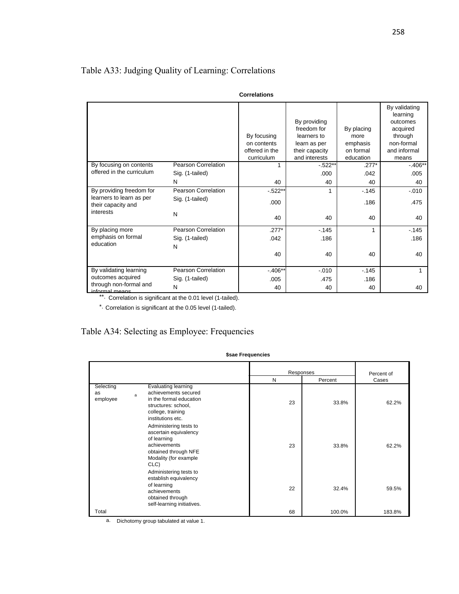## Table A33: Judging Quality of Learning: Correlations

|                                                      |                            | <b>Correlations</b>                                        |                                                                                               |                                                          |                                                                                                     |
|------------------------------------------------------|----------------------------|------------------------------------------------------------|-----------------------------------------------------------------------------------------------|----------------------------------------------------------|-----------------------------------------------------------------------------------------------------|
|                                                      |                            | By focusing<br>on contents<br>offered in the<br>curriculum | By providing<br>freedom for<br>learners to<br>learn as per<br>their capacity<br>and interests | By placing<br>more<br>emphasis<br>on formal<br>education | By validating<br>learning<br>outcomes<br>acquired<br>through<br>non-formal<br>and informal<br>means |
| By focusing on contents<br>offered in the curriculum | Pearson Correlation        | 1                                                          | $-522**$                                                                                      | $.277*$                                                  | $-406**$                                                                                            |
|                                                      | Sig. (1-tailed)<br>N       | 40                                                         | .000<br>40                                                                                    | .042<br>40                                               | .005<br>40                                                                                          |
| By providing freedom for                             | Pearson Correlation        | $-522$ *                                                   |                                                                                               | $-145$                                                   | $-.010$                                                                                             |
| learners to learn as per<br>their capacity and       | Sig. (1-tailed)            | .000                                                       |                                                                                               | .186                                                     | .475                                                                                                |
| interests                                            | N                          | 40                                                         | 40                                                                                            | 40                                                       | 40                                                                                                  |
| By placing more                                      | <b>Pearson Correlation</b> | $.277*$                                                    | $-145$                                                                                        | 1                                                        | $-145$                                                                                              |
| emphasis on formal<br>education                      | Sig. (1-tailed)            | .042                                                       | .186                                                                                          |                                                          | .186                                                                                                |
|                                                      | N                          | 40                                                         | 40                                                                                            | 40                                                       | 40                                                                                                  |
| By validating learning                               | <b>Pearson Correlation</b> | $-406**$                                                   | $-.010$                                                                                       | $-145$                                                   |                                                                                                     |
| outcomes acquired                                    | Sig. (1-tailed)            | .005                                                       | .475                                                                                          | .186                                                     |                                                                                                     |
| through non-formal and<br>informal moone             | N                          | 40                                                         | 40                                                                                            | 40                                                       | 40                                                                                                  |

informal means \*\*. Correlation is significant at the 0.01 level (1-tailed).

\*. Correlation is significant at the 0.05 level (1-tailed).

## Table A34: Selecting as Employee: Frequencies

|                             |                                                                                                                                                     | Responses |         | Percent of |
|-----------------------------|-----------------------------------------------------------------------------------------------------------------------------------------------------|-----------|---------|------------|
|                             |                                                                                                                                                     | N         | Percent | Cases      |
| Selecting<br>as<br>employee | <b>Evaluating learning</b><br>achievements secured<br>a<br>in the formal education<br>structures: school,<br>college, training<br>institutions etc. | 23        | 33.8%   | 62.2%      |
|                             | Administering tests to<br>ascertain equivalency<br>of learning<br>achievements<br>obtained through NFE<br>Modality (for example<br>CLC)             | 23        | 33.8%   | 62.2%      |
|                             | Administering tests to<br>establish equivalency<br>of learning<br>achievements<br>obtained through<br>self-learning initiatives.                    | 22        | 32.4%   | 59.5%      |
| Total                       |                                                                                                                                                     | 68        | 100.0%  | 183.8%     |

**\$sae Frequencies**

a. Dichotomy group tabulated at value 1.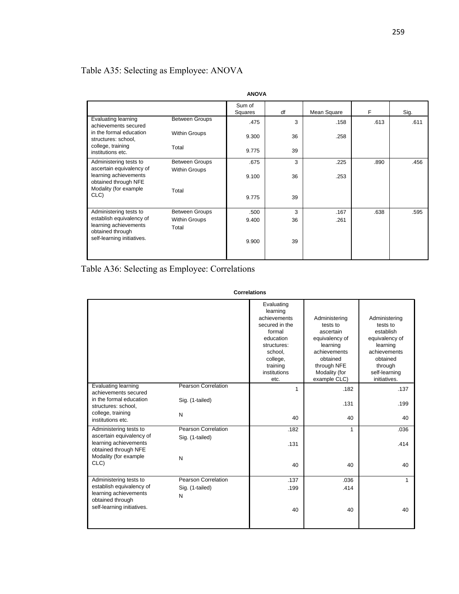## Table A35: Selecting as Employee: ANOVA

|                                                                                                                                      |                       | <b>ANOVA</b>      |    |             |      |      |
|--------------------------------------------------------------------------------------------------------------------------------------|-----------------------|-------------------|----|-------------|------|------|
|                                                                                                                                      |                       | Sum of<br>Squares | df | Mean Square | F    | Sig  |
| Evaluating learning<br>achievements secured                                                                                          | <b>Between Groups</b> | .475              | 3  | .158        | .613 | .611 |
| in the formal education<br>structures: school,                                                                                       | <b>Within Groups</b>  | 9.300             | 36 | .258        |      |      |
| college, training<br>institutions etc.                                                                                               | Total                 | 9.775             | 39 |             |      |      |
| Administering tests to<br>ascertain equivalency of<br>learning achievements<br>obtained through NFE<br>Modality (for example<br>CLC) | <b>Between Groups</b> | .675              | 3  | .225        | .890 | .456 |
|                                                                                                                                      | <b>Within Groups</b>  | 9.100             | 36 | .253        |      |      |
|                                                                                                                                      | Total                 | 9.775             | 39 |             |      |      |
| Administering tests to                                                                                                               | <b>Between Groups</b> | .500              | 3  | .167        | .638 | .595 |
| establish equivalency of<br>learning achievements<br>obtained through<br>self-learning initiatives.                                  | <b>Within Groups</b>  | 9.400             | 36 | .261        |      |      |
|                                                                                                                                      | Total                 | 9.900             | 39 |             |      |      |

Table A36: Selecting as Employee: Correlations

| <b>Correlations</b> |
|---------------------|
|                     |

|                                                                               |                                        | Evaluating<br>learning<br>achievements<br>secured in the<br>formal<br>education<br>structures:<br>school.<br>college,<br>training<br>institutions<br>etc. | Administering<br>tests to<br>ascertain<br>equivalency of<br>learning<br>achievements<br>obtained<br>through NFE<br>Modality (for<br>example CLC) | Administering<br>tests to<br>establish<br>equivalency of<br>learning<br>achievements<br>obtained<br>through<br>self-learning<br>initiatives. |
|-------------------------------------------------------------------------------|----------------------------------------|-----------------------------------------------------------------------------------------------------------------------------------------------------------|--------------------------------------------------------------------------------------------------------------------------------------------------|----------------------------------------------------------------------------------------------------------------------------------------------|
| <b>Evaluating learning</b><br>achievements secured<br>in the formal education | Pearson Correlation<br>Sig. (1-tailed) | $\mathbf{1}$                                                                                                                                              | .182<br>.131                                                                                                                                     | .137<br>.199                                                                                                                                 |
| structures: school,<br>college, training<br>institutions etc.                 | N                                      | 40                                                                                                                                                        | 40                                                                                                                                               | 40                                                                                                                                           |
| Administering tests to                                                        | Pearson Correlation                    | .182                                                                                                                                                      | $\mathbf{1}$                                                                                                                                     | .036                                                                                                                                         |
| ascertain equivalency of<br>learning achievements<br>obtained through NFE     | Sig. (1-tailed)                        | .131                                                                                                                                                      |                                                                                                                                                  | .414                                                                                                                                         |
| Modality (for example                                                         | N                                      |                                                                                                                                                           |                                                                                                                                                  |                                                                                                                                              |
| CLC)                                                                          |                                        | 40                                                                                                                                                        | 40                                                                                                                                               | 40                                                                                                                                           |
| Administering tests to                                                        | Pearson Correlation                    | .137                                                                                                                                                      | .036                                                                                                                                             | 1                                                                                                                                            |
| establish equivalency of<br>learning achievements<br>obtained through         | Sig. (1-tailed)<br>N                   | .199                                                                                                                                                      | .414                                                                                                                                             |                                                                                                                                              |
| self-learning initiatives.                                                    |                                        | 40                                                                                                                                                        | 40                                                                                                                                               | 40                                                                                                                                           |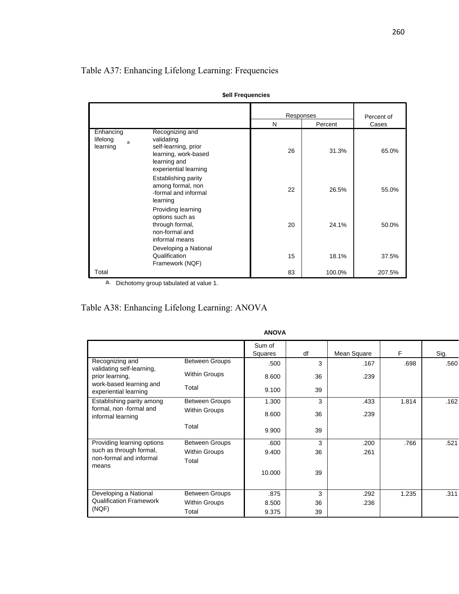## Table A37: Enhancing Lifelong Learning: Frequencies

|                                        |                                                                                                                        | Responses |         | Percent of |
|----------------------------------------|------------------------------------------------------------------------------------------------------------------------|-----------|---------|------------|
|                                        |                                                                                                                        | N         | Percent | Cases      |
| Enhancing<br>lifelong<br>ă<br>learning | Recognizing and<br>validating<br>self-learning, prior<br>learning, work-based<br>learning and<br>experiential learning | 26        | 31.3%   | 65.0%      |
|                                        | Establishing parity<br>among formal, non<br>-formal and informal<br>learning                                           | 22        | 26.5%   | 55.0%      |
|                                        | Providing learning<br>options such as<br>through formal,<br>non-formal and<br>informal means                           | 20        | 24.1%   | 50.0%      |
|                                        | Developing a National<br>Qualification<br>Framework (NQF)                                                              | 15        | 18.1%   | 37.5%      |
| Total                                  |                                                                                                                        | 83        | 100.0%  | 207.5%     |

a. Dichotomy group tabulated at value 1.

# Table A38: Enhancing Lifelong Learning: ANOVA

|                                                             |                                               | ANUVA             |    |             |       |      |
|-------------------------------------------------------------|-----------------------------------------------|-------------------|----|-------------|-------|------|
|                                                             |                                               | Sum of<br>Squares | df | Mean Square | F     | Sig. |
| Recognizing and<br>validating self-learning,                | <b>Between Groups</b>                         | .500              | 3  | .167        | .698  | .560 |
| prior learning,<br>work-based learning and                  | <b>Within Groups</b>                          | 8.600             | 36 | .239        |       |      |
| experiential learning                                       | Total                                         | 9.100             | 39 |             |       |      |
| Establishing parity among<br>formal, non -formal and        | <b>Between Groups</b><br><b>Within Groups</b> | 1.300             | 3  | .433        | 1.814 | .162 |
| informal learning                                           |                                               | 8.600             | 36 | .239        |       |      |
|                                                             | Total                                         | 9.900             | 39 |             |       |      |
| Providing learning options                                  | <b>Between Groups</b>                         | .600              | 3  | .200        | .766  | .521 |
| such as through formal,<br>non-formal and informal<br>means | <b>Within Groups</b><br>Total                 | 9.400             | 36 | .261        |       |      |
|                                                             |                                               | 10.000            | 39 |             |       |      |
| Developing a National                                       | <b>Between Groups</b>                         | .875              | 3  | .292        | 1.235 | .311 |
| <b>Qualification Framework</b>                              | <b>Within Groups</b>                          | 8.500             | 36 | .236        |       |      |
| (NQF)                                                       | Total                                         | 9.375             | 39 |             |       |      |

#### **ANOVA**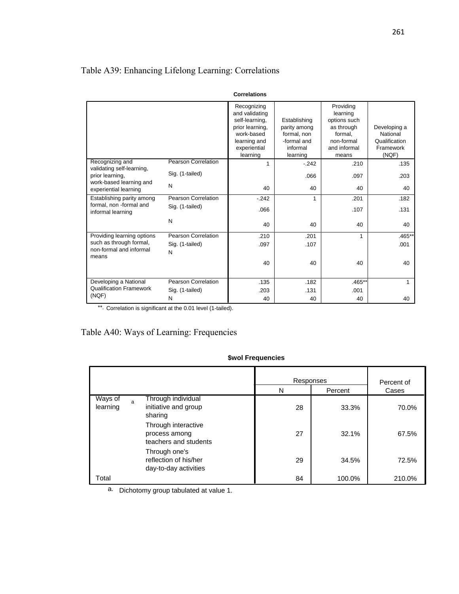## Table A39: Enhancing Lifelong Learning: Correlations

|                                                                                                  |                            | ννι ι σιαιινι ιδ                                                                                                             |                                                                                    |                                                                                                       |                                                                 |
|--------------------------------------------------------------------------------------------------|----------------------------|------------------------------------------------------------------------------------------------------------------------------|------------------------------------------------------------------------------------|-------------------------------------------------------------------------------------------------------|-----------------------------------------------------------------|
|                                                                                                  |                            | Recognizing<br>and validating<br>self-learning,<br>prior learning,<br>work-based<br>learning and<br>experiential<br>learning | Establishing<br>parity among<br>formal, non<br>-formal and<br>informal<br>learning | Providing<br>learning<br>options such<br>as through<br>formal.<br>non-formal<br>and informal<br>means | Developing a<br>National<br>Qualification<br>Framework<br>(NQF) |
| Recognizing and                                                                                  | <b>Pearson Correlation</b> | 1                                                                                                                            | $-242$                                                                             | .210                                                                                                  | .135                                                            |
| validating self-learning,<br>prior learning,<br>work-based learning and<br>experiential learning | Sig. (1-tailed)            |                                                                                                                              | .066                                                                               | .097                                                                                                  | .203                                                            |
|                                                                                                  | N                          | 40                                                                                                                           | 40                                                                                 | 40                                                                                                    | 40                                                              |
| Establishing parity among                                                                        | Pearson Correlation        | $-242$                                                                                                                       | 1                                                                                  | .201                                                                                                  | .182                                                            |
| formal, non -formal and<br>informal learning                                                     | Sig. (1-tailed)            | .066                                                                                                                         |                                                                                    | .107                                                                                                  | .131                                                            |
|                                                                                                  | N                          | 40                                                                                                                           | 40                                                                                 | 40                                                                                                    | 40                                                              |
| Providing learning options                                                                       | Pearson Correlation        | .210                                                                                                                         | .201                                                                               | 1                                                                                                     | $.465*$                                                         |
| such as through formal,<br>non-formal and informal<br>means                                      | Sig. (1-tailed)<br>N       | .097                                                                                                                         | .107                                                                               |                                                                                                       | .001                                                            |
|                                                                                                  |                            | 40                                                                                                                           | 40                                                                                 | 40                                                                                                    | 40                                                              |
| Developing a National                                                                            | Pearson Correlation        | .135                                                                                                                         | .182                                                                               | $.465**$                                                                                              | 1                                                               |
| <b>Qualification Framework</b>                                                                   | Sig. (1-tailed)            | .203                                                                                                                         | .131                                                                               | .001                                                                                                  |                                                                 |
| (NQF)                                                                                            | N                          | 40                                                                                                                           | 40                                                                                 | 40                                                                                                    | 40                                                              |

#### **Correlations**

\*\*. Correlation is significant at the 0.01 level (1-tailed).

## Table A40: Ways of Learning: Frequencies

#### **\$wol Frequencies**

|                     |                                                                 | Responses |         | Percent of |
|---------------------|-----------------------------------------------------------------|-----------|---------|------------|
|                     |                                                                 | N         | Percent | Cases      |
| Ways of<br>learning | Through individual<br>a<br>initiative and group<br>sharing      | 28        | 33.3%   | 70.0%      |
|                     | Through interactive<br>process among<br>teachers and students   | 27        | 32.1%   | 67.5%      |
|                     | Through one's<br>reflection of his/her<br>day-to-day activities | 29        | 34.5%   | 72.5%      |
| Total               |                                                                 | 84        | 100.0%  | 210.0%     |

a. Dichotomy group tabulated at value 1.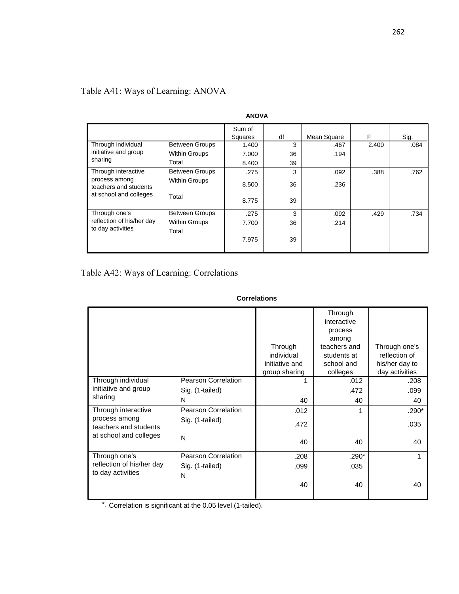| <b>ANOVA</b>                                                                            |                               |                   |    |             |       |      |  |
|-----------------------------------------------------------------------------------------|-------------------------------|-------------------|----|-------------|-------|------|--|
|                                                                                         |                               | Sum of<br>Squares | df | Mean Square | F     | Sig. |  |
| Through individual                                                                      | <b>Between Groups</b>         | 1.400             | 3  | .467        | 2.400 | .084 |  |
| initiative and group                                                                    | <b>Within Groups</b>          | 7.000             | 36 | .194        |       |      |  |
| sharing                                                                                 | Total                         | 8.400             | 39 |             |       |      |  |
| Through interactive<br>process among<br>teachers and students<br>at school and colleges | <b>Between Groups</b>         | .275              | 3  | .092        | .388  | .762 |  |
|                                                                                         | <b>Within Groups</b>          | 8.500             | 36 | .236        |       |      |  |
|                                                                                         | Total                         | 8.775             | 39 |             |       |      |  |
| Through one's                                                                           | <b>Between Groups</b>         | .275              | 3  | .092        | .429  | .734 |  |
| reflection of his/her day<br>to day activities                                          | <b>Within Groups</b><br>Total | 7.700             | 36 | .214        |       |      |  |
|                                                                                         |                               | 7.975             | 39 |             |       |      |  |

## Table A41: Ways of Learning: ANOVA

## Table A42: Ways of Learning: Correlations

|                                                |                            | Through<br>individual<br>initiative and<br>group sharing | Through<br>interactive<br>process<br>among<br>teachers and<br>students at<br>school and<br>colleges | Through one's<br>reflection of<br>his/her day to<br>day activities |
|------------------------------------------------|----------------------------|----------------------------------------------------------|-----------------------------------------------------------------------------------------------------|--------------------------------------------------------------------|
| Through individual                             | <b>Pearson Correlation</b> |                                                          | .012                                                                                                | .208                                                               |
| initiative and group                           | Sig. (1-tailed)            |                                                          | .472                                                                                                | .099                                                               |
| sharing                                        | N                          | 40                                                       | 40                                                                                                  | 40                                                                 |
| Through interactive                            | Pearson Correlation        | .012                                                     | 1                                                                                                   | .290*                                                              |
| process among<br>teachers and students         | Sig. (1-tailed)            | .472                                                     |                                                                                                     | .035                                                               |
| at school and colleges                         | N                          | 40                                                       | 40                                                                                                  | 40                                                                 |
| Through one's                                  | <b>Pearson Correlation</b> | .208                                                     | $.290*$                                                                                             |                                                                    |
| reflection of his/her day<br>to day activities | Sig. (1-tailed)            | .099                                                     | .035                                                                                                |                                                                    |
|                                                | N                          |                                                          |                                                                                                     |                                                                    |
|                                                |                            | 40                                                       | 40                                                                                                  | 40                                                                 |
|                                                |                            |                                                          |                                                                                                     |                                                                    |

#### **Correlations**

 $*$ . Correlation is significant at the 0.05 level (1-tailed).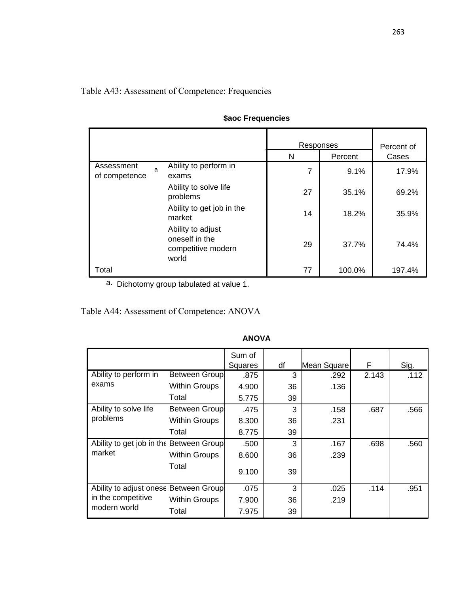## Table A43: Assessment of Competence: Frequencies

|                             |                                                                    | Responses |         | Percent of |  |
|-----------------------------|--------------------------------------------------------------------|-----------|---------|------------|--|
|                             |                                                                    | N         | Percent | Cases      |  |
| Assessment<br>of competence | Ability to perform in<br>a<br>exams                                | 7         | 9.1%    | 17.9%      |  |
|                             | Ability to solve life<br>problems                                  | 27        | 35.1%   | 69.2%      |  |
|                             | Ability to get job in the<br>market                                | 14        | 18.2%   | 35.9%      |  |
|                             | Ability to adjust<br>oneself in the<br>competitive modern<br>world | 29        | 37.7%   | 74.4%      |  |
| Total                       |                                                                    | 77        | 100.0%  | 197.4%     |  |

# **\$aoc Frequencies**

a. Dichotomy group tabulated at value 1.

Table A44: Assessment of Competence: ANOVA

|                                          |                      | Sum of<br>Squares | df | Mean Square | F     | Sig. |
|------------------------------------------|----------------------|-------------------|----|-------------|-------|------|
| Ability to perform in                    | <b>Between Group</b> | .875              | 3  | .292        | 2.143 | .112 |
| exams                                    | <b>Within Groups</b> | 4.900             | 36 | .136        |       |      |
|                                          | Total                | 5.775             | 39 |             |       |      |
| Ability to solve life                    | Between Group        | .475              | 3  | .158        | .687  | .566 |
| problems                                 | <b>Within Groups</b> | 8.300             | 36 | .231        |       |      |
|                                          | Total                | 8.775             | 39 |             |       |      |
| Ability to get job in the Between Group! |                      | .500              | 3  | .167        | .698  | .560 |
| market                                   | <b>Within Groups</b> | 8.600             | 36 | .239        |       |      |
|                                          | Total                | 9.100             | 39 |             |       |      |
| Ability to adjust onese Between Group.   |                      | .075              | 3  | .025        | .114  | .951 |
| in the competitive                       | <b>Within Groups</b> | 7.900             | 36 | .219        |       |      |
| modern world                             | Total                | 7.975             | 39 |             |       |      |

#### **ANOVA**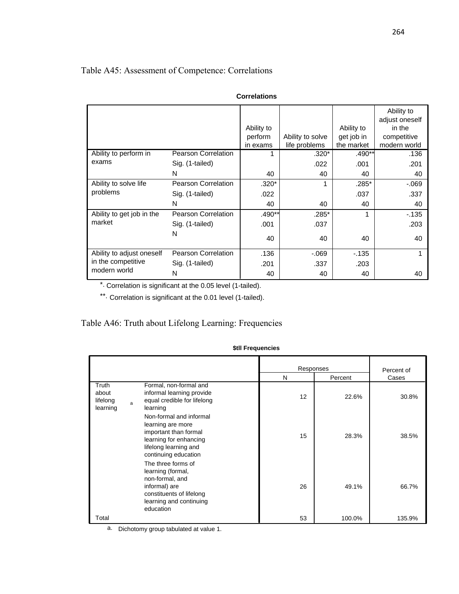## Table A45: Assessment of Competence: Correlations

|                           |                            |            |                  |            | Ability to<br>adjust oneself |
|---------------------------|----------------------------|------------|------------------|------------|------------------------------|
|                           |                            | Ability to |                  | Ability to | in the                       |
|                           |                            | perform    | Ability to solve | get job in | competitive                  |
|                           |                            | in exams   | life problems    | the market | modern world                 |
| Ability to perform in     | <b>Pearson Correlation</b> | 1          | $.320*$          | .490**     | .136                         |
| exams                     | Sig. (1-tailed)            |            | .022             | .001       | .201                         |
|                           | N                          | 40         | 40               | 40         | 40                           |
| Ability to solve life     | <b>Pearson Correlation</b> | $.320*$    | 1                | $.285*$    | $-069$                       |
| problems                  | Sig. (1-tailed)            | .022       |                  | .037       | .337                         |
|                           | N                          | 40         | 40               | 40         | 40                           |
| Ability to get job in the | <b>Pearson Correlation</b> | .490**     | $.285*$          | 1          | $-135$                       |
| market                    | Sig. (1-tailed)            | .001       | .037             |            | .203                         |
|                           | N                          | 40         | 40               | 40         | 40                           |
| Ability to adjust oneself | <b>Pearson Correlation</b> | .136       | $-069$           | $-135$     | 1                            |
| in the competitive        | Sig. (1-tailed)            | .201       | .337             | .203       |                              |
| modern world              | N                          | 40         | 40               | 40         | 40                           |

|  | Correlations |
|--|--------------|
|  |              |

Correlation is significant at the 0.05 level (1-tailed). \*.

\*\*. Correlation is significant at the 0.01 level (1-tailed).

## Table A46: Truth about Lifelong Learning: Frequencies

### **\$tll Frequencies**

|                                        |   |                                                                                                                                                  | Responses<br>N<br>Percent |        | Percent of<br>Cases |  |
|----------------------------------------|---|--------------------------------------------------------------------------------------------------------------------------------------------------|---------------------------|--------|---------------------|--|
| Truth<br>about<br>lifelong<br>learning | a | Formal, non-formal and<br>informal learning provide<br>equal credible for lifelong<br>learning                                                   | 12                        | 22.6%  | 30.8%               |  |
|                                        |   | Non-formal and informal<br>learning are more<br>important than formal<br>learning for enhancing<br>lifelong learning and<br>continuing education | 15                        | 28.3%  | 38.5%               |  |
|                                        |   | The three forms of<br>learning (formal,<br>non-formal, and<br>informal) are<br>constituents of lifelong<br>learning and continuing<br>education  | 26                        | 49.1%  | 66.7%               |  |
| Total                                  |   |                                                                                                                                                  | 53                        | 100.0% | 135.9%              |  |

a. Dichotomy group tabulated at value 1.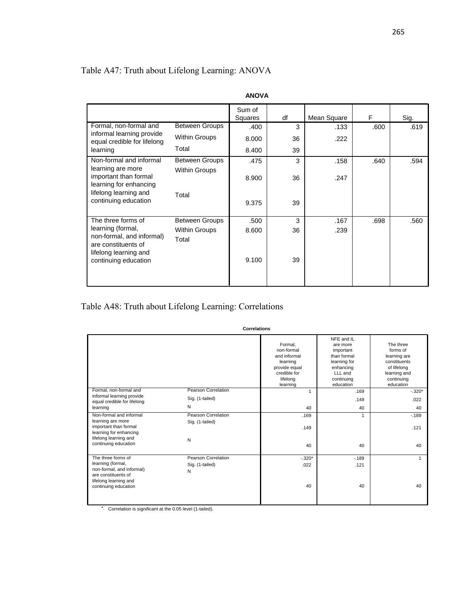## Table A47: Truth about Lifelong Learning: ANOVA

| ANUVA                                                                                                                 |                               |         |    |             |      |      |  |
|-----------------------------------------------------------------------------------------------------------------------|-------------------------------|---------|----|-------------|------|------|--|
|                                                                                                                       |                               | Sum of  |    |             |      |      |  |
|                                                                                                                       |                               | Squares | df | Mean Square | F    | Sig. |  |
| Formal, non-formal and<br>informal learning provide                                                                   | <b>Between Groups</b>         | .400    | 3  | .133        | .600 | .619 |  |
| equal credible for lifelong                                                                                           | <b>Within Groups</b>          | 8.000   | 36 | .222        |      |      |  |
| learning                                                                                                              | Total                         | 8.400   | 39 |             |      |      |  |
| Non-formal and informal                                                                                               | <b>Between Groups</b>         | .475    | 3  | .158        | .640 | .594 |  |
| learning are more<br>important than formal<br>learning for enhancing<br>lifelong learning and<br>continuing education | <b>Within Groups</b>          | 8.900   | 36 | .247        |      |      |  |
|                                                                                                                       | Total                         | 9.375   | 39 |             |      |      |  |
| The three forms of                                                                                                    | <b>Between Groups</b>         | .500    | 3  | .167        | .698 | .560 |  |
| learning (formal,<br>non-formal, and informal)<br>are constituents of<br>lifelong learning and                        | <b>Within Groups</b><br>Total | 8.600   | 36 | .239        |      |      |  |
| continuing education                                                                                                  |                               | 9.100   | 39 |             |      |      |  |

**ANOVA**

Table A48: Truth about Lifelong Learning: Correlations

**Correlations**

|                                                                                                |                            | Formal.<br>non-formal<br>and informal<br>learning<br>provide equal<br>credible for<br>lifelong<br>learning | NFE and IL<br>are more<br>important<br>than formal<br>learning for<br>enhancing<br>LLL and<br>continuing<br>education | The three<br>forms of<br>learning are<br>constituents<br>of lifelong<br>learning and<br>continuing<br>education |
|------------------------------------------------------------------------------------------------|----------------------------|------------------------------------------------------------------------------------------------------------|-----------------------------------------------------------------------------------------------------------------------|-----------------------------------------------------------------------------------------------------------------|
| Formal, non-formal and                                                                         | <b>Pearson Correlation</b> | 1                                                                                                          | .169                                                                                                                  | $-0.320*$                                                                                                       |
| informal learning provide<br>equal credible for lifelong                                       | Sig. (1-tailed)            |                                                                                                            | .149                                                                                                                  | .022                                                                                                            |
| learning                                                                                       | N                          | 40                                                                                                         | 40                                                                                                                    | 40                                                                                                              |
| Non-formal and informal                                                                        | Pearson Correlation        | .169                                                                                                       |                                                                                                                       | $-189$                                                                                                          |
| learning are more<br>important than formal<br>learning for enhancing                           | Sig. (1-tailed)            | .149                                                                                                       |                                                                                                                       | .121                                                                                                            |
| lifelong learning and<br>continuing education                                                  | N                          | 40                                                                                                         | 40                                                                                                                    | 40                                                                                                              |
| The three forms of                                                                             | Pearson Correlation        | $-.320*$                                                                                                   | $-189$                                                                                                                |                                                                                                                 |
| learning (formal,<br>non-formal, and informal)<br>are constituents of<br>lifelong learning and | Sig. (1-tailed)<br>N       | .022                                                                                                       | .121                                                                                                                  |                                                                                                                 |
| continuing education                                                                           |                            | 40                                                                                                         | 40                                                                                                                    | 40                                                                                                              |

\*. Correlation is significant at the 0.05 level (1-tailed).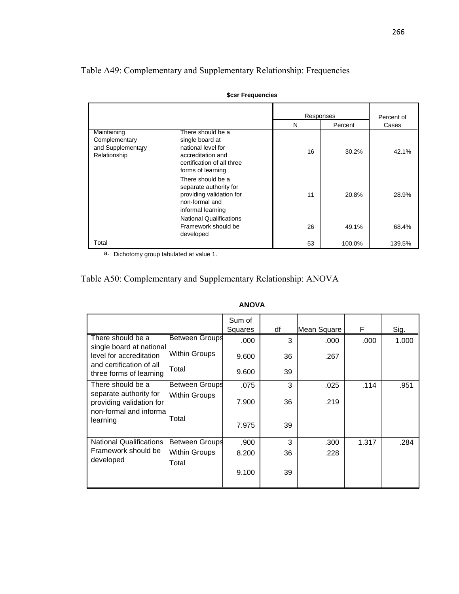Table A49: Complementary and Supplementary Relationship: Frequencies

|                                                                   |                                                                                                                                    | Responses |         | Percent of |  |  |
|-------------------------------------------------------------------|------------------------------------------------------------------------------------------------------------------------------------|-----------|---------|------------|--|--|
|                                                                   |                                                                                                                                    | N         | Percent |            |  |  |
| Maintaining<br>Complementary<br>and Supplementary<br>Relationship | There should be a<br>single board at<br>national level for<br>accreditation and<br>certification of all three<br>forms of learning | 16        | 30.2%   | 42.1%      |  |  |
|                                                                   | There should be a<br>separate authority for<br>providing validation for<br>non-formal and<br>informal learning                     | 11        | 20.8%   | 28.9%      |  |  |
|                                                                   | <b>National Qualifications</b><br>Framework should be<br>developed                                                                 | 26        | 49.1%   | 68.4%      |  |  |
| Total                                                             |                                                                                                                                    | 53        | 100.0%  | 139.5%     |  |  |

**\$csr Frequencies**

a. Dichotomy group tabulated at value 1.

|                                                                              |                        | <b>ANOVA</b>      |    |             |       |       |
|------------------------------------------------------------------------------|------------------------|-------------------|----|-------------|-------|-------|
|                                                                              |                        | Sum of<br>Squares | df | Mean Square | F     | Sig.  |
| There should be a<br>single board at national                                | <b>Between Groups</b>  | .000              | 3  | .000        | .000  | 1.000 |
| level for accreditation                                                      | Within Groups          | 9.600             | 36 | .267        |       |       |
| and certification of all<br>three forms of learning                          | Total                  | 9.600             | 39 |             |       |       |
| There should be a                                                            | Between Groups         | .075              | 3  | .025        | .114  | .951  |
| separate authority for<br>providing validation for<br>non-formal and informa | <b>Within Groups</b>   | 7.900             | 36 | .219        |       |       |
| learning                                                                     | Total                  | 7.975             | 39 |             |       |       |
| <b>National Qualifications</b>                                               | Between Groups         | .900              | 3  | .300        | 1.317 | .284  |
| Framework should be<br>developed                                             | Within Groups<br>Total | 8.200             | 36 | .228        |       |       |
|                                                                              |                        | 9.100             | 39 |             |       |       |

# Table A50: Complementary and Supplementary Relationship: ANOVA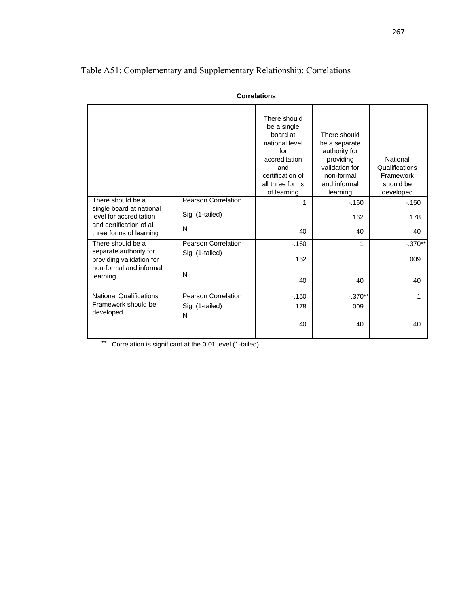|                                                                               |                            | <b>Correlations</b>                                                                                                                            |                                                                                                                         |                                                                   |
|-------------------------------------------------------------------------------|----------------------------|------------------------------------------------------------------------------------------------------------------------------------------------|-------------------------------------------------------------------------------------------------------------------------|-------------------------------------------------------------------|
|                                                                               |                            | There should<br>be a single<br>board at<br>national level<br>for<br>accreditation<br>and<br>certification of<br>all three forms<br>of learning | There should<br>be a separate<br>authority for<br>providing<br>validation for<br>non-formal<br>and informal<br>learning | National<br>Qualifications<br>Framework<br>should be<br>developed |
| There should be a<br>single board at national                                 | <b>Pearson Correlation</b> | 1                                                                                                                                              | $-160$                                                                                                                  | $-150$                                                            |
| level for accreditation                                                       | Sig. (1-tailed)            |                                                                                                                                                | .162                                                                                                                    | .178                                                              |
| and certification of all<br>three forms of learning                           | N                          | 40                                                                                                                                             | 40                                                                                                                      | 40                                                                |
| There should be a                                                             | Pearson Correlation        | $-160$                                                                                                                                         | 1                                                                                                                       | $-.370**$                                                         |
| separate authority for<br>providing validation for<br>non-formal and informal | Sig. (1-tailed)            | .162                                                                                                                                           |                                                                                                                         | .009                                                              |
| learning                                                                      | N                          | 40                                                                                                                                             | 40                                                                                                                      | 40                                                                |
| <b>National Qualifications</b>                                                | Pearson Correlation        | $-150$                                                                                                                                         | $-.370**$                                                                                                               | 1                                                                 |
| Framework should be<br>developed                                              | Sig. (1-tailed)            | .178                                                                                                                                           | .009                                                                                                                    |                                                                   |
|                                                                               | N                          | 40                                                                                                                                             | 40                                                                                                                      | 40                                                                |

# Table A51: Complementary and Supplementary Relationship: Correlations

\*\*. Correlation is significant at the 0.01 level (1-tailed).

#### 267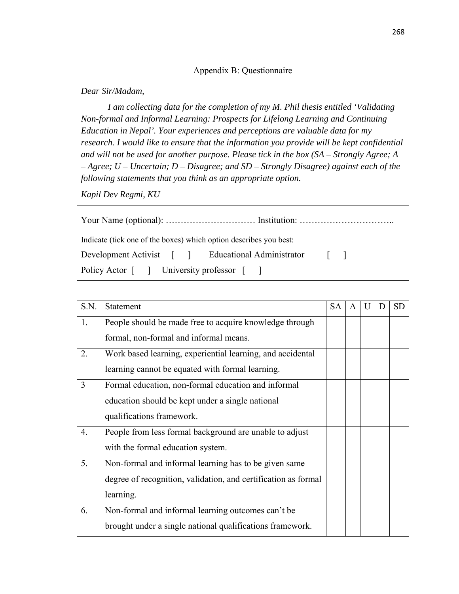## Appendix B: Questionnaire

### *Dear Sir/Madam,*

*I am collecting data for the completion of my M. Phil thesis entitled 'Validating Non-formal and Informal Learning: Prospects for Lifelong Learning and Continuing Education in Nepal'. Your experiences and perceptions are valuable data for my research. I would like to ensure that the information you provide will be kept confidential and will not be used for another purpose. Please tick in the box (SA – Strongly Agree; A – Agree; U – Uncertain; D – Disagree; and SD – Strongly Disagree) against each of the following statements that you think as an appropriate option.* 

*Kapil Dev Regmi, KU* 

| Indicate (tick one of the boxes) which option describes you best: |  |
|-------------------------------------------------------------------|--|
| Development Activist [ ] Educational Administrator [ ]            |  |
| Policy Actor [ ] University professor [ ]                         |  |

| S.N. | Statement                                                      | <b>SA</b> | A | D | <b>SD</b> |
|------|----------------------------------------------------------------|-----------|---|---|-----------|
| 1.   | People should be made free to acquire knowledge through        |           |   |   |           |
|      | formal, non-formal and informal means.                         |           |   |   |           |
| 2.   | Work based learning, experiential learning, and accidental     |           |   |   |           |
|      | learning cannot be equated with formal learning.               |           |   |   |           |
| 3    | Formal education, non-formal education and informal            |           |   |   |           |
|      | education should be kept under a single national               |           |   |   |           |
|      | qualifications framework.                                      |           |   |   |           |
| 4.   | People from less formal background are unable to adjust        |           |   |   |           |
|      | with the formal education system.                              |           |   |   |           |
| 5.   | Non-formal and informal learning has to be given same          |           |   |   |           |
|      | degree of recognition, validation, and certification as formal |           |   |   |           |
|      | learning.                                                      |           |   |   |           |
| 6.   | Non-formal and informal learning outcomes can't be             |           |   |   |           |
|      | brought under a single national qualifications framework.      |           |   |   |           |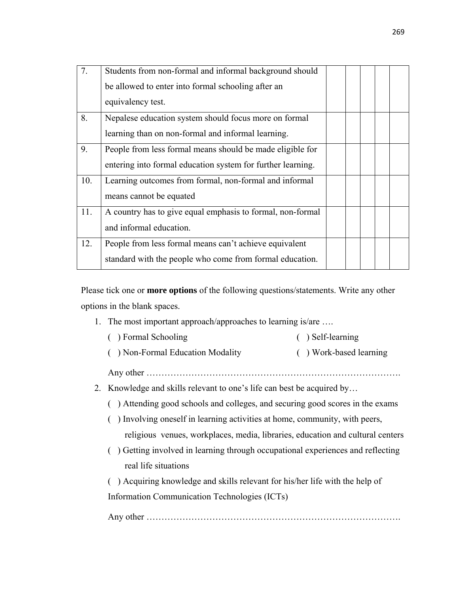| 7.  | Students from non-formal and informal background should     |  |  |  |
|-----|-------------------------------------------------------------|--|--|--|
|     | be allowed to enter into formal schooling after an          |  |  |  |
|     | equivalency test.                                           |  |  |  |
| 8.  | Nepalese education system should focus more on formal       |  |  |  |
|     | learning than on non-formal and informal learning.          |  |  |  |
| 9.  | People from less formal means should be made eligible for   |  |  |  |
|     | entering into formal education system for further learning. |  |  |  |
| 10. | Learning outcomes from formal, non-formal and informal      |  |  |  |
|     | means cannot be equated                                     |  |  |  |
| 11. | A country has to give equal emphasis to formal, non-formal  |  |  |  |
|     | and informal education.                                     |  |  |  |
| 12. | People from less formal means can't achieve equivalent      |  |  |  |
|     | standard with the people who come from formal education.    |  |  |  |

Please tick one or **more options** of the following questions/statements. Write any other options in the blank spaces.

1. The most important approach/approaches to learning is/are ….

|    | ) Formal Schooling                                                             | ) Self-learning        |
|----|--------------------------------------------------------------------------------|------------------------|
|    | ) Non-Formal Education Modality                                                | () Work-based learning |
|    |                                                                                |                        |
| 2. | Knowledge and skills relevant to one's life can best be acquired by            |                        |
|    | ) Attending good schools and colleges, and securing good scores in the exams   |                        |
|    | ) Involving oneself in learning activities at home, community, with peers,     |                        |
|    | religious venues, workplaces, media, libraries, education and cultural centers |                        |
|    | ) Getting involved in learning through occupational experiences and reflecting |                        |
|    | real life situations                                                           |                        |
|    | ) Acquiring knowledge and skills relevant for his/her life with the help of    |                        |
|    | Information Communication Technologies (ICTs)                                  |                        |
|    |                                                                                |                        |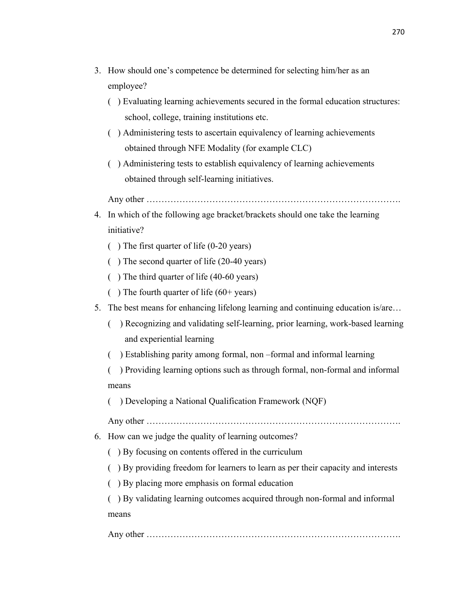- 3. How should one's competence be determined for selecting him/her as an employee?
	- ( ) Evaluating learning achievements secured in the formal education structures: school, college, training institutions etc.
	- ( ) Administering tests to ascertain equivalency of learning achievements obtained through NFE Modality (for example CLC)
	- ( ) Administering tests to establish equivalency of learning achievements obtained through self-learning initiatives.

Any other ………………………………………………………………………….

- 4. In which of the following age bracket/brackets should one take the learning initiative?
	- ( ) The first quarter of life (0-20 years)
	- ( ) The second quarter of life (20-40 years)
	- ( ) The third quarter of life (40-60 years)
	- ( $\Box$ ) The fourth quarter of life (60+ years)
- 5. The best means for enhancing lifelong learning and continuing education is/are…
	- ( ) Recognizing and validating self-learning, prior learning, work-based learning and experiential learning
	- ( ) Establishing parity among formal, non –formal and informal learning
	- ( ) Providing learning options such as through formal, non-formal and informal means
	- ( ) Developing a National Qualification Framework (NQF)

Any other ………………………………………………………………………….

- 6. How can we judge the quality of learning outcomes?
	- ( ) By focusing on contents offered in the curriculum
	- ( ) By providing freedom for learners to learn as per their capacity and interests
	- ( ) By placing more emphasis on formal education

( ) By validating learning outcomes acquired through non-formal and informal means

Any other ………………………………………………………………………….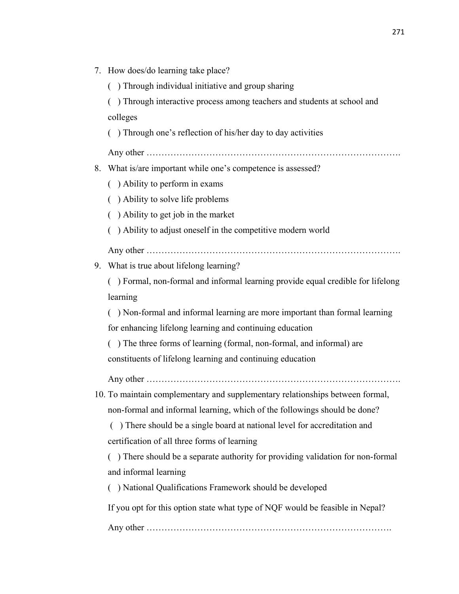| 7. | How does/do learning take place?                                               |
|----|--------------------------------------------------------------------------------|
|    | () Through individual initiative and group sharing                             |
|    | ) Through interactive process among teachers and students at school and        |
|    | colleges                                                                       |
|    | ) Through one's reflection of his/her day to day activities                    |
|    |                                                                                |
| 8. | What is/are important while one's competence is assessed?                      |
|    | () Ability to perform in exams                                                 |
|    | Ability to solve life problems                                                 |
|    | ) Ability to get job in the market<br>€                                        |
|    | ) Ability to adjust oneself in the competitive modern world                    |
|    |                                                                                |
|    | 9. What is true about lifelong learning?                                       |
|    | ) Formal, non-formal and informal learning provide equal credible for lifelong |
|    | learning                                                                       |
|    | ) Non-formal and informal learning are more important than formal learning     |
|    | for enhancing lifelong learning and continuing education                       |
|    | () The three forms of learning (formal, non-formal, and informal) are          |
|    | constituents of lifelong learning and continuing education                     |
|    |                                                                                |
|    | 10. To maintain complementary and supplementary relationships between formal,  |
|    | non-formal and informal learning, which of the followings should be done?      |
|    | ) There should be a single board at national level for accreditation and<br>€  |
|    | certification of all three forms of learning                                   |
|    | ) There should be a separate authority for providing validation for non-formal |
|    | and informal learning                                                          |
|    | ) National Qualifications Framework should be developed                        |
|    | If you opt for this option state what type of NQF would be feasible in Nepal?  |
|    |                                                                                |
|    |                                                                                |
|    |                                                                                |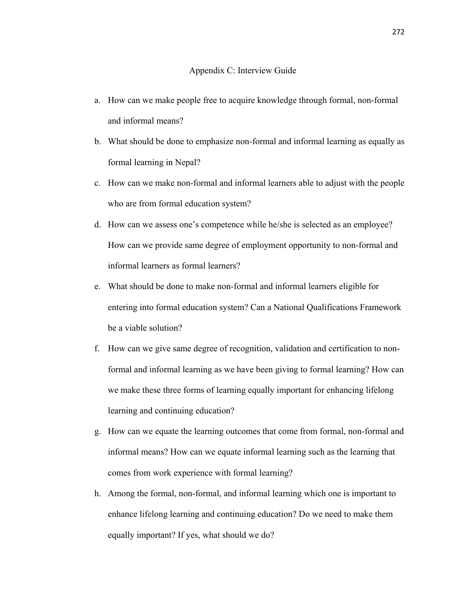### Appendix C: Interview Guide

- a. How can we make people free to acquire knowledge through formal, non-formal and informal means?
- b. What should be done to emphasize non-formal and informal learning as equally as formal learning in Nepal?
- c. How can we make non-formal and informal learners able to adjust with the people who are from formal education system?
- d. How can we assess one's competence while he/she is selected as an employee? How can we provide same degree of employment opportunity to non-formal and informal learners as formal learners?
- e. What should be done to make non-formal and informal learners eligible for entering into formal education system? Can a National Qualifications Framework be a viable solution?
- f. How can we give same degree of recognition, validation and certification to nonformal and informal learning as we have been giving to formal learning? How can we make these three forms of learning equally important for enhancing lifelong learning and continuing education?
- g. How can we equate the learning outcomes that come from formal, non-formal and informal means? How can we equate informal learning such as the learning that comes from work experience with formal learning?
- h. Among the formal, non-formal, and informal learning which one is important to enhance lifelong learning and continuing education? Do we need to make them equally important? If yes, what should we do?